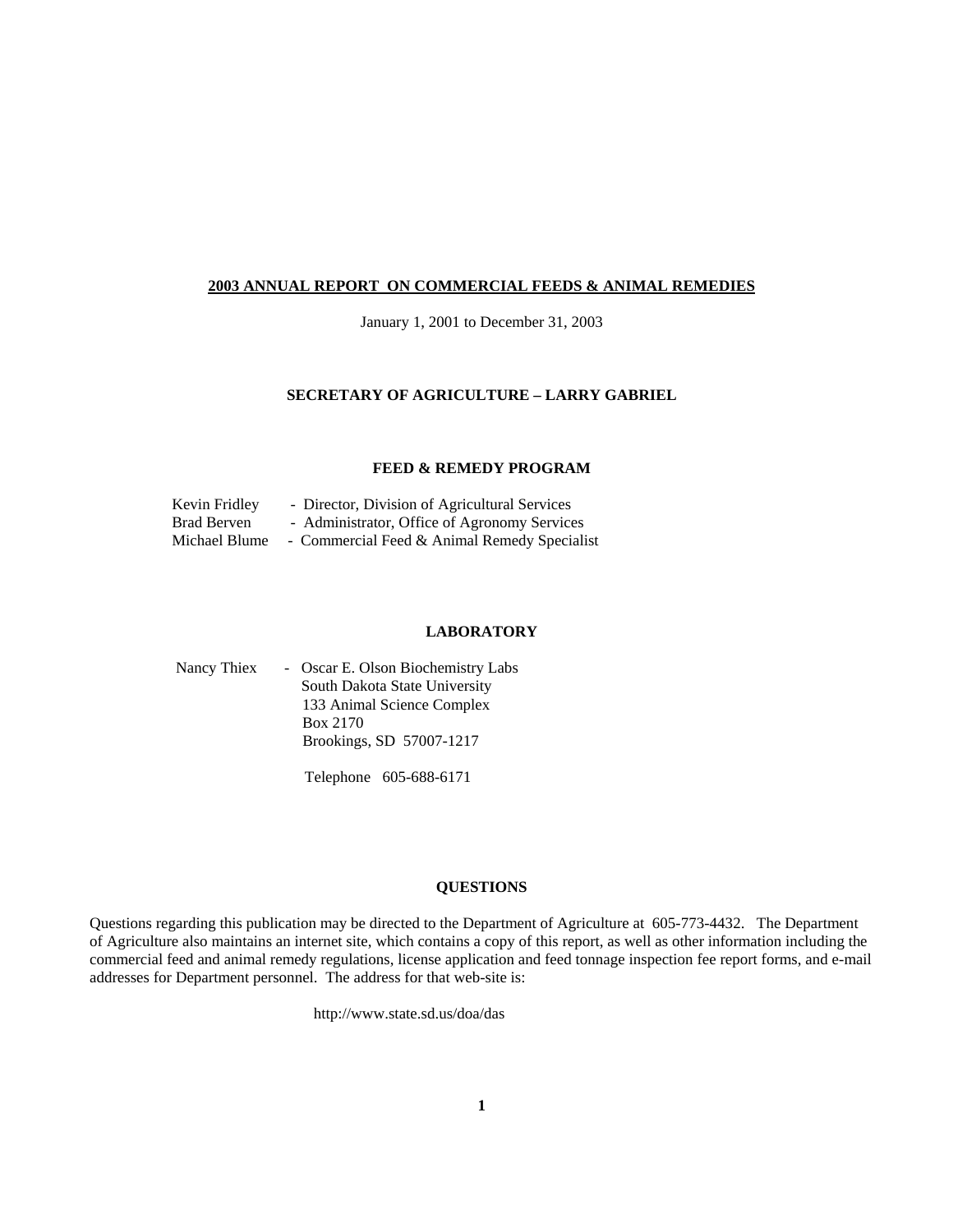#### **2003 ANNUAL REPORT ON COMMERCIAL FEEDS & ANIMAL REMEDIES**

January 1, 2001 to December 31, 2003

#### **SECRETARY OF AGRICULTURE – LARRY GABRIEL**

#### **FEED & REMEDY PROGRAM**

| Kevin Fridley | - Director, Division of Agricultural Services |
|---------------|-----------------------------------------------|
| Brad Berven   | - Administrator, Office of Agronomy Services  |
| Michael Blume | - Commercial Feed & Animal Remedy Specialist  |

#### **LABORATORY**

| Nancy Thiex | - Oscar E. Olson Biochemistry Labs |
|-------------|------------------------------------|
|             | South Dakota State University      |
|             | 133 Animal Science Complex         |
|             | Box 2170                           |
|             | Brookings, SD 57007-1217           |
|             |                                    |

Telephone 605-688-6171

#### **QUESTIONS**

Questions regarding this publication may be directed to the Department of Agriculture at 605-773-4432. The Department of Agriculture also maintains an internet site, which contains a copy of this report, as well as other information including the commercial feed and animal remedy regulations, license application and feed tonnage inspection fee report forms, and e-mail addresses for Department personnel. The address for that web-site is:

http://www.state.sd.us/doa/das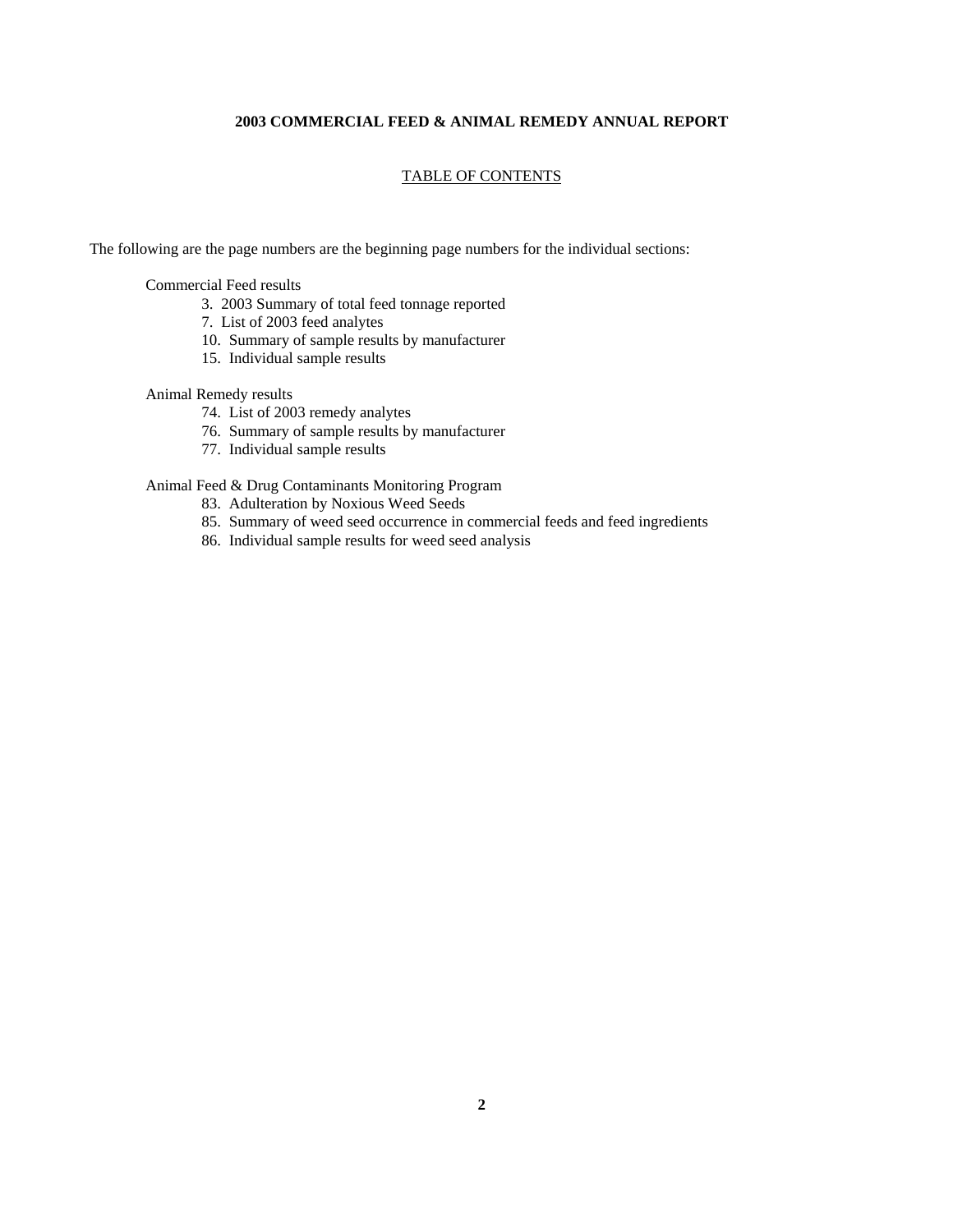#### **2003 COMMERCIAL FEED & ANIMAL REMEDY ANNUAL REPORT**

#### TABLE OF CONTENTS

The following are the page numbers are the beginning page numbers for the individual sections:

Commercial Feed results

- 3. 2003 Summary of total feed tonnage reported
- 7. List of 2003 feed analytes
- 10. Summary of sample results by manufacturer
- 15. Individual sample results

#### Animal Remedy results

- 74. List of 2003 remedy analytes
- 76. Summary of sample results by manufacturer
- 77. Individual sample results

#### Animal Feed & Drug Contaminants Monitoring Program

- 83. Adulteration by Noxious Weed Seeds
- 85. Summary of weed seed occurrence in commercial feeds and feed ingredients
- 86. Individual sample results for weed seed analysis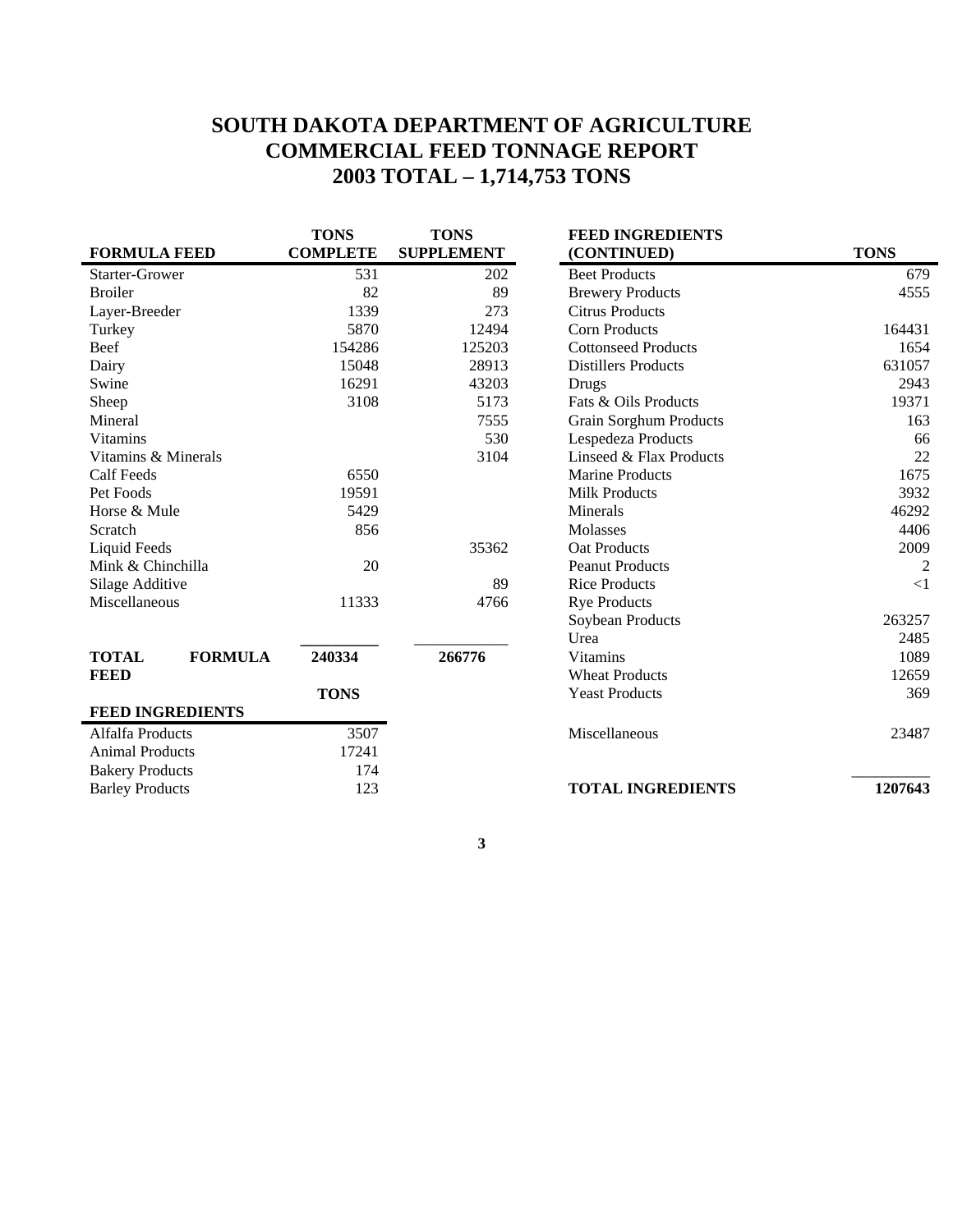## **SOUTH DAKOTA DEPARTMENT OF AGRICULTURE COMMERCIAL FEED TONNAGE REPORT 2003 TOTAL – 1,714,753 TONS**

|                                | <b>TONS</b>     | <b>TONS</b>       | <b>FEED INGREDIENTS</b>       |                |
|--------------------------------|-----------------|-------------------|-------------------------------|----------------|
| <b>FORMULA FEED</b>            | <b>COMPLETE</b> | <b>SUPPLEMENT</b> | (CONTINUED)                   | <b>TONS</b>    |
| <b>Starter-Grower</b>          | 531             | 202               | <b>Beet Products</b>          | 679            |
| <b>Broiler</b>                 | 82              | 89                | <b>Brewery Products</b>       | 4555           |
| Layer-Breeder                  | 1339            | 273               | <b>Citrus Products</b>        |                |
| Turkey                         | 5870            | 12494             | <b>Corn Products</b>          | 164431         |
| Beef                           | 154286          | 125203            | <b>Cottonseed Products</b>    | 1654           |
| Dairy                          | 15048           | 28913             | <b>Distillers Products</b>    | 631057         |
| Swine                          | 16291           | 43203             | Drugs                         | 2943           |
| Sheep                          | 3108            | 5173              | Fats & Oils Products          | 19371          |
| Mineral                        |                 | 7555              | <b>Grain Sorghum Products</b> | 163            |
| <b>Vitamins</b>                |                 | 530               | Lespedeza Products            | 66             |
| Vitamins & Minerals            |                 | 3104              | Linseed & Flax Products       | 22             |
| Calf Feeds                     | 6550            |                   | <b>Marine Products</b>        | 1675           |
| Pet Foods                      | 19591           |                   | <b>Milk Products</b>          | 3932           |
| Horse & Mule                   | 5429            |                   | Minerals                      | 46292          |
| Scratch                        | 856             |                   | <b>Molasses</b>               | 4406           |
| Liquid Feeds                   |                 | 35362             | <b>Oat Products</b>           | 2009           |
| Mink & Chinchilla              | 20              |                   | <b>Peanut Products</b>        | $\overline{2}$ |
| Silage Additive                |                 | 89                | <b>Rice Products</b>          | $\leq$ 1       |
| Miscellaneous                  | 11333           | 4766              | <b>Rye Products</b>           |                |
|                                |                 |                   | Soybean Products              | 263257         |
|                                |                 |                   | Urea                          | 2485           |
| <b>FORMULA</b><br><b>TOTAL</b> | 240334          | 266776            | <b>Vitamins</b>               | 1089           |
| <b>FEED</b>                    |                 |                   | <b>Wheat Products</b>         | 12659          |
|                                | <b>TONS</b>     |                   | <b>Yeast Products</b>         | 369            |
| <b>FEED INGREDIENTS</b>        |                 |                   |                               |                |
| Alfalfa Products               | 3507            |                   | Miscellaneous                 | 23487          |
| <b>Animal Products</b>         | 17241           |                   |                               |                |
| <b>Bakery Products</b>         | 174             |                   |                               |                |
| <b>Barley Products</b>         | 123             |                   | <b>TOTAL INGREDIENTS</b>      | 1207643        |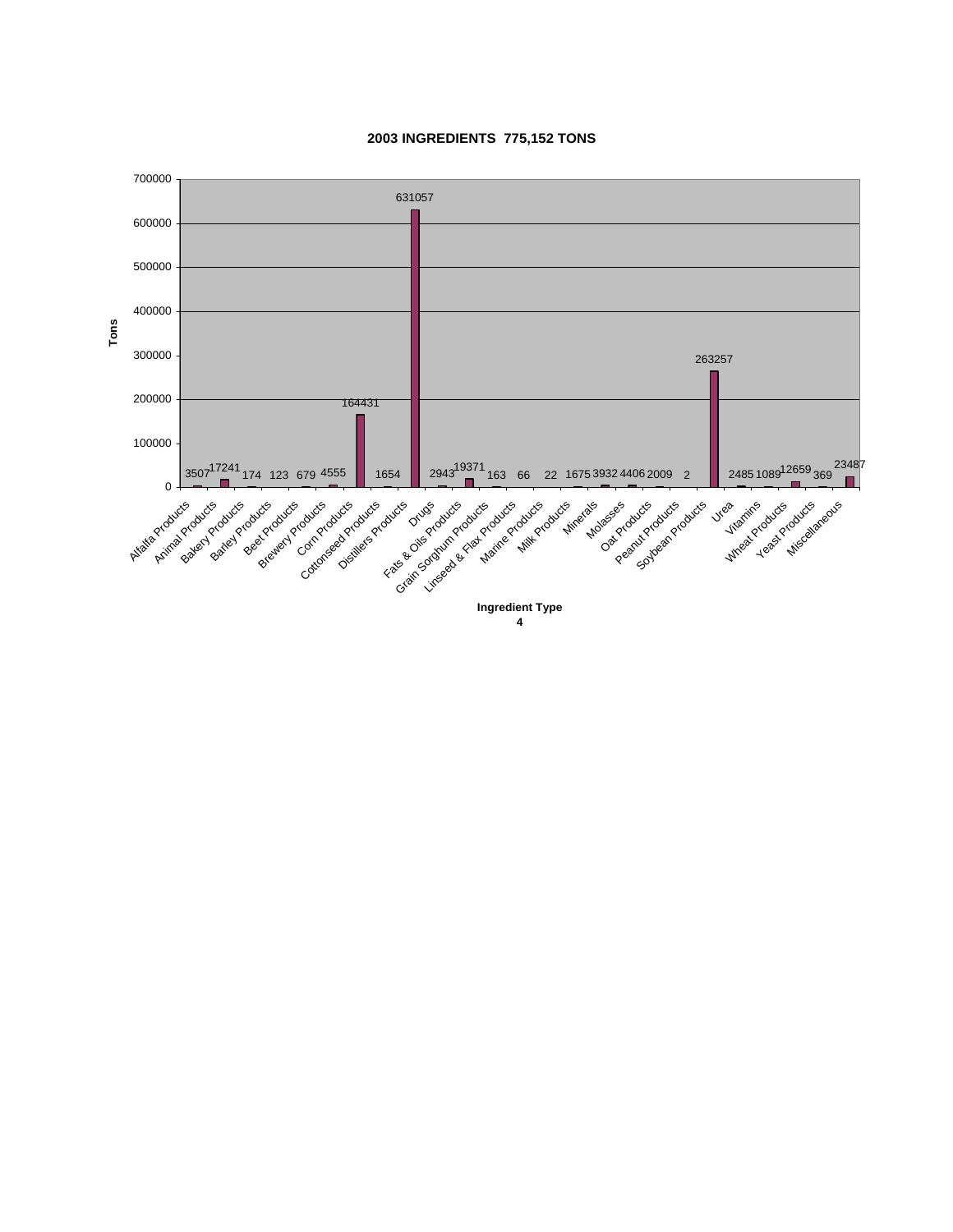

#### **2003 INGREDIENTS 775,152 TONS**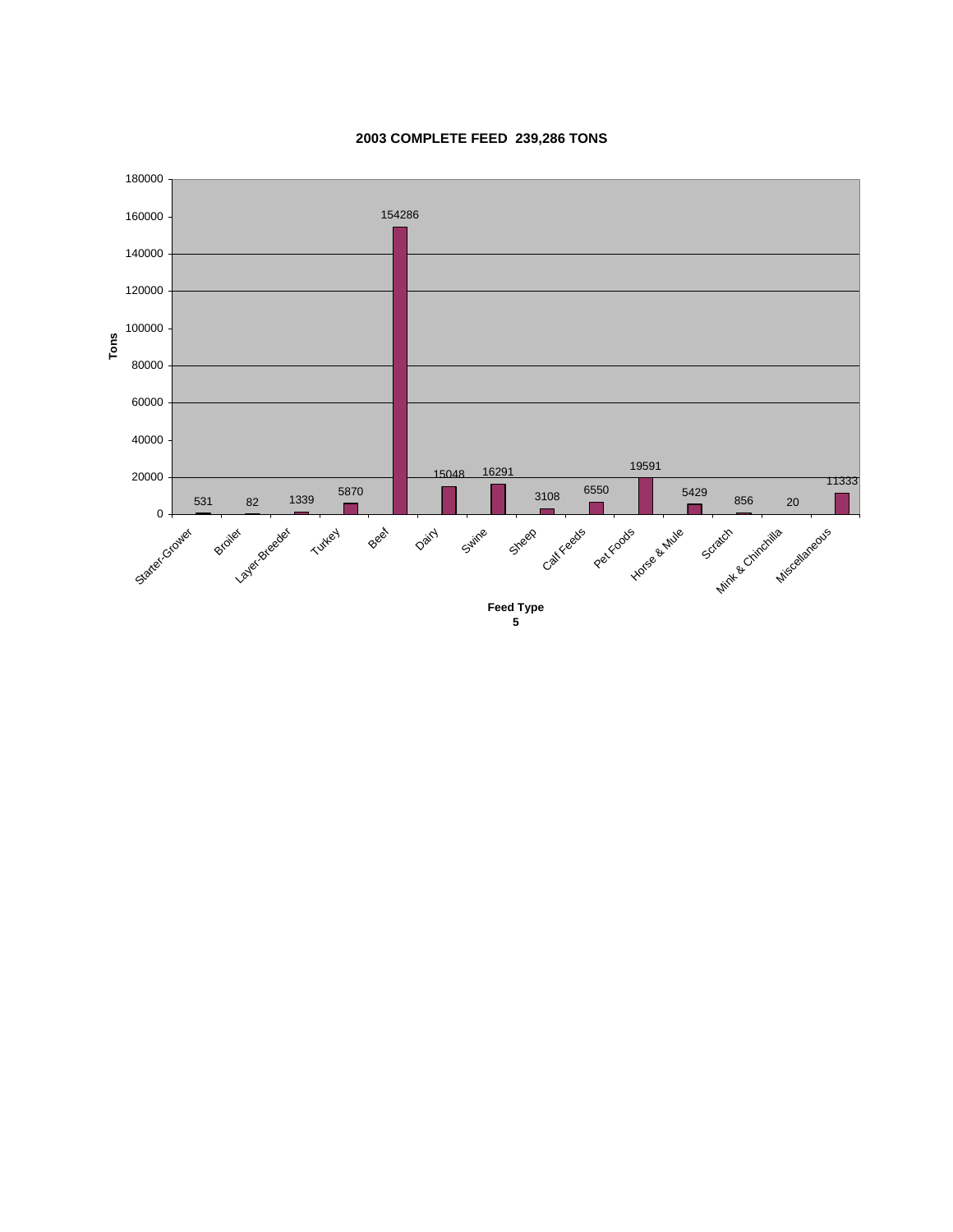

#### **2003 COMPLETE FEED 239,286 TONS**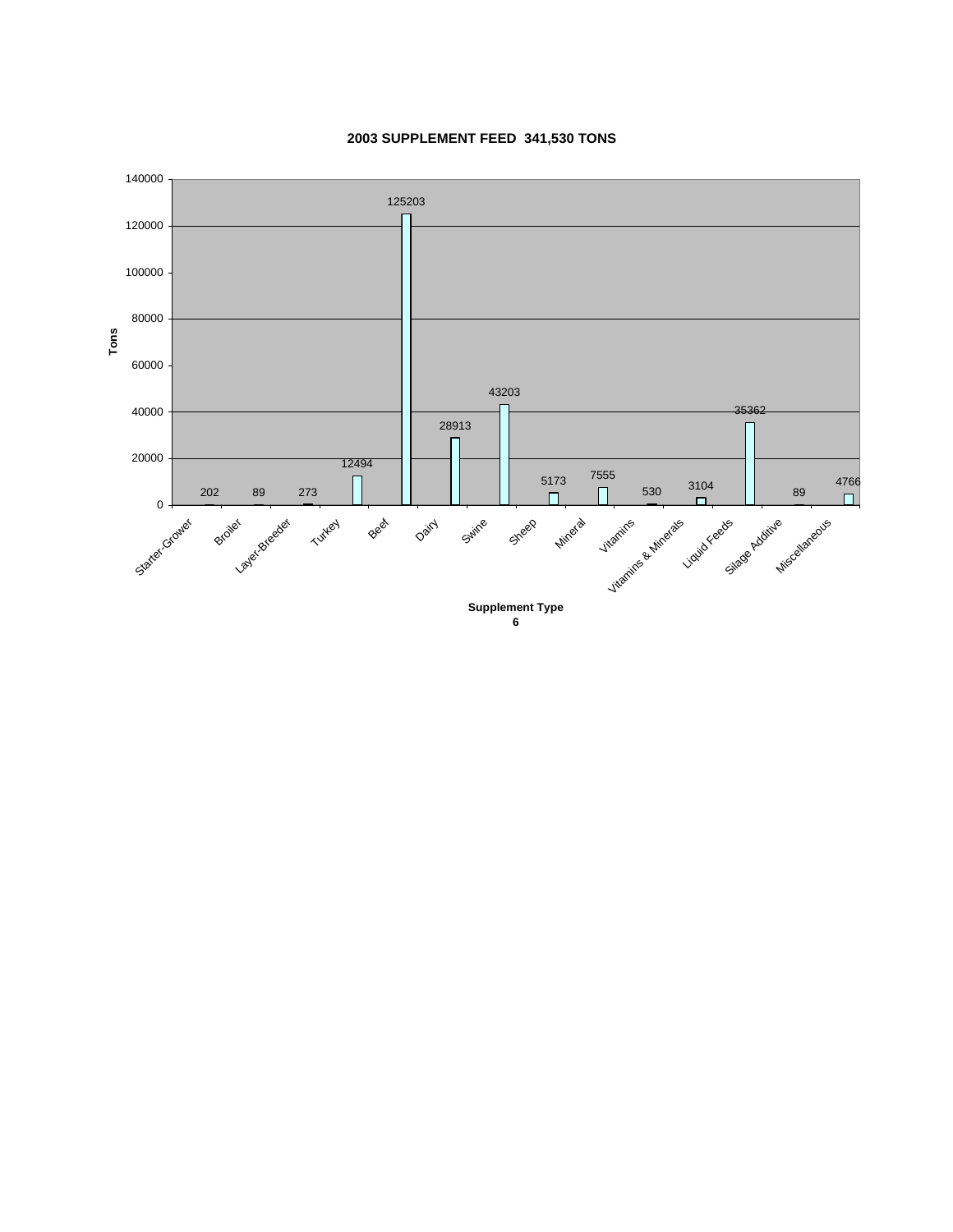

#### **2003 SUPPLEMENT FEED 341,530 TONS**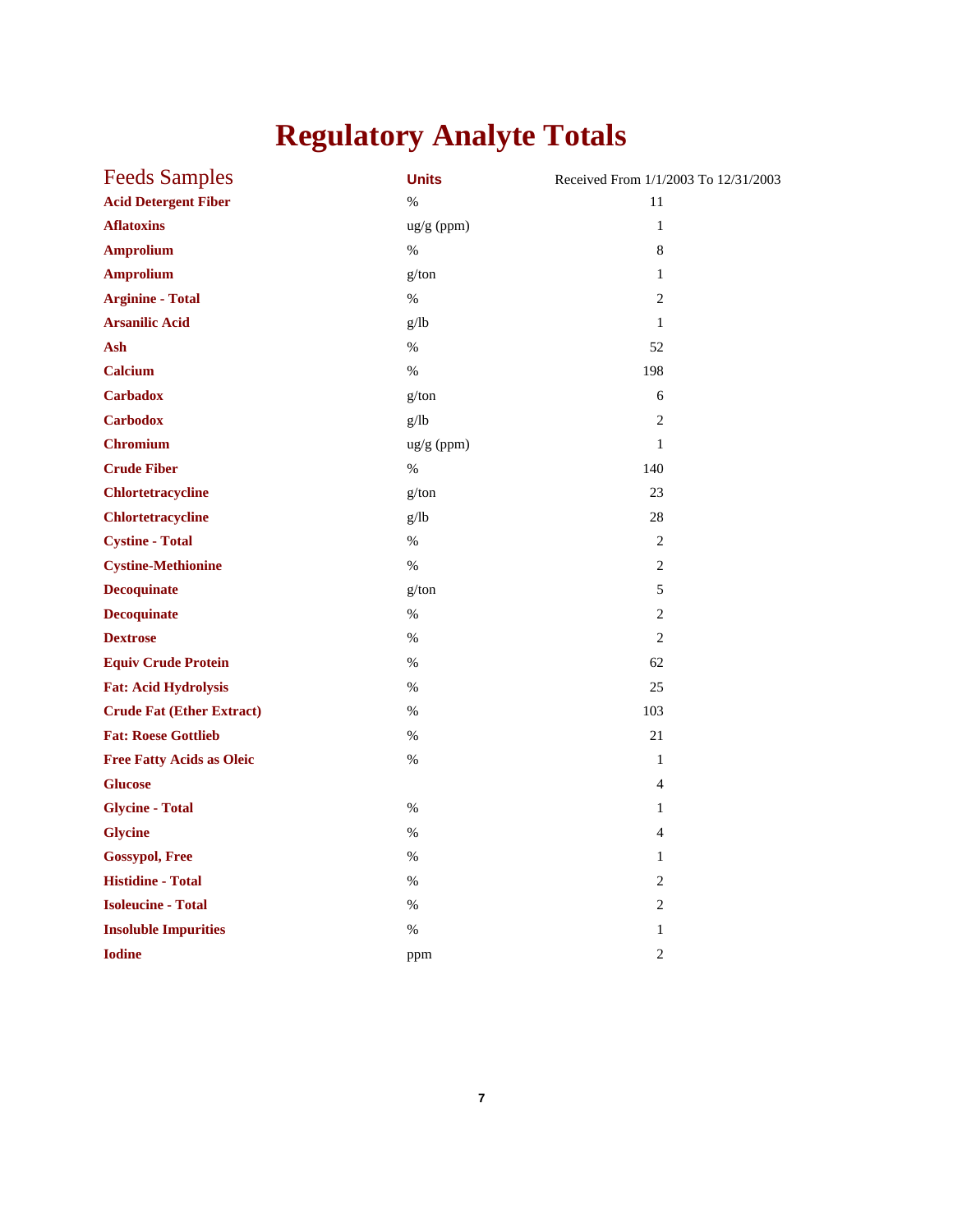# **Regulatory Analyte Totals**

| <b>Feeds Samples</b>             | <b>Units</b> | Received From 1/1/2003 To 12/31/2003 |
|----------------------------------|--------------|--------------------------------------|
| <b>Acid Detergent Fiber</b>      | $\%$         | 11                                   |
| <b>Aflatoxins</b>                | ug/g (ppm)   | $\mathbf{1}$                         |
| <b>Amprolium</b>                 | $\%$         | 8                                    |
| <b>Amprolium</b>                 | g/ton        | $\mathbf{1}$                         |
| <b>Arginine - Total</b>          | $\%$         | $\overline{2}$                       |
| <b>Arsanilic Acid</b>            | g/lb         | $\mathbf{1}$                         |
| Ash                              | $\%$         | 52                                   |
| <b>Calcium</b>                   | $\%$         | 198                                  |
| <b>Carbadox</b>                  | g/ton        | 6                                    |
| <b>Carbodox</b>                  | g/lb         | $\overline{2}$                       |
| <b>Chromium</b>                  | ug/g (ppm)   | $\mathbf{1}$                         |
| <b>Crude Fiber</b>               | $\%$         | 140                                  |
| <b>Chlortetracycline</b>         | g/ton        | 23                                   |
| <b>Chlortetracycline</b>         | g/lb         | 28                                   |
| <b>Cystine - Total</b>           | $\%$         | $\overline{2}$                       |
| <b>Cystine-Methionine</b>        | $\%$         | 2                                    |
| <b>Decoquinate</b>               | g/ton        | 5                                    |
| <b>Decoquinate</b>               | $\%$         | $\mathbf{2}$                         |
| <b>Dextrose</b>                  | $\%$         | $\overline{c}$                       |
| <b>Equiv Crude Protein</b>       | $\%$         | 62                                   |
| <b>Fat: Acid Hydrolysis</b>      | $\%$         | 25                                   |
| <b>Crude Fat (Ether Extract)</b> | $\%$         | 103                                  |
| <b>Fat: Roese Gottlieb</b>       | $\%$         | 21                                   |
| <b>Free Fatty Acids as Oleic</b> | $\%$         | $\mathbf{1}$                         |
| <b>Glucose</b>                   |              | $\overline{4}$                       |
| <b>Glycine - Total</b>           | $\%$         | $\mathbf{1}$                         |
| <b>Glycine</b>                   | $\%$         | 4                                    |
| <b>Gossypol, Free</b>            | $\%$         | $\mathbf{1}$                         |
| <b>Histidine - Total</b>         | $\%$         | 2                                    |
| <b>Isoleucine - Total</b>        | $\%$         | $\sqrt{2}$                           |
| <b>Insoluble Impurities</b>      | %            | $\mathbf{1}$                         |
| <b>Iodine</b>                    | ppm          | $\overline{c}$                       |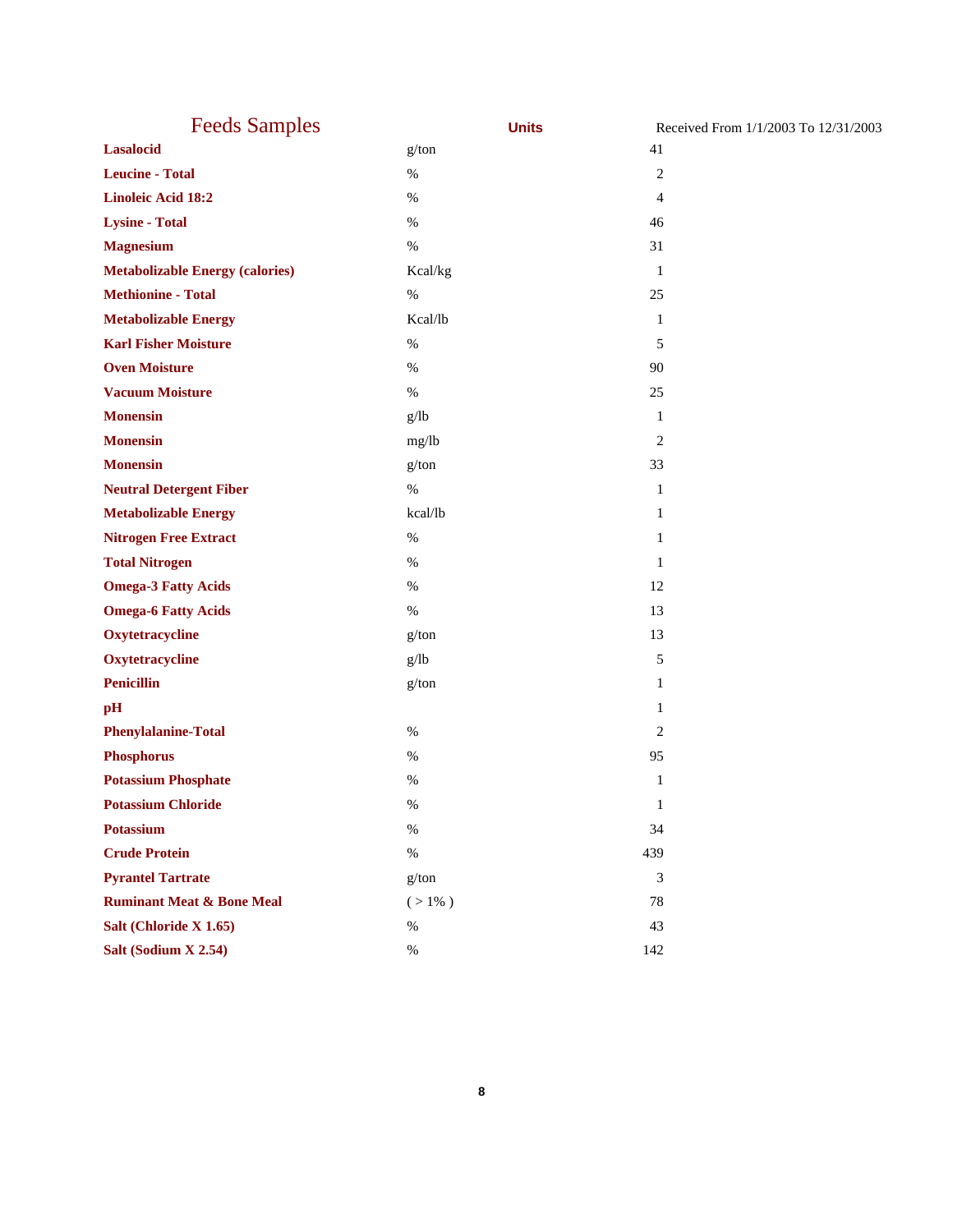| <b>Feeds Samples</b>                   | <b>Units</b> | Received From 1/1/2003 To 12/31/2003 |
|----------------------------------------|--------------|--------------------------------------|
| <b>Lasalocid</b>                       | g/ton        | 41                                   |
| <b>Leucine - Total</b>                 | $\%$         | $\overline{c}$                       |
| <b>Linoleic Acid 18:2</b>              | $\%$         | 4                                    |
| <b>Lysine - Total</b>                  | $\%$         | 46                                   |
| <b>Magnesium</b>                       | $\%$         | 31                                   |
| <b>Metabolizable Energy (calories)</b> | Kcal/kg      | 1                                    |
| <b>Methionine - Total</b>              | $\%$         | 25                                   |
| <b>Metabolizable Energy</b>            | Kcal/lb      | $\mathbf{1}$                         |
| <b>Karl Fisher Moisture</b>            | $\%$         | 5                                    |
| <b>Oven Moisture</b>                   | $\%$         | 90                                   |
| <b>Vacuum Moisture</b>                 | $\%$         | 25                                   |
| <b>Monensin</b>                        | g/lb         | 1                                    |
| <b>Monensin</b>                        | mg/lb        | 2                                    |
| <b>Monensin</b>                        | g/ton        | 33                                   |
| <b>Neutral Detergent Fiber</b>         | $\%$         | 1                                    |
| <b>Metabolizable Energy</b>            | kcal/lb      | 1                                    |
| <b>Nitrogen Free Extract</b>           | $\%$         | 1                                    |
| <b>Total Nitrogen</b>                  | $\%$         | 1                                    |
| <b>Omega-3 Fatty Acids</b>             | $\%$         | 12                                   |
| <b>Omega-6 Fatty Acids</b>             | $\%$         | 13                                   |
| Oxytetracycline                        | g/ton        | 13                                   |
| Oxytetracycline                        | g/lb         | 5                                    |
| <b>Penicillin</b>                      | g/ton        | 1                                    |
| pH                                     |              | 1                                    |
| <b>Phenylalanine-Total</b>             | $\%$         | 2                                    |
| <b>Phosphorus</b>                      | $\%$         | 95                                   |
| <b>Potassium Phosphate</b>             | %            | 1                                    |
| <b>Potassium Chloride</b>              | $\%$         | $\mathbf{1}$                         |
| <b>Potassium</b>                       | $\%$         | 34                                   |
| <b>Crude Protein</b>                   | $\%$         | 439                                  |
| <b>Pyrantel Tartrate</b>               | g/ton        | 3                                    |
| <b>Ruminant Meat &amp; Bone Meal</b>   | $( > 1\% )$  | 78                                   |
| Salt (Chloride X 1.65)                 | $\%$         | 43                                   |
| Salt (Sodium X 2.54)                   | $\%$         | 142                                  |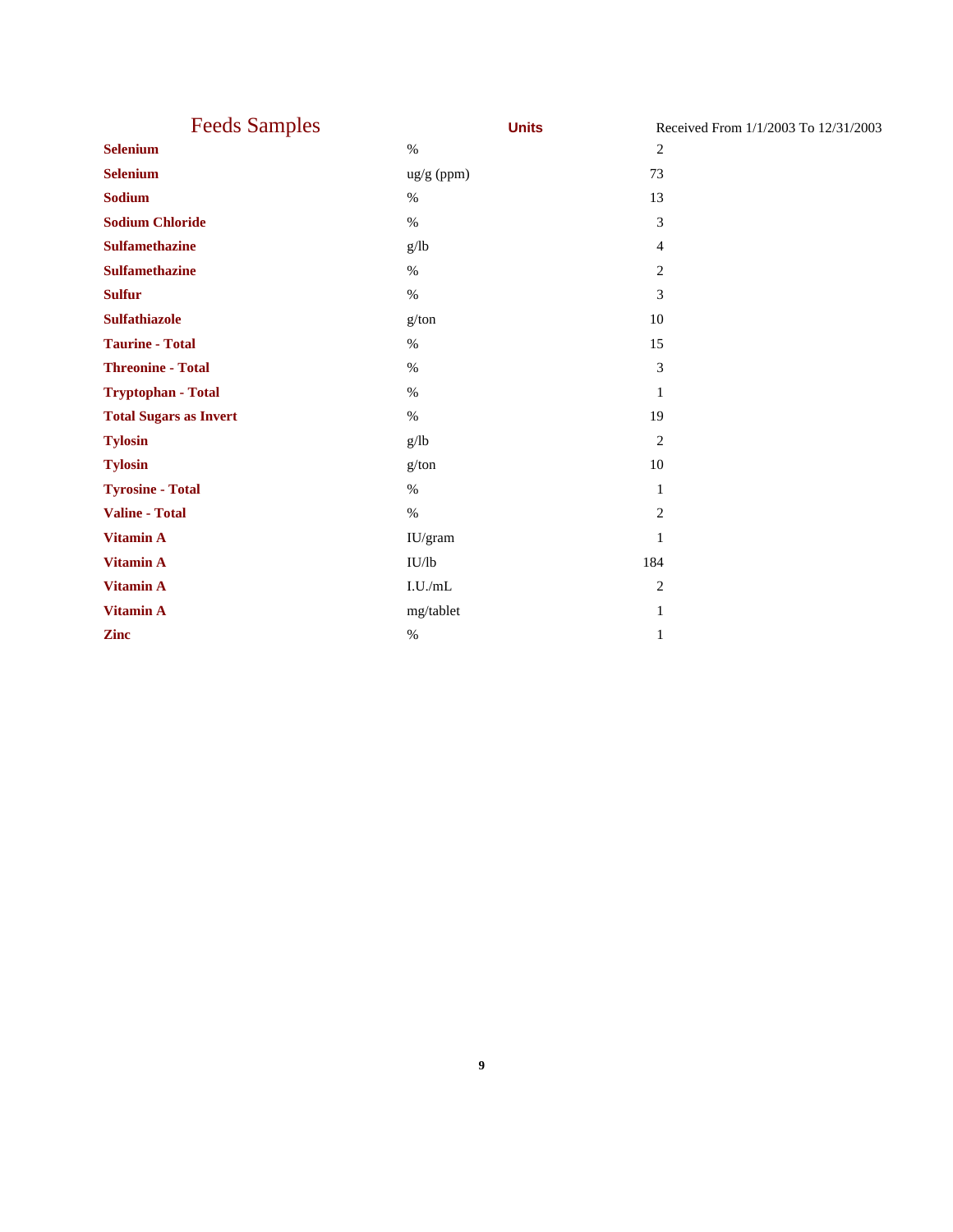| <b>Feeds Samples</b>          | <b>Units</b> | Received From 1/1/2003 To 12/31/2003 |
|-------------------------------|--------------|--------------------------------------|
| <b>Selenium</b>               | $\%$         | 2                                    |
| <b>Selenium</b>               | ug/g (ppm)   | 73                                   |
| Sodium                        | $\%$         | 13                                   |
| <b>Sodium Chloride</b>        | $\%$         | 3                                    |
| <b>Sulfamethazine</b>         | g/lb         | 4                                    |
| <b>Sulfamethazine</b>         | $\%$         | $\overline{c}$                       |
| <b>Sulfur</b>                 | $\%$         | 3                                    |
| <b>Sulfathiazole</b>          | g/ton        | 10                                   |
| <b>Taurine - Total</b>        | $\%$         | 15                                   |
| <b>Threonine - Total</b>      | $\%$         | $\ensuremath{\mathfrak{Z}}$          |
| Tryptophan - Total            | $\%$         | 1                                    |
| <b>Total Sugars as Invert</b> | $\%$         | 19                                   |
| <b>Tylosin</b>                | g/lb         | $\overline{2}$                       |
| <b>Tylosin</b>                | g/ton        | 10                                   |
| <b>Tyrosine - Total</b>       | $\%$         | $\mathbf{1}$                         |
| Valine - Total                | $\%$         | $\overline{c}$                       |
| Vitamin A                     | IU/gram      | $\mathbf{1}$                         |
| <b>Vitamin A</b>              | IU/lb        | 184                                  |
| Vitamin A                     | I.U./mL      | $\overline{2}$                       |
| Vitamin A                     | mg/tablet    | $\mathbf{1}$                         |
| <b>Zinc</b>                   | $\%$         | 1                                    |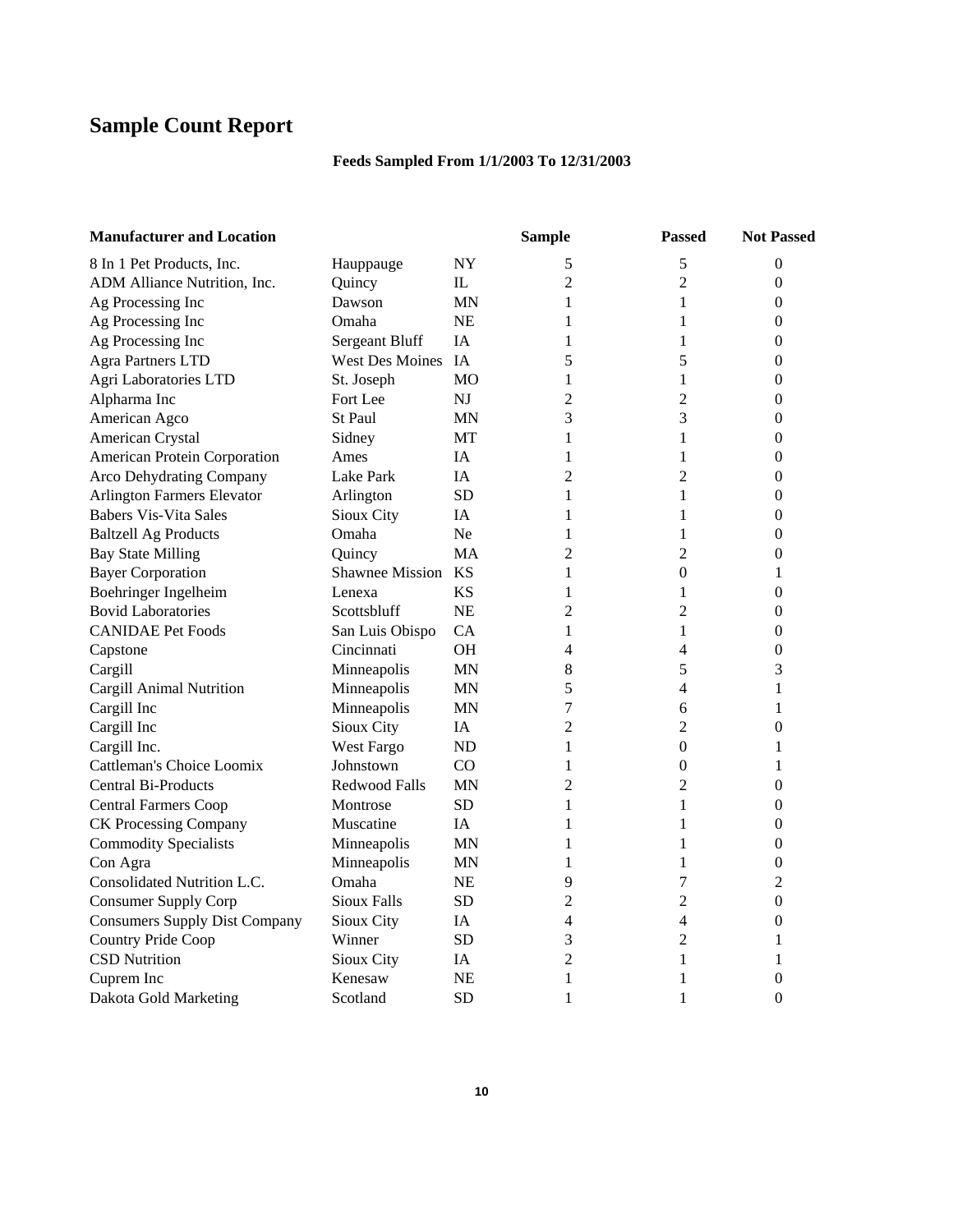# **Sample Count Report**

### **Feeds Sampled From 1/1/2003 To 12/31/2003**

| <b>Manufacturer and Location</b>     |                    |                | <b>Sample</b>  | <b>Passed</b>    | <b>Not Passed</b> |
|--------------------------------------|--------------------|----------------|----------------|------------------|-------------------|
| 8 In 1 Pet Products, Inc.            | Hauppauge          | NY             | 5              | 5                | $\overline{0}$    |
| ADM Alliance Nutrition, Inc.         | Quincy             | IL             | $\overline{c}$ | $\overline{2}$   | $\overline{0}$    |
| Ag Processing Inc                    | Dawson             | ΜN             | 1              | 1                | 0                 |
| Ag Processing Inc                    | Omaha              | <b>NE</b>      | 1              | 1                | 0                 |
| Ag Processing Inc                    | Sergeant Bluff     | <b>IA</b>      | $\mathbf{1}$   | $\mathbf{1}$     | 0                 |
| <b>Agra Partners LTD</b>             | West Des Moines    | IA             | 5              | 5                | $\boldsymbol{0}$  |
| Agri Laboratories LTD                | St. Joseph         | MO             | 1              | 1                | 0                 |
| Alpharma Inc                         | Fort Lee           | NJ             | 2              | $\overline{c}$   | 0                 |
| American Agco                        | <b>St Paul</b>     | ΜN             | 3              | 3                | 0                 |
| American Crystal                     | Sidney             | МT             | 1              | 1                | 0                 |
| American Protein Corporation         | Ames               | IΑ             | 1              | 1                | $\boldsymbol{0}$  |
| Arco Dehydrating Company             | Lake Park          | IΑ             | $\overline{c}$ | $\overline{2}$   | 0                 |
| <b>Arlington Farmers Elevator</b>    | Arlington          | <b>SD</b>      | $\mathbf{1}$   | 1                | $\boldsymbol{0}$  |
| <b>Babers Vis-Vita Sales</b>         | Sioux City         | IA             | 1              | 1                | $\boldsymbol{0}$  |
| <b>Baltzell Ag Products</b>          | Omaha              | Ne             | 1              | $\mathbf{1}$     | 0                 |
| <b>Bay State Milling</b>             | Quincy             | МA             | 2              | $\overline{2}$   | 0                 |
| <b>Bayer Corporation</b>             | Shawnee Mission KS |                | 1              | $\overline{0}$   | 1                 |
| Boehringer Ingelheim                 | Lenexa             | ΚS             | 1              | $\mathbf{1}$     | $\boldsymbol{0}$  |
| <b>Bovid Laboratories</b>            | Scottsbluff        | <b>NE</b>      | $\overline{c}$ | $\overline{c}$   | $\boldsymbol{0}$  |
| <b>CANIDAE Pet Foods</b>             | San Luis Obispo    | CA             | 1              | 1                | 0                 |
| Capstone                             | Cincinnati         | <b>OH</b>      | 4              | 4                | $\boldsymbol{0}$  |
| Cargill                              | Minneapolis        | MN             | 8              | 5                | 3                 |
| Cargill Animal Nutrition             | Minneapolis        | ΜN             | 5              | 4                | 1                 |
| Cargill Inc                          | Minneapolis        | <b>MN</b>      | 7              | 6                | 1                 |
| Cargill Inc                          | Sioux City         | ΙA             | $\overline{c}$ | $\overline{2}$   | $\overline{0}$    |
| Cargill Inc.                         | West Fargo         | ND             | 1              | $\boldsymbol{0}$ | 1                 |
| Cattleman's Choice Loomix            | Johnstown          | C <sub>O</sub> | 1              | $\overline{0}$   | 1                 |
| Central Bi-Products                  | Redwood Falls      | MN             | 2              | 2                | $\boldsymbol{0}$  |
| <b>Central Farmers Coop</b>          | Montrose           | SD             | 1              | 1                | $\boldsymbol{0}$  |
| CK Processing Company                | Muscatine          | ĪΑ             | 1              | 1                | 0                 |
| <b>Commodity Specialists</b>         | Minneapolis        | <b>MN</b>      | 1              | 1                | 0                 |
| Con Agra                             | Minneapolis        | MN             | 1              | 1                | $\boldsymbol{0}$  |
| Consolidated Nutrition L.C.          | Omaha              | NE             | 9              | $\boldsymbol{7}$ | $\overline{2}$    |
| <b>Consumer Supply Corp</b>          | <b>Sioux Falls</b> | <b>SD</b>      | $\overline{c}$ | $\overline{2}$   | 0                 |
| <b>Consumers Supply Dist Company</b> | Sioux City         | IΑ             | 4              | 4                | 0                 |
| Country Pride Coop                   | Winner             | <b>SD</b>      | 3              | $\overline{2}$   | 1                 |
| <b>CSD Nutrition</b>                 | Sioux City         | IA             | $\overline{c}$ | 1                | 1                 |
| Cuprem Inc                           | Kenesaw            | NE             | $\mathbf{1}$   | 1                | 0                 |
| Dakota Gold Marketing                | Scotland           | SD             | 1              | 1                | $\theta$          |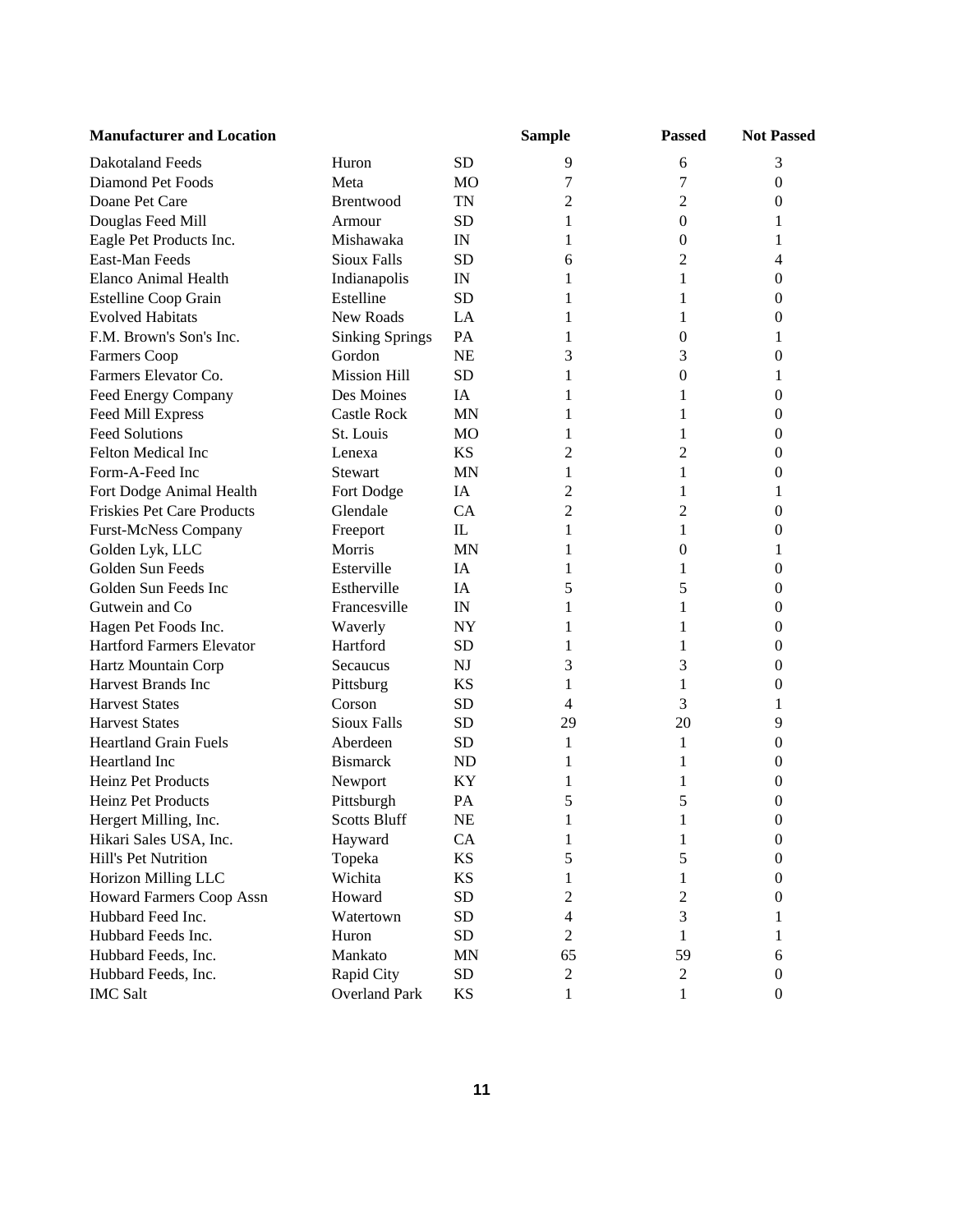| <b>Manufacturer and Location</b>  |                        |              | <b>Sample</b>  | <b>Passed</b>    | <b>Not Passed</b> |
|-----------------------------------|------------------------|--------------|----------------|------------------|-------------------|
| Dakotaland Feeds                  | Huron                  | <b>SD</b>    | 9              | 6                | 3                 |
| Diamond Pet Foods                 | Meta                   | MO           | 7              | 7                | $\boldsymbol{0}$  |
| Doane Pet Care                    | Brentwood              | <b>TN</b>    | 2              | $\overline{2}$   | 0                 |
| Douglas Feed Mill                 | Armour                 | <b>SD</b>    | 1              | $\boldsymbol{0}$ | 1                 |
| Eagle Pet Products Inc.           | Mishawaka              | IN           | 1              | $\boldsymbol{0}$ | 1                 |
| East-Man Feeds                    | <b>Sioux Falls</b>     | <b>SD</b>    | 6              | $\overline{c}$   | 4                 |
| Elanco Animal Health              | Indianapolis           | IN           | 1              | 1                | 0                 |
| <b>Estelline Coop Grain</b>       | Estelline              | <b>SD</b>    | 1              | 1                | 0                 |
| <b>Evolved Habitats</b>           | New Roads              | LA           | 1              | 1                | $\theta$          |
| F.M. Brown's Son's Inc.           | <b>Sinking Springs</b> | PA           | 1              | $\mathbf{0}$     | 1                 |
| <b>Farmers Coop</b>               | Gordon                 | <b>NE</b>    | 3              | 3                | 0                 |
| Farmers Elevator Co.              | <b>Mission Hill</b>    | <b>SD</b>    | 1              | 0                | 1                 |
| Feed Energy Company               | Des Moines             | IA           | 1              | 1                | 0                 |
| Feed Mill Express                 | <b>Castle Rock</b>     | <b>MN</b>    | 1              | 1                | 0                 |
| <b>Feed Solutions</b>             | St. Louis              | MO           | 1              | 1                | 0                 |
| <b>Felton Medical Inc</b>         | Lenexa                 | KS           | 2              | 2                | 0                 |
| Form-A-Feed Inc                   | Stewart                | MN           | 1              | 1                | 0                 |
| Fort Dodge Animal Health          | Fort Dodge             | IA           | $\overline{c}$ | 1                | 1                 |
| <b>Friskies Pet Care Products</b> | Glendale               | CA           | $\overline{2}$ | 2                | $\theta$          |
| <b>Furst-McNess Company</b>       | Freeport               | $\mathbf{I}$ | 1              | 1                | 0                 |
| Golden Lyk, LLC                   | Morris                 | <b>MN</b>    | 1              | $\theta$         | 1                 |
| Golden Sun Feeds                  | Esterville             | IA           | 1              | 1                | $\Omega$          |
| Golden Sun Feeds Inc              | Estherville            | IA           | 5              | 5                | 0                 |
| Gutwein and Co                    | Francesville           | IN           | 1              | 1                | 0                 |
| Hagen Pet Foods Inc.              | Waverly                | <b>NY</b>    | 1              | 1                | 0                 |
| <b>Hartford Farmers Elevator</b>  | Hartford               | <b>SD</b>    | 1              | 1                | 0                 |
| Hartz Mountain Corp               | Secaucus               | NJ           | 3              | 3                | 0                 |
| <b>Harvest Brands Inc</b>         | Pittsburg              | KS           | 1              | 1                | 0                 |
| <b>Harvest States</b>             | Corson                 | <b>SD</b>    | 4              | 3                | 1                 |
| <b>Harvest States</b>             | <b>Sioux Falls</b>     | SD           | 29             | 20               | 9                 |
| <b>Heartland Grain Fuels</b>      | Aberdeen               | SD           | 1              | 1                | $\boldsymbol{0}$  |
| Heartland Inc                     | <b>Bismarck</b>        | ND           | 1              | 1                | 0                 |
| <b>Heinz Pet Products</b>         | Newport                | ΚY           | 1              | 1                | 0                 |
| Heinz Pet Products                | Pittsburgh             | PA           | 5              | 5                | 0                 |
| Hergert Milling, Inc.             | <b>Scotts Bluff</b>    | NE           | 1              | 1                | $\Omega$          |
| Hikari Sales USA, Inc.            | Hayward                | CA           | 1              | 1                | $\boldsymbol{0}$  |
| Hill's Pet Nutrition              | Topeka                 | KS           | 5              | 5                | $\theta$          |
| Horizon Milling LLC               | Wichita                | KS           | 1              | 1                | 0                 |
| <b>Howard Farmers Coop Assn</b>   | Howard                 | SD           | 2              | 2                | $\theta$          |
| Hubbard Feed Inc.                 | Watertown              | SD           | 4              | 3                | 1                 |
| Hubbard Feeds Inc.                | Huron                  | SD           | $\overline{c}$ | 1                | 1                 |
| Hubbard Feeds, Inc.               | Mankato                | MN           | 65             | 59               | 6                 |
| Hubbard Feeds, Inc.               | Rapid City             | SD           | $\overline{c}$ | 2                | $\theta$          |
| <b>IMC Salt</b>                   | <b>Overland Park</b>   | KS           | $\mathbf{1}$   | 1                | $\mathbf{0}$      |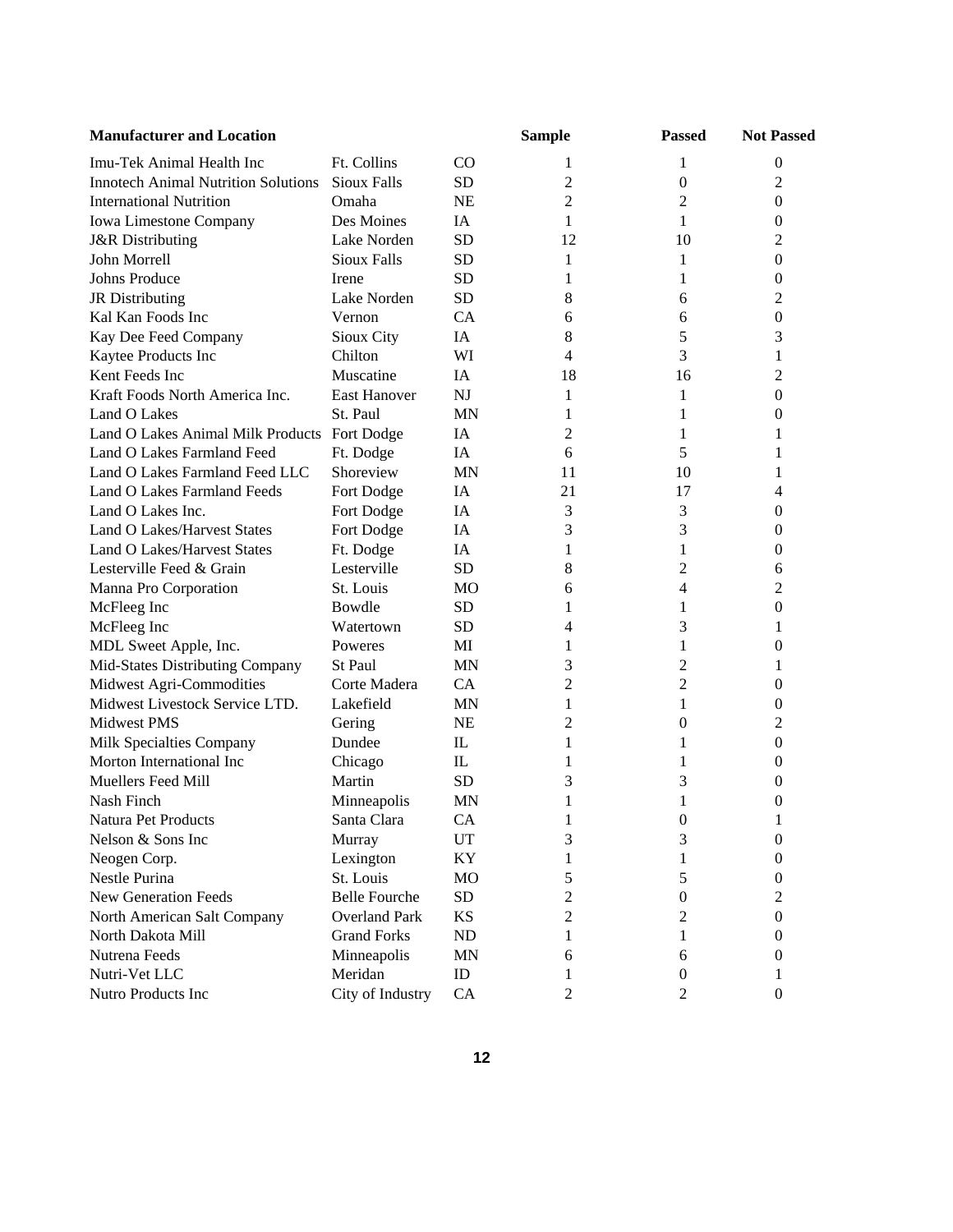| <b>Manufacturer and Location</b>             |                      |              | <b>Sample</b>  | <b>Passed</b>    | <b>Not Passed</b> |  |
|----------------------------------------------|----------------------|--------------|----------------|------------------|-------------------|--|
| Imu-Tek Animal Health Inc                    | Ft. Collins          | CO           | 1              | 1                | $\boldsymbol{0}$  |  |
| <b>Innotech Animal Nutrition Solutions</b>   | <b>Sioux Falls</b>   | <b>SD</b>    | 2              | $\boldsymbol{0}$ | $\mathfrak{2}$    |  |
| <b>International Nutrition</b>               | Omaha                | <b>NE</b>    | $\overline{2}$ | $\overline{2}$   | $\mathbf{0}$      |  |
| Iowa Limestone Company                       | Des Moines           | IA           | 1              | 1                | $\boldsymbol{0}$  |  |
| <b>J&amp;R</b> Distributing                  | Lake Norden          | <b>SD</b>    | 12             | 10               | 2                 |  |
| John Morrell                                 | <b>Sioux Falls</b>   | <b>SD</b>    | 1              | 1                | $\mathbf{0}$      |  |
| <b>Johns Produce</b>                         | Irene                | <b>SD</b>    | 1              | 1                | $\Omega$          |  |
| JR Distributing                              | Lake Norden          | <b>SD</b>    | 8              | 6                | 2                 |  |
| Kal Kan Foods Inc                            | Vernon               | <b>CA</b>    | 6              | 6                | $\mathbf{0}$      |  |
| Kay Dee Feed Company                         | Sioux City           | IA           | 8              | 5                | 3                 |  |
| Kaytee Products Inc                          | Chilton              | WI           | 4              | 3                | 1                 |  |
| Kent Feeds Inc                               | Muscatine            | IA           | 18             | 16               | 2                 |  |
| Kraft Foods North America Inc.               | <b>East Hanover</b>  | <b>NJ</b>    | 1              | 1                | 0                 |  |
| Land O Lakes                                 | St. Paul             | <b>MN</b>    | 1              | 1                | 0                 |  |
| Land O Lakes Animal Milk Products Fort Dodge |                      | IA           | 2              | 1                | 1                 |  |
| Land O Lakes Farmland Feed                   | Ft. Dodge            | IA           | 6              | 5                | 1                 |  |
| Land O Lakes Farmland Feed LLC               | Shoreview            | <b>MN</b>    | 11             | 10               | 1                 |  |
| Land O Lakes Farmland Feeds                  | Fort Dodge           | IA           | 21             | 17               | 4                 |  |
| Land O Lakes Inc.                            | Fort Dodge           | IA           | 3              | 3                | 0                 |  |
| <b>Land O Lakes/Harvest States</b>           | Fort Dodge           | IA           | 3              | 3                | 0                 |  |
| <b>Land O Lakes/Harvest States</b>           | Ft. Dodge            | IA           | 1              | 1                | 0                 |  |
| Lesterville Feed & Grain                     | Lesterville          | <b>SD</b>    | 8              | 2                | 6                 |  |
| Manna Pro Corporation                        | St. Louis            | MO           | 6              | 4                | 2                 |  |
| McFleeg Inc                                  | Bowdle               | <b>SD</b>    | 1              | 1                | $\theta$          |  |
| McFleeg Inc                                  | Watertown            | <b>SD</b>    | 4              | 3                | 1                 |  |
| MDL Sweet Apple, Inc.                        | Poweres              | MI           | 1              | 1                | $\overline{0}$    |  |
| Mid-States Distributing Company              | St Paul              | <b>MN</b>    | 3              | 2                | 1                 |  |
| Midwest Agri-Commodities                     | Corte Madera         | CA           | $\overline{2}$ | 2                | 0                 |  |
| Midwest Livestock Service LTD.               | Lakefield            | MN           | 1              | 1                | 0                 |  |
| Midwest PMS                                  | Gering               | NE           | 2              | $\boldsymbol{0}$ | 2                 |  |
| Milk Specialties Company                     | Dundee               | $\mathbf{L}$ | 1              | 1                | $\mathbf{0}$      |  |
| Morton International Inc                     | Chicago              | $_{\rm IL}$  | 1              | 1                | 0                 |  |
| Muellers Feed Mill                           | Martin               | <b>SD</b>    | 3              | 3                | 0                 |  |
| Nash Finch                                   | Minneapolis          | MN           |                | 1                | 0                 |  |
| Natura Pet Products                          | Santa Clara          | CA           | 1              | $\Omega$         |                   |  |
| Nelson & Sons Inc                            | Murray               | UT           | 3              | 3                | $\overline{0}$    |  |
| Neogen Corp.                                 | Lexington            | KY           | 1              | 1                | $\theta$          |  |
| Nestle Purina                                | St. Louis            | <b>MO</b>    | 5              | 5                | $\theta$          |  |
| New Generation Feeds                         | <b>Belle Fourche</b> | <b>SD</b>    | 2              | $\theta$         | 2                 |  |
| North American Salt Company                  | <b>Overland Park</b> | KS           | $\overline{c}$ | 2                | $\boldsymbol{0}$  |  |
| North Dakota Mill                            | <b>Grand Forks</b>   | ND           | 1              | 1                | $\theta$          |  |
| Nutrena Feeds                                | Minneapolis          | <b>MN</b>    | 6              | 6                | $\theta$          |  |
| Nutri-Vet LLC                                | Meridan              | ID           | 1              | 0                | 1                 |  |
| Nutro Products Inc                           | City of Industry     | CA           | $\overline{2}$ | $\overline{2}$   | $\mathbf{0}$      |  |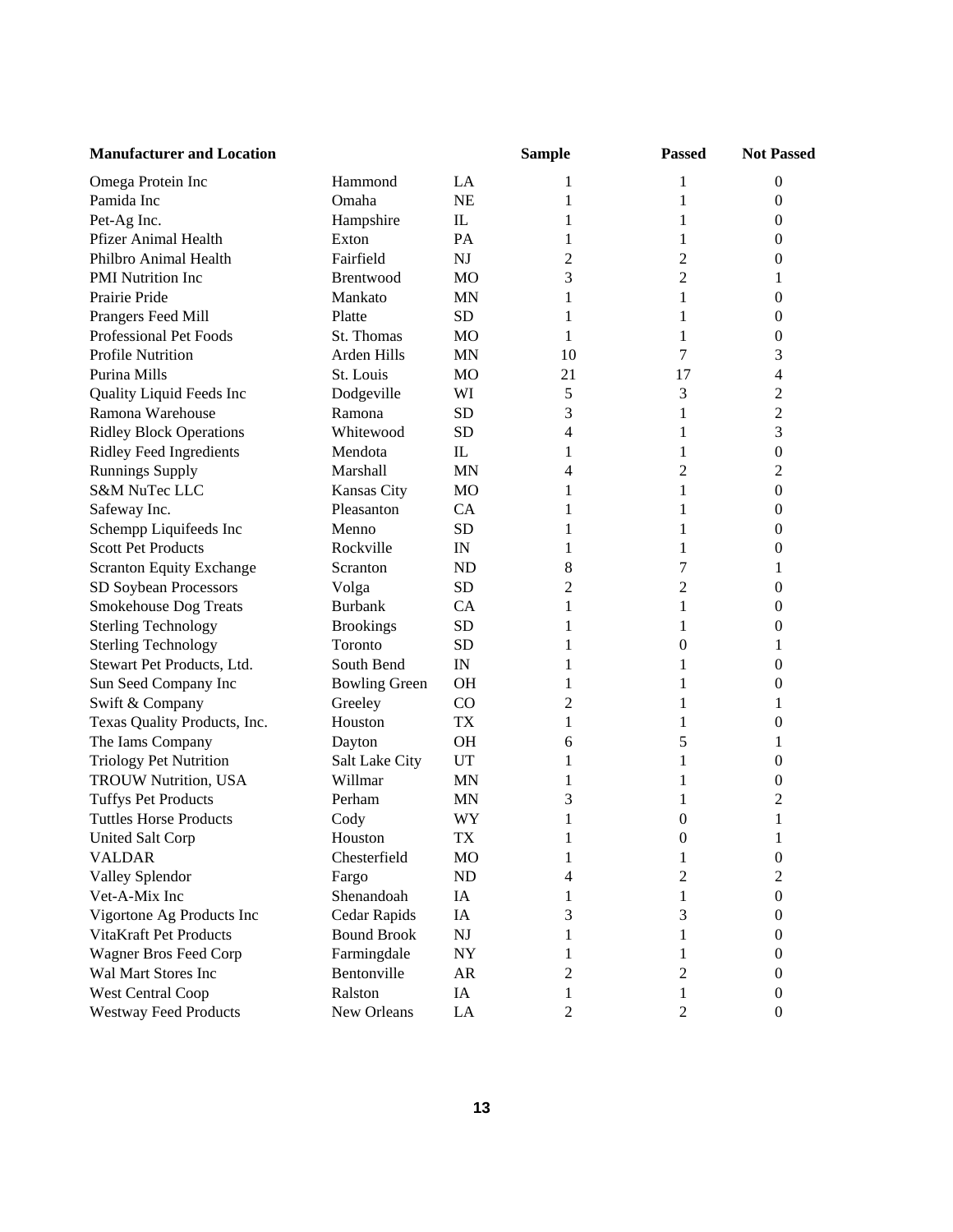| <b>Manufacturer and Location</b> |                      |                | <b>Sample</b>            | <b>Passed</b>  | <b>Not Passed</b> |
|----------------------------------|----------------------|----------------|--------------------------|----------------|-------------------|
| Omega Protein Inc                | Hammond              | LA             | 1                        | 1              | $\boldsymbol{0}$  |
| Pamida Inc                       | Omaha                | <b>NE</b>      | 1                        | 1              | 0                 |
| Pet-Ag Inc.                      | Hampshire            | IL             | 1                        | 1              | 0                 |
| <b>Pfizer Animal Health</b>      | Exton                | PA             | 1                        | 1              | $^{(1)}$          |
| Philbro Animal Health            | Fairfield            | NJ             | $\overline{2}$           | 2              | 0                 |
| PMI Nutrition Inc                | Brentwood            | <b>MO</b>      | 3                        | $\overline{c}$ | 1                 |
| Prairie Pride                    | Mankato              | <b>MN</b>      | 1                        | 1              | 0                 |
| Prangers Feed Mill               | Platte               | <b>SD</b>      | 1                        | 1              | 0                 |
| Professional Pet Foods           | St. Thomas           | MO             | 1                        | 1              | 0                 |
| Profile Nutrition                | Arden Hills          | <b>MN</b>      | 10                       | 7              | 3                 |
| Purina Mills                     | St. Louis            | M <sub>O</sub> | 21                       | 17             | 4                 |
| Quality Liquid Feeds Inc         | Dodgeville           | WI             | 5                        | 3              | $\overline{c}$    |
| Ramona Warehouse                 | Ramona               | SD             | 3                        | 1              | $\overline{c}$    |
| <b>Ridley Block Operations</b>   | Whitewood            | <b>SD</b>      | $\overline{\mathcal{A}}$ | 1              | 3                 |
| <b>Ridley Feed Ingredients</b>   | Mendota              | $\mathbf{L}$   | 1                        | 1              | $\boldsymbol{0}$  |
| <b>Runnings Supply</b>           | Marshall             | <b>MN</b>      | 4                        | $\overline{c}$ | 2                 |
| S&M NuTec LLC                    | Kansas City          | <b>MO</b>      | 1                        | 1              | 0                 |
| Safeway Inc.                     | Pleasanton           | CA             | 1                        | 1              | 0                 |
| Schempp Liquifeeds Inc           | Menno                | <b>SD</b>      | 1                        | 1              | 0                 |
| <b>Scott Pet Products</b>        | Rockville            | IN             | 1                        | 1              | 0                 |
| <b>Scranton Equity Exchange</b>  | Scranton             | <b>ND</b>      | 8                        | 7              |                   |
| SD Soybean Processors            | Volga                | <b>SD</b>      | 2                        | 2              | 0                 |
| Smokehouse Dog Treats            | <b>Burbank</b>       | CA             | 1                        | 1              | 0                 |
| <b>Sterling Technology</b>       | <b>Brookings</b>     | <b>SD</b>      | 1                        | 1              | 0                 |
| <b>Sterling Technology</b>       | Toronto              | <b>SD</b>      | 1                        | 0              | 1                 |
| Stewart Pet Products, Ltd.       | South Bend           | IN             | 1                        | 1              | 0                 |
| Sun Seed Company Inc             | <b>Bowling Green</b> | <b>OH</b>      | 1                        | 1              | 0                 |
| Swift & Company                  | Greeley              | $\rm CO$       | 2                        | 1              | 1                 |
| Texas Quality Products, Inc.     | Houston              | <b>TX</b>      | 1                        | 1              | 0                 |
| The Iams Company                 | Dayton               | <b>OH</b>      | 6                        | 5              |                   |
| <b>Triology Pet Nutrition</b>    | Salt Lake City       | UT             | 1                        | 1              | 0                 |
| <b>TROUW Nutrition, USA</b>      | Willmar              | <b>MN</b>      | 1                        | 1              | 0                 |
| <b>Tuffys Pet Products</b>       | Perham               | <b>MN</b>      | 3                        | 1              | 2                 |
| <b>Tuttles Horse Products</b>    | Cody                 | WY             | 1                        | 0              | 1                 |
| <b>United Salt Corp</b>          | Houston              | <b>TX</b>      |                          | $\overline{0}$ |                   |
| VALDAR                           | Chesterfield         | MO             | 1                        | 1              | $\boldsymbol{0}$  |
| Valley Splendor                  | Fargo                | ND             | 4                        | 2              | 2                 |
| Vet-A-Mix Inc                    | Shenandoah           | IA             | 1                        | 1              | 0                 |
| Vigortone Ag Products Inc        | Cedar Rapids         | IA             | 3                        | 3              | 0                 |
| VitaKraft Pet Products           | <b>Bound Brook</b>   | NJ             | 1                        | 1              | 0                 |
| Wagner Bros Feed Corp            | Farmingdale          | <b>NY</b>      | 1                        |                | 0                 |
| Wal Mart Stores Inc              | Bentonville          | AR             | 2                        | 2              | 0                 |
| West Central Coop                | Ralston              | IA             | 1                        | 1              | 0                 |
| <b>Westway Feed Products</b>     | New Orleans          | LA             | 2                        | 2              | $\boldsymbol{0}$  |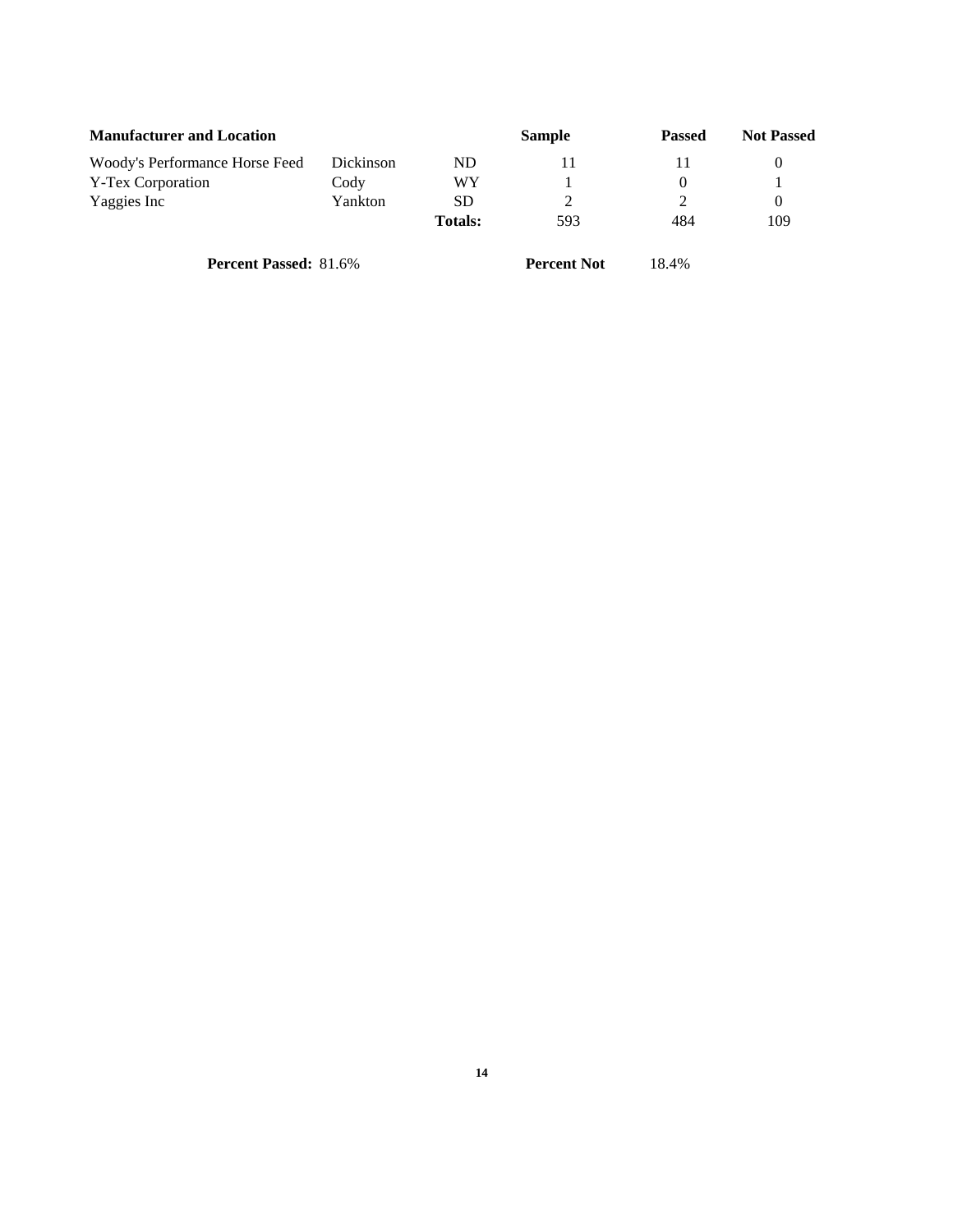| <b>Manufacturer and Location</b> |           |                | <b>Sample</b> | <b>Passed</b> | <b>Not Passed</b> |
|----------------------------------|-----------|----------------|---------------|---------------|-------------------|
| Woody's Performance Horse Feed   | Dickinson | ND             |               |               |                   |
| Y-Tex Corporation                | Cody      | WY             |               |               |                   |
| Yaggies Inc                      | Yankton   | SD             |               |               |                   |
|                                  |           | <b>Totals:</b> | 593           | 484           | 109               |
|                                  |           |                |               |               |                   |

**Percent Passed:** 81.6% **Percent Not** 18.4%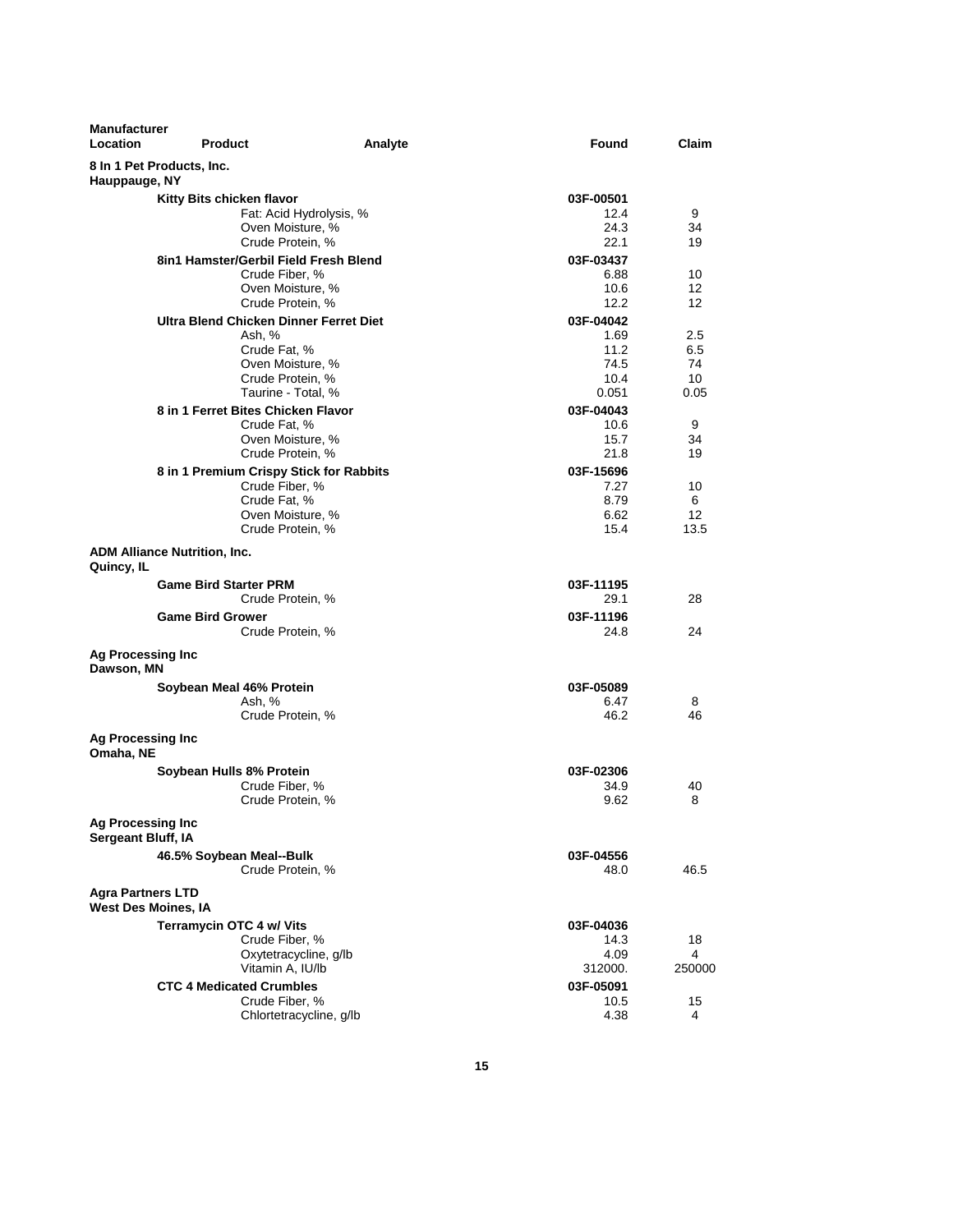| <b>Manufacturer</b><br><b>Location</b>  | <b>Product</b>                      | Analyte                                 | Found             | Claim    |
|-----------------------------------------|-------------------------------------|-----------------------------------------|-------------------|----------|
| Hauppauge, NY                           | 8 In 1 Pet Products, Inc.           |                                         |                   |          |
|                                         | Kitty Bits chicken flavor           |                                         | 03F-00501         |          |
|                                         |                                     | Fat: Acid Hydrolysis, %                 | 12.4              | 9        |
|                                         |                                     | Oven Moisture, %                        | 24.3              | 34       |
|                                         |                                     | Crude Protein, %                        | 22.1              | 19       |
|                                         |                                     | 8in1 Hamster/Gerbil Field Fresh Blend   | 03F-03437         |          |
|                                         |                                     | Crude Fiber, %<br>Oven Moisture, %      | 6.88<br>10.6      | 10<br>12 |
|                                         |                                     | Crude Protein, %                        | 12.2              | 12       |
|                                         |                                     | Ultra Blend Chicken Dinner Ferret Diet  | 03F-04042         |          |
|                                         | Ash, %                              |                                         | 1.69              | 2.5      |
|                                         |                                     | Crude Fat, %                            | 11.2              | 6.5      |
|                                         |                                     | Oven Moisture, %                        | 74.5              | 74       |
|                                         |                                     | Crude Protein, %                        | 10.4              | 10       |
|                                         |                                     | Taurine - Total, %                      | 0.051             | 0.05     |
|                                         | 8 in 1 Ferret Bites Chicken Flavor  | Crude Fat, %                            | 03F-04043<br>10.6 | 9        |
|                                         |                                     | Oven Moisture, %                        | 15.7              | 34       |
|                                         |                                     | Crude Protein, %                        | 21.8              | 19       |
|                                         |                                     | 8 in 1 Premium Crispy Stick for Rabbits | 03F-15696         |          |
|                                         |                                     | Crude Fiber, %                          | 7.27              | 10       |
|                                         |                                     | Crude Fat, %                            | 8.79              | 6        |
|                                         |                                     | Oven Moisture, %                        | 6.62              | 12       |
|                                         |                                     | Crude Protein, %                        | 15.4              | 13.5     |
| Quincy, IL                              | <b>ADM Alliance Nutrition, Inc.</b> |                                         |                   |          |
|                                         | <b>Game Bird Starter PRM</b>        |                                         | 03F-11195         |          |
|                                         |                                     | Crude Protein, %                        | 29.1              | 28       |
|                                         | <b>Game Bird Grower</b>             |                                         | 03F-11196         |          |
|                                         |                                     | Crude Protein, %                        | 24.8              | 24       |
| <b>Ag Processing Inc</b><br>Dawson, MN  |                                     |                                         |                   |          |
|                                         | Soybean Meal 46% Protein            |                                         | 03F-05089         |          |
|                                         | Ash, %                              |                                         | 6.47              | 8        |
|                                         |                                     | Crude Protein, %                        | 46.2              | 46       |
| <b>Ag Processing Inc</b><br>Omaha, NE   |                                     |                                         |                   |          |
|                                         | Soybean Hulls 8% Protein            |                                         | 03F-02306         |          |
|                                         |                                     | Crude Fiber, %                          | 34.9              | 40       |
|                                         |                                     | Crude Protein, %                        | 9.62              | 8        |
| Ag Processing Inc<br>Sergeant Bluff, IA |                                     |                                         |                   |          |
|                                         | 46.5% Soybean Meal--Bulk            |                                         | 03F-04556         |          |
|                                         |                                     | Crude Protein, %                        | 48.0              | 46.5     |
| <b>Agra Partners LTD</b>                | <b>West Des Moines, IA</b>          |                                         |                   |          |
|                                         | Terramycin OTC 4 w/ Vits            |                                         | 03F-04036         |          |
|                                         |                                     | Crude Fiber, %                          | 14.3              | 18       |
|                                         |                                     | Oxytetracycline, g/lb                   | 4.09              | 4        |
|                                         |                                     | Vitamin A. IU/lb                        | 312000.           | 250000   |
|                                         | <b>CTC 4 Medicated Crumbles</b>     |                                         | 03F-05091         |          |
|                                         |                                     | Crude Fiber, %                          | 10.5              | 15       |
|                                         |                                     | Chlortetracycline, g/lb                 | 4.38              | 4        |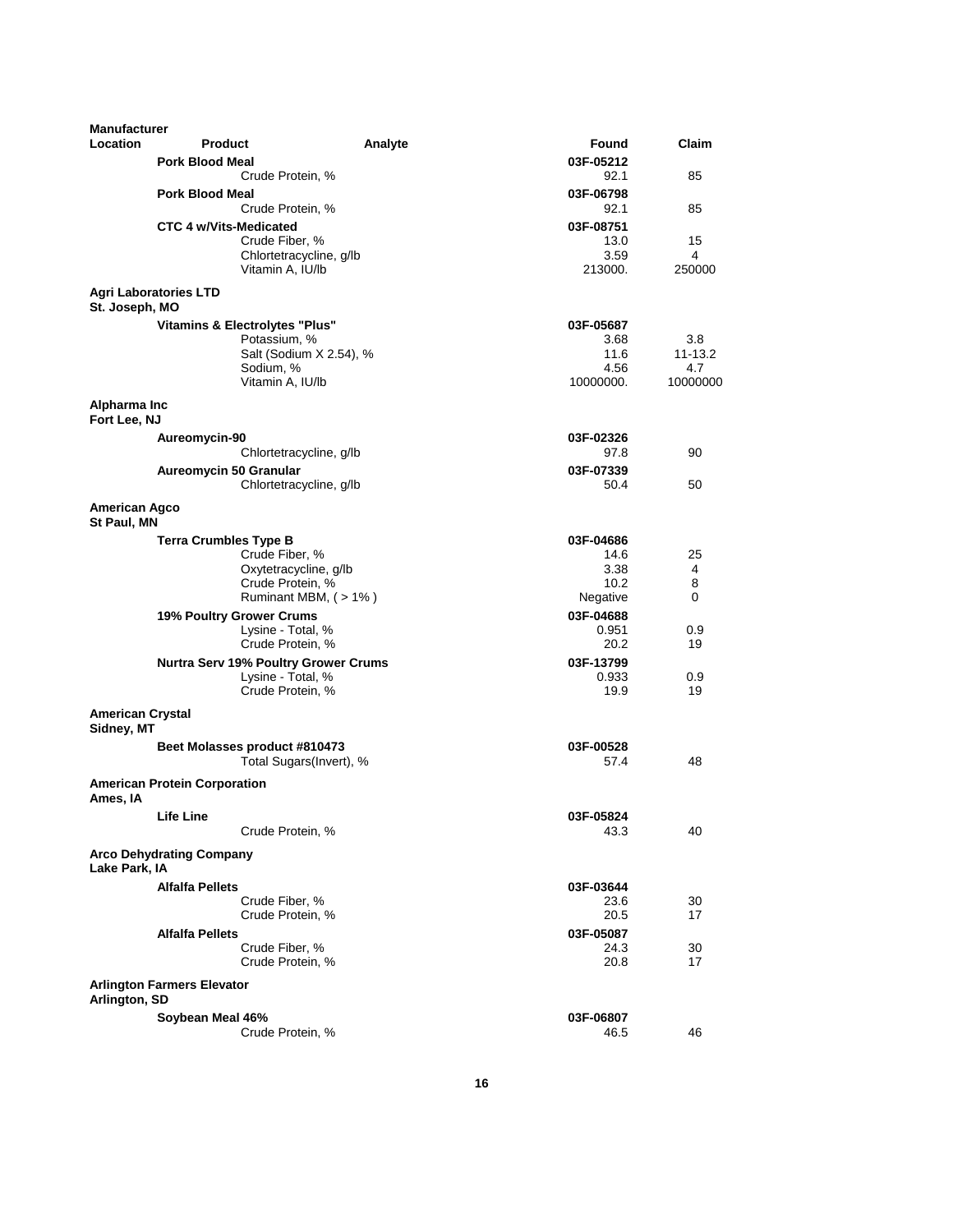| Manufacturer                          |                                     |                                             |                    |          |
|---------------------------------------|-------------------------------------|---------------------------------------------|--------------------|----------|
| Location                              | <b>Product</b>                      | Analyte                                     | Found              | Claim    |
|                                       | <b>Pork Blood Meal</b>              |                                             | 03F-05212          |          |
|                                       |                                     | Crude Protein, %                            | 92.1               | 85       |
|                                       | <b>Pork Blood Meal</b>              |                                             | 03F-06798          |          |
|                                       |                                     | Crude Protein, %                            | 92.1               | 85       |
|                                       | <b>CTC 4 w/Vits-Medicated</b>       |                                             | 03F-08751          |          |
|                                       |                                     | Crude Fiber, %<br>Chlortetracycline, g/lb   | 13.0<br>3.59       | 15<br>4  |
|                                       |                                     | Vitamin A, IU/lb                            | 213000.            | 250000   |
|                                       | <b>Agri Laboratories LTD</b>        |                                             |                    |          |
| St. Joseph, MO                        |                                     |                                             |                    |          |
|                                       | Vitamins & Electrolytes "Plus"      |                                             | 03F-05687          |          |
|                                       |                                     | Potassium, %                                | 3.68               | 3.8      |
|                                       |                                     | Salt (Sodium X 2.54), %                     | 11.6               | 11-13.2  |
|                                       |                                     | Sodium, %                                   | 4.56               | 4.7      |
|                                       |                                     | Vitamin A, IU/lb                            | 10000000.          | 10000000 |
| Alpharma Inc<br>Fort Lee, NJ          |                                     |                                             |                    |          |
|                                       | Aureomycin-90                       |                                             | 03F-02326          |          |
|                                       |                                     | Chlortetracycline, g/lb                     | 97.8               | 90       |
|                                       | Aureomycin 50 Granular              |                                             | 03F-07339          |          |
|                                       |                                     | Chlortetracycline, g/lb                     | 50.4               | 50       |
| <b>American Agco</b><br>St Paul, MN   |                                     |                                             |                    |          |
|                                       | <b>Terra Crumbles Type B</b>        |                                             | 03F-04686          |          |
|                                       |                                     | Crude Fiber, %                              | 14.6               | 25       |
|                                       |                                     | Oxytetracycline, g/lb                       | 3.38               | 4        |
|                                       |                                     | Crude Protein, %                            | 10.2               | 8        |
|                                       |                                     | Ruminant MBM, (>1%)                         | Negative           | 0        |
|                                       | 19% Poultry Grower Crums            | Lysine - Total, %                           | 03F-04688<br>0.951 | 0.9      |
|                                       |                                     | Crude Protein, %                            | 20.2               | 19       |
|                                       |                                     | <b>Nurtra Serv 19% Poultry Grower Crums</b> | 03F-13799          |          |
|                                       |                                     | Lysine - Total, %                           | 0.933              | 0.9      |
|                                       |                                     | Crude Protein, %                            | 19.9               | 19       |
| <b>American Crystal</b><br>Sidney, MT |                                     |                                             |                    |          |
|                                       | Beet Molasses product #810473       |                                             | 03F-00528          |          |
|                                       |                                     | Total Sugars(Invert), %                     | 57.4               | 48       |
| Ames, IA                              | <b>American Protein Corporation</b> |                                             |                    |          |
|                                       | <b>Life Line</b>                    |                                             | 03F-05824          |          |
|                                       |                                     | Crude Protein, %                            | 43.3               | 40       |
| Lake Park, IA                         | <b>Arco Dehydrating Company</b>     |                                             |                    |          |
|                                       | <b>Alfalfa Pellets</b>              |                                             | 03F-03644          |          |
|                                       |                                     | Crude Fiber, %                              | 23.6               | 30       |
|                                       |                                     | Crude Protein, %                            | 20.5               | 17       |
|                                       | <b>Alfalfa Pellets</b>              |                                             | 03F-05087          |          |
|                                       |                                     | Crude Fiber, %<br>Crude Protein, %          | 24.3<br>20.8       | 30<br>17 |
|                                       | <b>Arlington Farmers Elevator</b>   |                                             |                    |          |
| Arlington, SD                         |                                     |                                             |                    |          |
|                                       | Soybean Meal 46%                    |                                             | 03F-06807          |          |
|                                       |                                     | Crude Protein, %                            | 46.5               | 46       |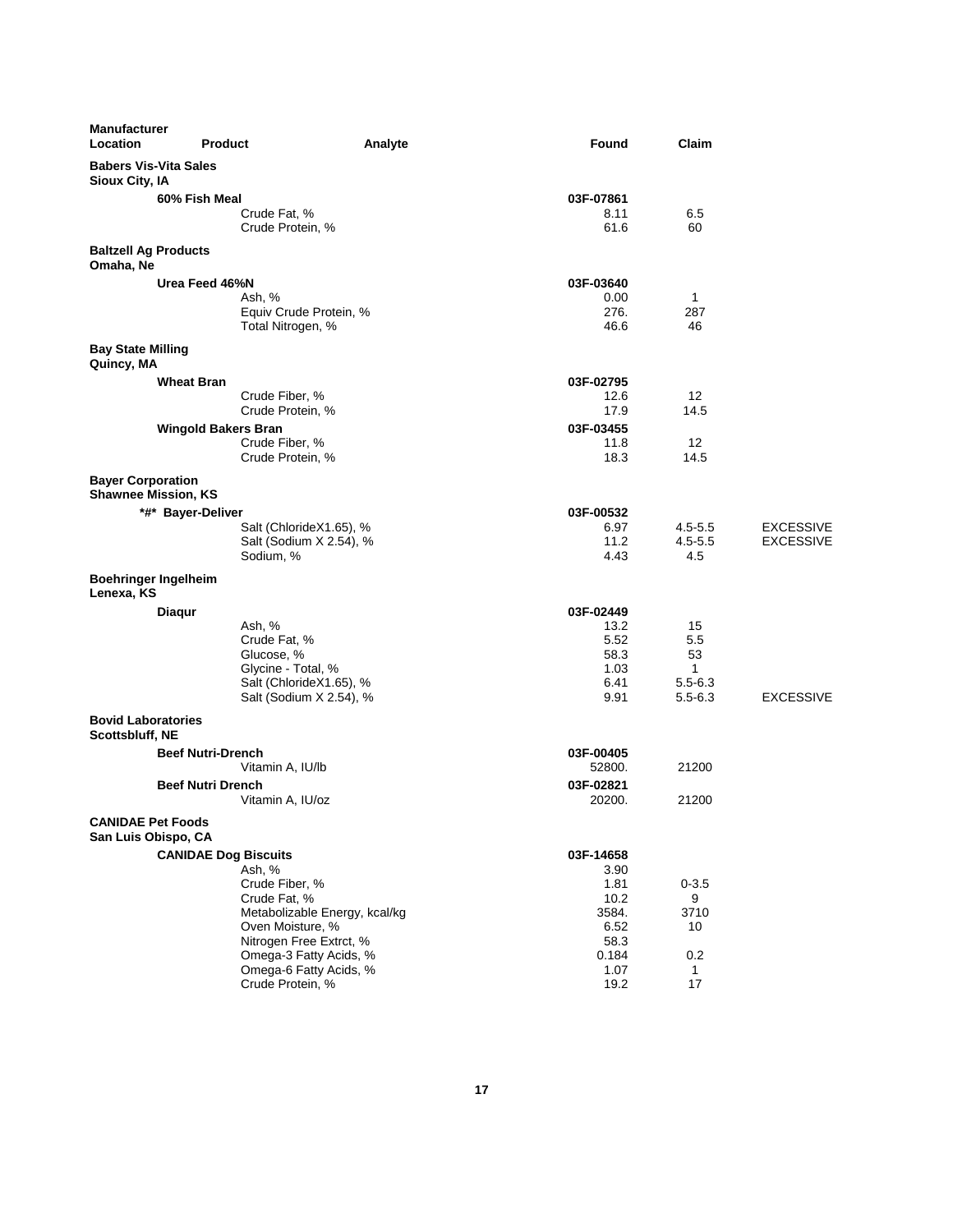| <b>Manufacturer</b><br>Location                        | <b>Product</b>                   | Analyte                       | Found               | Claim                       |                  |
|--------------------------------------------------------|----------------------------------|-------------------------------|---------------------|-----------------------------|------------------|
| <b>Babers Vis-Vita Sales</b><br>Sioux City, IA         |                                  |                               |                     |                             |                  |
|                                                        | 60% Fish Meal                    |                               | 03F-07861           |                             |                  |
|                                                        | Crude Fat, %<br>Crude Protein, % |                               | 8.11<br>61.6        | 6.5<br>60                   |                  |
| <b>Baltzell Ag Products</b><br>Omaha, Ne               |                                  |                               |                     |                             |                  |
|                                                        | Urea Feed 46%N                   |                               | 03F-03640           |                             |                  |
|                                                        | Ash, %                           |                               | 0.00                | 1                           |                  |
|                                                        | Total Nitrogen, %                | Equiv Crude Protein, %        | 276.<br>46.6        | 287<br>46                   |                  |
| <b>Bay State Milling</b><br>Quincy, MA                 |                                  |                               |                     |                             |                  |
|                                                        | <b>Wheat Bran</b>                |                               | 03F-02795           |                             |                  |
|                                                        | Crude Fiber, %                   |                               | 12.6                | 12                          |                  |
|                                                        | Crude Protein, %                 |                               | 17.9                | 14.5                        |                  |
|                                                        | <b>Wingold Bakers Bran</b>       |                               | 03F-03455           |                             |                  |
|                                                        | Crude Fiber, %                   |                               | 11.8                | 12                          |                  |
|                                                        | Crude Protein, %                 |                               | 18.3                | 14.5                        |                  |
| <b>Bayer Corporation</b><br><b>Shawnee Mission, KS</b> |                                  |                               |                     |                             |                  |
|                                                        | *#* Bayer-Deliver                |                               | 03F-00532           |                             |                  |
|                                                        |                                  | Salt (ChlorideX1.65), %       | 6.97                | $4.5 - 5.5$                 | <b>EXCESSIVE</b> |
|                                                        |                                  | Salt (Sodium X 2.54), %       | 11.2                | $4.5 - 5.5$                 | <b>EXCESSIVE</b> |
|                                                        | Sodium, %                        |                               | 4.43                | 4.5                         |                  |
| <b>Boehringer Ingelheim</b><br>Lenexa, KS              |                                  |                               |                     |                             |                  |
| Diaqur                                                 |                                  |                               | 03F-02449           |                             |                  |
|                                                        | Ash, %                           |                               | 13.2                | 15                          |                  |
|                                                        | Crude Fat, %                     |                               | 5.52                | 5.5                         |                  |
|                                                        | Glucose, %                       |                               | 58.3                | 53                          |                  |
|                                                        | Glycine - Total, %               | Salt (ChlorideX1.65), %       | 1.03<br>6.41        | $\mathbf{1}$<br>$5.5 - 6.3$ |                  |
|                                                        |                                  | Salt (Sodium X 2.54), %       | 9.91                | $5.5 - 6.3$                 | <b>EXCESSIVE</b> |
| <b>Bovid Laboratories</b>                              |                                  |                               |                     |                             |                  |
| Scottsbluff, NE                                        |                                  |                               |                     |                             |                  |
|                                                        | <b>Beef Nutri-Drench</b>         |                               | 03F-00405           |                             |                  |
|                                                        | Vitamin A, IU/lb                 |                               | 52800.              | 21200                       |                  |
|                                                        | <b>Beef Nutri Drench</b>         |                               | 03F-02821<br>20200. | 21200                       |                  |
| <b>CANIDAE Pet Foods</b>                               | Vitamin A, IU/oz                 |                               |                     |                             |                  |
| San Luis Obispo, CA                                    |                                  |                               |                     |                             |                  |
|                                                        | <b>CANIDAE Dog Biscuits</b>      |                               | 03F-14658           |                             |                  |
|                                                        | Ash, %                           |                               | 3.90                |                             |                  |
|                                                        | Crude Fiber, %<br>Crude Fat, %   |                               | 1.81<br>10.2        | $0 - 3.5$<br>9              |                  |
|                                                        |                                  | Metabolizable Energy, kcal/kg | 3584.               | 3710                        |                  |
|                                                        | Oven Moisture, %                 |                               | 6.52                | 10                          |                  |
|                                                        |                                  | Nitrogen Free Extrct, %       | 58.3                |                             |                  |
|                                                        |                                  | Omega-3 Fatty Acids, %        | 0.184               | 0.2                         |                  |
|                                                        |                                  | Omega-6 Fatty Acids, %        | 1.07                | $\mathbf{1}$                |                  |
|                                                        | Crude Protein, %                 |                               | 19.2                | 17                          |                  |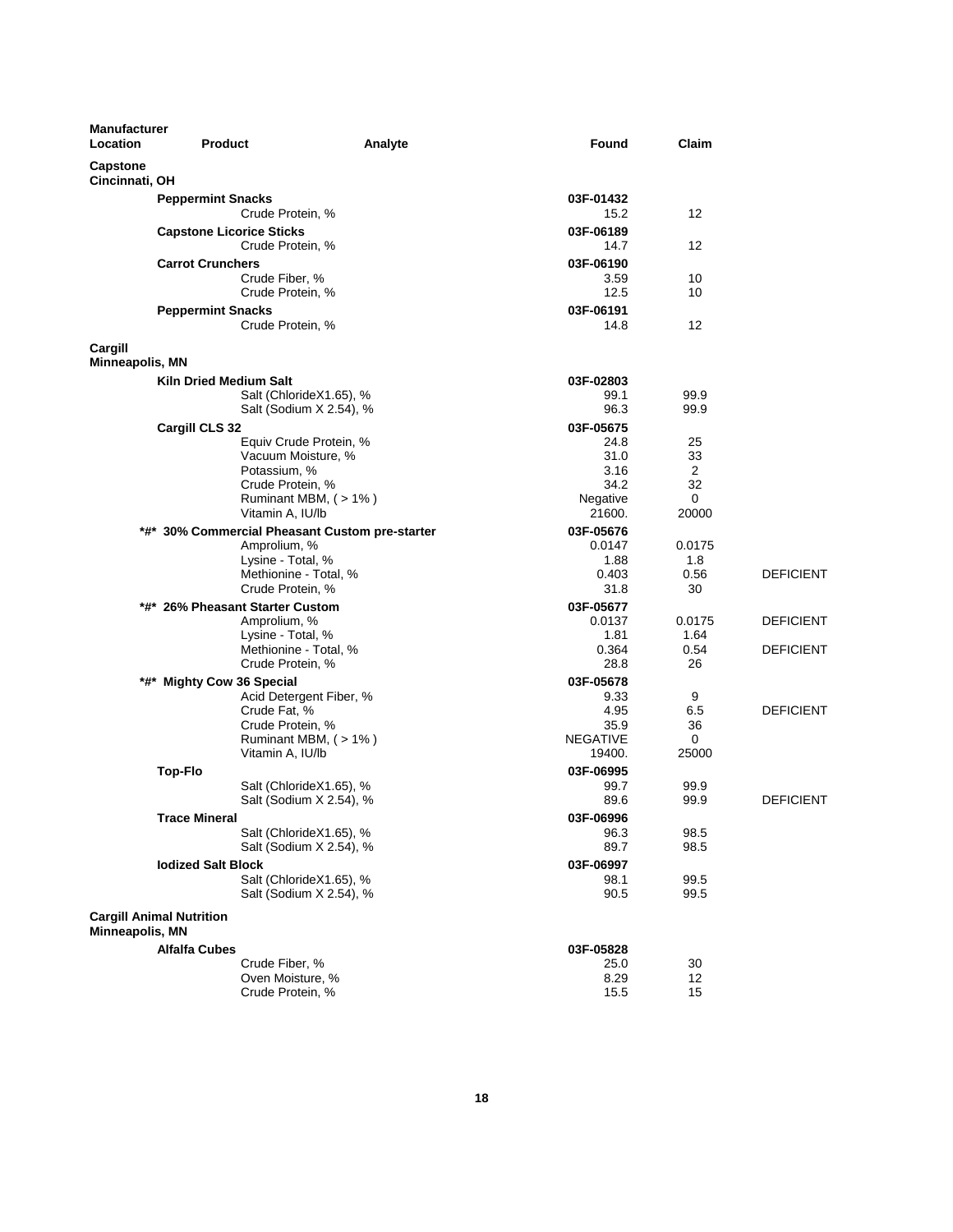| <b>Manufacturer</b><br>Location   | <b>Product</b>                                  | Analyte                                            | Found               | Claim             |                  |
|-----------------------------------|-------------------------------------------------|----------------------------------------------------|---------------------|-------------------|------------------|
| <b>Capstone</b><br>Cincinnati, OH |                                                 |                                                    |                     |                   |                  |
|                                   | <b>Peppermint Snacks</b>                        |                                                    | 03F-01432           |                   |                  |
|                                   | Crude Protein, %                                |                                                    | 15.2                | $12 \overline{ }$ |                  |
|                                   | <b>Capstone Licorice Sticks</b>                 |                                                    | 03F-06189           |                   |                  |
|                                   | Crude Protein, %                                |                                                    | 14.7                | 12                |                  |
|                                   | <b>Carrot Crunchers</b>                         |                                                    | 03F-06190           |                   |                  |
|                                   | Crude Fiber, %<br>Crude Protein, %              |                                                    | 3.59<br>12.5        | 10<br>10          |                  |
|                                   | <b>Peppermint Snacks</b>                        |                                                    | 03F-06191           |                   |                  |
|                                   | Crude Protein, %                                |                                                    | 14.8                | 12                |                  |
| Cargill                           |                                                 |                                                    |                     |                   |                  |
| <b>Minneapolis, MN</b>            |                                                 |                                                    |                     |                   |                  |
|                                   | <b>Kiln Dried Medium Salt</b>                   |                                                    | 03F-02803           |                   |                  |
|                                   |                                                 | Salt (ChlorideX1.65), %<br>Salt (Sodium X 2.54), % | 99.1<br>96.3        | 99.9<br>99.9      |                  |
|                                   | Cargill CLS 32                                  |                                                    | 03F-05675           |                   |                  |
|                                   |                                                 | Equiv Crude Protein, %                             | 24.8                | 25                |                  |
|                                   | Vacuum Moisture, %                              |                                                    | 31.0                | 33                |                  |
|                                   | Potassium, %                                    |                                                    | 3.16                | 2                 |                  |
|                                   | Crude Protein, %                                |                                                    | 34.2                | 32<br>0           |                  |
|                                   | Vitamin A, IU/lb                                | Ruminant MBM, (>1%)                                | Negative<br>21600.  | 20000             |                  |
|                                   | *#* 30% Commercial Pheasant Custom pre-starter  |                                                    | 03F-05676           |                   |                  |
|                                   | Amprolium, %                                    |                                                    | 0.0147              | 0.0175            |                  |
|                                   | Lysine - Total, %                               |                                                    | 1.88                | 1.8               |                  |
|                                   | Methionine - Total, %                           |                                                    | 0.403               | 0.56              | <b>DEFICIENT</b> |
|                                   | Crude Protein, %                                |                                                    | 31.8                | 30                |                  |
|                                   | *#* 26% Pheasant Starter Custom<br>Amprolium, % |                                                    | 03F-05677<br>0.0137 | 0.0175            | <b>DEFICIENT</b> |
|                                   | Lysine - Total, %                               |                                                    | 1.81                | 1.64              |                  |
|                                   | Methionine - Total, %                           |                                                    | 0.364               | 0.54              | <b>DEFICIENT</b> |
|                                   | Crude Protein, %                                |                                                    | 28.8                | 26                |                  |
|                                   | *#* Mighty Cow 36 Special                       |                                                    | 03F-05678           |                   |                  |
|                                   | Crude Fat, %                                    | Acid Detergent Fiber, %                            | 9.33<br>4.95        | 9<br>6.5          | <b>DEFICIENT</b> |
|                                   | Crude Protein, %                                |                                                    | 35.9                | 36                |                  |
|                                   |                                                 | Ruminant MBM, (>1%)                                | <b>NEGATIVE</b>     | 0                 |                  |
|                                   | Vitamin A, IU/lb                                |                                                    | 19400.              | 25000             |                  |
|                                   | <b>Top-Flo</b>                                  |                                                    | 03F-06995           |                   |                  |
|                                   |                                                 | Salt (ChlorideX1.65), %<br>Salt (Sodium X 2.54), % | 99.7<br>89.6        | 99.9<br>99.9      | <b>DEFICIENT</b> |
|                                   | <b>Trace Mineral</b>                            |                                                    | 03F-06996           |                   |                  |
|                                   |                                                 | Salt (ChlorideX1.65), %                            | 96.3                | 98.5              |                  |
|                                   |                                                 | Salt (Sodium X 2.54), %                            | 89.7                | 98.5              |                  |
|                                   | <b>lodized Salt Block</b>                       |                                                    | 03F-06997           |                   |                  |
|                                   |                                                 | Salt (ChlorideX1.65), %                            | 98.1                | 99.5              |                  |
|                                   |                                                 | Salt (Sodium X 2.54), %                            | 90.5                | 99.5              |                  |
|                                   | <b>Cargill Animal Nutrition</b>                 |                                                    |                     |                   |                  |
| Minneapolis, MN                   |                                                 |                                                    |                     |                   |                  |
|                                   | <b>Alfalfa Cubes</b>                            |                                                    | 03F-05828           |                   |                  |
|                                   | Crude Fiber, %<br>Oven Moisture, %              |                                                    | 25.0<br>8.29        | 30<br>12          |                  |
|                                   | Crude Protein, %                                |                                                    | 15.5                | 15                |                  |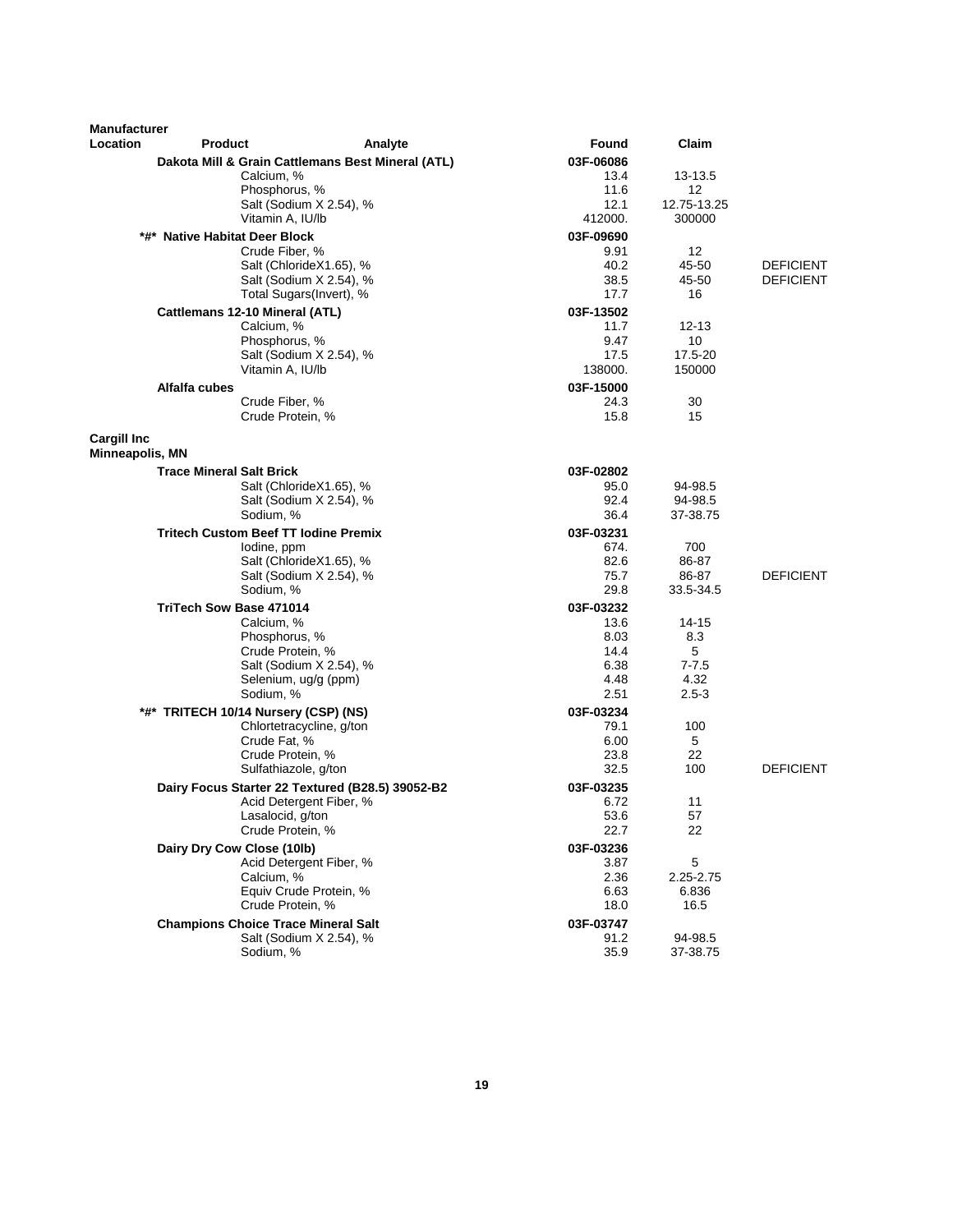| <b>Manufacturer</b> |                                             |                                                   |                   |              |                  |
|---------------------|---------------------------------------------|---------------------------------------------------|-------------------|--------------|------------------|
| <b>Location</b>     | <b>Product</b>                              | Analyte                                           | Found             | Claim        |                  |
|                     |                                             | Dakota Mill & Grain Cattlemans Best Mineral (ATL) | 03F-06086         |              |                  |
|                     | Calcium, %                                  |                                                   | 13.4              | 13-13.5      |                  |
|                     | Phosphorus, %                               |                                                   | 11.6              | 12           |                  |
|                     |                                             | Salt (Sodium X 2.54), %                           | 12.1              | 12.75-13.25  |                  |
|                     | Vitamin A, IU/lb                            |                                                   | 412000.           | 300000       |                  |
|                     | *#* Native Habitat Deer Block               |                                                   | 03F-09690         |              |                  |
|                     | Crude Fiber, %                              | Salt (ChlorideX1.65), %                           | 9.91<br>40.2      | 12<br>45-50  | <b>DEFICIENT</b> |
|                     |                                             | Salt (Sodium X 2.54), %                           | 38.5              | 45-50        | <b>DEFICIENT</b> |
|                     |                                             | Total Sugars(Invert), %                           | 17.7              | 16           |                  |
|                     | Cattlemans 12-10 Mineral (ATL)              |                                                   | 03F-13502         |              |                  |
|                     | Calcium, %                                  |                                                   | 11.7              | $12 - 13$    |                  |
|                     | Phosphorus, %                               |                                                   | 9.47              | 10           |                  |
|                     |                                             | Salt (Sodium X 2.54), %                           | 17.5              | 17.5-20      |                  |
|                     | Vitamin A, IU/lb                            |                                                   | 138000.           | 150000       |                  |
|                     | Alfalfa cubes                               |                                                   | 03F-15000         |              |                  |
|                     | Crude Fiber, %                              |                                                   | 24.3              | 30           |                  |
|                     | Crude Protein, %                            |                                                   | 15.8              | 15           |                  |
| <b>Cargill Inc</b>  |                                             |                                                   |                   |              |                  |
| Minneapolis, MN     |                                             |                                                   |                   |              |                  |
|                     | <b>Trace Mineral Salt Brick</b>             |                                                   | 03F-02802         |              |                  |
|                     |                                             | Salt (ChlorideX1.65), %                           | 95.0              | 94-98.5      |                  |
|                     |                                             | Salt (Sodium X 2.54), %                           | 92.4              | 94-98.5      |                  |
|                     | Sodium, %                                   |                                                   | 36.4              | 37-38.75     |                  |
|                     | <b>Tritech Custom Beef TT lodine Premix</b> |                                                   | 03F-03231         |              |                  |
|                     | lodine, ppm                                 |                                                   | 674.              | 700          |                  |
|                     |                                             | Salt (ChlorideX1.65), %                           | 82.6              | 86-87        |                  |
|                     |                                             | Salt (Sodium X 2.54), %                           | 75.7              | 86-87        | <b>DEFICIENT</b> |
|                     | Sodium, %                                   |                                                   | 29.8              | 33.5-34.5    |                  |
|                     | <b>TriTech Sow Base 471014</b>              |                                                   | 03F-03232         |              |                  |
|                     | Calcium, %<br>Phosphorus, %                 |                                                   | 13.6<br>8.03      | 14-15<br>8.3 |                  |
|                     | Crude Protein, %                            |                                                   | 14.4              | 5            |                  |
|                     |                                             | Salt (Sodium X 2.54), %                           | 6.38              | $7 - 7.5$    |                  |
|                     |                                             | Selenium, ug/g (ppm)                              | 4.48              | 4.32         |                  |
|                     | Sodium, %                                   |                                                   | 2.51              | $2.5 - 3$    |                  |
|                     | *#* TRITECH 10/14 Nursery (CSP) (NS)        |                                                   | 03F-03234         |              |                  |
|                     |                                             | Chlortetracycline, g/ton                          | 79.1              | 100          |                  |
|                     | Crude Fat, %                                |                                                   | 6.00              | 5            |                  |
|                     | Crude Protein, %                            |                                                   | 23.8              | 22           |                  |
|                     |                                             | Sulfathiazole, g/ton                              | 32.5              | 100          | <b>DEFICIENT</b> |
|                     |                                             | Dairy Focus Starter 22 Textured (B28.5) 39052-B2  | 03F-03235         |              |                  |
|                     |                                             | Acid Detergent Fiber, %                           | 6.72              | 11           |                  |
|                     | Lasalocid, g/ton<br>Crude Protein, %        |                                                   | 53.6<br>22.7      | 57<br>22     |                  |
|                     |                                             |                                                   |                   |              |                  |
|                     | Dairy Dry Cow Close (10lb)                  | Acid Detergent Fiber, %                           | 03F-03236<br>3.87 | $\mathbf 5$  |                  |
|                     | Calcium, %                                  |                                                   | 2.36              | 2.25-2.75    |                  |
|                     |                                             | Equiv Crude Protein, %                            | 6.63              | 6.836        |                  |
|                     | Crude Protein, %                            |                                                   | 18.0              | 16.5         |                  |
|                     | <b>Champions Choice Trace Mineral Salt</b>  |                                                   | 03F-03747         |              |                  |
|                     |                                             | Salt (Sodium X 2.54), %                           | 91.2              | 94-98.5      |                  |
|                     | Sodium, %                                   |                                                   | 35.9              | 37-38.75     |                  |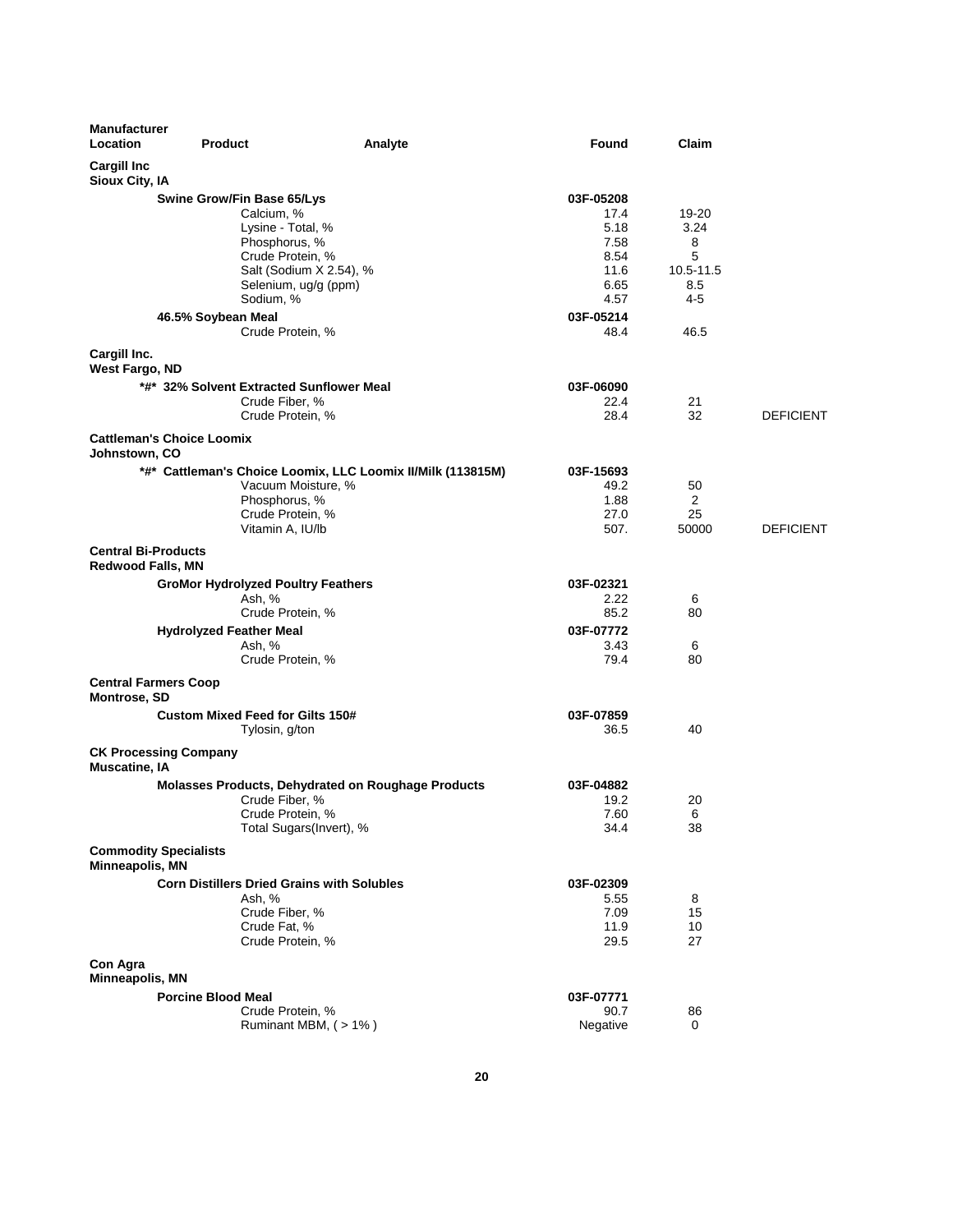| <b>Manufacturer</b><br>Location                    | <b>Product</b>                                    | Analyte                                                     | Found             | Claim     |                  |
|----------------------------------------------------|---------------------------------------------------|-------------------------------------------------------------|-------------------|-----------|------------------|
| <b>Cargill Inc</b><br>Sioux City, IA               |                                                   |                                                             |                   |           |                  |
|                                                    | Swine Grow/Fin Base 65/Lys                        |                                                             | 03F-05208         |           |                  |
|                                                    | Calcium, %                                        |                                                             | 17.4              | 19-20     |                  |
|                                                    | Lysine - Total, %                                 |                                                             | 5.18              | 3.24      |                  |
|                                                    | Phosphorus, %                                     |                                                             | 7.58              | 8         |                  |
|                                                    | Crude Protein, %                                  |                                                             | 8.54              | 5         |                  |
|                                                    | Salt (Sodium X 2.54), %                           |                                                             | 11.6              | 10.5-11.5 |                  |
|                                                    | Selenium, ug/g (ppm)                              |                                                             | 6.65              | 8.5       |                  |
|                                                    | Sodium, %                                         |                                                             | 4.57              | $4 - 5$   |                  |
|                                                    | 46.5% Soybean Meal                                |                                                             | 03F-05214         |           |                  |
|                                                    | Crude Protein, %                                  |                                                             | 48.4              | 46.5      |                  |
| Cargill Inc.<br>West Fargo, ND                     |                                                   |                                                             |                   |           |                  |
|                                                    | *#* 32% Solvent Extracted Sunflower Meal          |                                                             | 03F-06090         |           |                  |
|                                                    | Crude Fiber, %                                    |                                                             | 22.4              | 21        |                  |
|                                                    | Crude Protein, %                                  |                                                             | 28.4              | 32        | <b>DEFICIENT</b> |
|                                                    | <b>Cattleman's Choice Loomix</b>                  |                                                             |                   |           |                  |
| Johnstown, CO                                      |                                                   |                                                             |                   |           |                  |
|                                                    |                                                   | *#* Cattleman's Choice Loomix, LLC Loomix II/Milk (113815M) | 03F-15693         |           |                  |
|                                                    | Vacuum Moisture, %                                |                                                             | 49.2              | 50        |                  |
|                                                    | Phosphorus, %<br>Crude Protein, %                 |                                                             | 1.88<br>27.0      | 2<br>25   |                  |
|                                                    | Vitamin A, IU/lb                                  |                                                             | 507.              | 50000     | <b>DEFICIENT</b> |
| <b>Central Bi-Products</b>                         |                                                   |                                                             |                   |           |                  |
| <b>Redwood Falls, MN</b>                           |                                                   |                                                             |                   |           |                  |
|                                                    | <b>GroMor Hydrolyzed Poultry Feathers</b>         |                                                             | 03F-02321         |           |                  |
|                                                    | Ash, %                                            |                                                             | 2.22              | 6         |                  |
|                                                    | Crude Protein, %                                  |                                                             | 85.2              | 80        |                  |
|                                                    | <b>Hydrolyzed Feather Meal</b>                    |                                                             | 03F-07772         |           |                  |
|                                                    | Ash, %<br>Crude Protein, %                        |                                                             | 3.43<br>79.4      | 6<br>80   |                  |
|                                                    |                                                   |                                                             |                   |           |                  |
| <b>Central Farmers Coop</b><br><b>Montrose, SD</b> |                                                   |                                                             |                   |           |                  |
|                                                    | <b>Custom Mixed Feed for Gilts 150#</b>           |                                                             | 03F-07859         |           |                  |
|                                                    | Tylosin, g/ton                                    |                                                             | 36.5              | 40        |                  |
| <b>Muscatine, IA</b>                               | <b>CK Processing Company</b>                      |                                                             |                   |           |                  |
|                                                    |                                                   | <b>Molasses Products, Dehydrated on Roughage Products</b>   | 03F-04882         |           |                  |
|                                                    | Crude Fiber, %                                    |                                                             | 19.2              | 20        |                  |
|                                                    | Crude Protein, %                                  |                                                             | 7.60              | 6         |                  |
|                                                    | Total Sugars(Invert), %                           |                                                             | 34.4              | 38        |                  |
| <b>Commodity Specialists</b><br>Minneapolis, MN    |                                                   |                                                             |                   |           |                  |
|                                                    | <b>Corn Distillers Dried Grains with Solubles</b> |                                                             |                   |           |                  |
|                                                    | Ash, %                                            |                                                             | 03F-02309<br>5.55 | 8         |                  |
|                                                    | Crude Fiber, %                                    |                                                             | 7.09              | 15        |                  |
|                                                    | Crude Fat, %                                      |                                                             | 11.9              | 10        |                  |
|                                                    | Crude Protein, %                                  |                                                             | 29.5              | 27        |                  |
| Con Agra                                           |                                                   |                                                             |                   |           |                  |
| Minneapolis, MN                                    |                                                   |                                                             |                   |           |                  |
|                                                    | <b>Porcine Blood Meal</b>                         |                                                             | 03F-07771         |           |                  |
|                                                    | Crude Protein, %                                  |                                                             | 90.7              | 86        |                  |
|                                                    | Ruminant MBM, (>1%)                               |                                                             | Negative          | 0         |                  |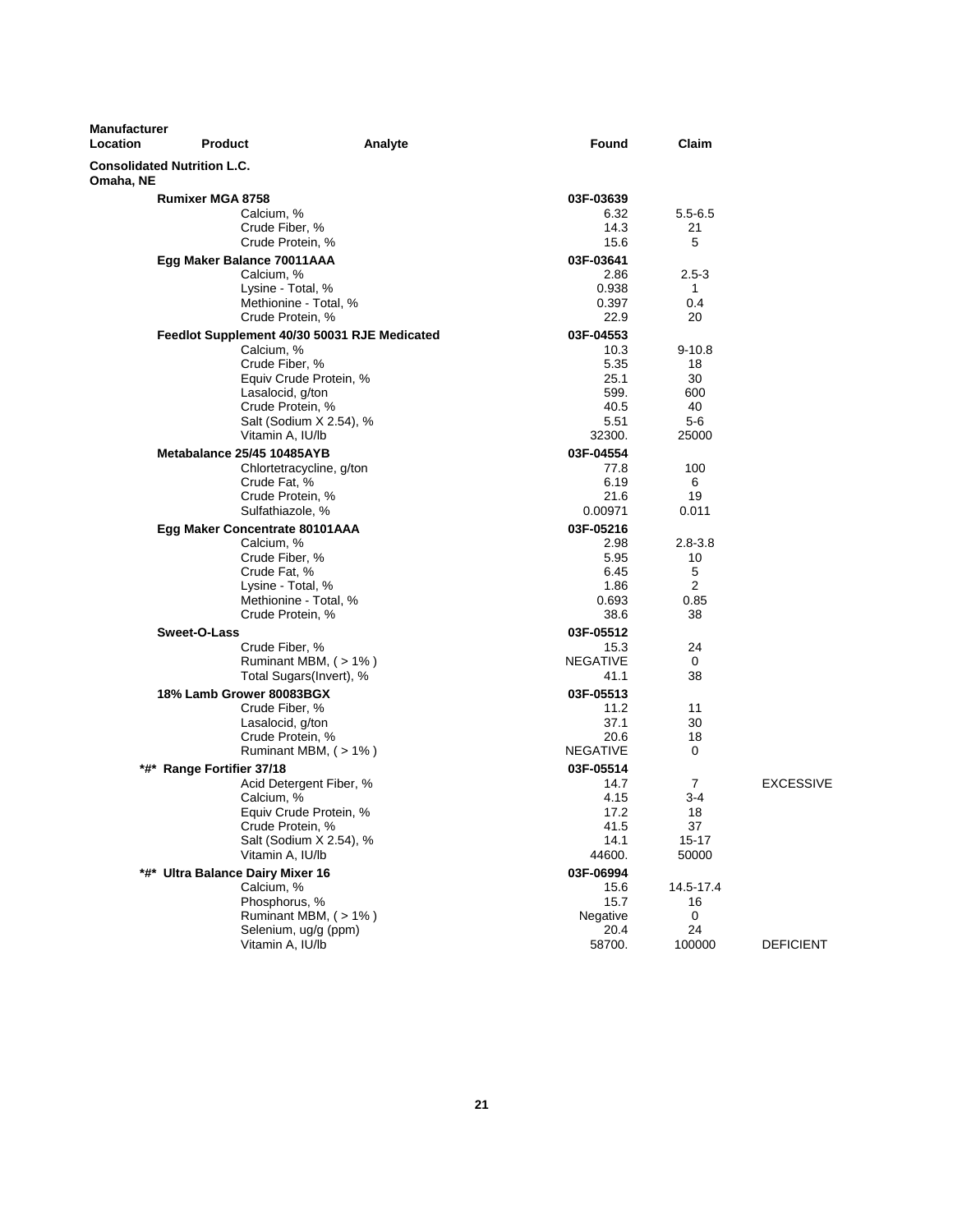| <b>Manufacturer</b><br>Location | <b>Product</b>                     | Analyte                                      | <b>Found</b>    | Claim               |                  |
|---------------------------------|------------------------------------|----------------------------------------------|-----------------|---------------------|------------------|
| Omaha, NE                       | <b>Consolidated Nutrition L.C.</b> |                                              |                 |                     |                  |
|                                 | <b>Rumixer MGA 8758</b>            |                                              | 03F-03639       |                     |                  |
|                                 | Calcium, %                         |                                              | 6.32            | $5.5 - 6.5$         |                  |
|                                 | Crude Fiber, %                     |                                              | 14.3            | 21                  |                  |
|                                 | Crude Protein, %                   |                                              | 15.6            | 5                   |                  |
|                                 | Egg Maker Balance 70011AAA         |                                              | 03F-03641       |                     |                  |
|                                 | Calcium, %                         |                                              | 2.86            | $2.5 - 3$           |                  |
|                                 | Lysine - Total, %                  |                                              | 0.938           | $\mathbf{1}$        |                  |
|                                 |                                    | Methionine - Total, %                        | 0.397           | 0.4                 |                  |
|                                 | Crude Protein, %                   |                                              | 22.9            | 20                  |                  |
|                                 |                                    | Feedlot Supplement 40/30 50031 RJE Medicated | 03F-04553       |                     |                  |
|                                 | Calcium, %                         |                                              | 10.3            | $9 - 10.8$          |                  |
|                                 | Crude Fiber, %                     | Equiv Crude Protein, %                       | 5.35<br>25.1    | 18<br>30            |                  |
|                                 | Lasalocid, g/ton                   |                                              | 599.            | 600                 |                  |
|                                 | Crude Protein, %                   |                                              | 40.5            | 40                  |                  |
|                                 |                                    | Salt (Sodium X 2.54), %                      | 5.51            | 5-6                 |                  |
|                                 | Vitamin A, IU/lb                   |                                              | 32300.          | 25000               |                  |
|                                 | Metabalance 25/45 10485AYB         |                                              | 03F-04554       |                     |                  |
|                                 |                                    | Chlortetracycline, g/ton                     | 77.8            | 100                 |                  |
|                                 | Crude Fat, %                       |                                              | 6.19            | 6                   |                  |
|                                 | Crude Protein, %                   |                                              | 21.6            | 19                  |                  |
|                                 | Sulfathiazole, %                   |                                              | 0.00971         | 0.011               |                  |
|                                 | Egg Maker Concentrate 80101AAA     |                                              | 03F-05216       |                     |                  |
|                                 | Calcium, %                         |                                              | 2.98            | $2.8 - 3.8$         |                  |
|                                 | Crude Fiber, %                     |                                              | 5.95            | 10                  |                  |
|                                 | Crude Fat, %<br>Lysine - Total, %  |                                              | 6.45<br>1.86    | 5<br>$\overline{2}$ |                  |
|                                 |                                    | Methionine - Total, %                        | 0.693           | 0.85                |                  |
|                                 | Crude Protein, %                   |                                              | 38.6            | 38                  |                  |
|                                 | Sweet-O-Lass                       |                                              | 03F-05512       |                     |                  |
|                                 | Crude Fiber, %                     |                                              | 15.3            | 24                  |                  |
|                                 |                                    | Ruminant MBM, $($ > 1% $)$                   | <b>NEGATIVE</b> | 0                   |                  |
|                                 |                                    | Total Sugars(Invert), %                      | 41.1            | 38                  |                  |
|                                 | 18% Lamb Grower 80083BGX           |                                              | 03F-05513       |                     |                  |
|                                 | Crude Fiber, %                     |                                              | 11.2            | 11                  |                  |
|                                 | Lasalocid, g/ton                   |                                              | 37.1            | 30                  |                  |
|                                 | Crude Protein, %                   |                                              | 20.6            | 18                  |                  |
|                                 |                                    | Ruminant MBM, (>1%)                          | NEGATIVE        | 0                   |                  |
|                                 | *#* Range Fortifier 37/18          |                                              | 03F-05514       |                     |                  |
|                                 |                                    | Acid Detergent Fiber, %                      | 14.7            | 7                   | <b>EXCESSIVE</b> |
|                                 | Calcium, %                         |                                              | 4.15            | $3 - 4$             |                  |
|                                 | Crude Protein, %                   | Equiv Crude Protein, %                       | 17.2<br>41.5    | 18<br>37            |                  |
|                                 |                                    | Salt (Sodium X 2.54), %                      | 14.1            | $15 - 17$           |                  |
|                                 | Vitamin A, IU/lb                   |                                              | 44600.          | 50000               |                  |
|                                 | *#* Ultra Balance Dairy Mixer 16   |                                              | 03F-06994       |                     |                  |
|                                 | Calcium, %                         |                                              | 15.6            | 14.5-17.4           |                  |
|                                 | Phosphorus, %                      |                                              | 15.7            | 16                  |                  |
|                                 |                                    | Ruminant MBM, (>1%)                          | Negative        | 0                   |                  |
|                                 |                                    | Selenium, ug/g (ppm)                         | 20.4            | 24                  |                  |
|                                 | Vitamin A, IU/lb                   |                                              | 58700.          | 100000              | <b>DEFICIENT</b> |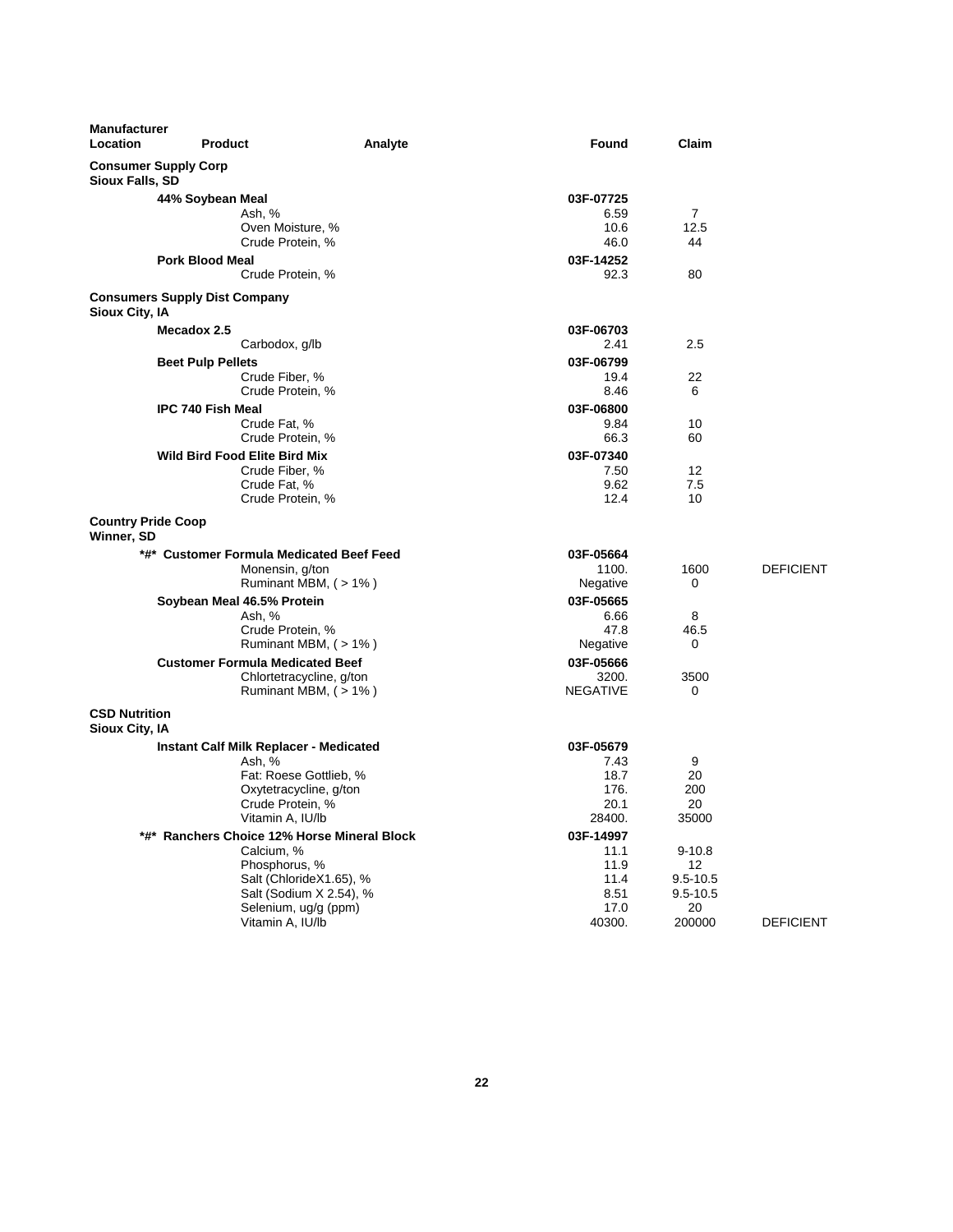| <b>Manufacturer</b><br><b>Location</b>  | <b>Product</b>                       | Analyte                                       | Found           | Claim             |                  |
|-----------------------------------------|--------------------------------------|-----------------------------------------------|-----------------|-------------------|------------------|
| <b>Sioux Falls, SD</b>                  | <b>Consumer Supply Corp</b>          |                                               |                 |                   |                  |
|                                         | 44% Soybean Meal                     |                                               | 03F-07725       |                   |                  |
|                                         |                                      | Ash, %                                        | 6.59            | $\overline{7}$    |                  |
|                                         |                                      | Oven Moisture, %                              | 10.6            | 12.5              |                  |
|                                         |                                      | Crude Protein, %                              | 46.0            | 44                |                  |
|                                         | <b>Pork Blood Meal</b>               |                                               | 03F-14252       |                   |                  |
|                                         |                                      | Crude Protein, %                              | 92.3            | 80                |                  |
| Sioux City, IA                          | <b>Consumers Supply Dist Company</b> |                                               |                 |                   |                  |
|                                         | Mecadox 2.5                          |                                               | 03F-06703       |                   |                  |
|                                         |                                      | Carbodox, g/lb                                | 2.41            | 2.5               |                  |
|                                         | <b>Beet Pulp Pellets</b>             |                                               | 03F-06799       |                   |                  |
|                                         |                                      | Crude Fiber, %                                | 19.4            | 22                |                  |
|                                         |                                      | Crude Protein, %                              | 8.46            | 6                 |                  |
|                                         | <b>IPC 740 Fish Meal</b>             |                                               | 03F-06800       |                   |                  |
|                                         |                                      | Crude Fat, %                                  | 9.84            | 10                |                  |
|                                         |                                      | Crude Protein, %                              | 66.3            | 60                |                  |
|                                         | <b>Wild Bird Food Elite Bird Mix</b> |                                               | 03F-07340       |                   |                  |
|                                         |                                      | Crude Fiber, %                                | 7.50            | 12                |                  |
|                                         |                                      | Crude Fat, %                                  | 9.62            | 7.5               |                  |
|                                         |                                      | Crude Protein, %                              | 12.4            | 10                |                  |
| <b>Country Pride Coop</b><br>Winner, SD |                                      |                                               |                 |                   |                  |
|                                         |                                      | *#* Customer Formula Medicated Beef Feed      | 03F-05664       |                   |                  |
|                                         |                                      | Monensin, g/ton                               | 1100.           | 1600              | <b>DEFICIENT</b> |
|                                         |                                      | Ruminant MBM, (>1%)                           | Negative        | 0                 |                  |
|                                         | Soybean Meal 46.5% Protein           |                                               | 03F-05665       |                   |                  |
|                                         |                                      | Ash, %                                        | 6.66            | 8                 |                  |
|                                         |                                      | Crude Protein, %                              | 47.8            | 46.5              |                  |
|                                         |                                      | Ruminant MBM, $($ > 1% $)$                    | Negative        | 0                 |                  |
|                                         |                                      | <b>Customer Formula Medicated Beef</b>        | 03F-05666       |                   |                  |
|                                         |                                      | Chlortetracycline, g/ton                      | 3200.           | 3500              |                  |
|                                         |                                      | Ruminant MBM, $($ > 1% $)$                    | <b>NEGATIVE</b> | 0                 |                  |
| <b>CSD Nutrition</b>                    |                                      |                                               |                 |                   |                  |
| Sioux City, IA                          |                                      |                                               |                 |                   |                  |
|                                         |                                      | <b>Instant Calf Milk Replacer - Medicated</b> | 03F-05679       |                   |                  |
|                                         |                                      | Ash, %                                        | 7.43            | 9                 |                  |
|                                         |                                      | Fat: Roese Gottlieb, %                        | 18.7            | 20                |                  |
|                                         |                                      | Oxytetracycline, g/ton                        | 176.            | 200               |                  |
|                                         |                                      | Crude Protein, %                              | 20.1            | 20                |                  |
|                                         |                                      | Vitamin A, IU/lb                              | 28400.          | 35000             |                  |
|                                         |                                      | *#* Ranchers Choice 12% Horse Mineral Block   | 03F-14997       |                   |                  |
|                                         |                                      | Calcium, %                                    | 11.1            | $9 - 10.8$        |                  |
|                                         |                                      | Phosphorus, %                                 | 11.9            | $12 \overline{ }$ |                  |
|                                         |                                      | Salt (ChlorideX1.65), %                       | 11.4            | $9.5 - 10.5$      |                  |
|                                         |                                      | Salt (Sodium X 2.54), %                       | 8.51            | $9.5 - 10.5$      |                  |
|                                         |                                      | Selenium, ug/g (ppm)                          | 17.0            | 20                |                  |
|                                         |                                      | Vitamin A, IU/lb                              | 40300.          | 200000            | <b>DEFICIENT</b> |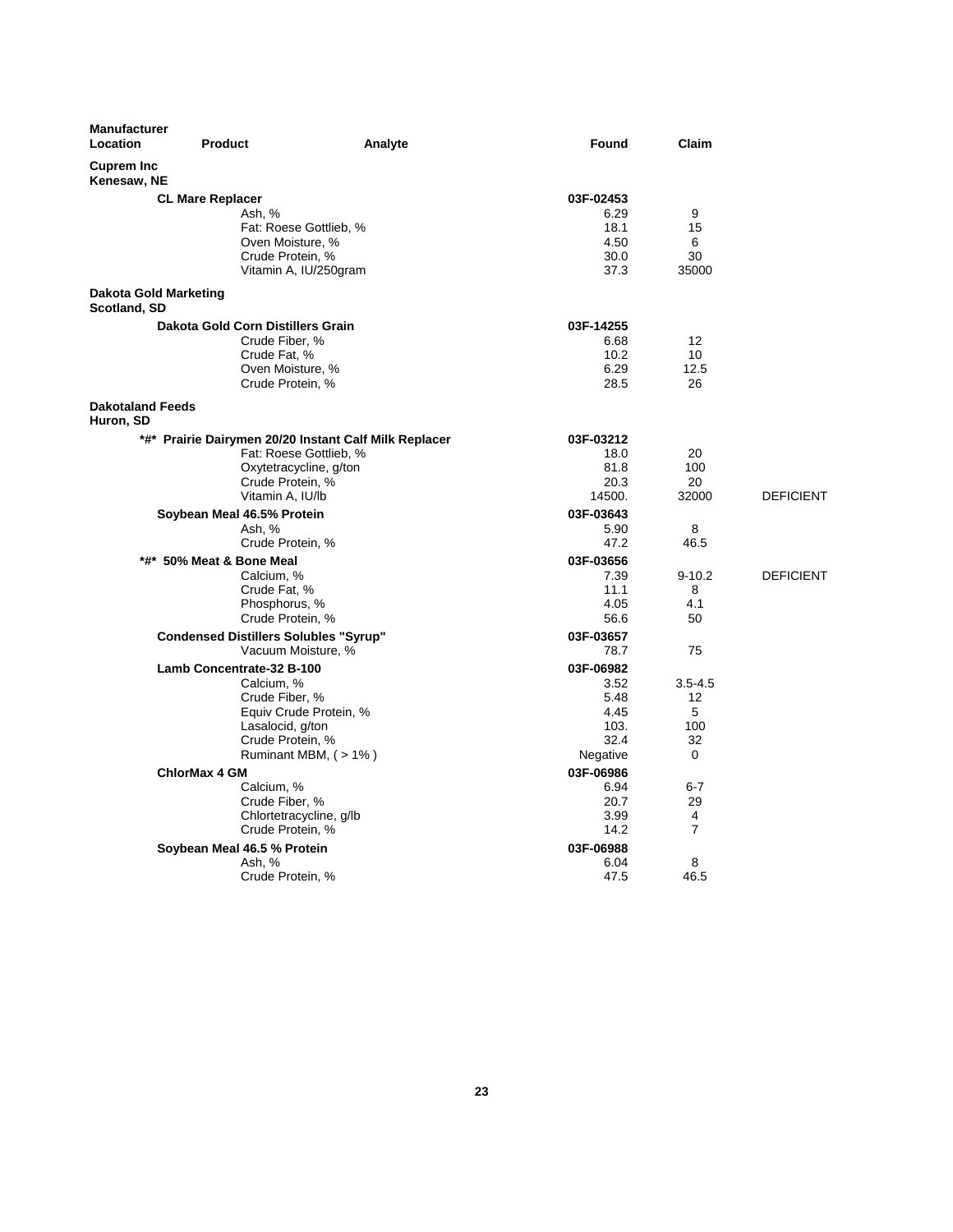| <b>Cuprem Inc</b><br>Kenesaw, NE<br><b>CL Mare Replacer</b><br>03F-02453<br>6.29<br>9<br>Ash, %<br>Fat: Roese Gottlieb, %<br>18.1<br>15<br>Oven Moisture, %<br>4.50<br>6<br>Crude Protein, %<br>30.0<br>30<br>Vitamin A, IU/250gram<br>37.3<br>35000<br>Dakota Gold Marketing<br>Scotland, SD<br>Dakota Gold Corn Distillers Grain<br>03F-14255<br>Crude Fiber, %<br>6.68<br>$12 \overline{ }$<br>Crude Fat, %<br>10.2<br>10<br>12.5<br>Oven Moisture, %<br>6.29<br>Crude Protein, %<br>28.5<br>26<br><b>Dakotaland Feeds</b><br>Huron, SD<br>*#* Prairie Dairymen 20/20 Instant Calf Milk Replacer<br>03F-03212<br>Fat: Roese Gottlieb, %<br>18.0<br>20<br>100<br>Oxytetracycline, g/ton<br>81.8<br>Crude Protein, %<br>20.3<br>20<br>Vitamin A, IU/lb<br>14500.<br>32000<br>Soybean Meal 46.5% Protein<br>03F-03643<br>Ash, %<br>5.90<br>8<br>47.2<br>Crude Protein, %<br>46.5<br>*#* 50% Meat & Bone Meal<br>03F-03656<br>Calcium, %<br>7.39<br>$9 - 10.2$<br>11.1<br>8<br>Crude Fat, %<br>Phosphorus, %<br>4.05<br>4.1<br>50<br>Crude Protein, %<br>56.6<br>03F-03657<br><b>Condensed Distillers Solubles "Syrup"</b><br>Vacuum Moisture, %<br>78.7<br>75<br>Lamb Concentrate-32 B-100<br>03F-06982<br>Calcium, %<br>3.52<br>$3.5 - 4.5$<br>12<br>Crude Fiber, %<br>5.48<br>Equiv Crude Protein, %<br>4.45<br>5<br>100<br>Lasalocid, g/ton<br>103.<br>Crude Protein, %<br>32.4<br>32<br>Ruminant MBM, (> 1%)<br>0<br>Negative<br>03F-06986<br><b>ChlorMax 4 GM</b><br>Calcium, %<br>6.94<br>$6 - 7$<br>Crude Fiber, %<br>20.7<br>29<br>Chlortetracycline, g/lb<br>3.99<br>4<br>$\overline{7}$<br>Crude Protein, %<br>14.2<br>Soybean Meal 46.5 % Protein<br>03F-06988<br>8<br>Ash, %<br>6.04<br>47.5<br>46.5<br>Crude Protein, % | <b>Manufacturer</b><br><b>Location</b> | <b>Product</b> | Analyte | Found | Claim |                  |
|--------------------------------------------------------------------------------------------------------------------------------------------------------------------------------------------------------------------------------------------------------------------------------------------------------------------------------------------------------------------------------------------------------------------------------------------------------------------------------------------------------------------------------------------------------------------------------------------------------------------------------------------------------------------------------------------------------------------------------------------------------------------------------------------------------------------------------------------------------------------------------------------------------------------------------------------------------------------------------------------------------------------------------------------------------------------------------------------------------------------------------------------------------------------------------------------------------------------------------------------------------------------------------------------------------------------------------------------------------------------------------------------------------------------------------------------------------------------------------------------------------------------------------------------------------------------------------------------------------------------------------------------------------------------------------------------------------------------------------------|----------------------------------------|----------------|---------|-------|-------|------------------|
|                                                                                                                                                                                                                                                                                                                                                                                                                                                                                                                                                                                                                                                                                                                                                                                                                                                                                                                                                                                                                                                                                                                                                                                                                                                                                                                                                                                                                                                                                                                                                                                                                                                                                                                                      |                                        |                |         |       |       |                  |
|                                                                                                                                                                                                                                                                                                                                                                                                                                                                                                                                                                                                                                                                                                                                                                                                                                                                                                                                                                                                                                                                                                                                                                                                                                                                                                                                                                                                                                                                                                                                                                                                                                                                                                                                      |                                        |                |         |       |       |                  |
|                                                                                                                                                                                                                                                                                                                                                                                                                                                                                                                                                                                                                                                                                                                                                                                                                                                                                                                                                                                                                                                                                                                                                                                                                                                                                                                                                                                                                                                                                                                                                                                                                                                                                                                                      |                                        |                |         |       |       |                  |
|                                                                                                                                                                                                                                                                                                                                                                                                                                                                                                                                                                                                                                                                                                                                                                                                                                                                                                                                                                                                                                                                                                                                                                                                                                                                                                                                                                                                                                                                                                                                                                                                                                                                                                                                      |                                        |                |         |       |       |                  |
|                                                                                                                                                                                                                                                                                                                                                                                                                                                                                                                                                                                                                                                                                                                                                                                                                                                                                                                                                                                                                                                                                                                                                                                                                                                                                                                                                                                                                                                                                                                                                                                                                                                                                                                                      |                                        |                |         |       |       |                  |
|                                                                                                                                                                                                                                                                                                                                                                                                                                                                                                                                                                                                                                                                                                                                                                                                                                                                                                                                                                                                                                                                                                                                                                                                                                                                                                                                                                                                                                                                                                                                                                                                                                                                                                                                      |                                        |                |         |       |       |                  |
|                                                                                                                                                                                                                                                                                                                                                                                                                                                                                                                                                                                                                                                                                                                                                                                                                                                                                                                                                                                                                                                                                                                                                                                                                                                                                                                                                                                                                                                                                                                                                                                                                                                                                                                                      |                                        |                |         |       |       |                  |
|                                                                                                                                                                                                                                                                                                                                                                                                                                                                                                                                                                                                                                                                                                                                                                                                                                                                                                                                                                                                                                                                                                                                                                                                                                                                                                                                                                                                                                                                                                                                                                                                                                                                                                                                      |                                        |                |         |       |       |                  |
|                                                                                                                                                                                                                                                                                                                                                                                                                                                                                                                                                                                                                                                                                                                                                                                                                                                                                                                                                                                                                                                                                                                                                                                                                                                                                                                                                                                                                                                                                                                                                                                                                                                                                                                                      |                                        |                |         |       |       |                  |
|                                                                                                                                                                                                                                                                                                                                                                                                                                                                                                                                                                                                                                                                                                                                                                                                                                                                                                                                                                                                                                                                                                                                                                                                                                                                                                                                                                                                                                                                                                                                                                                                                                                                                                                                      |                                        |                |         |       |       |                  |
|                                                                                                                                                                                                                                                                                                                                                                                                                                                                                                                                                                                                                                                                                                                                                                                                                                                                                                                                                                                                                                                                                                                                                                                                                                                                                                                                                                                                                                                                                                                                                                                                                                                                                                                                      |                                        |                |         |       |       |                  |
|                                                                                                                                                                                                                                                                                                                                                                                                                                                                                                                                                                                                                                                                                                                                                                                                                                                                                                                                                                                                                                                                                                                                                                                                                                                                                                                                                                                                                                                                                                                                                                                                                                                                                                                                      |                                        |                |         |       |       |                  |
|                                                                                                                                                                                                                                                                                                                                                                                                                                                                                                                                                                                                                                                                                                                                                                                                                                                                                                                                                                                                                                                                                                                                                                                                                                                                                                                                                                                                                                                                                                                                                                                                                                                                                                                                      |                                        |                |         |       |       |                  |
|                                                                                                                                                                                                                                                                                                                                                                                                                                                                                                                                                                                                                                                                                                                                                                                                                                                                                                                                                                                                                                                                                                                                                                                                                                                                                                                                                                                                                                                                                                                                                                                                                                                                                                                                      |                                        |                |         |       |       |                  |
|                                                                                                                                                                                                                                                                                                                                                                                                                                                                                                                                                                                                                                                                                                                                                                                                                                                                                                                                                                                                                                                                                                                                                                                                                                                                                                                                                                                                                                                                                                                                                                                                                                                                                                                                      |                                        |                |         |       |       |                  |
|                                                                                                                                                                                                                                                                                                                                                                                                                                                                                                                                                                                                                                                                                                                                                                                                                                                                                                                                                                                                                                                                                                                                                                                                                                                                                                                                                                                                                                                                                                                                                                                                                                                                                                                                      |                                        |                |         |       |       |                  |
|                                                                                                                                                                                                                                                                                                                                                                                                                                                                                                                                                                                                                                                                                                                                                                                                                                                                                                                                                                                                                                                                                                                                                                                                                                                                                                                                                                                                                                                                                                                                                                                                                                                                                                                                      |                                        |                |         |       |       |                  |
|                                                                                                                                                                                                                                                                                                                                                                                                                                                                                                                                                                                                                                                                                                                                                                                                                                                                                                                                                                                                                                                                                                                                                                                                                                                                                                                                                                                                                                                                                                                                                                                                                                                                                                                                      |                                        |                |         |       |       |                  |
|                                                                                                                                                                                                                                                                                                                                                                                                                                                                                                                                                                                                                                                                                                                                                                                                                                                                                                                                                                                                                                                                                                                                                                                                                                                                                                                                                                                                                                                                                                                                                                                                                                                                                                                                      |                                        |                |         |       |       | <b>DEFICIENT</b> |
|                                                                                                                                                                                                                                                                                                                                                                                                                                                                                                                                                                                                                                                                                                                                                                                                                                                                                                                                                                                                                                                                                                                                                                                                                                                                                                                                                                                                                                                                                                                                                                                                                                                                                                                                      |                                        |                |         |       |       |                  |
|                                                                                                                                                                                                                                                                                                                                                                                                                                                                                                                                                                                                                                                                                                                                                                                                                                                                                                                                                                                                                                                                                                                                                                                                                                                                                                                                                                                                                                                                                                                                                                                                                                                                                                                                      |                                        |                |         |       |       |                  |
|                                                                                                                                                                                                                                                                                                                                                                                                                                                                                                                                                                                                                                                                                                                                                                                                                                                                                                                                                                                                                                                                                                                                                                                                                                                                                                                                                                                                                                                                                                                                                                                                                                                                                                                                      |                                        |                |         |       |       |                  |
|                                                                                                                                                                                                                                                                                                                                                                                                                                                                                                                                                                                                                                                                                                                                                                                                                                                                                                                                                                                                                                                                                                                                                                                                                                                                                                                                                                                                                                                                                                                                                                                                                                                                                                                                      |                                        |                |         |       |       |                  |
|                                                                                                                                                                                                                                                                                                                                                                                                                                                                                                                                                                                                                                                                                                                                                                                                                                                                                                                                                                                                                                                                                                                                                                                                                                                                                                                                                                                                                                                                                                                                                                                                                                                                                                                                      |                                        |                |         |       |       | <b>DEFICIENT</b> |
|                                                                                                                                                                                                                                                                                                                                                                                                                                                                                                                                                                                                                                                                                                                                                                                                                                                                                                                                                                                                                                                                                                                                                                                                                                                                                                                                                                                                                                                                                                                                                                                                                                                                                                                                      |                                        |                |         |       |       |                  |
|                                                                                                                                                                                                                                                                                                                                                                                                                                                                                                                                                                                                                                                                                                                                                                                                                                                                                                                                                                                                                                                                                                                                                                                                                                                                                                                                                                                                                                                                                                                                                                                                                                                                                                                                      |                                        |                |         |       |       |                  |
|                                                                                                                                                                                                                                                                                                                                                                                                                                                                                                                                                                                                                                                                                                                                                                                                                                                                                                                                                                                                                                                                                                                                                                                                                                                                                                                                                                                                                                                                                                                                                                                                                                                                                                                                      |                                        |                |         |       |       |                  |
|                                                                                                                                                                                                                                                                                                                                                                                                                                                                                                                                                                                                                                                                                                                                                                                                                                                                                                                                                                                                                                                                                                                                                                                                                                                                                                                                                                                                                                                                                                                                                                                                                                                                                                                                      |                                        |                |         |       |       |                  |
|                                                                                                                                                                                                                                                                                                                                                                                                                                                                                                                                                                                                                                                                                                                                                                                                                                                                                                                                                                                                                                                                                                                                                                                                                                                                                                                                                                                                                                                                                                                                                                                                                                                                                                                                      |                                        |                |         |       |       |                  |
|                                                                                                                                                                                                                                                                                                                                                                                                                                                                                                                                                                                                                                                                                                                                                                                                                                                                                                                                                                                                                                                                                                                                                                                                                                                                                                                                                                                                                                                                                                                                                                                                                                                                                                                                      |                                        |                |         |       |       |                  |
|                                                                                                                                                                                                                                                                                                                                                                                                                                                                                                                                                                                                                                                                                                                                                                                                                                                                                                                                                                                                                                                                                                                                                                                                                                                                                                                                                                                                                                                                                                                                                                                                                                                                                                                                      |                                        |                |         |       |       |                  |
|                                                                                                                                                                                                                                                                                                                                                                                                                                                                                                                                                                                                                                                                                                                                                                                                                                                                                                                                                                                                                                                                                                                                                                                                                                                                                                                                                                                                                                                                                                                                                                                                                                                                                                                                      |                                        |                |         |       |       |                  |
|                                                                                                                                                                                                                                                                                                                                                                                                                                                                                                                                                                                                                                                                                                                                                                                                                                                                                                                                                                                                                                                                                                                                                                                                                                                                                                                                                                                                                                                                                                                                                                                                                                                                                                                                      |                                        |                |         |       |       |                  |
|                                                                                                                                                                                                                                                                                                                                                                                                                                                                                                                                                                                                                                                                                                                                                                                                                                                                                                                                                                                                                                                                                                                                                                                                                                                                                                                                                                                                                                                                                                                                                                                                                                                                                                                                      |                                        |                |         |       |       |                  |
|                                                                                                                                                                                                                                                                                                                                                                                                                                                                                                                                                                                                                                                                                                                                                                                                                                                                                                                                                                                                                                                                                                                                                                                                                                                                                                                                                                                                                                                                                                                                                                                                                                                                                                                                      |                                        |                |         |       |       |                  |
|                                                                                                                                                                                                                                                                                                                                                                                                                                                                                                                                                                                                                                                                                                                                                                                                                                                                                                                                                                                                                                                                                                                                                                                                                                                                                                                                                                                                                                                                                                                                                                                                                                                                                                                                      |                                        |                |         |       |       |                  |
|                                                                                                                                                                                                                                                                                                                                                                                                                                                                                                                                                                                                                                                                                                                                                                                                                                                                                                                                                                                                                                                                                                                                                                                                                                                                                                                                                                                                                                                                                                                                                                                                                                                                                                                                      |                                        |                |         |       |       |                  |
|                                                                                                                                                                                                                                                                                                                                                                                                                                                                                                                                                                                                                                                                                                                                                                                                                                                                                                                                                                                                                                                                                                                                                                                                                                                                                                                                                                                                                                                                                                                                                                                                                                                                                                                                      |                                        |                |         |       |       |                  |
|                                                                                                                                                                                                                                                                                                                                                                                                                                                                                                                                                                                                                                                                                                                                                                                                                                                                                                                                                                                                                                                                                                                                                                                                                                                                                                                                                                                                                                                                                                                                                                                                                                                                                                                                      |                                        |                |         |       |       |                  |
|                                                                                                                                                                                                                                                                                                                                                                                                                                                                                                                                                                                                                                                                                                                                                                                                                                                                                                                                                                                                                                                                                                                                                                                                                                                                                                                                                                                                                                                                                                                                                                                                                                                                                                                                      |                                        |                |         |       |       |                  |
|                                                                                                                                                                                                                                                                                                                                                                                                                                                                                                                                                                                                                                                                                                                                                                                                                                                                                                                                                                                                                                                                                                                                                                                                                                                                                                                                                                                                                                                                                                                                                                                                                                                                                                                                      |                                        |                |         |       |       |                  |
|                                                                                                                                                                                                                                                                                                                                                                                                                                                                                                                                                                                                                                                                                                                                                                                                                                                                                                                                                                                                                                                                                                                                                                                                                                                                                                                                                                                                                                                                                                                                                                                                                                                                                                                                      |                                        |                |         |       |       |                  |
|                                                                                                                                                                                                                                                                                                                                                                                                                                                                                                                                                                                                                                                                                                                                                                                                                                                                                                                                                                                                                                                                                                                                                                                                                                                                                                                                                                                                                                                                                                                                                                                                                                                                                                                                      |                                        |                |         |       |       |                  |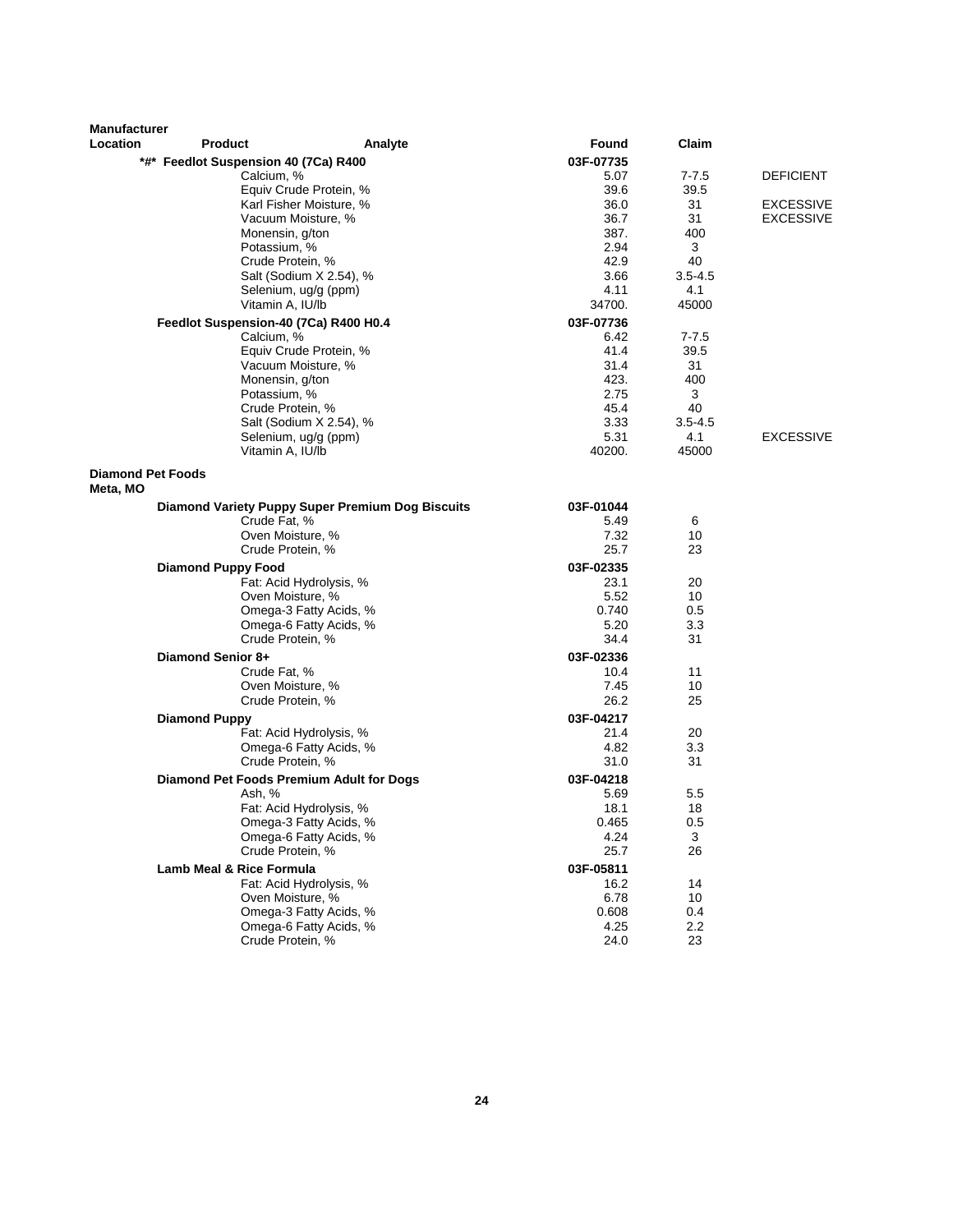| <b>Manufacturer</b><br>Location      | <b>Product</b>                                      | Analyte                                          | Found             | Claim       |                  |
|--------------------------------------|-----------------------------------------------------|--------------------------------------------------|-------------------|-------------|------------------|
|                                      |                                                     |                                                  | 03F-07735         |             |                  |
|                                      | *#* Feedlot Suspension 40 (7Ca) R400<br>Calcium, %  |                                                  | 5.07              | $7 - 7.5$   | <b>DEFICIENT</b> |
|                                      |                                                     | Equiv Crude Protein, %                           | 39.6              | 39.5        |                  |
|                                      |                                                     | Karl Fisher Moisture, %                          | 36.0              | 31          | <b>EXCESSIVE</b> |
|                                      |                                                     | Vacuum Moisture, %                               | 36.7              | 31          | <b>EXCESSIVE</b> |
|                                      |                                                     | Monensin, g/ton                                  | 387.              | 400         |                  |
|                                      |                                                     | Potassium, %                                     | 2.94              | 3           |                  |
|                                      |                                                     | Crude Protein, %                                 | 42.9              | 40          |                  |
|                                      |                                                     | Salt (Sodium X 2.54), %                          | 3.66              | $3.5 - 4.5$ |                  |
|                                      |                                                     | Selenium, ug/g (ppm)                             | 4.11              | 4.1         |                  |
|                                      |                                                     | Vitamin A, IU/lb                                 | 34700.            | 45000       |                  |
|                                      | Feedlot Suspension-40 (7Ca) R400 H0.4<br>Calcium, % |                                                  | 03F-07736<br>6.42 | $7 - 7.5$   |                  |
|                                      |                                                     | Equiv Crude Protein, %                           | 41.4              | 39.5        |                  |
|                                      |                                                     | Vacuum Moisture, %                               | 31.4              | 31          |                  |
|                                      |                                                     | Monensin, g/ton                                  | 423.              | 400         |                  |
|                                      |                                                     | Potassium, %                                     | 2.75              | 3           |                  |
|                                      |                                                     | Crude Protein, %                                 | 45.4              | 40          |                  |
|                                      |                                                     | Salt (Sodium X 2.54), %                          | 3.33              | $3.5 - 4.5$ |                  |
|                                      |                                                     | Selenium, ug/g (ppm)                             | 5.31              | 4.1         | <b>EXCESSIVE</b> |
|                                      |                                                     | Vitamin A, IU/lb                                 | 40200.            | 45000       |                  |
| <b>Diamond Pet Foods</b><br>Meta, MO |                                                     |                                                  |                   |             |                  |
|                                      |                                                     | Diamond Variety Puppy Super Premium Dog Biscuits | 03F-01044         |             |                  |
|                                      | Crude Fat, %                                        |                                                  | 5.49              | 6           |                  |
|                                      |                                                     | Oven Moisture, %                                 | 7.32              | 10          |                  |
|                                      |                                                     | Crude Protein, %                                 | 25.7              | 23          |                  |
|                                      | <b>Diamond Puppy Food</b>                           |                                                  | 03F-02335         |             |                  |
|                                      |                                                     | Fat: Acid Hydrolysis, %                          | 23.1              | 20          |                  |
|                                      |                                                     | Oven Moisture, %                                 | 5.52              | 10          |                  |
|                                      |                                                     | Omega-3 Fatty Acids, %                           | 0.740             | 0.5         |                  |
|                                      |                                                     | Omega-6 Fatty Acids, %<br>Crude Protein, %       | 5.20<br>34.4      | 3.3<br>31   |                  |
|                                      | Diamond Senior 8+                                   |                                                  | 03F-02336         |             |                  |
|                                      | Crude Fat, %                                        |                                                  | 10.4              | 11          |                  |
|                                      |                                                     | Oven Moisture, %                                 | 7.45              | 10          |                  |
|                                      |                                                     | Crude Protein, %                                 | 26.2              | 25          |                  |
|                                      | <b>Diamond Puppy</b>                                |                                                  | 03F-04217         |             |                  |
|                                      |                                                     | Fat: Acid Hydrolysis, %                          | 21.4              | 20          |                  |
|                                      |                                                     | Omega-6 Fatty Acids, %                           | 4.82              | 3.3         |                  |
|                                      |                                                     | Crude Protein, %                                 | 31.0              | 31          |                  |
|                                      |                                                     | Diamond Pet Foods Premium Adult for Dogs         | 03F-04218         |             |                  |
|                                      | Ash, %                                              |                                                  | 5.69              | 5.5         |                  |
|                                      |                                                     | Fat: Acid Hydrolysis, %                          | 18.1              | 18          |                  |
|                                      |                                                     | Omega-3 Fatty Acids, %<br>Omega-6 Fatty Acids, % | 0.465             | 0.5         |                  |
|                                      |                                                     | Crude Protein, %                                 | 4.24<br>25.7      | 3<br>26     |                  |
|                                      | <b>Lamb Meal &amp; Rice Formula</b>                 |                                                  | 03F-05811         |             |                  |
|                                      |                                                     | Fat: Acid Hydrolysis, %                          | 16.2              | 14          |                  |
|                                      |                                                     | Oven Moisture, %                                 | 6.78              | 10          |                  |
|                                      |                                                     | Omega-3 Fatty Acids, %                           | 0.608             | 0.4         |                  |
|                                      |                                                     | Omega-6 Fatty Acids, %                           | 4.25              | 2.2         |                  |
|                                      |                                                     | Crude Protein, %                                 | 24.0              | 23          |                  |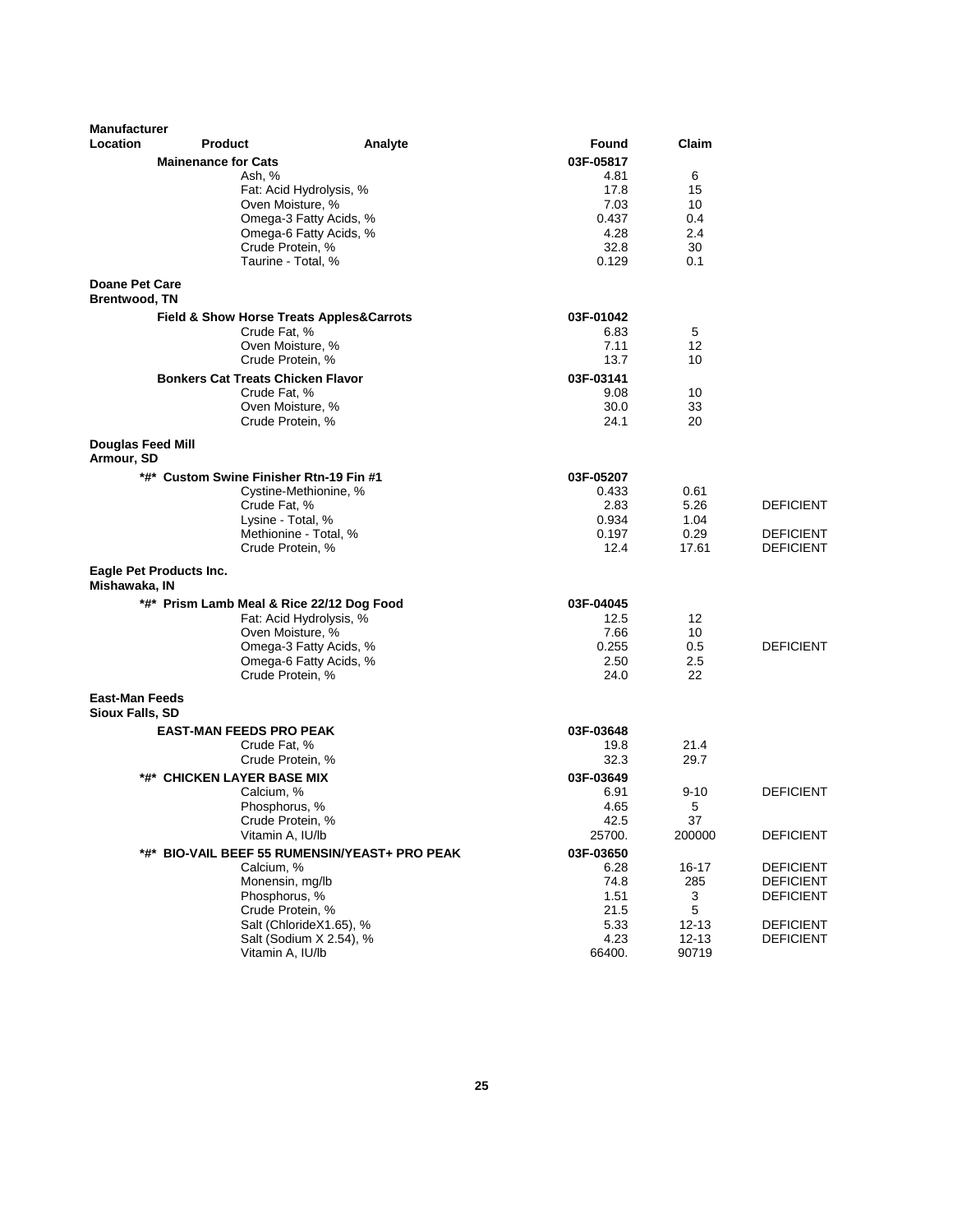| <b>Manufacturer</b>                             |                                           |                                               |               |           |                                      |
|-------------------------------------------------|-------------------------------------------|-----------------------------------------------|---------------|-----------|--------------------------------------|
| <b>Location</b>                                 | <b>Product</b>                            | Analyte                                       | Found         | Claim     |                                      |
|                                                 | <b>Mainenance for Cats</b>                |                                               | 03F-05817     |           |                                      |
|                                                 | Ash, %                                    |                                               | 4.81          | 6         |                                      |
|                                                 | Fat: Acid Hydrolysis, %                   |                                               | 17.8          | 15        |                                      |
|                                                 | Oven Moisture, %                          | Omega-3 Fatty Acids, %                        | 7.03<br>0.437 | 10<br>0.4 |                                      |
|                                                 |                                           | Omega-6 Fatty Acids, %                        | 4.28          | 2.4       |                                      |
|                                                 | Crude Protein, %                          |                                               | 32.8          | 30        |                                      |
|                                                 | Taurine - Total, %                        |                                               | 0.129         | 0.1       |                                      |
| <b>Doane Pet Care</b><br><b>Brentwood, TN</b>   |                                           |                                               |               |           |                                      |
|                                                 | Field & Show Horse Treats Apples&Carrots  |                                               | 03F-01042     |           |                                      |
|                                                 | Crude Fat, %                              |                                               | 6.83          | 5         |                                      |
|                                                 | Oven Moisture, %                          |                                               | 7.11          | 12        |                                      |
|                                                 | Crude Protein, %                          |                                               | 13.7          | 10        |                                      |
|                                                 | <b>Bonkers Cat Treats Chicken Flavor</b>  |                                               | 03F-03141     |           |                                      |
|                                                 | Crude Fat, %                              |                                               | 9.08          | 10        |                                      |
|                                                 | Oven Moisture, %                          |                                               | 30.0          | 33        |                                      |
|                                                 | Crude Protein, %                          |                                               | 24.1          | 20        |                                      |
| Douglas Feed Mill<br>Armour, SD                 |                                           |                                               |               |           |                                      |
|                                                 | *#* Custom Swine Finisher Rtn-19 Fin #1   |                                               | 03F-05207     |           |                                      |
|                                                 | Cystine-Methionine, %                     |                                               | 0.433         | 0.61      |                                      |
|                                                 | Crude Fat, %                              |                                               | 2.83          | 5.26      | <b>DEFICIENT</b>                     |
|                                                 | Lysine - Total, %                         |                                               | 0.934         | 1.04      |                                      |
|                                                 | Methionine - Total, %                     |                                               | 0.197         | 0.29      | <b>DEFICIENT</b>                     |
|                                                 | Crude Protein, %                          |                                               | 12.4          | 17.61     | <b>DEFICIENT</b>                     |
| Mishawaka, IN                                   | Eagle Pet Products Inc.                   |                                               |               |           |                                      |
|                                                 | *#* Prism Lamb Meal & Rice 22/12 Dog Food |                                               | 03F-04045     |           |                                      |
|                                                 | Fat: Acid Hydrolysis, %                   |                                               | 12.5          | 12        |                                      |
|                                                 | Oven Moisture, %                          |                                               | 7.66          | 10        |                                      |
|                                                 |                                           | Omega-3 Fatty Acids, %                        | 0.255         | 0.5       | <b>DEFICIENT</b>                     |
|                                                 |                                           | Omega-6 Fatty Acids, %                        | 2.50          | 2.5<br>22 |                                      |
|                                                 | Crude Protein, %                          |                                               | 24.0          |           |                                      |
| <b>East-Man Feeds</b><br><b>Sioux Falls, SD</b> |                                           |                                               |               |           |                                      |
|                                                 | <b>EAST-MAN FEEDS PRO PEAK</b>            |                                               | 03F-03648     |           |                                      |
|                                                 | Crude Fat, %                              |                                               | 19.8          | 21.4      |                                      |
|                                                 | Crude Protein, %                          |                                               | 32.3          | 29.7      |                                      |
|                                                 | *#* CHICKEN LAYER BASE MIX                |                                               | 03F-03649     |           |                                      |
|                                                 | Calcium, %                                |                                               | 6.91          | $9 - 10$  | <b>DEFICIENT</b>                     |
|                                                 | Phosphorus, %                             |                                               | 4.65          | 5         |                                      |
|                                                 | Crude Protein, %                          |                                               | 42.5          | 37        |                                      |
|                                                 | Vitamin A, IU/lb                          |                                               | 25700.        | 200000    | <b>DEFICIENT</b>                     |
|                                                 |                                           | *#* BIO-VAIL BEEF 55 RUMENSIN/YEAST+ PRO PEAK | 03F-03650     |           |                                      |
|                                                 | Calcium, %<br>Monensin, mg/lb             |                                               | 6.28          | 16-17     | <b>DEFICIENT</b>                     |
|                                                 | Phosphorus. %                             |                                               | 74.8<br>1.51  | 285<br>3  | <b>DEFICIENT</b><br><b>DEFICIENT</b> |
|                                                 | Crude Protein, %                          |                                               | 21.5          | 5         |                                      |
|                                                 | Salt (ChlorideX1.65), %                   |                                               | 5.33          | $12 - 13$ | <b>DEFICIENT</b>                     |
|                                                 |                                           | Salt (Sodium X 2.54), %                       | 4.23          | $12 - 13$ | <b>DEFICIENT</b>                     |
|                                                 | Vitamin A, IU/lb                          |                                               | 66400.        | 90719     |                                      |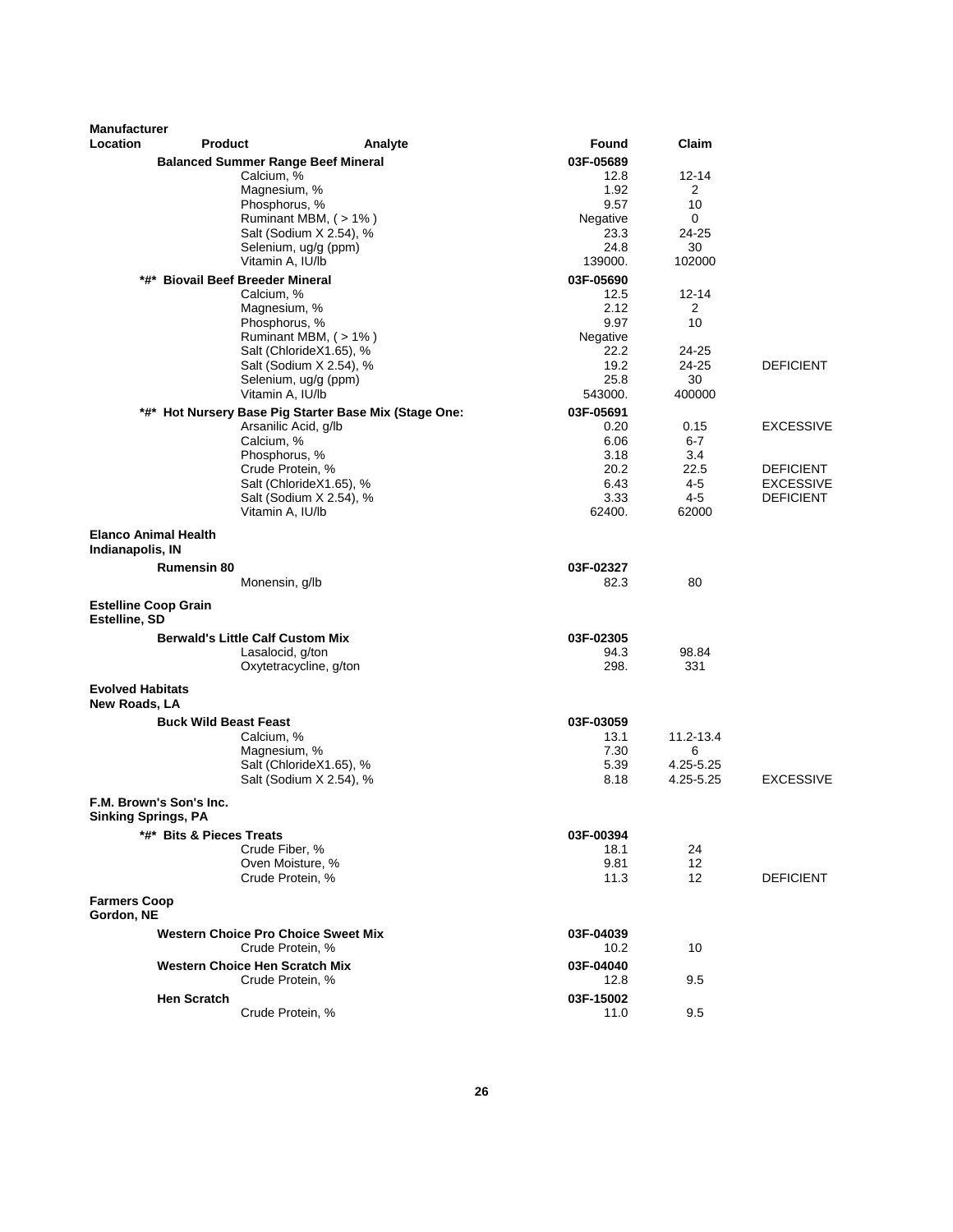| <b>Balanced Summer Range Beef Mineral</b><br>03F-05689<br>Calcium, %<br>$12 - 14$<br>12.8<br>Magnesium, %<br>1.92<br>2<br>Phosphorus, %<br>9.57<br>10<br>Ruminant MBM, (>1%)<br>Negative<br>0<br>Salt (Sodium X 2.54), %<br>24-25<br>23.3<br>Selenium, ug/g (ppm)<br>24.8<br>30<br>Vitamin A, IU/lb<br>139000.<br>102000<br>*#* Biovail Beef Breeder Mineral<br>03F-05690<br>Calcium, %<br>12.5<br>12-14<br>2.12<br>Magnesium, %<br>2<br>9.97<br>10<br>Phosphorus, %<br>Ruminant MBM, (>1%)<br>Negative<br>Salt (ChlorideX1.65), %<br>22.2<br>24-25<br>19.2<br>24-25<br><b>DEFICIENT</b><br>Salt (Sodium X 2.54), %<br>25.8<br>30<br>Selenium, ug/g (ppm)<br>Vitamin A, IU/lb<br>400000<br>543000.<br>03F-05691<br>*#* Hot Nursery Base Pig Starter Base Mix (Stage One:<br>Arsanilic Acid, g/lb<br><b>EXCESSIVE</b><br>0.20<br>0.15<br>Calcium, %<br>6.06<br>6-7<br>3.18<br>Phosphorus, %<br>3.4<br>20.2<br>22.5<br>Crude Protein, %<br><b>DEFICIENT</b><br>$4 - 5$<br>Salt (ChlorideX1.65), %<br>6.43<br><b>EXCESSIVE</b><br>$4 - 5$<br>Salt (Sodium X 2.54), %<br>3.33<br><b>DEFICIENT</b><br>Vitamin A, IU/lb<br>62400.<br>62000<br><b>Elanco Animal Health</b><br>Indianapolis, IN<br><b>Rumensin 80</b><br>03F-02327<br>80<br>Monensin, g/lb<br>82.3<br><b>Estelline Coop Grain</b><br>Estelline, SD<br><b>Berwald's Little Calf Custom Mix</b><br>03F-02305<br>Lasalocid, g/ton<br>94.3<br>98.84<br>298.<br>Oxytetracycline, g/ton<br>331<br><b>Evolved Habitats</b><br>New Roads, LA<br><b>Buck Wild Beast Feast</b><br>03F-03059<br>Calcium, %<br>11.2-13.4<br>13.1<br>Magnesium, %<br>7.30<br>6<br>4.25-5.25<br>Salt (ChlorideX1.65), %<br>5.39<br><b>EXCESSIVE</b><br>Salt (Sodium X 2.54), %<br>8.18<br>4.25-5.25<br>F.M. Brown's Son's Inc.<br>Sinking Springs, PA<br>*#* Bits & Pieces Treats<br>03F-00394<br>Crude Fiber, %<br>18.1<br>24<br>Oven Moisture, %<br>9.81<br>12<br>Crude Protein, %<br>$12 \overline{ }$<br><b>DEFICIENT</b><br>11.3<br><b>Farmers Coop</b><br>Gordon, NE<br><b>Western Choice Pro Choice Sweet Mix</b><br>03F-04039<br>Crude Protein, %<br>10<br>10.2<br><b>Western Choice Hen Scratch Mix</b><br>03F-04040<br>9.5<br>Crude Protein, %<br>12.8<br><b>Hen Scratch</b><br>03F-15002<br>Crude Protein, %<br>11.0<br>9.5 | <b>Manufacturer</b><br><b>Location</b> | <b>Product</b> | Analyte | Found | Claim |  |
|------------------------------------------------------------------------------------------------------------------------------------------------------------------------------------------------------------------------------------------------------------------------------------------------------------------------------------------------------------------------------------------------------------------------------------------------------------------------------------------------------------------------------------------------------------------------------------------------------------------------------------------------------------------------------------------------------------------------------------------------------------------------------------------------------------------------------------------------------------------------------------------------------------------------------------------------------------------------------------------------------------------------------------------------------------------------------------------------------------------------------------------------------------------------------------------------------------------------------------------------------------------------------------------------------------------------------------------------------------------------------------------------------------------------------------------------------------------------------------------------------------------------------------------------------------------------------------------------------------------------------------------------------------------------------------------------------------------------------------------------------------------------------------------------------------------------------------------------------------------------------------------------------------------------------------------------------------------------------------------------------------------------------------------------------------------------------------------------------------------------------------------------------------------------------------------------------------------------------------------------------------------|----------------------------------------|----------------|---------|-------|-------|--|
|                                                                                                                                                                                                                                                                                                                                                                                                                                                                                                                                                                                                                                                                                                                                                                                                                                                                                                                                                                                                                                                                                                                                                                                                                                                                                                                                                                                                                                                                                                                                                                                                                                                                                                                                                                                                                                                                                                                                                                                                                                                                                                                                                                                                                                                                  |                                        |                |         |       |       |  |
|                                                                                                                                                                                                                                                                                                                                                                                                                                                                                                                                                                                                                                                                                                                                                                                                                                                                                                                                                                                                                                                                                                                                                                                                                                                                                                                                                                                                                                                                                                                                                                                                                                                                                                                                                                                                                                                                                                                                                                                                                                                                                                                                                                                                                                                                  |                                        |                |         |       |       |  |
|                                                                                                                                                                                                                                                                                                                                                                                                                                                                                                                                                                                                                                                                                                                                                                                                                                                                                                                                                                                                                                                                                                                                                                                                                                                                                                                                                                                                                                                                                                                                                                                                                                                                                                                                                                                                                                                                                                                                                                                                                                                                                                                                                                                                                                                                  |                                        |                |         |       |       |  |
|                                                                                                                                                                                                                                                                                                                                                                                                                                                                                                                                                                                                                                                                                                                                                                                                                                                                                                                                                                                                                                                                                                                                                                                                                                                                                                                                                                                                                                                                                                                                                                                                                                                                                                                                                                                                                                                                                                                                                                                                                                                                                                                                                                                                                                                                  |                                        |                |         |       |       |  |
|                                                                                                                                                                                                                                                                                                                                                                                                                                                                                                                                                                                                                                                                                                                                                                                                                                                                                                                                                                                                                                                                                                                                                                                                                                                                                                                                                                                                                                                                                                                                                                                                                                                                                                                                                                                                                                                                                                                                                                                                                                                                                                                                                                                                                                                                  |                                        |                |         |       |       |  |
|                                                                                                                                                                                                                                                                                                                                                                                                                                                                                                                                                                                                                                                                                                                                                                                                                                                                                                                                                                                                                                                                                                                                                                                                                                                                                                                                                                                                                                                                                                                                                                                                                                                                                                                                                                                                                                                                                                                                                                                                                                                                                                                                                                                                                                                                  |                                        |                |         |       |       |  |
|                                                                                                                                                                                                                                                                                                                                                                                                                                                                                                                                                                                                                                                                                                                                                                                                                                                                                                                                                                                                                                                                                                                                                                                                                                                                                                                                                                                                                                                                                                                                                                                                                                                                                                                                                                                                                                                                                                                                                                                                                                                                                                                                                                                                                                                                  |                                        |                |         |       |       |  |
|                                                                                                                                                                                                                                                                                                                                                                                                                                                                                                                                                                                                                                                                                                                                                                                                                                                                                                                                                                                                                                                                                                                                                                                                                                                                                                                                                                                                                                                                                                                                                                                                                                                                                                                                                                                                                                                                                                                                                                                                                                                                                                                                                                                                                                                                  |                                        |                |         |       |       |  |
|                                                                                                                                                                                                                                                                                                                                                                                                                                                                                                                                                                                                                                                                                                                                                                                                                                                                                                                                                                                                                                                                                                                                                                                                                                                                                                                                                                                                                                                                                                                                                                                                                                                                                                                                                                                                                                                                                                                                                                                                                                                                                                                                                                                                                                                                  |                                        |                |         |       |       |  |
|                                                                                                                                                                                                                                                                                                                                                                                                                                                                                                                                                                                                                                                                                                                                                                                                                                                                                                                                                                                                                                                                                                                                                                                                                                                                                                                                                                                                                                                                                                                                                                                                                                                                                                                                                                                                                                                                                                                                                                                                                                                                                                                                                                                                                                                                  |                                        |                |         |       |       |  |
|                                                                                                                                                                                                                                                                                                                                                                                                                                                                                                                                                                                                                                                                                                                                                                                                                                                                                                                                                                                                                                                                                                                                                                                                                                                                                                                                                                                                                                                                                                                                                                                                                                                                                                                                                                                                                                                                                                                                                                                                                                                                                                                                                                                                                                                                  |                                        |                |         |       |       |  |
|                                                                                                                                                                                                                                                                                                                                                                                                                                                                                                                                                                                                                                                                                                                                                                                                                                                                                                                                                                                                                                                                                                                                                                                                                                                                                                                                                                                                                                                                                                                                                                                                                                                                                                                                                                                                                                                                                                                                                                                                                                                                                                                                                                                                                                                                  |                                        |                |         |       |       |  |
|                                                                                                                                                                                                                                                                                                                                                                                                                                                                                                                                                                                                                                                                                                                                                                                                                                                                                                                                                                                                                                                                                                                                                                                                                                                                                                                                                                                                                                                                                                                                                                                                                                                                                                                                                                                                                                                                                                                                                                                                                                                                                                                                                                                                                                                                  |                                        |                |         |       |       |  |
|                                                                                                                                                                                                                                                                                                                                                                                                                                                                                                                                                                                                                                                                                                                                                                                                                                                                                                                                                                                                                                                                                                                                                                                                                                                                                                                                                                                                                                                                                                                                                                                                                                                                                                                                                                                                                                                                                                                                                                                                                                                                                                                                                                                                                                                                  |                                        |                |         |       |       |  |
|                                                                                                                                                                                                                                                                                                                                                                                                                                                                                                                                                                                                                                                                                                                                                                                                                                                                                                                                                                                                                                                                                                                                                                                                                                                                                                                                                                                                                                                                                                                                                                                                                                                                                                                                                                                                                                                                                                                                                                                                                                                                                                                                                                                                                                                                  |                                        |                |         |       |       |  |
|                                                                                                                                                                                                                                                                                                                                                                                                                                                                                                                                                                                                                                                                                                                                                                                                                                                                                                                                                                                                                                                                                                                                                                                                                                                                                                                                                                                                                                                                                                                                                                                                                                                                                                                                                                                                                                                                                                                                                                                                                                                                                                                                                                                                                                                                  |                                        |                |         |       |       |  |
|                                                                                                                                                                                                                                                                                                                                                                                                                                                                                                                                                                                                                                                                                                                                                                                                                                                                                                                                                                                                                                                                                                                                                                                                                                                                                                                                                                                                                                                                                                                                                                                                                                                                                                                                                                                                                                                                                                                                                                                                                                                                                                                                                                                                                                                                  |                                        |                |         |       |       |  |
|                                                                                                                                                                                                                                                                                                                                                                                                                                                                                                                                                                                                                                                                                                                                                                                                                                                                                                                                                                                                                                                                                                                                                                                                                                                                                                                                                                                                                                                                                                                                                                                                                                                                                                                                                                                                                                                                                                                                                                                                                                                                                                                                                                                                                                                                  |                                        |                |         |       |       |  |
|                                                                                                                                                                                                                                                                                                                                                                                                                                                                                                                                                                                                                                                                                                                                                                                                                                                                                                                                                                                                                                                                                                                                                                                                                                                                                                                                                                                                                                                                                                                                                                                                                                                                                                                                                                                                                                                                                                                                                                                                                                                                                                                                                                                                                                                                  |                                        |                |         |       |       |  |
|                                                                                                                                                                                                                                                                                                                                                                                                                                                                                                                                                                                                                                                                                                                                                                                                                                                                                                                                                                                                                                                                                                                                                                                                                                                                                                                                                                                                                                                                                                                                                                                                                                                                                                                                                                                                                                                                                                                                                                                                                                                                                                                                                                                                                                                                  |                                        |                |         |       |       |  |
|                                                                                                                                                                                                                                                                                                                                                                                                                                                                                                                                                                                                                                                                                                                                                                                                                                                                                                                                                                                                                                                                                                                                                                                                                                                                                                                                                                                                                                                                                                                                                                                                                                                                                                                                                                                                                                                                                                                                                                                                                                                                                                                                                                                                                                                                  |                                        |                |         |       |       |  |
|                                                                                                                                                                                                                                                                                                                                                                                                                                                                                                                                                                                                                                                                                                                                                                                                                                                                                                                                                                                                                                                                                                                                                                                                                                                                                                                                                                                                                                                                                                                                                                                                                                                                                                                                                                                                                                                                                                                                                                                                                                                                                                                                                                                                                                                                  |                                        |                |         |       |       |  |
|                                                                                                                                                                                                                                                                                                                                                                                                                                                                                                                                                                                                                                                                                                                                                                                                                                                                                                                                                                                                                                                                                                                                                                                                                                                                                                                                                                                                                                                                                                                                                                                                                                                                                                                                                                                                                                                                                                                                                                                                                                                                                                                                                                                                                                                                  |                                        |                |         |       |       |  |
|                                                                                                                                                                                                                                                                                                                                                                                                                                                                                                                                                                                                                                                                                                                                                                                                                                                                                                                                                                                                                                                                                                                                                                                                                                                                                                                                                                                                                                                                                                                                                                                                                                                                                                                                                                                                                                                                                                                                                                                                                                                                                                                                                                                                                                                                  |                                        |                |         |       |       |  |
|                                                                                                                                                                                                                                                                                                                                                                                                                                                                                                                                                                                                                                                                                                                                                                                                                                                                                                                                                                                                                                                                                                                                                                                                                                                                                                                                                                                                                                                                                                                                                                                                                                                                                                                                                                                                                                                                                                                                                                                                                                                                                                                                                                                                                                                                  |                                        |                |         |       |       |  |
|                                                                                                                                                                                                                                                                                                                                                                                                                                                                                                                                                                                                                                                                                                                                                                                                                                                                                                                                                                                                                                                                                                                                                                                                                                                                                                                                                                                                                                                                                                                                                                                                                                                                                                                                                                                                                                                                                                                                                                                                                                                                                                                                                                                                                                                                  |                                        |                |         |       |       |  |
|                                                                                                                                                                                                                                                                                                                                                                                                                                                                                                                                                                                                                                                                                                                                                                                                                                                                                                                                                                                                                                                                                                                                                                                                                                                                                                                                                                                                                                                                                                                                                                                                                                                                                                                                                                                                                                                                                                                                                                                                                                                                                                                                                                                                                                                                  |                                        |                |         |       |       |  |
|                                                                                                                                                                                                                                                                                                                                                                                                                                                                                                                                                                                                                                                                                                                                                                                                                                                                                                                                                                                                                                                                                                                                                                                                                                                                                                                                                                                                                                                                                                                                                                                                                                                                                                                                                                                                                                                                                                                                                                                                                                                                                                                                                                                                                                                                  |                                        |                |         |       |       |  |
|                                                                                                                                                                                                                                                                                                                                                                                                                                                                                                                                                                                                                                                                                                                                                                                                                                                                                                                                                                                                                                                                                                                                                                                                                                                                                                                                                                                                                                                                                                                                                                                                                                                                                                                                                                                                                                                                                                                                                                                                                                                                                                                                                                                                                                                                  |                                        |                |         |       |       |  |
|                                                                                                                                                                                                                                                                                                                                                                                                                                                                                                                                                                                                                                                                                                                                                                                                                                                                                                                                                                                                                                                                                                                                                                                                                                                                                                                                                                                                                                                                                                                                                                                                                                                                                                                                                                                                                                                                                                                                                                                                                                                                                                                                                                                                                                                                  |                                        |                |         |       |       |  |
|                                                                                                                                                                                                                                                                                                                                                                                                                                                                                                                                                                                                                                                                                                                                                                                                                                                                                                                                                                                                                                                                                                                                                                                                                                                                                                                                                                                                                                                                                                                                                                                                                                                                                                                                                                                                                                                                                                                                                                                                                                                                                                                                                                                                                                                                  |                                        |                |         |       |       |  |
|                                                                                                                                                                                                                                                                                                                                                                                                                                                                                                                                                                                                                                                                                                                                                                                                                                                                                                                                                                                                                                                                                                                                                                                                                                                                                                                                                                                                                                                                                                                                                                                                                                                                                                                                                                                                                                                                                                                                                                                                                                                                                                                                                                                                                                                                  |                                        |                |         |       |       |  |
|                                                                                                                                                                                                                                                                                                                                                                                                                                                                                                                                                                                                                                                                                                                                                                                                                                                                                                                                                                                                                                                                                                                                                                                                                                                                                                                                                                                                                                                                                                                                                                                                                                                                                                                                                                                                                                                                                                                                                                                                                                                                                                                                                                                                                                                                  |                                        |                |         |       |       |  |
|                                                                                                                                                                                                                                                                                                                                                                                                                                                                                                                                                                                                                                                                                                                                                                                                                                                                                                                                                                                                                                                                                                                                                                                                                                                                                                                                                                                                                                                                                                                                                                                                                                                                                                                                                                                                                                                                                                                                                                                                                                                                                                                                                                                                                                                                  |                                        |                |         |       |       |  |
|                                                                                                                                                                                                                                                                                                                                                                                                                                                                                                                                                                                                                                                                                                                                                                                                                                                                                                                                                                                                                                                                                                                                                                                                                                                                                                                                                                                                                                                                                                                                                                                                                                                                                                                                                                                                                                                                                                                                                                                                                                                                                                                                                                                                                                                                  |                                        |                |         |       |       |  |
|                                                                                                                                                                                                                                                                                                                                                                                                                                                                                                                                                                                                                                                                                                                                                                                                                                                                                                                                                                                                                                                                                                                                                                                                                                                                                                                                                                                                                                                                                                                                                                                                                                                                                                                                                                                                                                                                                                                                                                                                                                                                                                                                                                                                                                                                  |                                        |                |         |       |       |  |
|                                                                                                                                                                                                                                                                                                                                                                                                                                                                                                                                                                                                                                                                                                                                                                                                                                                                                                                                                                                                                                                                                                                                                                                                                                                                                                                                                                                                                                                                                                                                                                                                                                                                                                                                                                                                                                                                                                                                                                                                                                                                                                                                                                                                                                                                  |                                        |                |         |       |       |  |
|                                                                                                                                                                                                                                                                                                                                                                                                                                                                                                                                                                                                                                                                                                                                                                                                                                                                                                                                                                                                                                                                                                                                                                                                                                                                                                                                                                                                                                                                                                                                                                                                                                                                                                                                                                                                                                                                                                                                                                                                                                                                                                                                                                                                                                                                  |                                        |                |         |       |       |  |
|                                                                                                                                                                                                                                                                                                                                                                                                                                                                                                                                                                                                                                                                                                                                                                                                                                                                                                                                                                                                                                                                                                                                                                                                                                                                                                                                                                                                                                                                                                                                                                                                                                                                                                                                                                                                                                                                                                                                                                                                                                                                                                                                                                                                                                                                  |                                        |                |         |       |       |  |
|                                                                                                                                                                                                                                                                                                                                                                                                                                                                                                                                                                                                                                                                                                                                                                                                                                                                                                                                                                                                                                                                                                                                                                                                                                                                                                                                                                                                                                                                                                                                                                                                                                                                                                                                                                                                                                                                                                                                                                                                                                                                                                                                                                                                                                                                  |                                        |                |         |       |       |  |
|                                                                                                                                                                                                                                                                                                                                                                                                                                                                                                                                                                                                                                                                                                                                                                                                                                                                                                                                                                                                                                                                                                                                                                                                                                                                                                                                                                                                                                                                                                                                                                                                                                                                                                                                                                                                                                                                                                                                                                                                                                                                                                                                                                                                                                                                  |                                        |                |         |       |       |  |
|                                                                                                                                                                                                                                                                                                                                                                                                                                                                                                                                                                                                                                                                                                                                                                                                                                                                                                                                                                                                                                                                                                                                                                                                                                                                                                                                                                                                                                                                                                                                                                                                                                                                                                                                                                                                                                                                                                                                                                                                                                                                                                                                                                                                                                                                  |                                        |                |         |       |       |  |
|                                                                                                                                                                                                                                                                                                                                                                                                                                                                                                                                                                                                                                                                                                                                                                                                                                                                                                                                                                                                                                                                                                                                                                                                                                                                                                                                                                                                                                                                                                                                                                                                                                                                                                                                                                                                                                                                                                                                                                                                                                                                                                                                                                                                                                                                  |                                        |                |         |       |       |  |
|                                                                                                                                                                                                                                                                                                                                                                                                                                                                                                                                                                                                                                                                                                                                                                                                                                                                                                                                                                                                                                                                                                                                                                                                                                                                                                                                                                                                                                                                                                                                                                                                                                                                                                                                                                                                                                                                                                                                                                                                                                                                                                                                                                                                                                                                  |                                        |                |         |       |       |  |
|                                                                                                                                                                                                                                                                                                                                                                                                                                                                                                                                                                                                                                                                                                                                                                                                                                                                                                                                                                                                                                                                                                                                                                                                                                                                                                                                                                                                                                                                                                                                                                                                                                                                                                                                                                                                                                                                                                                                                                                                                                                                                                                                                                                                                                                                  |                                        |                |         |       |       |  |
|                                                                                                                                                                                                                                                                                                                                                                                                                                                                                                                                                                                                                                                                                                                                                                                                                                                                                                                                                                                                                                                                                                                                                                                                                                                                                                                                                                                                                                                                                                                                                                                                                                                                                                                                                                                                                                                                                                                                                                                                                                                                                                                                                                                                                                                                  |                                        |                |         |       |       |  |
|                                                                                                                                                                                                                                                                                                                                                                                                                                                                                                                                                                                                                                                                                                                                                                                                                                                                                                                                                                                                                                                                                                                                                                                                                                                                                                                                                                                                                                                                                                                                                                                                                                                                                                                                                                                                                                                                                                                                                                                                                                                                                                                                                                                                                                                                  |                                        |                |         |       |       |  |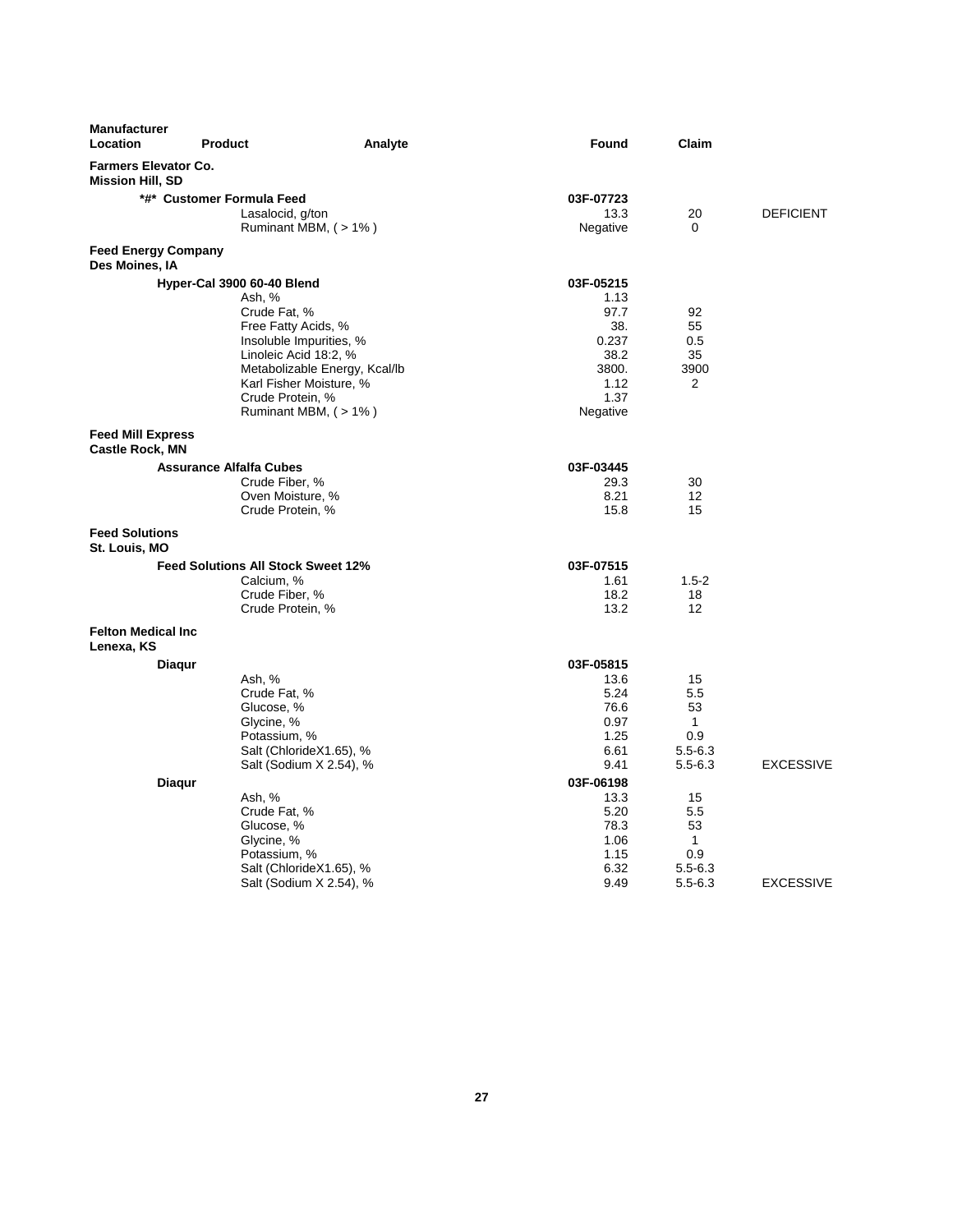| <b>Farmers Elevator Co.</b><br><b>Mission Hill, SD</b><br>*#* Customer Formula Feed<br>03F-07723<br>Lasalocid, g/ton<br>13.3<br>20<br><b>DEFICIENT</b> |                  |
|--------------------------------------------------------------------------------------------------------------------------------------------------------|------------------|
|                                                                                                                                                        |                  |
|                                                                                                                                                        |                  |
|                                                                                                                                                        |                  |
| Ruminant MBM, (> 1%)<br>Negative<br>0                                                                                                                  |                  |
| <b>Feed Energy Company</b><br>Des Moines, IA                                                                                                           |                  |
| Hyper-Cal 3900 60-40 Blend<br>03F-05215                                                                                                                |                  |
| Ash, %<br>1.13                                                                                                                                         |                  |
| Crude Fat, %<br>97.7<br>92                                                                                                                             |                  |
| 55<br>Free Fatty Acids, %<br>38.<br>0.237<br>0.5                                                                                                       |                  |
| Insoluble Impurities, %<br>Linoleic Acid 18:2, %<br>38.2<br>35                                                                                         |                  |
| Metabolizable Energy, Kcal/lb<br>3800.<br>3900                                                                                                         |                  |
| Karl Fisher Moisture, %<br>1.12<br>$\overline{2}$                                                                                                      |                  |
| Crude Protein, %<br>1.37                                                                                                                               |                  |
| Ruminant MBM, $($ > 1% $)$<br>Negative                                                                                                                 |                  |
| <b>Feed Mill Express</b>                                                                                                                               |                  |
| <b>Castle Rock, MN</b>                                                                                                                                 |                  |
| <b>Assurance Alfalfa Cubes</b><br>03F-03445                                                                                                            |                  |
| 29.3<br>Crude Fiber, %<br>30                                                                                                                           |                  |
| 8.21<br>Oven Moisture, %<br>12                                                                                                                         |                  |
| 15.8<br>15<br>Crude Protein, %                                                                                                                         |                  |
| <b>Feed Solutions</b><br>St. Louis, MO                                                                                                                 |                  |
| <b>Feed Solutions All Stock Sweet 12%</b><br>03F-07515                                                                                                 |                  |
| Calcium. %<br>1.61<br>$1.5 - 2$                                                                                                                        |                  |
| Crude Fiber, %<br>18.2<br>18                                                                                                                           |                  |
| Crude Protein, %<br>13.2<br>12                                                                                                                         |                  |
| <b>Felton Medical Inc.</b><br>Lenexa, KS                                                                                                               |                  |
| 03F-05815<br>Diagur                                                                                                                                    |                  |
| Ash, %<br>13.6<br>15                                                                                                                                   |                  |
| Crude Fat, %<br>5.24<br>5.5                                                                                                                            |                  |
| 53<br>Glucose, %<br>76.6                                                                                                                               |                  |
| Glycine, %<br>0.97<br>$\mathbf{1}$                                                                                                                     |                  |
| 0.9<br>Potassium, %<br>1.25                                                                                                                            |                  |
| Salt (ChlorideX1.65), %<br>6.61<br>$5.5 - 6.3$<br>9.41<br>$5.5 - 6.3$                                                                                  | <b>EXCESSIVE</b> |
| Salt (Sodium X 2.54), %                                                                                                                                |                  |
| <b>Diagur</b><br>03F-06198<br>13.3<br>15                                                                                                               |                  |
| Ash, %<br>Crude Fat, %<br>5.20<br>5.5                                                                                                                  |                  |
| 53<br>Glucose, %<br>78.3                                                                                                                               |                  |
| Glycine, %<br>$\mathbf{1}$<br>1.06                                                                                                                     |                  |
| 0.9<br>Potassium, %<br>1.15                                                                                                                            |                  |
| Salt (ChlorideX1.65), %<br>6.32<br>$5.5 - 6.3$                                                                                                         |                  |
| Salt (Sodium X 2.54), %<br>9.49<br>$5.5 - 6.3$                                                                                                         | <b>EXCESSIVE</b> |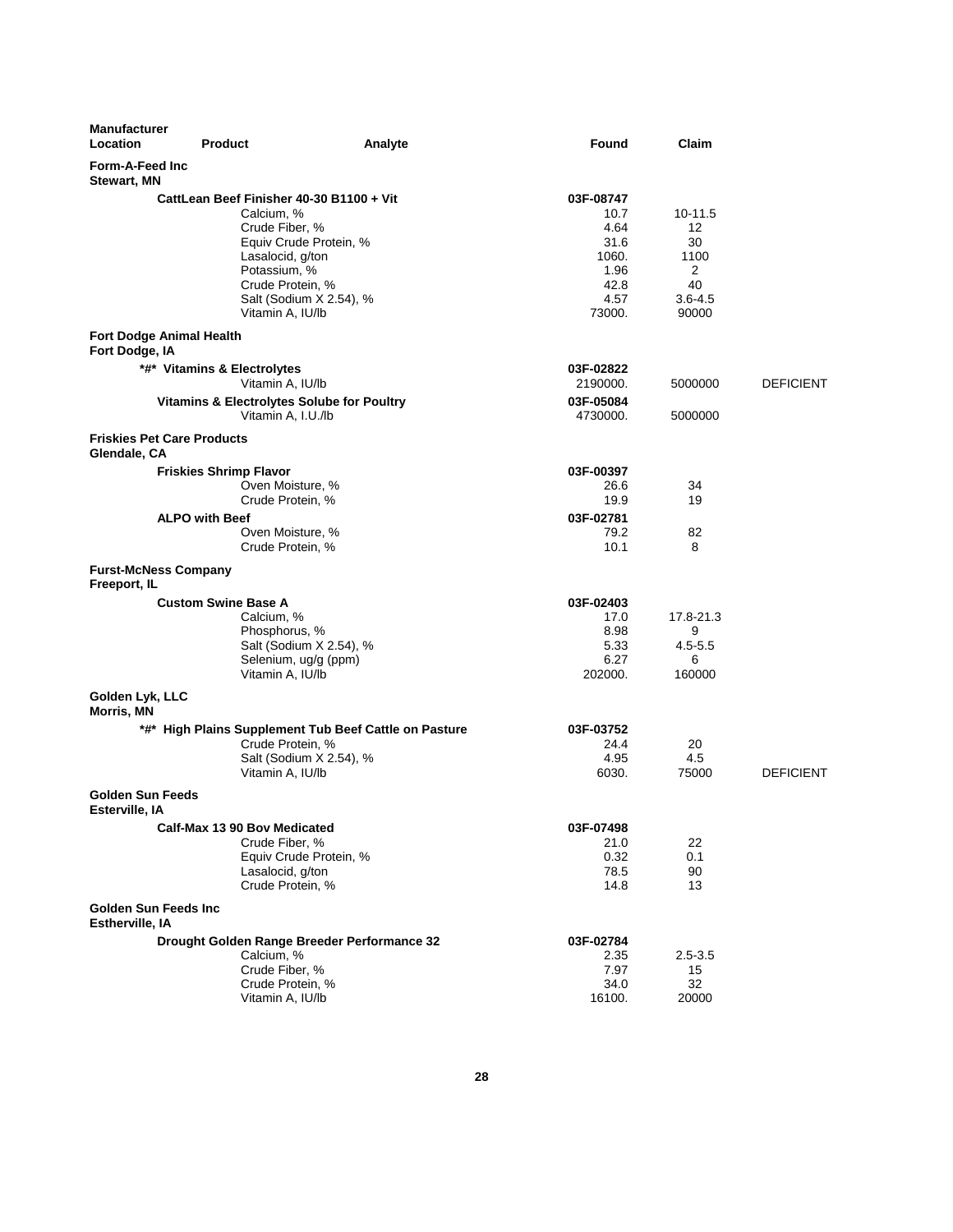| <b>Manufacturer</b><br>Location                   | <b>Product</b>                                        | Analyte                                               | Found        | Claim             |                  |
|---------------------------------------------------|-------------------------------------------------------|-------------------------------------------------------|--------------|-------------------|------------------|
| Form-A-Feed Inc<br>Stewart, MN                    |                                                       |                                                       |              |                   |                  |
|                                                   | CattLean Beef Finisher 40-30 B1100 + Vit              |                                                       | 03F-08747    |                   |                  |
|                                                   | Calcium, %                                            |                                                       | 10.7         | $10 - 11.5$       |                  |
|                                                   | Crude Fiber, %                                        |                                                       | 4.64         | 12                |                  |
|                                                   | Equiv Crude Protein, %                                |                                                       | 31.6         | 30                |                  |
|                                                   | Lasalocid, g/ton                                      |                                                       | 1060.        | 1100              |                  |
|                                                   | Potassium, %                                          |                                                       | 1.96         | $\overline{2}$    |                  |
|                                                   | Crude Protein, %                                      | Salt (Sodium X 2.54), %                               | 42.8<br>4.57 | 40<br>$3.6 - 4.5$ |                  |
|                                                   | Vitamin A, IU/lb                                      |                                                       | 73000.       | 90000             |                  |
| <b>Fort Dodge Animal Health</b><br>Fort Dodge, IA |                                                       |                                                       |              |                   |                  |
|                                                   | *#* Vitamins & Electrolytes                           |                                                       | 03F-02822    |                   |                  |
|                                                   | Vitamin A, IU/lb                                      |                                                       | 2190000.     | 5000000           | <b>DEFICIENT</b> |
|                                                   | <b>Vitamins &amp; Electrolytes Solube for Poultry</b> |                                                       | 03F-05084    |                   |                  |
|                                                   | Vitamin A, I.U./lb                                    |                                                       | 4730000.     | 5000000           |                  |
| <b>Friskies Pet Care Products</b><br>Glendale, CA |                                                       |                                                       |              |                   |                  |
|                                                   | <b>Friskies Shrimp Flavor</b>                         |                                                       | 03F-00397    |                   |                  |
|                                                   | Oven Moisture, %                                      |                                                       | 26.6         | 34                |                  |
|                                                   | Crude Protein, %                                      |                                                       | 19.9         | 19                |                  |
|                                                   | <b>ALPO with Beef</b>                                 |                                                       | 03F-02781    |                   |                  |
|                                                   | Oven Moisture, %                                      |                                                       | 79.2         | 82                |                  |
|                                                   | Crude Protein, %                                      |                                                       | 10.1         | 8                 |                  |
| <b>Furst-McNess Company</b><br>Freeport, IL       |                                                       |                                                       |              |                   |                  |
|                                                   | <b>Custom Swine Base A</b>                            |                                                       | 03F-02403    |                   |                  |
|                                                   | Calcium, %                                            |                                                       | 17.0         | 17.8-21.3         |                  |
|                                                   | Phosphorus, %                                         |                                                       | 8.98         | 9                 |                  |
|                                                   | Selenium, ug/g (ppm)                                  | Salt (Sodium X 2.54), %                               | 5.33<br>6.27 | $4.5 - 5.5$<br>6  |                  |
|                                                   | Vitamin A, IU/lb                                      |                                                       | 202000.      | 160000            |                  |
| Golden Lyk, LLC<br>Morris, MN                     |                                                       |                                                       |              |                   |                  |
|                                                   |                                                       | *#* High Plains Supplement Tub Beef Cattle on Pasture | 03F-03752    |                   |                  |
|                                                   | Crude Protein, %                                      |                                                       | 24.4         | 20                |                  |
|                                                   |                                                       | Salt (Sodium X 2.54), %                               | 4.95         | 4.5               |                  |
|                                                   | Vitamin A, IU/lb                                      |                                                       | 6030.        | 75000             | <b>DEFICIENT</b> |
| <b>Golden Sun Feeds</b><br>Esterville, IA         |                                                       |                                                       |              |                   |                  |
|                                                   | Calf-Max 13 90 Bov Medicated                          |                                                       | 03F-07498    |                   |                  |
|                                                   | Crude Fiber, %                                        |                                                       | 21.0         | 22                |                  |
|                                                   | Equiv Crude Protein, %                                |                                                       | 0.32         | 0.1               |                  |
|                                                   | Lasalocid, g/ton<br>Crude Protein, %                  |                                                       | 78.5<br>14.8 | 90<br>13          |                  |
|                                                   |                                                       |                                                       |              |                   |                  |
| Golden Sun Feeds Inc<br>Estherville, IA           |                                                       |                                                       |              |                   |                  |
|                                                   |                                                       | Drought Golden Range Breeder Performance 32           | 03F-02784    |                   |                  |
|                                                   | Calcium, %<br>Crude Fiber, %                          |                                                       | 2.35         | $2.5 - 3.5$       |                  |
|                                                   | Crude Protein, %                                      |                                                       | 7.97<br>34.0 | 15<br>32          |                  |
|                                                   | Vitamin A, IU/lb                                      |                                                       | 16100.       | 20000             |                  |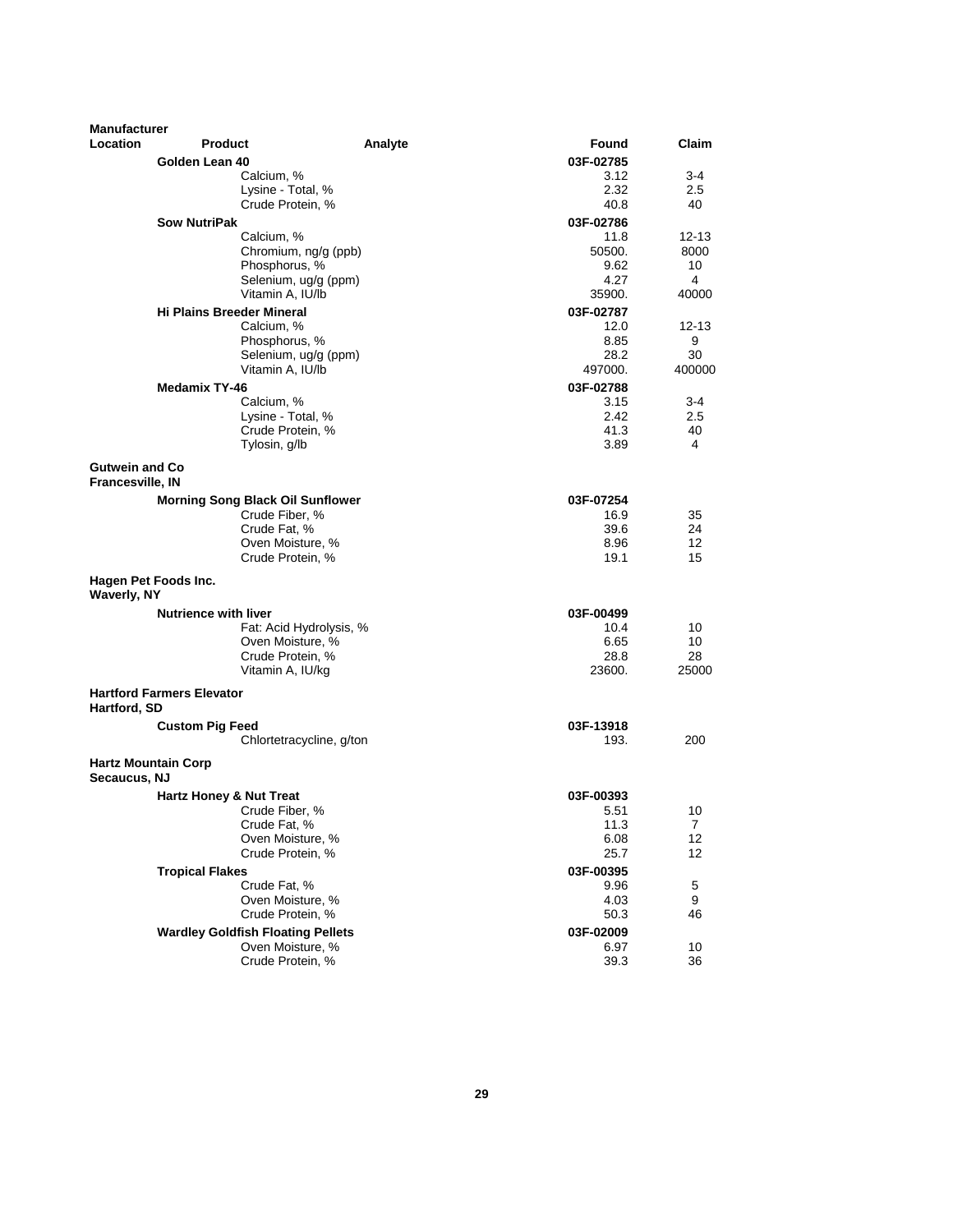| <b>Manufacturer</b><br><b>Location</b>    | <b>Product</b>                           |         | Found             | Claim          |
|-------------------------------------------|------------------------------------------|---------|-------------------|----------------|
|                                           |                                          | Analyte |                   |                |
|                                           | Golden Lean 40                           |         | 03F-02785         |                |
|                                           | Calcium, %<br>Lysine - Total, %          |         | 3.12<br>2.32      | 3-4            |
|                                           | Crude Protein, %                         |         | 40.8              | 2.5<br>40      |
|                                           |                                          |         |                   |                |
|                                           | <b>Sow NutriPak</b>                      |         | 03F-02786<br>11.8 | $12 - 13$      |
|                                           | Calcium, %<br>Chromium, ng/g (ppb)       |         | 50500.            | 8000           |
|                                           | Phosphorus, %                            |         | 9.62              | 10             |
|                                           | Selenium, ug/g (ppm)                     |         | 4.27              | 4              |
|                                           | Vitamin A. IU/lb                         |         | 35900.            | 40000          |
|                                           | <b>Hi Plains Breeder Mineral</b>         |         | 03F-02787         |                |
|                                           | Calcium, %                               |         | 12.0              | $12 - 13$      |
|                                           | Phosphorus, %                            |         | 8.85              | 9              |
|                                           | Selenium, ug/g (ppm)                     |         | 28.2              | 30             |
|                                           | Vitamin A, IU/lb                         |         | 497000.           | 400000         |
|                                           | <b>Medamix TY-46</b>                     |         | 03F-02788         |                |
|                                           | Calcium, %                               |         | 3.15              | $3 - 4$        |
|                                           | Lysine - Total, %                        |         | 2.42              | 2.5            |
|                                           | Crude Protein, %                         |         | 41.3              | 40             |
|                                           | Tylosin, g/lb                            |         | 3.89              | 4              |
| <b>Gutwein and Co</b><br>Francesville, IN |                                          |         |                   |                |
|                                           | <b>Morning Song Black Oil Sunflower</b>  |         | 03F-07254         |                |
|                                           | Crude Fiber, %                           |         | 16.9              | 35             |
|                                           | Crude Fat, %                             |         | 39.6              | 24             |
|                                           | Oven Moisture, %                         |         | 8.96              | 12             |
|                                           | Crude Protein, %                         |         | 19.1              | 15             |
| <b>Waverly, NY</b>                        | Hagen Pet Foods Inc.                     |         |                   |                |
|                                           | <b>Nutrience with liver</b>              |         | 03F-00499         |                |
|                                           | Fat: Acid Hydrolysis, %                  |         | 10.4              | 10             |
|                                           | Oven Moisture, %                         |         | 6.65              | 10             |
|                                           | Crude Protein, %                         |         | 28.8              | 28             |
|                                           | Vitamin A, IU/kg                         |         | 23600.            | 25000          |
| Hartford, SD                              | <b>Hartford Farmers Elevator</b>         |         |                   |                |
|                                           | <b>Custom Pig Feed</b>                   |         | 03F-13918         |                |
|                                           | Chlortetracycline, g/ton                 |         | 193.              | 200            |
| Secaucus, NJ                              | <b>Hartz Mountain Corp</b>               |         |                   |                |
|                                           | Hartz Honey & Nut Treat                  |         | 03F-00393         |                |
|                                           | Crude Fiber, %                           |         | 5.51              | 10             |
|                                           | Crude Fat, %                             |         | 11.3              | $\overline{7}$ |
|                                           | Oven Moisture, %                         |         | 6.08              | 12             |
|                                           | Crude Protein, %                         |         | 25.7              | 12             |
|                                           | <b>Tropical Flakes</b>                   |         | 03F-00395         |                |
|                                           | Crude Fat, %                             |         | 9.96              | 5              |
|                                           | Oven Moisture, %                         |         | 4.03              | 9              |
|                                           | Crude Protein, %                         |         | 50.3              | 46             |
|                                           | <b>Wardley Goldfish Floating Pellets</b> |         | 03F-02009         |                |
|                                           | Oven Moisture, %                         |         | 6.97              | 10             |
|                                           | Crude Protein, %                         |         | 39.3              | 36             |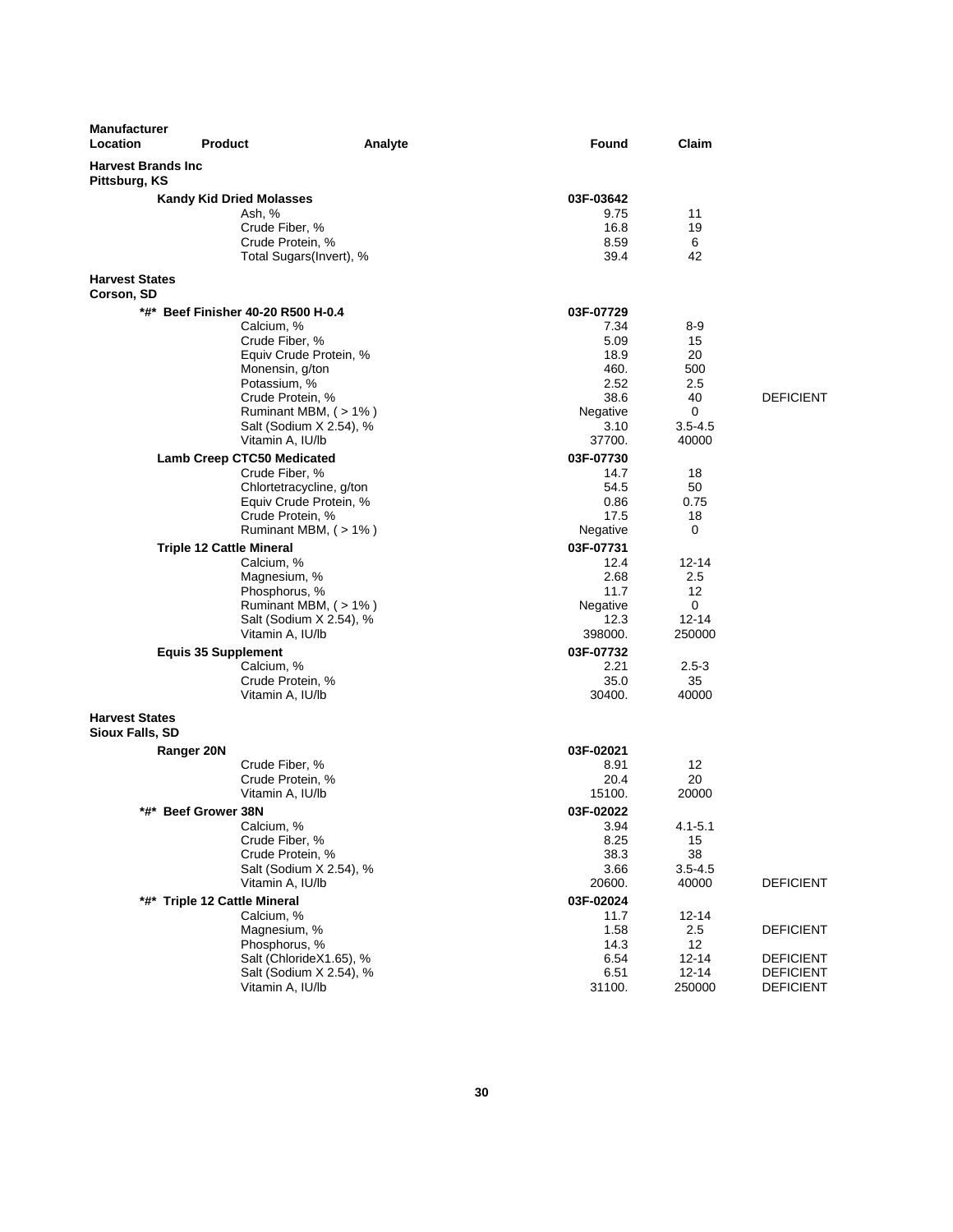| Manufacturer<br>Location                        | <b>Product</b>                  | Analyte                                 | <b>Found</b>   | Claim       |                  |
|-------------------------------------------------|---------------------------------|-----------------------------------------|----------------|-------------|------------------|
| <b>Harvest Brands Inc.</b><br>Pittsburg, KS     |                                 |                                         |                |             |                  |
|                                                 | <b>Kandy Kid Dried Molasses</b> |                                         | 03F-03642      |             |                  |
|                                                 |                                 | Ash, %                                  | 9.75           | 11          |                  |
|                                                 |                                 | Crude Fiber, %                          | 16.8           | 19          |                  |
|                                                 |                                 | Crude Protein, %                        | 8.59           | 6           |                  |
|                                                 |                                 | Total Sugars(Invert), %                 | 39.4           | 42          |                  |
| <b>Harvest States</b><br>Corson, SD             |                                 |                                         |                |             |                  |
|                                                 |                                 | *#* Beef Finisher 40-20 R500 H-0.4      | 03F-07729      |             |                  |
|                                                 |                                 | Calcium, %                              | 7.34           | 8-9         |                  |
|                                                 |                                 | Crude Fiber, %                          | 5.09           | 15          |                  |
|                                                 |                                 | Equiv Crude Protein, %                  | 18.9           | 20          |                  |
|                                                 |                                 | Monensin, g/ton                         | 460.           | 500         |                  |
|                                                 |                                 | Potassium, %                            | 2.52<br>38.6   | 2.5<br>40   | <b>DEFICIENT</b> |
|                                                 |                                 | Crude Protein, %<br>Ruminant MBM, (>1%) | Negative       | 0           |                  |
|                                                 |                                 | Salt (Sodium X 2.54), %                 | 3.10           | $3.5 - 4.5$ |                  |
|                                                 |                                 | Vitamin A, IU/lb                        | 37700.         | 40000       |                  |
|                                                 | Lamb Creep CTC50 Medicated      |                                         | 03F-07730      |             |                  |
|                                                 |                                 | Crude Fiber, %                          | 14.7           | 18          |                  |
|                                                 |                                 | Chlortetracycline, g/ton                | 54.5           | 50          |                  |
|                                                 |                                 | Equiv Crude Protein, %                  | 0.86           | 0.75        |                  |
|                                                 |                                 | Crude Protein, %                        | 17.5           | 18          |                  |
|                                                 |                                 | Ruminant MBM, (>1%)                     | Negative       | 0           |                  |
|                                                 | <b>Triple 12 Cattle Mineral</b> |                                         | 03F-07731      |             |                  |
|                                                 |                                 | Calcium, %                              | 12.4           | $12 - 14$   |                  |
|                                                 |                                 | Magnesium, %                            | 2.68           | 2.5         |                  |
|                                                 |                                 | Phosphorus, %                           | 11.7           | 12          |                  |
|                                                 |                                 | Ruminant MBM, (> 1%)                    | Negative       | 0           |                  |
|                                                 |                                 | Salt (Sodium X 2.54), %                 | 12.3           | 12-14       |                  |
|                                                 |                                 | Vitamin A, IU/lb                        | 398000.        | 250000      |                  |
|                                                 | <b>Equis 35 Supplement</b>      |                                         | 03F-07732      |             |                  |
|                                                 |                                 | Calcium, %                              | 2.21           | $2.5 - 3$   |                  |
|                                                 |                                 | Crude Protein, %<br>Vitamin A, IU/lb    | 35.0<br>30400. | 35<br>40000 |                  |
|                                                 |                                 |                                         |                |             |                  |
| <b>Harvest States</b><br><b>Sioux Falls, SD</b> |                                 |                                         |                |             |                  |
|                                                 | Ranger 20N                      |                                         | 03F-02021      |             |                  |
|                                                 |                                 | Crude Fiber, %                          | 8.91           | 12          |                  |
|                                                 |                                 | Crude Protein, %                        | 20.4           | 20          |                  |
|                                                 |                                 | Vitamin A, IU/lb                        | 15100.         | 20000       |                  |
| *#*                                             | <b>Beef Grower 38N</b>          |                                         | 03F-02022      |             |                  |
|                                                 |                                 | Calcium, %                              | 3.94           | $4.1 - 5.1$ |                  |
|                                                 |                                 | Crude Fiber, %<br>Crude Protein, %      | 8.25<br>38.3   | 15<br>38    |                  |
|                                                 |                                 | Salt (Sodium X 2.54), %                 | 3.66           | $3.5 - 4.5$ |                  |
|                                                 |                                 | Vitamin A, IU/lb                        | 20600.         | 40000       | <b>DEFICIENT</b> |
|                                                 | *#* Triple 12 Cattle Mineral    |                                         | 03F-02024      |             |                  |
|                                                 |                                 | Calcium, %                              | 11.7           | $12 - 14$   |                  |
|                                                 |                                 | Magnesium, %                            | 1.58           | 2.5         | <b>DEFICIENT</b> |
|                                                 |                                 | Phosphorus, %                           | 14.3           | 12          |                  |
|                                                 |                                 | Salt (ChlorideX1.65), %                 | 6.54           | $12 - 14$   | <b>DEFICIENT</b> |
|                                                 |                                 | Salt (Sodium X 2.54), %                 | 6.51           | $12 - 14$   | <b>DEFICIENT</b> |
|                                                 |                                 | Vitamin A, IU/lb                        | 31100.         | 250000      | <b>DEFICIENT</b> |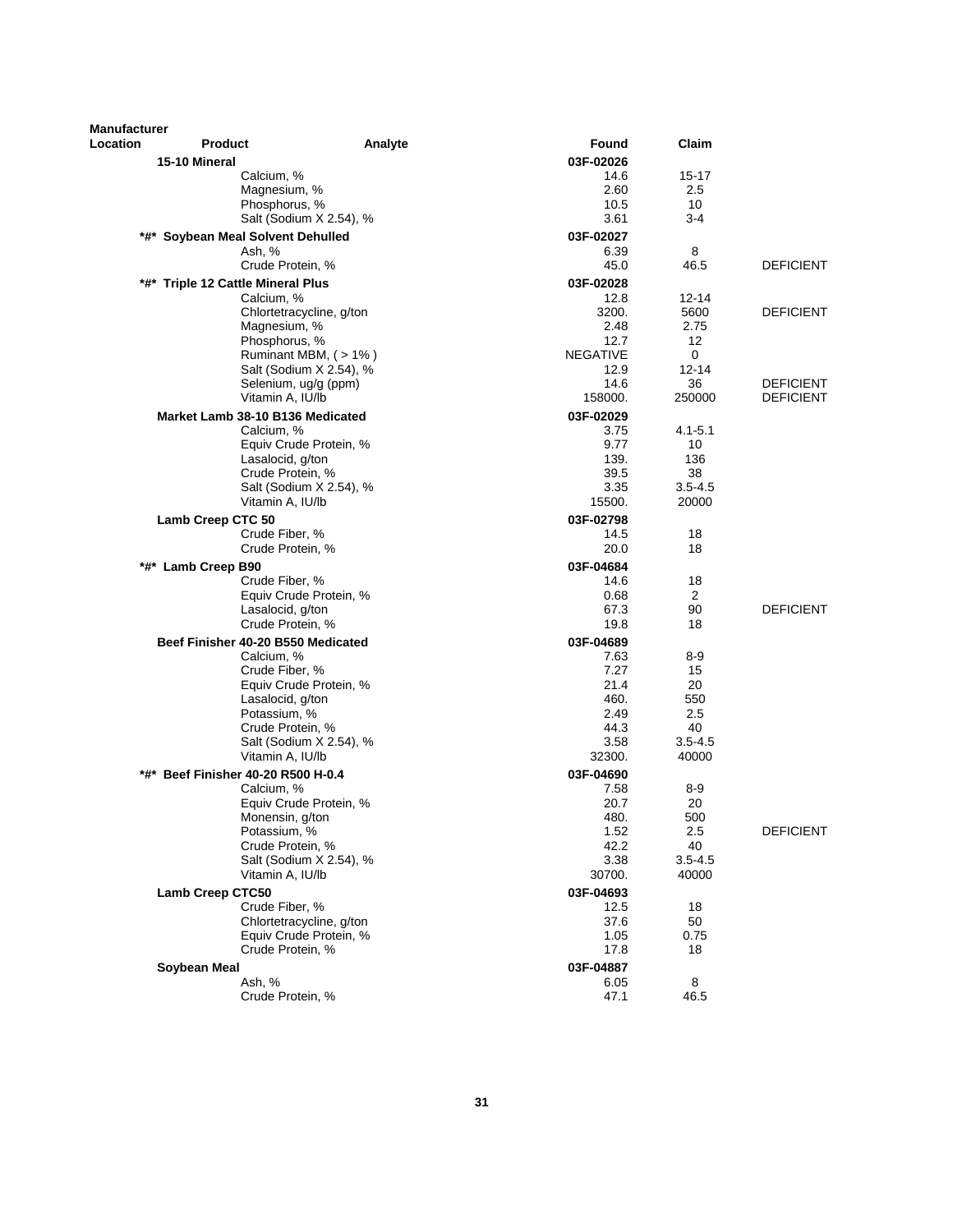| <b>Manufacturer</b> |                                      |                          |                         |                        |                  |
|---------------------|--------------------------------------|--------------------------|-------------------------|------------------------|------------------|
| Location            | <b>Product</b>                       | Analyte                  | Found                   | Claim                  |                  |
|                     | 15-10 Mineral                        |                          | 03F-02026               |                        |                  |
|                     | Calcium, %                           |                          | 14.6                    | 15-17                  |                  |
|                     | Magnesium, %<br>Phosphorus, %        |                          | 2.60<br>10.5            | 2.5<br>10              |                  |
|                     |                                      | Salt (Sodium X 2.54), %  | 3.61                    | $3 - 4$                |                  |
|                     | *#* Soybean Meal Solvent Dehulled    |                          | 03F-02027               |                        |                  |
|                     | Ash, %                               |                          | 6.39                    | 8                      |                  |
|                     | Crude Protein, %                     |                          | 45.0                    | 46.5                   | DEFICIENT        |
|                     | *#* Triple 12 Cattle Mineral Plus    |                          | 03F-02028               |                        |                  |
|                     | Calcium, %                           |                          | 12.8                    | 12-14                  |                  |
|                     |                                      | Chlortetracycline, g/ton | 3200.                   | 5600                   | <b>DEFICIENT</b> |
|                     | Magnesium, %                         |                          | 2.48                    | 2.75                   |                  |
|                     | Phosphorus, %                        | Ruminant MBM, (>1%)      | 12.7<br><b>NEGATIVE</b> | $12 \overline{ }$<br>0 |                  |
|                     |                                      | Salt (Sodium X 2.54), %  | 12.9                    | $12 - 14$              |                  |
|                     |                                      | Selenium, ug/g (ppm)     | 14.6                    | 36                     | <b>DEFICIENT</b> |
|                     | Vitamin A, IU/lb                     |                          | 158000.                 | 250000                 | <b>DEFICIENT</b> |
|                     | Market Lamb 38-10 B136 Medicated     |                          | 03F-02029               |                        |                  |
|                     | Calcium, %                           |                          | 3.75                    | $4.1 - 5.1$            |                  |
|                     |                                      | Equiv Crude Protein, %   | 9.77                    | 10                     |                  |
|                     | Lasalocid, g/ton<br>Crude Protein, % |                          | 139.<br>39.5            | 136<br>38              |                  |
|                     |                                      | Salt (Sodium X 2.54), %  | 3.35                    | $3.5 - 4.5$            |                  |
|                     | Vitamin A, IU/lb                     |                          | 15500.                  | 20000                  |                  |
|                     | Lamb Creep CTC 50                    |                          | 03F-02798               |                        |                  |
|                     | Crude Fiber, %                       |                          | 14.5                    | 18                     |                  |
|                     | Crude Protein, %                     |                          | 20.0                    | 18                     |                  |
|                     | *#* Lamb Creep B90                   |                          | 03F-04684               |                        |                  |
|                     | Crude Fiber, %                       |                          | 14.6                    | 18                     |                  |
|                     | Lasalocid, g/ton                     | Equiv Crude Protein, %   | 0.68<br>67.3            | 2<br>90                | <b>DEFICIENT</b> |
|                     | Crude Protein, %                     |                          | 19.8                    | 18                     |                  |
|                     | Beef Finisher 40-20 B550 Medicated   |                          | 03F-04689               |                        |                  |
|                     | Calcium, %                           |                          | 7.63                    | $8-9$                  |                  |
|                     | Crude Fiber, %                       |                          | 7.27                    | 15                     |                  |
|                     |                                      | Equiv Crude Protein, %   | 21.4                    | 20                     |                  |
|                     | Lasalocid, g/ton                     |                          | 460.                    | 550                    |                  |
|                     | Potassium, %<br>Crude Protein, %     |                          | 2.49<br>44.3            | 2.5<br>40              |                  |
|                     |                                      | Salt (Sodium X 2.54), %  | 3.58                    | $3.5 - 4.5$            |                  |
|                     | Vitamin A, IU/lb                     |                          | 32300.                  | 40000                  |                  |
|                     | *#* Beef Finisher 40-20 R500 H-0.4   |                          | 03F-04690               |                        |                  |
|                     | Calcium, %                           |                          | 7.58                    | 8-9                    |                  |
|                     |                                      | Equiv Crude Protein, %   | 20.7                    | 20                     |                  |
|                     | Monensin, g/ton                      |                          | 480.                    | 500                    |                  |
|                     | Potassium, %<br>Crude Protein, %     |                          | 1.52<br>42.2            | 2.5<br>40              | <b>DEFICIENT</b> |
|                     |                                      | Salt (Sodium X 2.54), %  | 3.38                    | $3.5 - 4.5$            |                  |
|                     | Vitamin A, IU/lb                     |                          | 30700.                  | 40000                  |                  |
|                     | <b>Lamb Creep CTC50</b>              |                          | 03F-04693               |                        |                  |
|                     | Crude Fiber, %                       |                          | 12.5                    | 18                     |                  |
|                     |                                      | Chlortetracycline, g/ton | 37.6                    | 50                     |                  |
|                     |                                      | Equiv Crude Protein, %   | 1.05                    | 0.75                   |                  |
|                     | Crude Protein, %                     |                          | 17.8                    | 18                     |                  |
|                     | Soybean Meal                         |                          | 03F-04887               |                        |                  |
|                     | Ash, %<br>Crude Protein, %           |                          | 6.05<br>47.1            | 8<br>46.5              |                  |
|                     |                                      |                          |                         |                        |                  |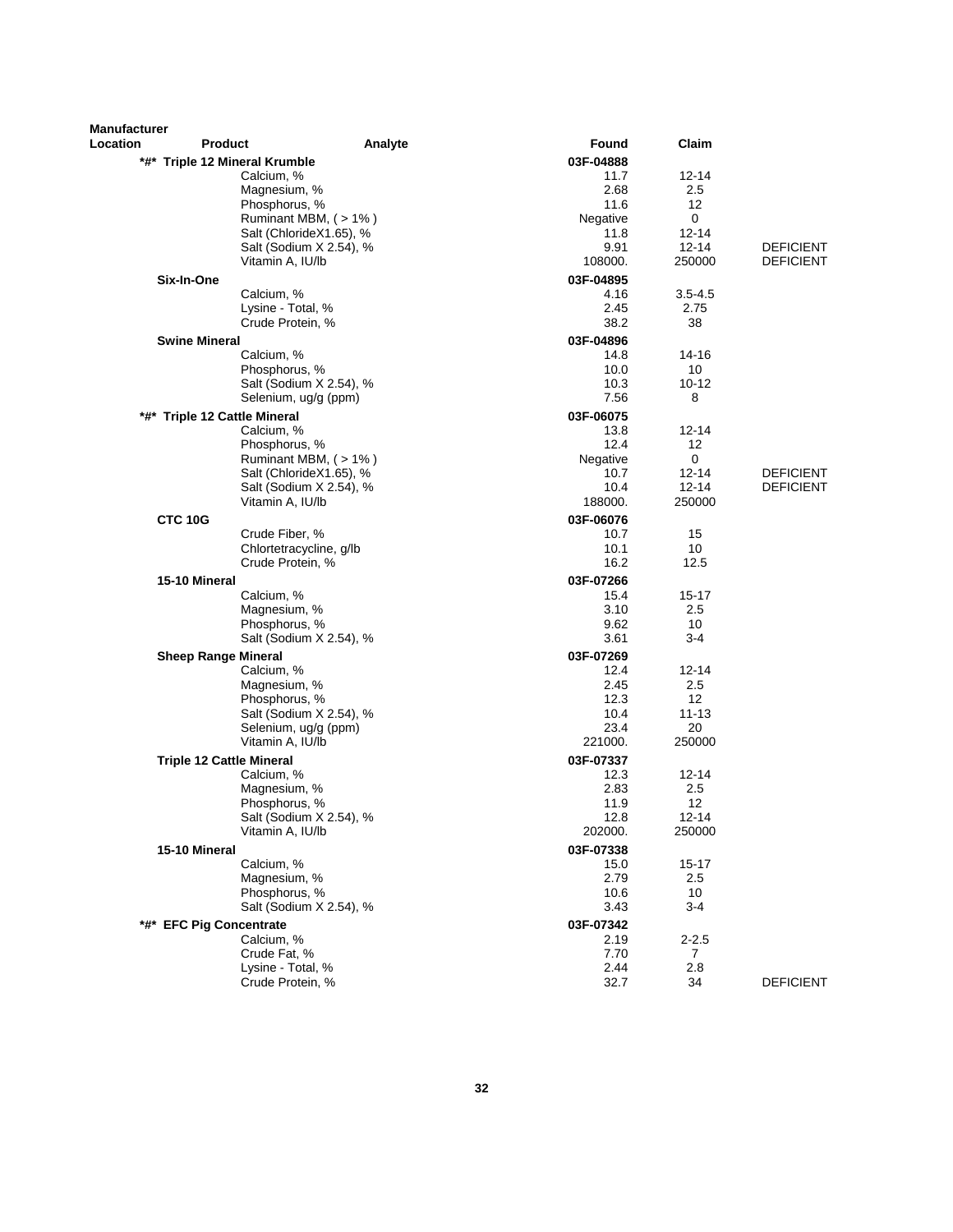| <b>Manufacturer</b> |                                             |         |                   |                   |                  |
|---------------------|---------------------------------------------|---------|-------------------|-------------------|------------------|
| Location            | <b>Product</b>                              | Analyte | <b>Found</b>      | Claim             |                  |
|                     | *#* Triple 12 Mineral Krumble<br>Calcium, % |         | 03F-04888<br>11.7 | 12-14             |                  |
|                     | Magnesium, %                                |         | 2.68              | 2.5               |                  |
|                     | Phosphorus, %                               |         | 11.6              | 12                |                  |
|                     | Ruminant MBM, (>1%)                         |         | Negative          | 0                 |                  |
|                     | Salt (ChlorideX1.65), %                     |         | 11.8              | $12 - 14$         |                  |
|                     | Salt (Sodium X 2.54), %                     |         | 9.91              | $12 - 14$         | <b>DEFICIENT</b> |
|                     | Vitamin A, IU/lb                            |         | 108000.           | 250000            | <b>DEFICIENT</b> |
|                     | Six-In-One                                  |         | 03F-04895         |                   |                  |
|                     | Calcium, %                                  |         | 4.16              | $3.5 - 4.5$       |                  |
|                     | Lysine - Total, %<br>Crude Protein, %       |         | 2.45<br>38.2      | 2.75              |                  |
|                     |                                             |         |                   | 38                |                  |
|                     | <b>Swine Mineral</b><br>Calcium, %          |         | 03F-04896<br>14.8 | 14-16             |                  |
|                     | Phosphorus, %                               |         | 10.0              | 10                |                  |
|                     | Salt (Sodium X 2.54), %                     |         | 10.3              | 10-12             |                  |
|                     | Selenium, ug/g (ppm)                        |         | 7.56              | 8                 |                  |
| *#*                 | <b>Triple 12 Cattle Mineral</b>             |         | 03F-06075         |                   |                  |
|                     | Calcium, %                                  |         | 13.8              | 12-14             |                  |
|                     | Phosphorus, %                               |         | 12.4              | 12                |                  |
|                     | Ruminant MBM, (>1%)                         |         | Negative          | 0                 |                  |
|                     | Salt (ChlorideX1.65), %                     |         | 10.7              | $12 - 14$         | <b>DEFICIENT</b> |
|                     | Salt (Sodium X 2.54), %                     |         | 10.4              | $12 - 14$         | <b>DEFICIENT</b> |
|                     | Vitamin A, IU/lb                            |         | 188000.           | 250000            |                  |
| <b>CTC 10G</b>      |                                             |         | 03F-06076         |                   |                  |
|                     | Crude Fiber, %                              |         | 10.7              | 15                |                  |
|                     | Chlortetracycline, q/lb                     |         | 10.1              | 10                |                  |
|                     | Crude Protein, %                            |         | 16.2              | 12.5              |                  |
|                     | 15-10 Mineral                               |         | 03F-07266         |                   |                  |
|                     | Calcium, %                                  |         | 15.4              | 15-17             |                  |
|                     | Magnesium, %<br>Phosphorus, %               |         | 3.10<br>9.62      | 2.5<br>10         |                  |
|                     | Salt (Sodium X 2.54), %                     |         | 3.61              | $3 - 4$           |                  |
|                     |                                             |         |                   |                   |                  |
|                     | <b>Sheep Range Mineral</b><br>Calcium, %    |         | 03F-07269<br>12.4 | 12-14             |                  |
|                     | Magnesium, %                                |         | 2.45              | 2.5               |                  |
|                     | Phosphorus, %                               |         | 12.3              | $12 \overline{ }$ |                  |
|                     | Salt (Sodium X 2.54), %                     |         | 10.4              | 11-13             |                  |
|                     | Selenium, ug/g (ppm)                        |         | 23.4              | 20                |                  |
|                     | Vitamin A, IU/lb                            |         | 221000.           | 250000            |                  |
|                     | <b>Triple 12 Cattle Mineral</b>             |         | 03F-07337         |                   |                  |
|                     | Calcium, %                                  |         | 12.3              | $12 - 14$         |                  |
|                     | Magnesium, %                                |         | 2.83              | 2.5               |                  |
|                     | Phosphorus, %                               |         | 11.9              | 12                |                  |
|                     | Salt (Sodium X 2.54), %                     |         | 12.8              | 12-14             |                  |
|                     | Vitamin A, IU/lb                            |         | 202000.           | 250000            |                  |
|                     | 15-10 Mineral                               |         | 03F-07338         |                   |                  |
|                     | Calcium, %<br>Magnesium, %                  |         | 15.0              | 15-17             |                  |
|                     | Phosphorus. %                               |         | 2.79<br>10.6      | 2.5<br>10         |                  |
|                     | Salt (Sodium X 2.54), %                     |         | 3.43              | 3-4               |                  |
|                     |                                             |         |                   |                   |                  |
|                     | *#* EFC Pig Concentrate<br>Calcium, %       |         | 03F-07342<br>2.19 | $2 - 2.5$         |                  |
|                     | Crude Fat, %                                |         | 7.70              | $\overline{7}$    |                  |
|                     | Lysine - Total, %                           |         | 2.44              | 2.8               |                  |
|                     | Crude Protein, %                            |         | 32.7              | 34                | <b>DEFICIENT</b> |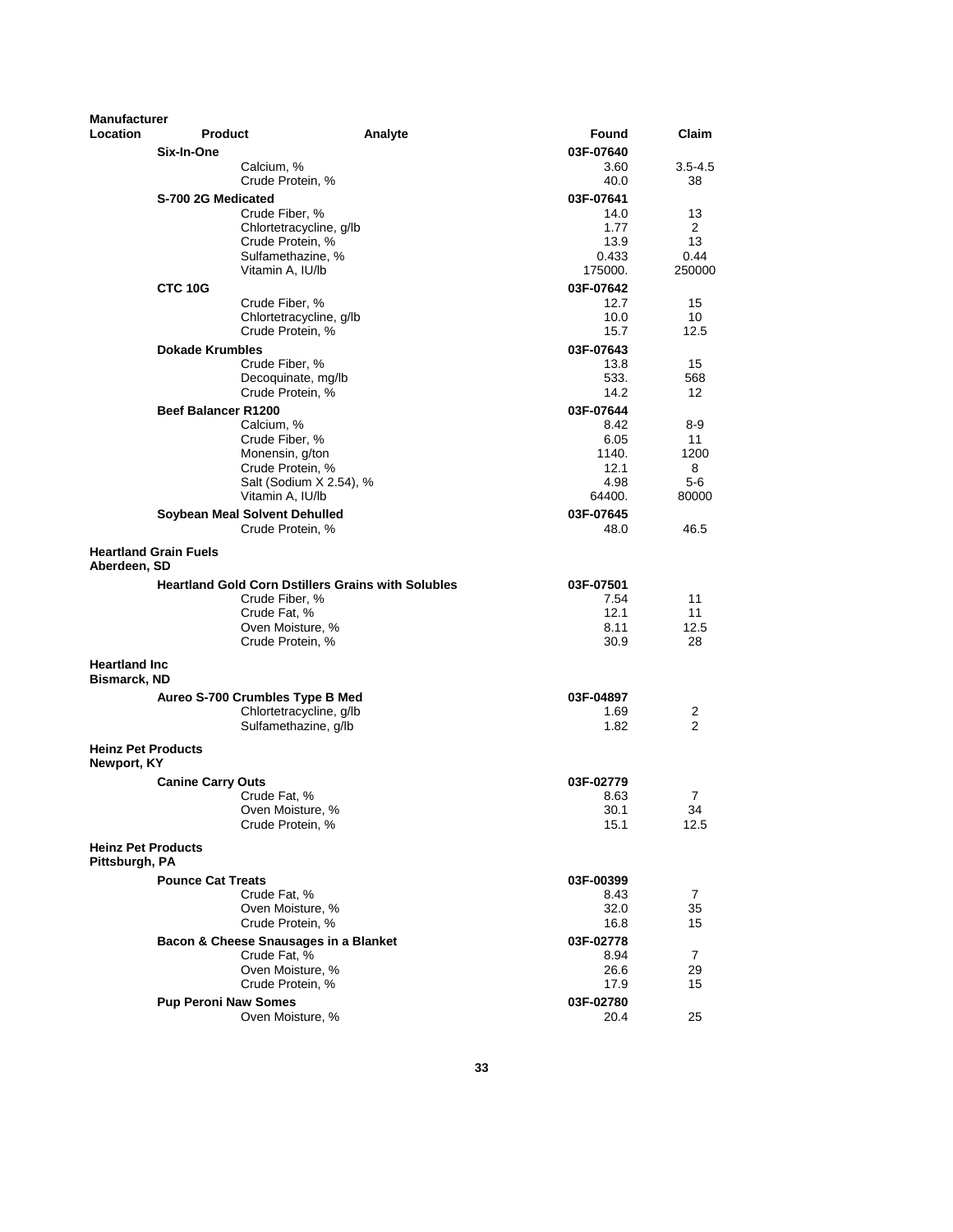| <b>Manufacturer</b>                         |                              |                                                           |         |                   |                      |
|---------------------------------------------|------------------------------|-----------------------------------------------------------|---------|-------------------|----------------------|
| <b>Location</b>                             | <b>Product</b>               |                                                           | Analyte | Found             | Claim                |
|                                             | Six-In-One                   |                                                           |         | 03F-07640         |                      |
|                                             |                              | Calcium, %                                                |         | 3.60              | $3.5 - 4.5$          |
|                                             |                              | Crude Protein, %                                          |         | 40.0              | 38                   |
|                                             | S-700 2G Medicated           | Crude Fiber, %                                            |         | 03F-07641<br>14.0 |                      |
|                                             |                              | Chlortetracycline, g/lb                                   |         | 1.77              | 13<br>$\overline{2}$ |
|                                             |                              | Crude Protein, %                                          |         | 13.9              | 13                   |
|                                             |                              | Sulfamethazine, %                                         |         | 0.433             | 0.44                 |
|                                             |                              | Vitamin A, IU/lb                                          |         | 175000.           | 250000               |
|                                             | CTC 10G                      |                                                           |         | 03F-07642         |                      |
|                                             |                              | Crude Fiber, %                                            |         | 12.7              | 15                   |
|                                             |                              | Chlortetracycline, g/lb<br>Crude Protein, %               |         | 10.0<br>15.7      | 10<br>12.5           |
|                                             | <b>Dokade Krumbles</b>       |                                                           |         | 03F-07643         |                      |
|                                             |                              | Crude Fiber, %                                            |         | 13.8              | 15                   |
|                                             |                              | Decoquinate, mg/lb                                        |         | 533.              | 568                  |
|                                             |                              | Crude Protein, %                                          |         | 14.2              | 12                   |
|                                             | <b>Beef Balancer R1200</b>   |                                                           |         | 03F-07644         |                      |
|                                             |                              | Calcium, %                                                |         | 8.42              | 8-9                  |
|                                             |                              | Crude Fiber, %                                            |         | 6.05              | 11                   |
|                                             |                              | Monensin, g/ton<br>Crude Protein, %                       |         | 1140.<br>12.1     | 1200<br>8            |
|                                             |                              | Salt (Sodium X 2.54), %                                   |         | 4.98              | 5-6                  |
|                                             |                              | Vitamin A, IU/lb                                          |         | 64400.            | 80000                |
|                                             |                              | Soybean Meal Solvent Dehulled                             |         | 03F-07645         |                      |
|                                             |                              | Crude Protein, %                                          |         | 48.0              | 46.5                 |
| Aberdeen, SD                                | <b>Heartland Grain Fuels</b> |                                                           |         |                   |                      |
|                                             |                              | <b>Heartland Gold Corn Dstillers Grains with Solubles</b> |         | 03F-07501         |                      |
|                                             |                              | Crude Fiber, %                                            |         | 7.54              | 11                   |
|                                             |                              | Crude Fat, %<br>Oven Moisture, %                          |         | 12.1<br>8.11      | 11<br>12.5           |
|                                             |                              | Crude Protein, %                                          |         | 30.9              | 28                   |
| <b>Heartland Inc</b>                        |                              |                                                           |         |                   |                      |
| <b>Bismarck, ND</b>                         |                              |                                                           |         |                   |                      |
|                                             |                              | Aureo S-700 Crumbles Type B Med                           |         | 03F-04897         |                      |
|                                             |                              | Chlortetracycline, g/lb                                   |         | 1.69              | 2                    |
|                                             |                              | Sulfamethazine, g/lb                                      |         | 1.82              | 2                    |
| <b>Heinz Pet Products</b><br>Newport, KY    |                              |                                                           |         |                   |                      |
|                                             | <b>Canine Carry Outs</b>     |                                                           |         | 03F-02779         |                      |
|                                             |                              | Crude Fat, %                                              |         | 8.63              | 7                    |
|                                             |                              | Oven Moisture, %                                          |         | 30.1              | 34                   |
|                                             |                              | Crude Protein, %                                          |         | 15.1              | 12.5                 |
| <b>Heinz Pet Products</b><br>Pittsburgh, PA |                              |                                                           |         |                   |                      |
|                                             | <b>Pounce Cat Treats</b>     |                                                           |         | 03F-00399         |                      |
|                                             |                              | Crude Fat, %<br>Oven Moisture, %                          |         | 8.43<br>32.0      | 7<br>35              |
|                                             |                              | Crude Protein, %                                          |         | 16.8              | 15                   |
|                                             |                              | Bacon & Cheese Snausages in a Blanket                     |         | 03F-02778         |                      |
|                                             |                              | Crude Fat, %                                              |         | 8.94              | 7                    |
|                                             |                              | Oven Moisture, %                                          |         | 26.6              | 29                   |
|                                             |                              | Crude Protein, %                                          |         | 17.9              | 15                   |
|                                             | <b>Pup Peroni Naw Somes</b>  |                                                           |         | 03F-02780         |                      |
|                                             |                              | Oven Moisture, %                                          |         | 20.4              | 25                   |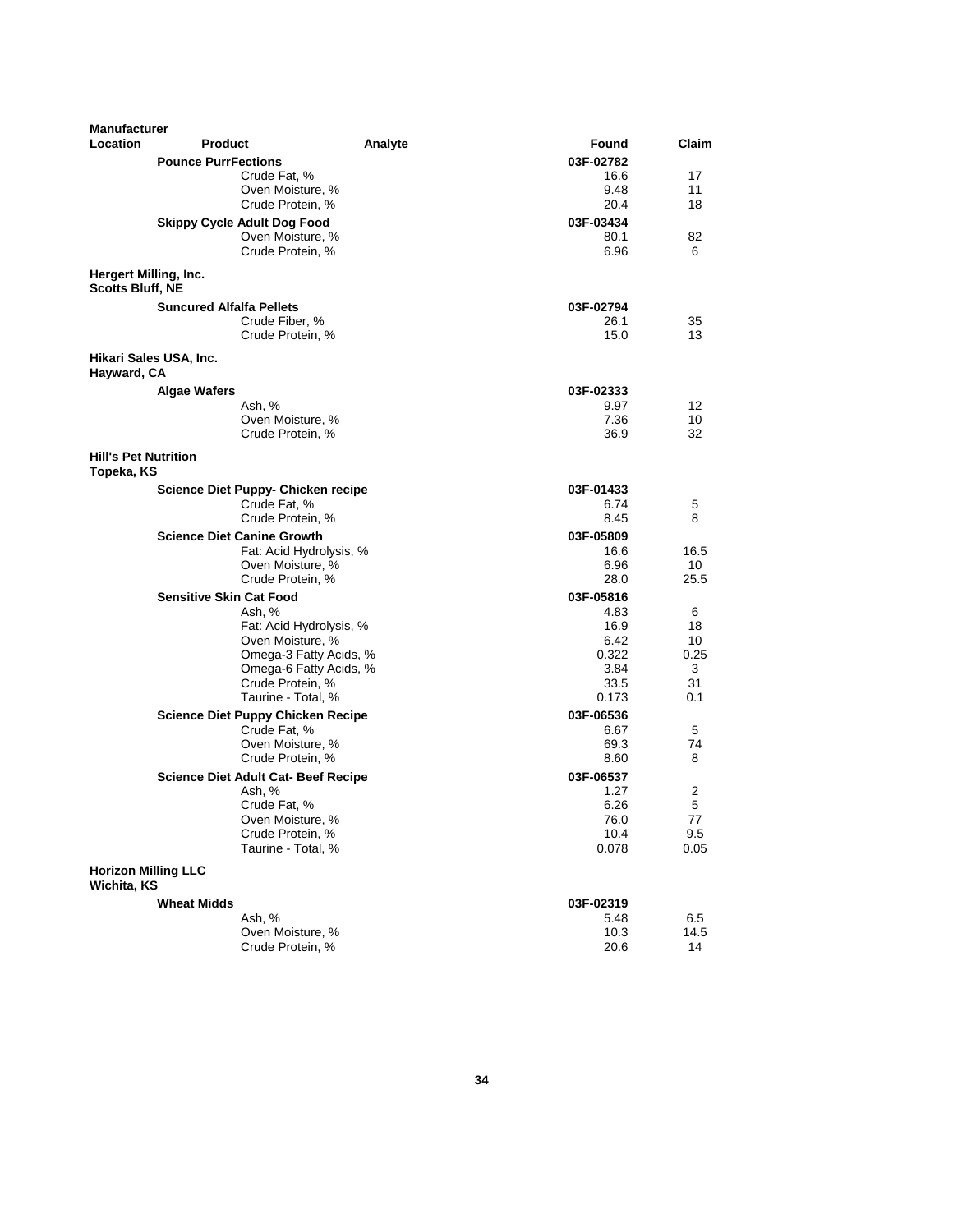| <b>Manufacturer</b>                       |                                             |         |              |            |
|-------------------------------------------|---------------------------------------------|---------|--------------|------------|
| Location                                  | <b>Product</b>                              | Analyte | Found        | Claim      |
|                                           | <b>Pounce PurrFections</b>                  |         | 03F-02782    |            |
|                                           | Crude Fat, %                                |         | 16.6         | 17         |
|                                           | Oven Moisture, %                            |         | 9.48         | 11         |
|                                           | Crude Protein, %                            |         | 20.4         | 18         |
|                                           | <b>Skippy Cycle Adult Dog Food</b>          |         | 03F-03434    |            |
|                                           | Oven Moisture, %                            |         | 80.1         | 82         |
|                                           | Crude Protein, %                            |         | 6.96         | 6          |
| <b>Scotts Bluff. NE</b>                   | Hergert Milling, Inc.                       |         |              |            |
|                                           | <b>Suncured Alfalfa Pellets</b>             |         | 03F-02794    |            |
|                                           | Crude Fiber, %                              |         | 26.1         | 35         |
|                                           | Crude Protein, %                            |         | 15.0         | 13         |
| Hayward, CA                               | Hikari Sales USA, Inc.                      |         |              |            |
|                                           | <b>Algae Wafers</b>                         |         | 03F-02333    |            |
|                                           | Ash, %                                      |         | 9.97         | 12         |
|                                           | Oven Moisture, %                            |         | 7.36         | 10         |
|                                           | Crude Protein, %                            |         | 36.9         | 32         |
| <b>Hill's Pet Nutrition</b><br>Topeka, KS |                                             |         |              |            |
|                                           | <b>Science Diet Puppy- Chicken recipe</b>   |         | 03F-01433    |            |
|                                           | Crude Fat, %                                |         | 6.74         | 5          |
|                                           | Crude Protein, %                            |         | 8.45         | 8          |
|                                           | <b>Science Diet Canine Growth</b>           |         | 03F-05809    |            |
|                                           | Fat: Acid Hydrolysis, %                     |         | 16.6         | 16.5       |
|                                           | Oven Moisture, %                            |         | 6.96         | 10         |
|                                           | Crude Protein, %                            |         | 28.0         | 25.5       |
|                                           | <b>Sensitive Skin Cat Food</b>              |         | 03F-05816    |            |
|                                           | Ash, %                                      |         | 4.83         | 6          |
|                                           | Fat: Acid Hydrolysis, %<br>Oven Moisture, % |         | 16.9<br>6.42 | 18<br>10   |
|                                           | Omega-3 Fatty Acids, %                      |         | 0.322        | 0.25       |
|                                           | Omega-6 Fatty Acids, %                      |         | 3.84         | 3          |
|                                           | Crude Protein, %                            |         | 33.5         | 31         |
|                                           | Taurine - Total, %                          |         | 0.173        | 0.1        |
|                                           | <b>Science Diet Puppy Chicken Recipe</b>    |         | 03F-06536    |            |
|                                           | Crude Fat, %                                |         | 6.67         | 5          |
|                                           | Oven Moisture, %                            |         | 69.3         | 74         |
|                                           | Crude Protein, %                            |         | 8.60         | 8          |
|                                           | <b>Science Diet Adult Cat- Beef Recipe</b>  |         | 03F-06537    |            |
|                                           | Ash, %                                      |         | 1.27         | 2          |
|                                           | Crude Fat, %                                |         | 6.26         | 5          |
|                                           | Oven Moisture, %<br>Crude Protein, %        |         | 76.0<br>10.4 | 77<br>9.5  |
|                                           | Taurine - Total, %                          |         | 0.078        | 0.05       |
|                                           | <b>Horizon Milling LLC</b>                  |         |              |            |
| Wichita, KS                               |                                             |         |              |            |
|                                           | <b>Wheat Midds</b>                          |         | 03F-02319    |            |
|                                           | Ash, %                                      |         | 5.48         | 6.5        |
|                                           | Oven Moisture, %<br>Crude Protein, %        |         | 10.3<br>20.6 | 14.5<br>14 |
|                                           |                                             |         |              |            |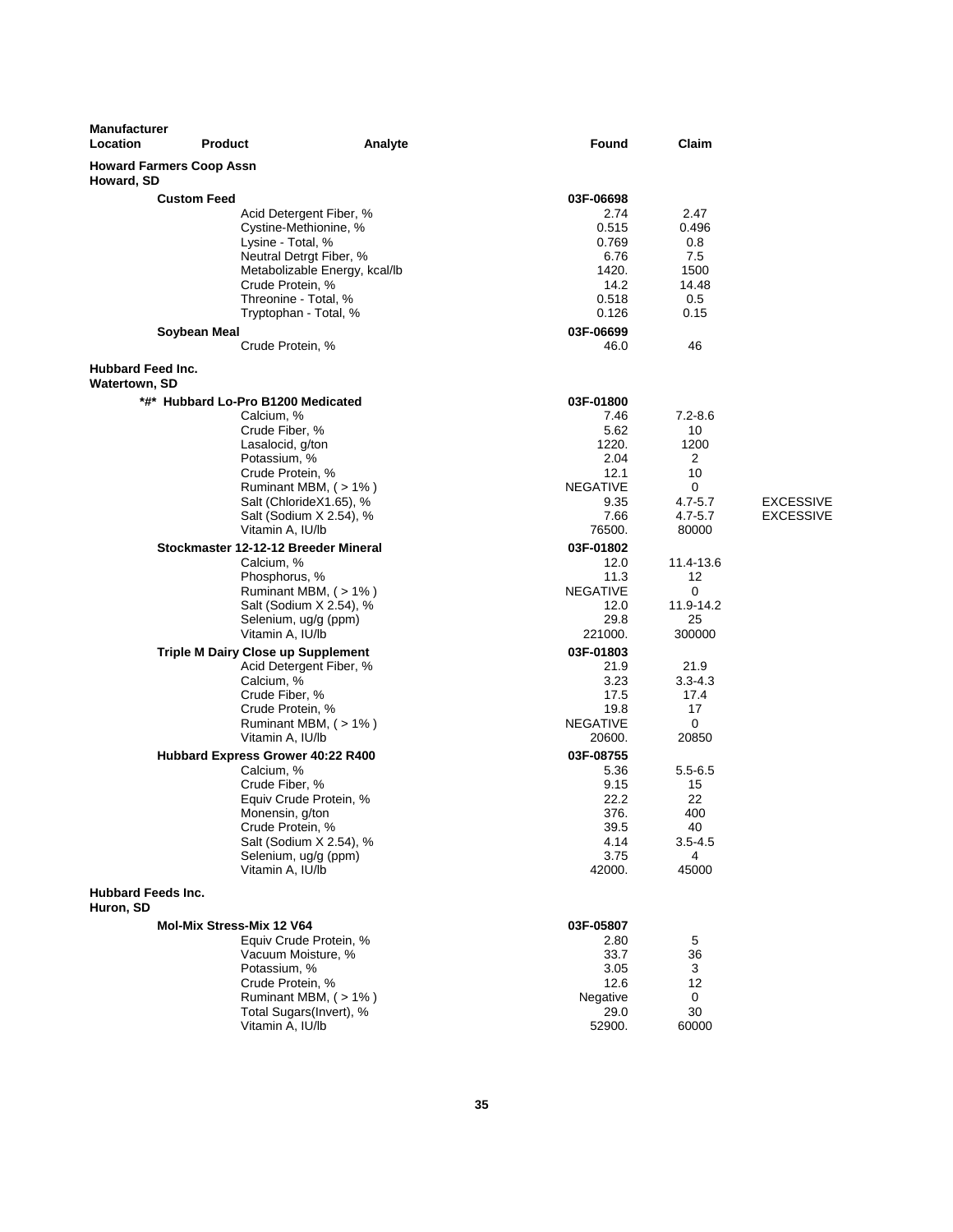| Manufacturer<br>Location                         | <b>Product</b>                            | Analyte                                                  | Found                   | Claim       |                  |
|--------------------------------------------------|-------------------------------------------|----------------------------------------------------------|-------------------------|-------------|------------------|
| Howard, SD                                       | <b>Howard Farmers Coop Assn</b>           |                                                          |                         |             |                  |
|                                                  | <b>Custom Feed</b>                        |                                                          | 03F-06698               |             |                  |
|                                                  |                                           | Acid Detergent Fiber, %                                  | 2.74                    | 2.47        |                  |
|                                                  |                                           | Cystine-Methionine, %                                    | 0.515                   | 0.496       |                  |
|                                                  | Lysine - Total, %                         |                                                          | 0.769                   | 0.8         |                  |
|                                                  |                                           | Neutral Detrgt Fiber, %<br>Metabolizable Energy, kcal/lb | 6.76<br>1420.           | 7.5<br>1500 |                  |
|                                                  | Crude Protein, %                          |                                                          | 14.2                    | 14.48       |                  |
|                                                  |                                           | Threonine - Total, %                                     | 0.518                   | 0.5         |                  |
|                                                  |                                           | Tryptophan - Total, %                                    | 0.126                   | 0.15        |                  |
|                                                  | Soybean Meal                              |                                                          | 03F-06699               |             |                  |
|                                                  | Crude Protein, %                          |                                                          | 46.0                    | 46          |                  |
| <b>Hubbard Feed Inc.</b><br><b>Watertown, SD</b> |                                           |                                                          |                         |             |                  |
|                                                  | *#* Hubbard Lo-Pro B1200 Medicated        |                                                          | 03F-01800               |             |                  |
|                                                  | Calcium, %                                |                                                          | 7.46                    | $7.2 - 8.6$ |                  |
|                                                  | Crude Fiber, %                            |                                                          | 5.62                    | 10          |                  |
|                                                  | Lasalocid, g/ton                          |                                                          | 1220.                   | 1200        |                  |
|                                                  | Potassium, %<br>Crude Protein, %          |                                                          | 2.04<br>12.1            | 2<br>10     |                  |
|                                                  |                                           | Ruminant MBM, $($ > 1% $)$                               | <b>NEGATIVE</b>         | 0           |                  |
|                                                  |                                           | Salt (ChlorideX1.65), %                                  | 9.35                    | $4.7 - 5.7$ | <b>EXCESSIVE</b> |
|                                                  |                                           | Salt (Sodium X 2.54), %                                  | 7.66                    | $4.7 - 5.7$ | <b>EXCESSIVE</b> |
|                                                  | Vitamin A, IU/lb                          |                                                          | 76500.                  | 80000       |                  |
|                                                  | Stockmaster 12-12-12 Breeder Mineral      |                                                          | 03F-01802               |             |                  |
|                                                  | Calcium, %                                |                                                          | 12.0                    | 11.4-13.6   |                  |
|                                                  | Phosphorus, %                             |                                                          | 11.3<br><b>NEGATIVE</b> | 12<br>0     |                  |
|                                                  |                                           | Ruminant MBM, (>1%)<br>Salt (Sodium X 2.54), %           | 12.0                    | 11.9-14.2   |                  |
|                                                  |                                           | Selenium, ug/g (ppm)                                     | 29.8                    | 25          |                  |
|                                                  | Vitamin A, IU/lb                          |                                                          | 221000.                 | 300000      |                  |
|                                                  | <b>Triple M Dairy Close up Supplement</b> |                                                          | 03F-01803               |             |                  |
|                                                  |                                           | Acid Detergent Fiber, %                                  | 21.9                    | 21.9        |                  |
|                                                  | Calcium, %                                |                                                          | 3.23                    | $3.3 - 4.3$ |                  |
|                                                  | Crude Fiber, %<br>Crude Protein, %        |                                                          | 17.5<br>19.8            | 17.4<br>17  |                  |
|                                                  |                                           | Ruminant MBM, $($ > 1% $)$                               | <b>NEGATIVE</b>         | 0           |                  |
|                                                  | Vitamin A, IU/lb                          |                                                          | 20600.                  | 20850       |                  |
|                                                  | Hubbard Express Grower 40:22 R400         |                                                          | 03F-08755               |             |                  |
|                                                  | Calcium, %                                |                                                          | 5.36                    | $5.5 - 6.5$ |                  |
|                                                  | Crude Fiber, %                            |                                                          | 9.15                    | 15          |                  |
|                                                  |                                           | Equiv Crude Protein, %                                   | 22.2                    | 22          |                  |
|                                                  | Monensin, g/ton<br>Crude Protein, %       |                                                          | 376.<br>39.5            | 400<br>40   |                  |
|                                                  |                                           | Salt (Sodium X 2.54), %                                  | 4.14                    | $3.5 - 4.5$ |                  |
|                                                  |                                           | Selenium, ug/g (ppm)                                     | 3.75                    | 4           |                  |
|                                                  | Vitamin A, IU/lb                          |                                                          | 42000.                  | 45000       |                  |
| <b>Hubbard Feeds Inc.</b><br>Huron, SD           |                                           |                                                          |                         |             |                  |
|                                                  | Mol-Mix Stress-Mix 12 V64                 |                                                          | 03F-05807               |             |                  |
|                                                  |                                           | Equiv Crude Protein, %                                   | 2.80                    | 5           |                  |
|                                                  |                                           | Vacuum Moisture, %                                       | 33.7                    | 36          |                  |
|                                                  | Potassium, %                              |                                                          | 3.05                    | 3           |                  |
|                                                  | Crude Protein, %                          | Ruminant MBM, (>1%)                                      | 12.6<br>Negative        | 12<br>0     |                  |
|                                                  |                                           | Total Sugars(Invert), %                                  | 29.0                    | 30          |                  |
|                                                  | Vitamin A, IU/lb                          |                                                          | 52900.                  | 60000       |                  |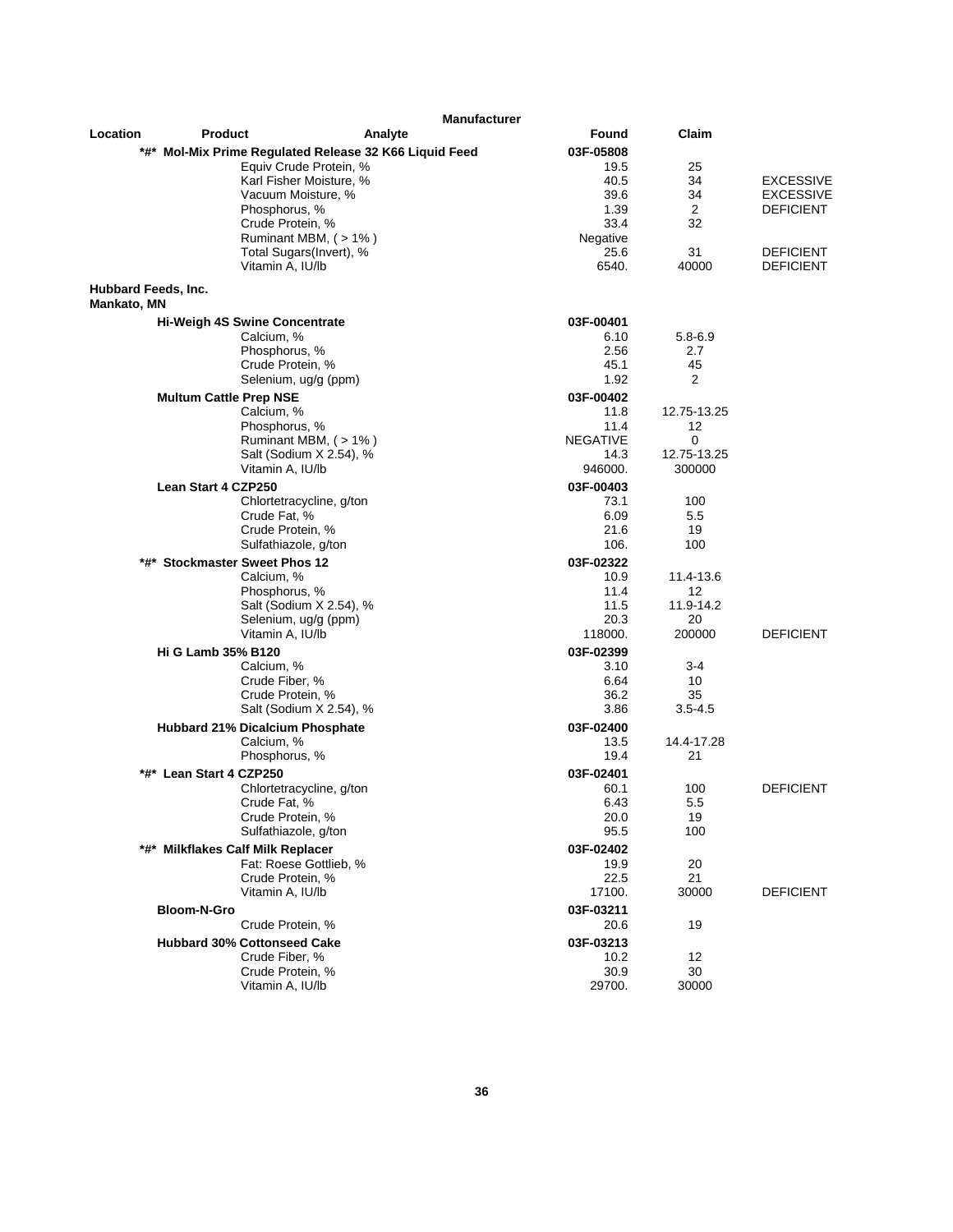|                                    |                                         | <b>Manufacturer</b>                                    |                   |                 |                  |
|------------------------------------|-----------------------------------------|--------------------------------------------------------|-------------------|-----------------|------------------|
| Location                           | <b>Product</b>                          | Analyte                                                | Found             | Claim           |                  |
|                                    |                                         | *#* Mol-Mix Prime Regulated Release 32 K66 Liquid Feed | 03F-05808         |                 |                  |
|                                    |                                         | Equiv Crude Protein, %                                 | 19.5              | 25              |                  |
|                                    |                                         | Karl Fisher Moisture, %                                | 40.5              | 34              | <b>EXCESSIVE</b> |
|                                    | Vacuum Moisture, %                      |                                                        | 39.6              | 34              | <b>EXCESSIVE</b> |
|                                    | Phosphorus, %                           |                                                        | 1.39              | 2               | <b>DEFICIENT</b> |
|                                    | Crude Protein, %                        |                                                        | 33.4              | 32              |                  |
|                                    |                                         | Ruminant MBM, (>1%)                                    | Negative<br>25.6  | 31              | <b>DEFICIENT</b> |
|                                    | Vitamin A, IU/lb                        | Total Sugars(Invert), %                                | 6540.             | 40000           | <b>DEFICIENT</b> |
| Hubbard Feeds, Inc.<br>Mankato, MN |                                         |                                                        |                   |                 |                  |
|                                    | <b>Hi-Weigh 4S Swine Concentrate</b>    |                                                        | 03F-00401         |                 |                  |
|                                    | Calcium, %                              |                                                        | 6.10              | $5.8 - 6.9$     |                  |
|                                    | Phosphorus, %                           |                                                        | 2.56              | 2.7             |                  |
|                                    | Crude Protein, %                        |                                                        | 45.1              | 45              |                  |
|                                    |                                         | Selenium, ug/g (ppm)                                   | 1.92              | 2               |                  |
|                                    | <b>Multum Cattle Prep NSE</b>           |                                                        | 03F-00402         |                 |                  |
|                                    | Calcium, %                              |                                                        | 11.8              | 12.75-13.25     |                  |
|                                    | Phosphorus, %                           |                                                        | 11.4              | 12              |                  |
|                                    |                                         | Ruminant MBM, (>1%)                                    | <b>NEGATIVE</b>   | $\mathbf 0$     |                  |
|                                    |                                         | Salt (Sodium X 2.54), %                                | 14.3              | 12.75-13.25     |                  |
|                                    | Vitamin A, IU/lb                        |                                                        | 946000.           | 300000          |                  |
|                                    | Lean Start 4 CZP250                     |                                                        | 03F-00403         |                 |                  |
|                                    |                                         | Chlortetracycline, g/ton                               | 73.1              | 100             |                  |
|                                    | Crude Fat, %                            |                                                        | 6.09              | 5.5             |                  |
|                                    | Crude Protein, %                        |                                                        | 21.6              | 19              |                  |
|                                    | Sulfathiazole, g/ton                    |                                                        | 106.              | 100             |                  |
| *#*                                | <b>Stockmaster Sweet Phos 12</b>        |                                                        | 03F-02322         |                 |                  |
|                                    | Calcium, %                              |                                                        | 10.9              | 11.4-13.6       |                  |
|                                    | Phosphorus, %                           |                                                        | 11.4              | 12              |                  |
|                                    |                                         | Salt (Sodium X 2.54), %<br>Selenium, ug/g (ppm)        | 11.5              | 11.9-14.2<br>20 |                  |
|                                    | Vitamin A, IU/lb                        |                                                        | 20.3<br>118000.   | 200000          | <b>DEFICIENT</b> |
|                                    |                                         |                                                        |                   |                 |                  |
|                                    | <b>Hi G Lamb 35% B120</b><br>Calcium, % |                                                        | 03F-02399<br>3.10 | $3 - 4$         |                  |
|                                    | Crude Fiber, %                          |                                                        | 6.64              | 10              |                  |
|                                    | Crude Protein, %                        |                                                        | 36.2              | 35              |                  |
|                                    |                                         | Salt (Sodium X 2.54), %                                | 3.86              | $3.5 - 4.5$     |                  |
|                                    | <b>Hubbard 21% Dicalcium Phosphate</b>  |                                                        | 03F-02400         |                 |                  |
|                                    | Calcium, %                              |                                                        | 13.5              | 14.4-17.28      |                  |
|                                    | Phosphorus, %                           |                                                        | 19.4              | 21              |                  |
|                                    | *#* Lean Start 4 CZP250                 |                                                        | 03F-02401         |                 |                  |
|                                    |                                         | Chlortetracycline, g/ton                               | 60.1              | 100             | <b>DEFICIENT</b> |
|                                    | Crude Fat, %                            |                                                        | 6.43              | 5.5             |                  |
|                                    | Crude Protein, %                        |                                                        | 20.0              | 19              |                  |
|                                    | Sulfathiazole, g/ton                    |                                                        | 95.5              | 100             |                  |
|                                    | *#* Milkflakes Calf Milk Replacer       |                                                        | 03F-02402         |                 |                  |
|                                    |                                         | Fat: Roese Gottlieb, %                                 | 19.9              | 20              |                  |
|                                    | Crude Protein, %                        |                                                        | 22.5              | 21              |                  |
|                                    | Vitamin A, IU/lb                        |                                                        | 17100.            | 30000           | <b>DEFICIENT</b> |
|                                    | <b>Bloom-N-Gro</b>                      |                                                        | 03F-03211         |                 |                  |
|                                    | Crude Protein, %                        |                                                        | 20.6              | 19              |                  |
|                                    | <b>Hubbard 30% Cottonseed Cake</b>      |                                                        | 03F-03213         |                 |                  |
|                                    | Crude Fiber, %                          |                                                        | 10.2              | 12              |                  |
|                                    | Crude Protein, %                        |                                                        | 30.9              | 30              |                  |
|                                    | Vitamin A, IU/lb                        |                                                        | 29700.            | 30000           |                  |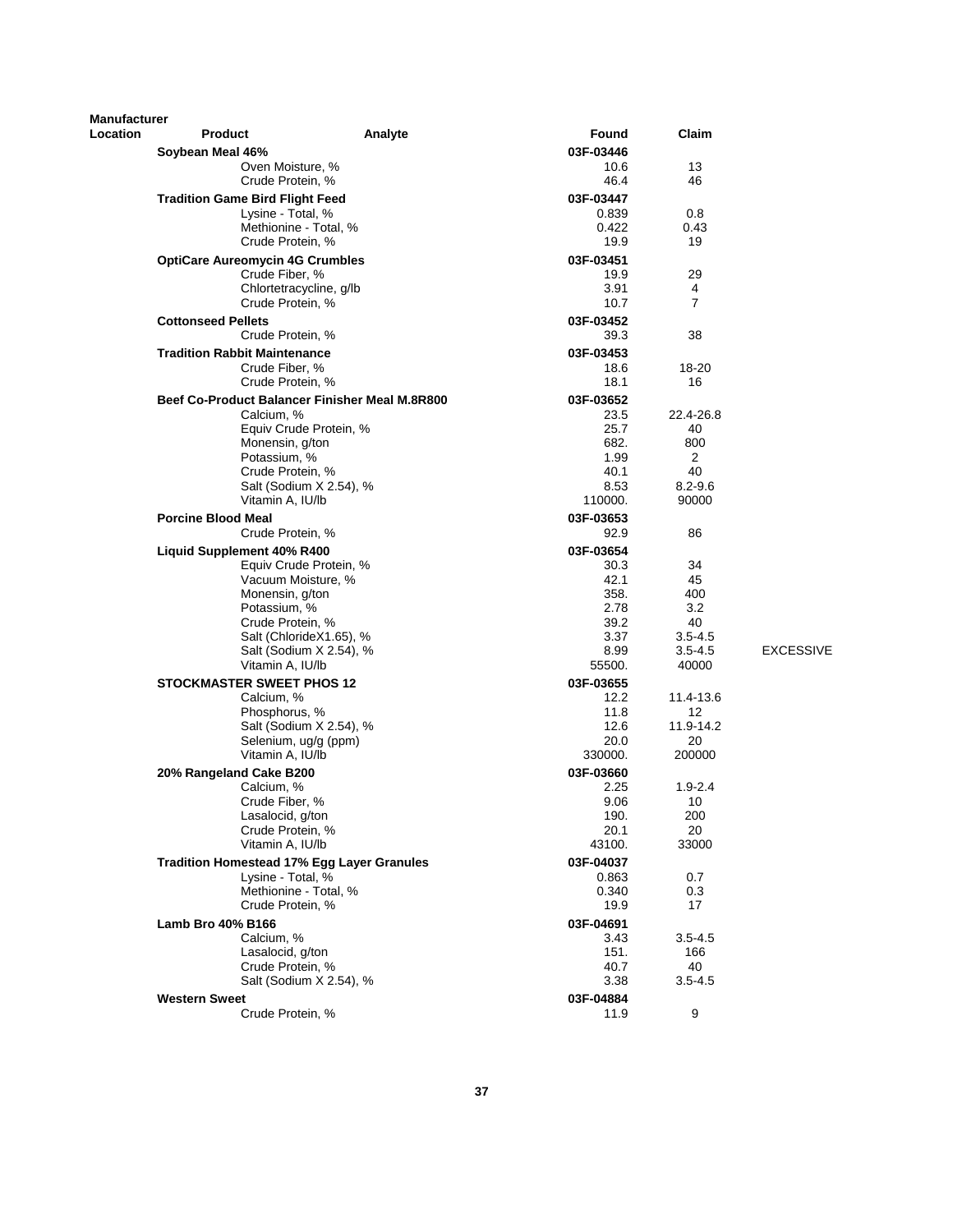| <b>Manufacturer</b> |                                                                        |                                                |                    |                     |                  |
|---------------------|------------------------------------------------------------------------|------------------------------------------------|--------------------|---------------------|------------------|
| Location            | <b>Product</b>                                                         | Analyte                                        | <b>Found</b>       | Claim               |                  |
|                     | Soybean Meal 46%                                                       |                                                | 03F-03446          |                     |                  |
|                     | Oven Moisture, %<br>Crude Protein, %                                   |                                                | 10.6<br>46.4       | 13<br>46            |                  |
|                     | <b>Tradition Game Bird Flight Feed</b>                                 |                                                | 03F-03447          |                     |                  |
|                     | Lysine - Total, %                                                      |                                                | 0.839              | 0.8                 |                  |
|                     |                                                                        | Methionine - Total, %                          | 0.422              | 0.43                |                  |
|                     | Crude Protein, %                                                       |                                                | 19.9               | 19                  |                  |
|                     | <b>OptiCare Aureomycin 4G Crumbles</b>                                 |                                                | 03F-03451          |                     |                  |
|                     | Crude Fiber, %                                                         |                                                | 19.9               | 29                  |                  |
|                     | Crude Protein, %                                                       | Chlortetracycline, g/lb                        | 3.91<br>10.7       | 4<br>$\overline{7}$ |                  |
|                     | <b>Cottonseed Pellets</b>                                              |                                                | 03F-03452          |                     |                  |
|                     | Crude Protein, %                                                       |                                                | 39.3               | 38                  |                  |
|                     | <b>Tradition Rabbit Maintenance</b>                                    |                                                | 03F-03453          |                     |                  |
|                     | Crude Fiber, %                                                         |                                                | 18.6               | 18-20               |                  |
|                     | Crude Protein, %                                                       |                                                | 18.1               | 16                  |                  |
|                     |                                                                        | Beef Co-Product Balancer Finisher Meal M.8R800 | 03F-03652          |                     |                  |
|                     | Calcium, %                                                             |                                                | 23.5               | 22.4-26.8           |                  |
|                     |                                                                        | Equiv Crude Protein, %                         | 25.7               | 40                  |                  |
|                     | Monensin, g/ton<br>Potassium, %                                        |                                                | 682.<br>1.99       | 800                 |                  |
|                     | Crude Protein, %                                                       |                                                | 40.1               | 2<br>40             |                  |
|                     |                                                                        | Salt (Sodium X 2.54), %                        | 8.53               | $8.2 - 9.6$         |                  |
|                     | Vitamin A, IU/lb                                                       |                                                | 110000.            | 90000               |                  |
|                     | <b>Porcine Blood Meal</b>                                              |                                                | 03F-03653          |                     |                  |
|                     | Crude Protein, %                                                       |                                                | 92.9               | 86                  |                  |
|                     | <b>Liquid Supplement 40% R400</b>                                      |                                                | 03F-03654          |                     |                  |
|                     |                                                                        | Equiv Crude Protein, %                         | 30.3               | 34                  |                  |
|                     | Vacuum Moisture, %                                                     |                                                | 42.1               | 45                  |                  |
|                     | Monensin, g/ton<br>Potassium, %                                        |                                                | 358.<br>2.78       | 400<br>3.2          |                  |
|                     | Crude Protein, %                                                       |                                                | 39.2               | 40                  |                  |
|                     |                                                                        | Salt (ChlorideX1.65), %                        | 3.37               | $3.5 - 4.5$         |                  |
|                     |                                                                        | Salt (Sodium X 2.54), %                        | 8.99               | $3.5 - 4.5$         | <b>EXCESSIVE</b> |
|                     | Vitamin A, IU/lb                                                       |                                                | 55500.             | 40000               |                  |
|                     | <b>STOCKMASTER SWEET PHOS 12</b>                                       |                                                | 03F-03655          |                     |                  |
|                     | Calcium, %                                                             |                                                | 12.2               | 11.4-13.6           |                  |
|                     | Phosphorus, %                                                          | Salt (Sodium X 2.54), %                        | 11.8               | 12<br>11.9-14.2     |                  |
|                     |                                                                        | Selenium, ug/g (ppm)                           | 12.6<br>20.0       | 20                  |                  |
|                     | Vitamin A, IU/lb                                                       |                                                | 330000.            | 200000              |                  |
|                     | 20% Rangeland Cake B200                                                |                                                | 03F-03660          |                     |                  |
|                     | Calcium, %                                                             |                                                | 2.25               | $1.9 - 2.4$         |                  |
|                     | Crude Fiber, %                                                         |                                                | 9.06               | 10                  |                  |
|                     | Lasalocid, g/ton                                                       |                                                | 190.               | 200                 |                  |
|                     | Crude Protein, %                                                       |                                                | 20.1               | 20                  |                  |
|                     | Vitamin A, IU/lb                                                       |                                                | 43100.             | 33000               |                  |
|                     | <b>Tradition Homestead 17% Egg Layer Granules</b><br>Lysine - Total, % |                                                | 03F-04037<br>0.863 | 0.7                 |                  |
|                     |                                                                        | Methionine - Total, %                          | 0.340              | 0.3                 |                  |
|                     | Crude Protein, %                                                       |                                                | 19.9               | 17                  |                  |
|                     | <b>Lamb Bro 40% B166</b>                                               |                                                | 03F-04691          |                     |                  |
|                     | Calcium, %                                                             |                                                | 3.43               | $3.5 - 4.5$         |                  |
|                     | Lasalocid, g/ton                                                       |                                                | 151.               | 166                 |                  |
|                     | Crude Protein, %                                                       |                                                | 40.7               | 40                  |                  |
|                     |                                                                        | Salt (Sodium X 2.54), %                        | 3.38               | $3.5 - 4.5$         |                  |
|                     | <b>Western Sweet</b>                                                   |                                                | 03F-04884          |                     |                  |
|                     | Crude Protein, %                                                       |                                                | 11.9               | 9                   |                  |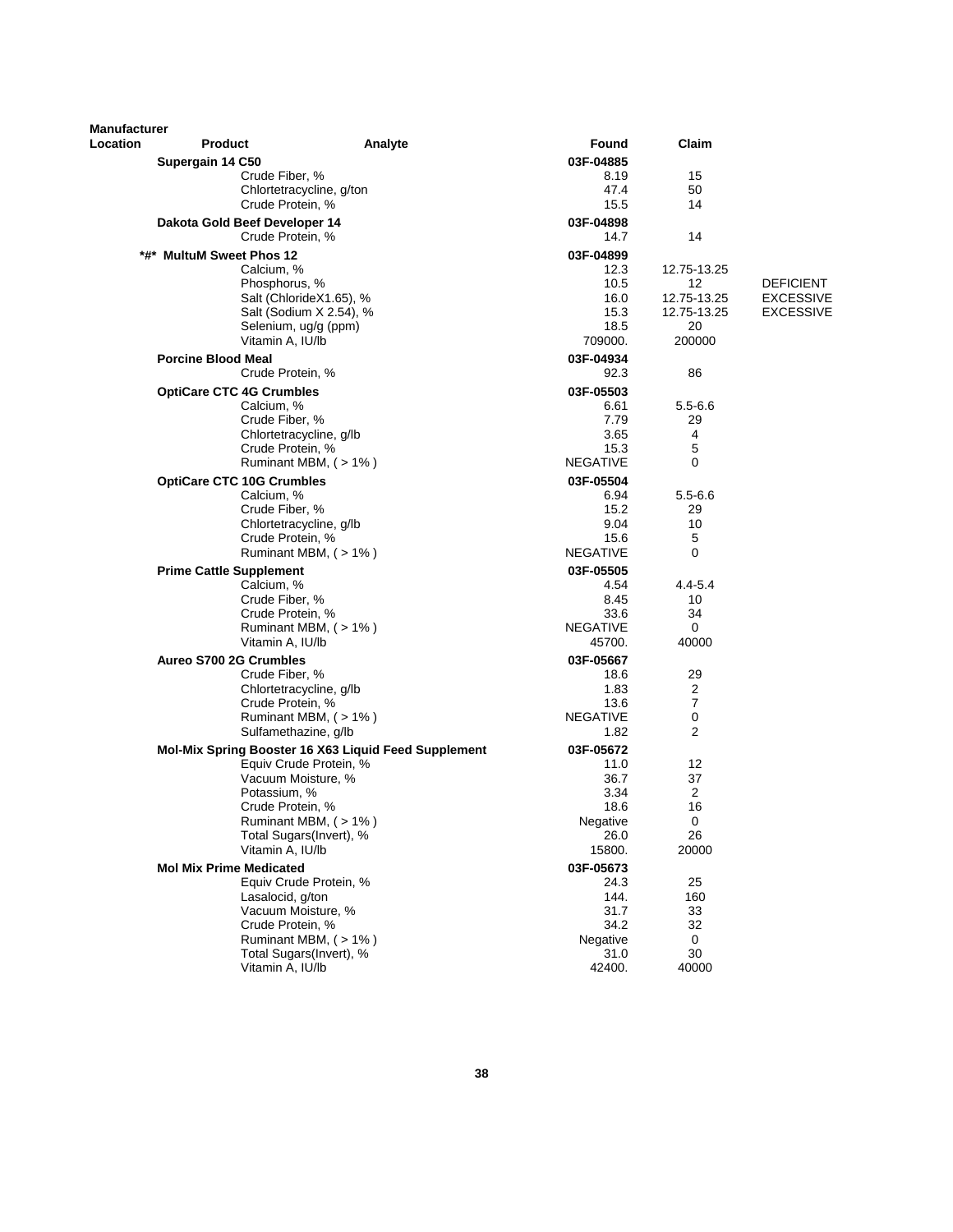| Manufacturer |                                  |                                                      |                         |                     |                  |
|--------------|----------------------------------|------------------------------------------------------|-------------------------|---------------------|------------------|
| Location     | <b>Product</b>                   | Analyte                                              | Found                   | Claim               |                  |
|              | Supergain 14 C50                 |                                                      | 03F-04885               |                     |                  |
|              |                                  | Crude Fiber, %                                       | 8.19                    | 15                  |                  |
|              |                                  | Chlortetracycline, g/ton                             | 47.4                    | 50                  |                  |
|              |                                  | Crude Protein, %                                     | 15.5                    | 14                  |                  |
|              | Dakota Gold Beef Developer 14    |                                                      | 03F-04898               |                     |                  |
|              |                                  | Crude Protein, %                                     | 14.7                    | 14                  |                  |
|              | *#* MultuM Sweet Phos 12         |                                                      | 03F-04899               |                     |                  |
|              | Calcium, %                       |                                                      | 12.3                    | 12.75-13.25         |                  |
|              |                                  | Phosphorus, %                                        | 10.5                    | 12                  | <b>DEFICIENT</b> |
|              |                                  | Salt (ChlorideX1.65), %                              | 16.0                    | 12.75-13.25         | <b>EXCESSIVE</b> |
|              |                                  | Salt (Sodium X 2.54), %                              | 15.3                    | 12.75-13.25         | <b>EXCESSIVE</b> |
|              |                                  | Selenium, ug/g (ppm)                                 | 18.5                    | 20                  |                  |
|              |                                  | Vitamin A, IU/lb                                     | 709000.                 | 200000              |                  |
|              | <b>Porcine Blood Meal</b>        |                                                      | 03F-04934               |                     |                  |
|              |                                  | Crude Protein, %                                     | 92.3                    | 86                  |                  |
|              | <b>OptiCare CTC 4G Crumbles</b>  |                                                      | 03F-05503               |                     |                  |
|              | Calcium, %                       |                                                      | 6.61                    | $5.5 - 6.6$         |                  |
|              |                                  | Crude Fiber, %                                       | 7.79                    | 29                  |                  |
|              |                                  | Chlortetracycline, g/lb                              | 3.65                    | 4                   |                  |
|              |                                  | Crude Protein, %                                     | 15.3                    | 5                   |                  |
|              |                                  | Ruminant MBM, $($ > 1% $)$                           | <b>NEGATIVE</b>         | 0                   |                  |
|              | <b>OptiCare CTC 10G Crumbles</b> |                                                      | 03F-05504               |                     |                  |
|              | Calcium, %                       |                                                      | 6.94                    | $5.5 - 6.6$         |                  |
|              |                                  | Crude Fiber, %                                       | 15.2                    | 29                  |                  |
|              |                                  | Chlortetracycline, g/lb                              | 9.04                    | 10                  |                  |
|              |                                  | Crude Protein, %                                     | 15.6                    | 5                   |                  |
|              |                                  | Ruminant MBM, $($ > 1% $)$                           | <b>NEGATIVE</b>         | 0                   |                  |
|              | <b>Prime Cattle Supplement</b>   |                                                      | 03F-05505               |                     |                  |
|              | Calcium, %                       |                                                      | 4.54                    | 4.4-5.4             |                  |
|              |                                  | Crude Fiber, %                                       | 8.45                    | 10                  |                  |
|              |                                  | Crude Protein, %                                     | 33.6                    | 34                  |                  |
|              |                                  | Ruminant MBM, $($ > 1% $)$                           | <b>NEGATIVE</b>         | 0                   |                  |
|              |                                  | Vitamin A, IU/lb                                     | 45700.                  | 40000               |                  |
|              | Aureo S700 2G Crumbles           |                                                      | 03F-05667               |                     |                  |
|              |                                  | Crude Fiber, %                                       | 18.6                    | 29                  |                  |
|              |                                  | Chlortetracycline, g/lb                              | 1.83                    | 2                   |                  |
|              |                                  | Crude Protein, %                                     | 13.6<br><b>NEGATIVE</b> | $\overline{7}$<br>0 |                  |
|              |                                  | Ruminant MBM, $($ > 1% $)$<br>Sulfamethazine, g/lb   | 1.82                    | 2                   |                  |
|              |                                  |                                                      |                         |                     |                  |
|              |                                  | Mol-Mix Spring Booster 16 X63 Liquid Feed Supplement | 03F-05672               |                     |                  |
|              |                                  | Equiv Crude Protein, %                               | 11.0                    | 12<br>37            |                  |
|              |                                  | Vacuum Moisture, %<br>Potassium, %                   | 36.7<br>3.34            | 2                   |                  |
|              |                                  | Crude Protein, %                                     | 18.6                    | 16                  |                  |
|              |                                  | Ruminant MBM, (>1%)                                  | Negative                | $\pmb{0}$           |                  |
|              |                                  | Total Sugars(Invert), %                              | 26.0                    | 26                  |                  |
|              |                                  | Vitamin A, IU/lb                                     | 15800.                  | 20000               |                  |
|              | <b>Mol Mix Prime Medicated</b>   |                                                      | 03F-05673               |                     |                  |
|              |                                  | Equiv Crude Protein, %                               | 24.3                    | 25                  |                  |
|              |                                  | Lasalocid, g/ton                                     | 144.                    | 160                 |                  |
|              |                                  | Vacuum Moisture, %                                   | 31.7                    | 33                  |                  |
|              |                                  | Crude Protein, %                                     | 34.2                    | 32                  |                  |
|              |                                  | Ruminant MBM, (>1%)                                  | Negative                | 0                   |                  |
|              |                                  | Total Sugars(Invert), %                              | 31.0                    | 30                  |                  |
|              |                                  | Vitamin A, IU/lb                                     | 42400.                  | 40000               |                  |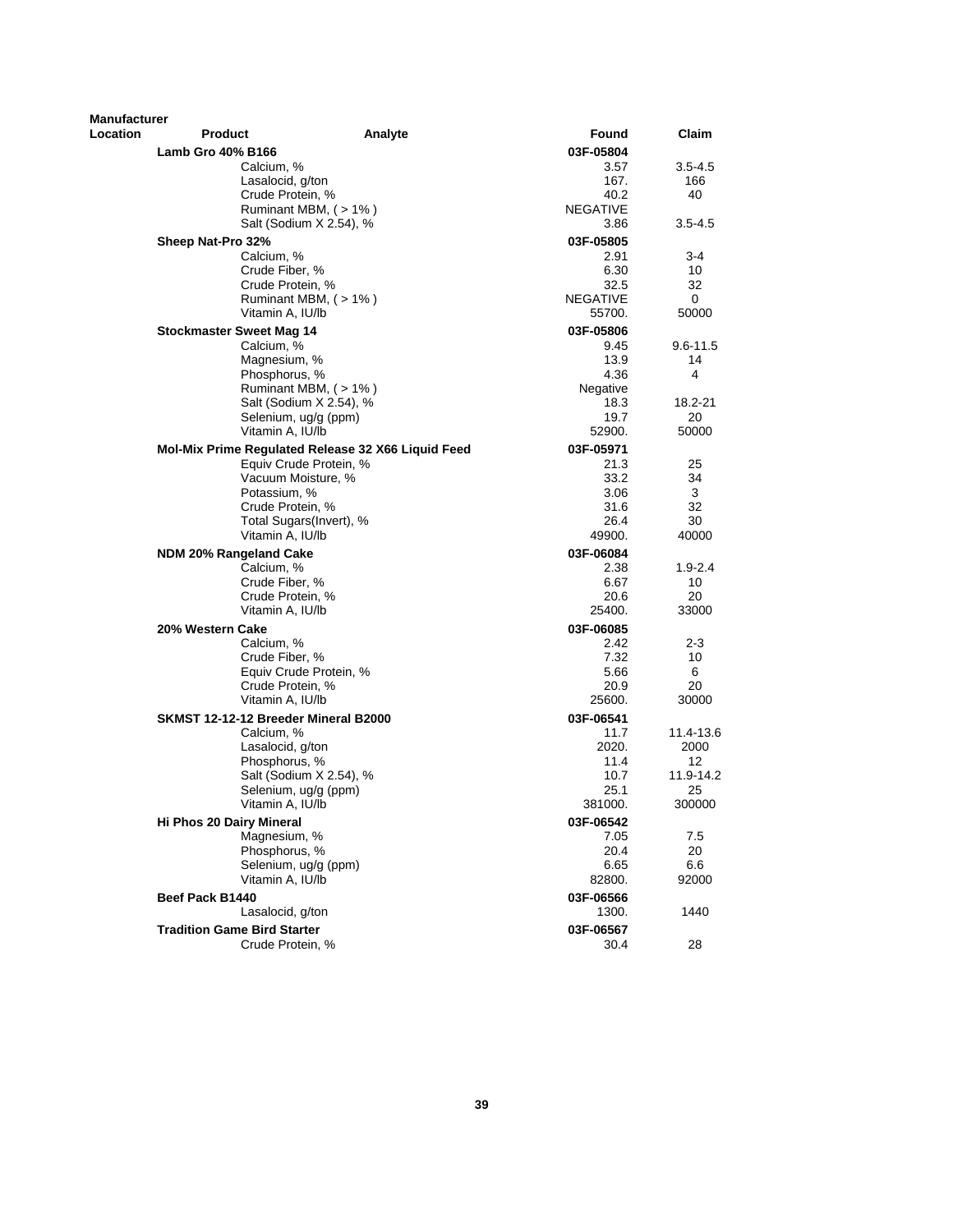| <b>Manufacturer</b><br>Location | <b>Product</b>                                     | Analyte | Found                   | Claim             |
|---------------------------------|----------------------------------------------------|---------|-------------------------|-------------------|
|                                 | Lamb Gro 40% B166                                  |         | 03F-05804               |                   |
|                                 | Calcium, %                                         |         | 3.57                    | $3.5 - 4.5$       |
|                                 | Lasalocid, g/ton                                   |         | 167.                    | 166               |
|                                 | Crude Protein, %                                   |         | 40.2                    | 40                |
|                                 | Ruminant MBM, $($ > 1% $)$                         |         | NEGATIVE                |                   |
|                                 | Salt (Sodium X 2.54), %                            |         | 3.86                    | $3.5 - 4.5$       |
|                                 | Sheep Nat-Pro 32%                                  |         | 03F-05805               |                   |
|                                 | Calcium, %                                         |         | 2.91                    | 3-4               |
|                                 | Crude Fiber, %                                     |         | 6.30                    | 10                |
|                                 | Crude Protein, %<br>Ruminant MBM, (>1%)            |         | 32.5<br><b>NEGATIVE</b> | 32<br>0           |
|                                 | Vitamin A, IU/lb                                   |         | 55700.                  | 50000             |
|                                 |                                                    |         |                         |                   |
|                                 | Stockmaster Sweet Mag 14<br>Calcium, %             |         | 03F-05806<br>9.45       | 9.6-11.5          |
|                                 | Magnesium, %                                       |         | 13.9                    | 14                |
|                                 | Phosphorus, %                                      |         | 4.36                    | 4                 |
|                                 | Ruminant MBM, (>1%)                                |         | Negative                |                   |
|                                 | Salt (Sodium X 2.54), %                            |         | 18.3                    | 18.2-21           |
|                                 | Selenium, ug/g (ppm)                               |         | 19.7                    | 20                |
|                                 | Vitamin A, IU/lb                                   |         | 52900.                  | 50000             |
|                                 | Mol-Mix Prime Regulated Release 32 X66 Liquid Feed |         | 03F-05971               |                   |
|                                 | Equiv Crude Protein, %                             |         | 21.3                    | 25                |
|                                 | Vacuum Moisture, %                                 |         | 33.2                    | 34                |
|                                 | Potassium, %<br>Crude Protein, %                   |         | 3.06<br>31.6            | 3<br>32           |
|                                 | Total Sugars(Invert), %                            |         | 26.4                    | 30                |
|                                 | Vitamin A, IU/lb                                   |         | 49900.                  | 40000             |
|                                 | <b>NDM 20% Rangeland Cake</b>                      |         | 03F-06084               |                   |
|                                 | Calcium, %                                         |         | 2.38                    | $1.9 - 2.4$       |
|                                 | Crude Fiber, %                                     |         | 6.67                    | 10                |
|                                 | Crude Protein, %                                   |         | 20.6                    | 20                |
|                                 | Vitamin A, IU/lb                                   |         | 25400.                  | 33000             |
|                                 | 20% Western Cake                                   |         | 03F-06085               |                   |
|                                 | Calcium, %                                         |         | 2.42                    | 2-3               |
|                                 | Crude Fiber, %                                     |         | 7.32                    | 10                |
|                                 | Equiv Crude Protein, %                             |         | 5.66                    | 6                 |
|                                 | Crude Protein, %                                   |         | 20.9                    | 20                |
|                                 | Vitamin A, IU/lb                                   |         | 25600.                  | 30000             |
|                                 | SKMST 12-12-12 Breeder Mineral B2000               |         | 03F-06541<br>11.7       |                   |
|                                 | Calcium, %<br>Lasalocid, g/ton                     |         | 2020.                   | 11.4-13.6<br>2000 |
|                                 | Phosphorus, %                                      |         | 11.4                    | 12                |
|                                 | Salt (Sodium X 2.54), %                            |         | 10.7                    | 11.9-14.2         |
|                                 | Selenium, ug/g (ppm)                               |         | 25.1                    | 25                |
|                                 | Vitamin A, IU/lb                                   |         | 381000.                 | 300000            |
|                                 | Hi Phos 20 Dairy Mineral                           |         | 03F-06542               |                   |
|                                 | Magnesium, %                                       |         | 7.05                    | 7.5               |
|                                 | Phosphorus, %                                      |         | 20.4                    | 20                |
|                                 | Selenium, ug/g (ppm)                               |         | 6.65                    | 6.6               |
|                                 | Vitamin A, IU/lb                                   |         | 82800.                  | 92000             |
|                                 | Beef Pack B1440                                    |         | 03F-06566               |                   |
|                                 | Lasalocid, g/ton                                   |         | 1300.                   | 1440              |
|                                 | <b>Tradition Game Bird Starter</b>                 |         | 03F-06567               |                   |
|                                 | Crude Protein, %                                   |         | 30.4                    | 28                |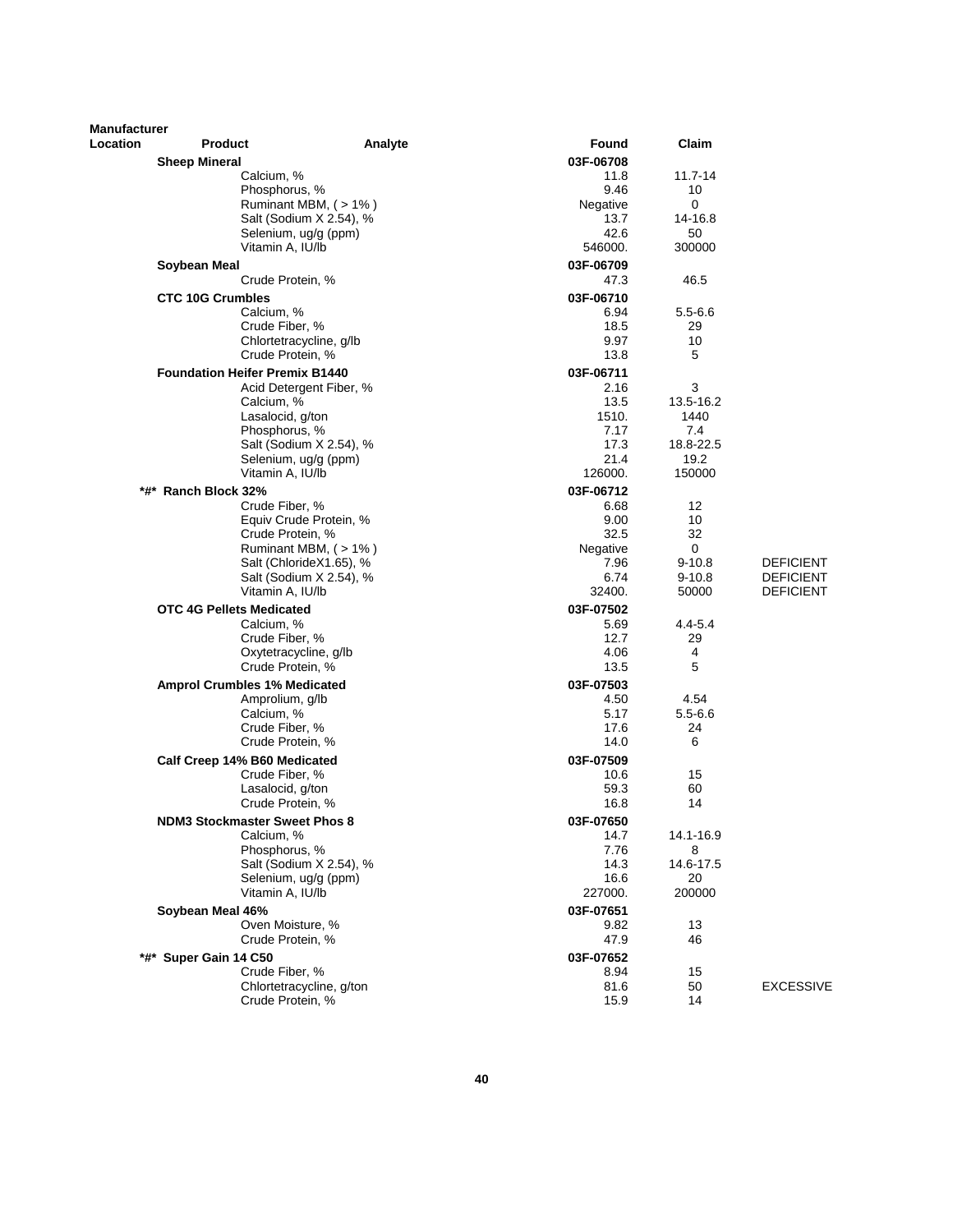| Manufacturer |                                                |                                                 |                   |                          |                                      |
|--------------|------------------------------------------------|-------------------------------------------------|-------------------|--------------------------|--------------------------------------|
| Location     | <b>Product</b>                                 | Analyte                                         | Found             | Claim                    |                                      |
|              | <b>Sheep Mineral</b>                           |                                                 | 03F-06708         |                          |                                      |
|              | Calcium, %                                     |                                                 | 11.8              | $11.7 - 14$              |                                      |
|              | Phosphorus, %                                  |                                                 | 9.46              | 10                       |                                      |
|              |                                                | Ruminant MBM, (>1%)                             | Negative<br>13.7  | 0<br>14-16.8             |                                      |
|              |                                                | Salt (Sodium X 2.54), %<br>Selenium, ug/g (ppm) | 42.6              | 50                       |                                      |
|              | Vitamin A, IU/lb                               |                                                 | 546000.           | 300000                   |                                      |
|              | Soybean Meal                                   |                                                 | 03F-06709         |                          |                                      |
|              | Crude Protein, %                               |                                                 | 47.3              | 46.5                     |                                      |
|              | <b>CTC 10G Crumbles</b>                        |                                                 | 03F-06710         |                          |                                      |
|              | Calcium, %                                     |                                                 | 6.94              | $5.5 - 6.6$              |                                      |
|              | Crude Fiber, %                                 |                                                 | 18.5              | 29                       |                                      |
|              |                                                | Chlortetracycline, g/lb                         | 9.97              | 10                       |                                      |
|              | Crude Protein, %                               |                                                 | 13.8              | 5                        |                                      |
|              | <b>Foundation Heifer Premix B1440</b>          |                                                 | 03F-06711         |                          |                                      |
|              |                                                | Acid Detergent Fiber, %                         | 2.16              | 3                        |                                      |
|              | Calcium, %                                     |                                                 | 13.5              | 13.5-16.2                |                                      |
|              | Lasalocid, g/ton<br>Phosphorus, %              |                                                 | 1510.<br>7.17     | 1440<br>7.4              |                                      |
|              |                                                | Salt (Sodium X 2.54), %                         | 17.3              | 18.8-22.5                |                                      |
|              |                                                | Selenium, ug/g (ppm)                            | 21.4              | 19.2                     |                                      |
|              | Vitamin A, IU/lb                               |                                                 | 126000.           | 150000                   |                                      |
|              | *#* Ranch Block 32%                            |                                                 | 03F-06712         |                          |                                      |
|              | Crude Fiber, %                                 |                                                 | 6.68              | 12                       |                                      |
|              |                                                | Equiv Crude Protein, %                          | 9.00              | 10                       |                                      |
|              | Crude Protein, %                               |                                                 | 32.5              | 32                       |                                      |
|              |                                                | Ruminant MBM, (> 1%)                            | Negative          | 0                        |                                      |
|              |                                                | Salt (ChlorideX1.65), %                         | 7.96<br>6.74      | $9 - 10.8$<br>$9 - 10.8$ | <b>DEFICIENT</b>                     |
|              | Vitamin A, IU/lb                               | Salt (Sodium X 2.54), %                         | 32400.            | 50000                    | <b>DEFICIENT</b><br><b>DEFICIENT</b> |
|              | <b>OTC 4G Pellets Medicated</b>                |                                                 | 03F-07502         |                          |                                      |
|              | Calcium, %                                     |                                                 | 5.69              | $4.4 - 5.4$              |                                      |
|              | Crude Fiber, %                                 |                                                 | 12.7              | 29                       |                                      |
|              |                                                | Oxytetracycline, g/lb                           | 4.06              | 4                        |                                      |
|              | Crude Protein, %                               |                                                 | 13.5              | 5                        |                                      |
|              | <b>Amprol Crumbles 1% Medicated</b>            |                                                 | 03F-07503         |                          |                                      |
|              | Amprolium, g/lb                                |                                                 | 4.50              | 4.54                     |                                      |
|              | Calcium, %                                     |                                                 | 5.17              | $5.5 - 6.6$              |                                      |
|              | Crude Fiber, %                                 |                                                 | 17.6              | 24                       |                                      |
|              | Crude Protein, %                               |                                                 | 14.0              | 6                        |                                      |
|              | Calf Creep 14% B60 Medicated<br>Crude Fiber, % |                                                 | 03F-07509<br>10.6 | 15                       |                                      |
|              | Lasalocid, g/ton                               |                                                 | 59.3              | 60                       |                                      |
|              | Crude Protein, %                               |                                                 | 16.8              | 14                       |                                      |
|              | <b>NDM3 Stockmaster Sweet Phos 8</b>           |                                                 | 03F-07650         |                          |                                      |
|              | Calcium, %                                     |                                                 | 14.7              | 14.1-16.9                |                                      |
|              | Phosphorus, %                                  |                                                 | 7.76              | 8                        |                                      |
|              |                                                | Salt (Sodium X 2.54), %                         | 14.3              | 14.6-17.5                |                                      |
|              |                                                | Selenium, ug/g (ppm)                            | 16.6              | 20                       |                                      |
|              | Vitamin A, IU/lb                               |                                                 | 227000.           | 200000                   |                                      |
|              | Soybean Meal 46%                               |                                                 | 03F-07651         |                          |                                      |
|              | Oven Moisture, %                               |                                                 | 9.82              | 13                       |                                      |
|              | Crude Protein, %                               |                                                 | 47.9              | 46                       |                                      |
| *#*          | Super Gain 14 C50                              |                                                 | 03F-07652         |                          |                                      |
|              | Crude Fiber, %                                 | Chlortetracycline, g/ton                        | 8.94<br>81.6      | 15<br>50                 | <b>EXCESSIVE</b>                     |
|              | Crude Protein, %                               |                                                 | 15.9              | 14                       |                                      |
|              |                                                |                                                 |                   |                          |                                      |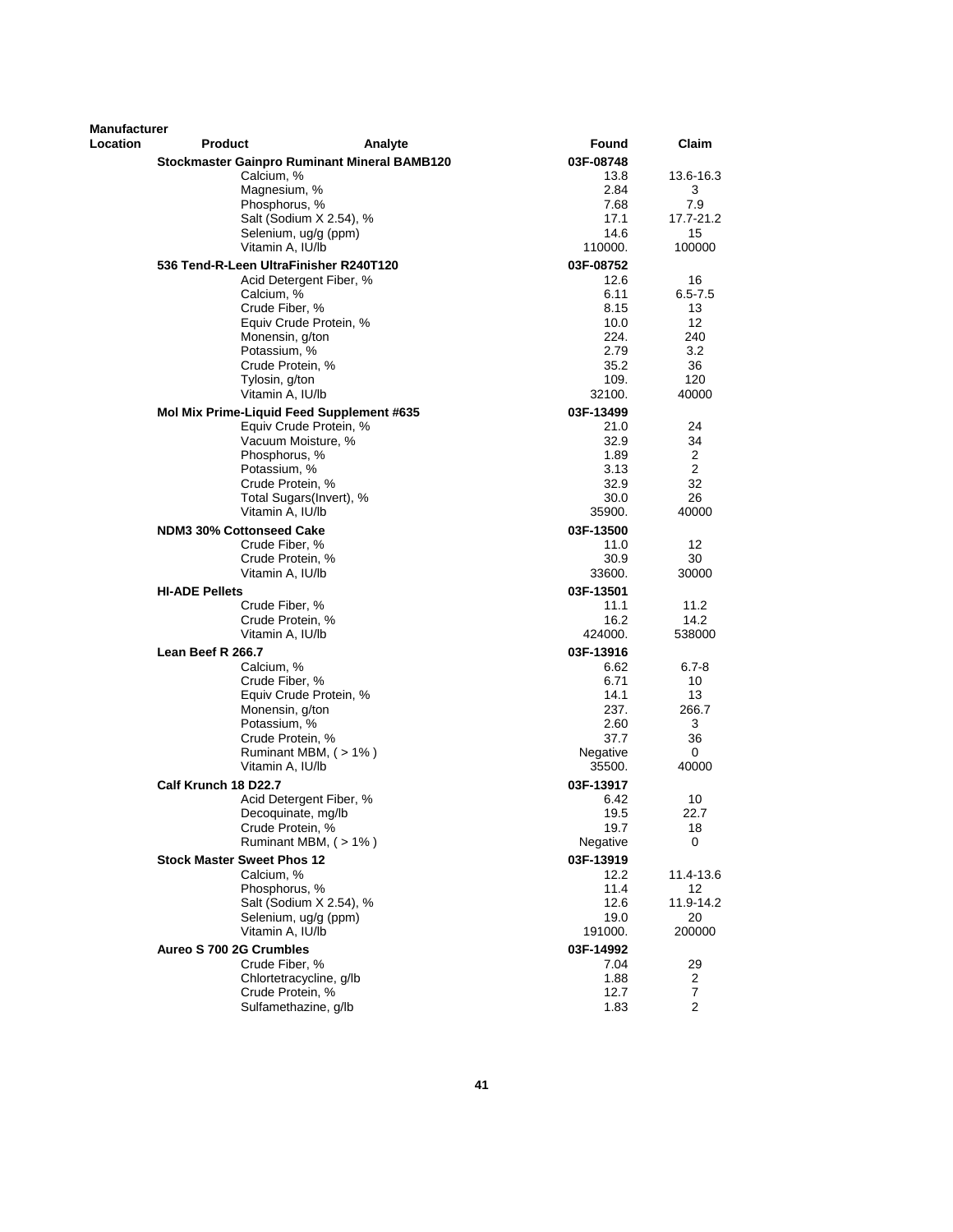| <b>Manufacturer</b> |                                        |                                                     |              |             |
|---------------------|----------------------------------------|-----------------------------------------------------|--------------|-------------|
| Location            | <b>Product</b>                         | Analyte                                             | Found        | Claim       |
|                     |                                        | <b>Stockmaster Gainpro Ruminant Mineral BAMB120</b> | 03F-08748    |             |
|                     | Calcium, %                             |                                                     | 13.8         | 13.6-16.3   |
|                     | Magnesium, %                           |                                                     | 2.84         | 3           |
|                     |                                        | Phosphorus, %                                       | 7.68         | 7.9         |
|                     |                                        | Salt (Sodium X 2.54), %                             | 17.1         | 17.7-21.2   |
|                     |                                        | Selenium, ug/g (ppm)                                | 14.6         | 15          |
|                     |                                        | Vitamin A, IU/lb                                    | 110000.      | 100000      |
|                     | 536 Tend-R-Leen UltraFinisher R240T120 |                                                     | 03F-08752    |             |
|                     |                                        | Acid Detergent Fiber, %                             | 12.6         | 16          |
|                     | Calcium, %                             |                                                     | 6.11         | $6.5 - 7.5$ |
|                     |                                        | Crude Fiber, %                                      | 8.15         | 13          |
|                     |                                        | Equiv Crude Protein, %                              | 10.0         | 12          |
|                     | Potassium, %                           | Monensin, g/ton                                     | 224.<br>2.79 | 240<br>3.2  |
|                     |                                        | Crude Protein, %                                    | 35.2         | 36          |
|                     | Tylosin, g/ton                         |                                                     | 109.         | 120         |
|                     |                                        | Vitamin A, IU/lb                                    | 32100.       | 40000       |
|                     |                                        | Mol Mix Prime-Liquid Feed Supplement #635           | 03F-13499    |             |
|                     |                                        | Equiv Crude Protein, %                              | 21.0         | 24          |
|                     |                                        | Vacuum Moisture, %                                  | 32.9         | 34          |
|                     |                                        | Phosphorus, %                                       | 1.89         | 2           |
|                     | Potassium, %                           |                                                     | 3.13         | 2           |
|                     |                                        | Crude Protein, %                                    | 32.9         | 32          |
|                     |                                        | Total Sugars(Invert), %                             | 30.0         | 26          |
|                     |                                        | Vitamin A, IU/lb                                    | 35900.       | 40000       |
|                     | <b>NDM3 30% Cottonseed Cake</b>        |                                                     | 03F-13500    |             |
|                     |                                        | Crude Fiber, %                                      | 11.0         | 12          |
|                     |                                        | Crude Protein, %                                    | 30.9         | 30          |
|                     |                                        | Vitamin A, IU/lb                                    | 33600.       | 30000       |
|                     | <b>HI-ADE Pellets</b>                  |                                                     | 03F-13501    |             |
|                     |                                        | Crude Fiber, %                                      | 11.1         | 11.2        |
|                     |                                        | Crude Protein, %                                    | 16.2         | 14.2        |
|                     |                                        | Vitamin A, IU/lb                                    | 424000.      | 538000      |
|                     | Lean Beef R 266.7                      |                                                     | 03F-13916    |             |
|                     | Calcium, %                             |                                                     | 6.62         | $6.7 - 8$   |
|                     |                                        | Crude Fiber, %                                      | 6.71         | 10          |
|                     |                                        | Equiv Crude Protein, %                              | 14.1         | 13          |
|                     |                                        | Monensin, g/ton                                     | 237.         | 266.7       |
|                     | Potassium, %                           | Crude Protein, %                                    | 2.60<br>37.7 | 3<br>36     |
|                     |                                        | Ruminant MBM, (>1%)                                 | Negative     | 0           |
|                     |                                        | Vitamin A, IU/lb                                    | 35500.       | 40000       |
|                     | Calf Krunch 18 D22.7                   |                                                     | 03F-13917    |             |
|                     |                                        | Acid Detergent Fiber, %                             | 6.42         | 10          |
|                     |                                        | Decoquinate, mg/lb                                  | 19.5         | 22.7        |
|                     |                                        | Crude Protein, %                                    | 19.7         | 18          |
|                     |                                        | Ruminant MBM, (>1%)                                 | Negative     | 0           |
|                     | <b>Stock Master Sweet Phos 12</b>      |                                                     | 03F-13919    |             |
|                     | Calcium, %                             |                                                     | 12.2         | 11.4-13.6   |
|                     |                                        | Phosphorus, %                                       | 11.4         | 12          |
|                     |                                        | Salt (Sodium X 2.54), %                             | 12.6         | 11.9-14.2   |
|                     |                                        | Selenium, ug/g (ppm)                                | 19.0         | 20          |
|                     |                                        | Vitamin A, IU/lb                                    | 191000.      | 200000      |
|                     | Aureo S 700 2G Crumbles                |                                                     | 03F-14992    |             |
|                     |                                        | Crude Fiber, %                                      | 7.04         | 29          |
|                     |                                        | Chlortetracycline, g/lb                             | 1.88         | 2           |
|                     |                                        | Crude Protein, %                                    | 12.7         | 7           |
|                     |                                        | Sulfamethazine, g/lb                                | 1.83         | 2           |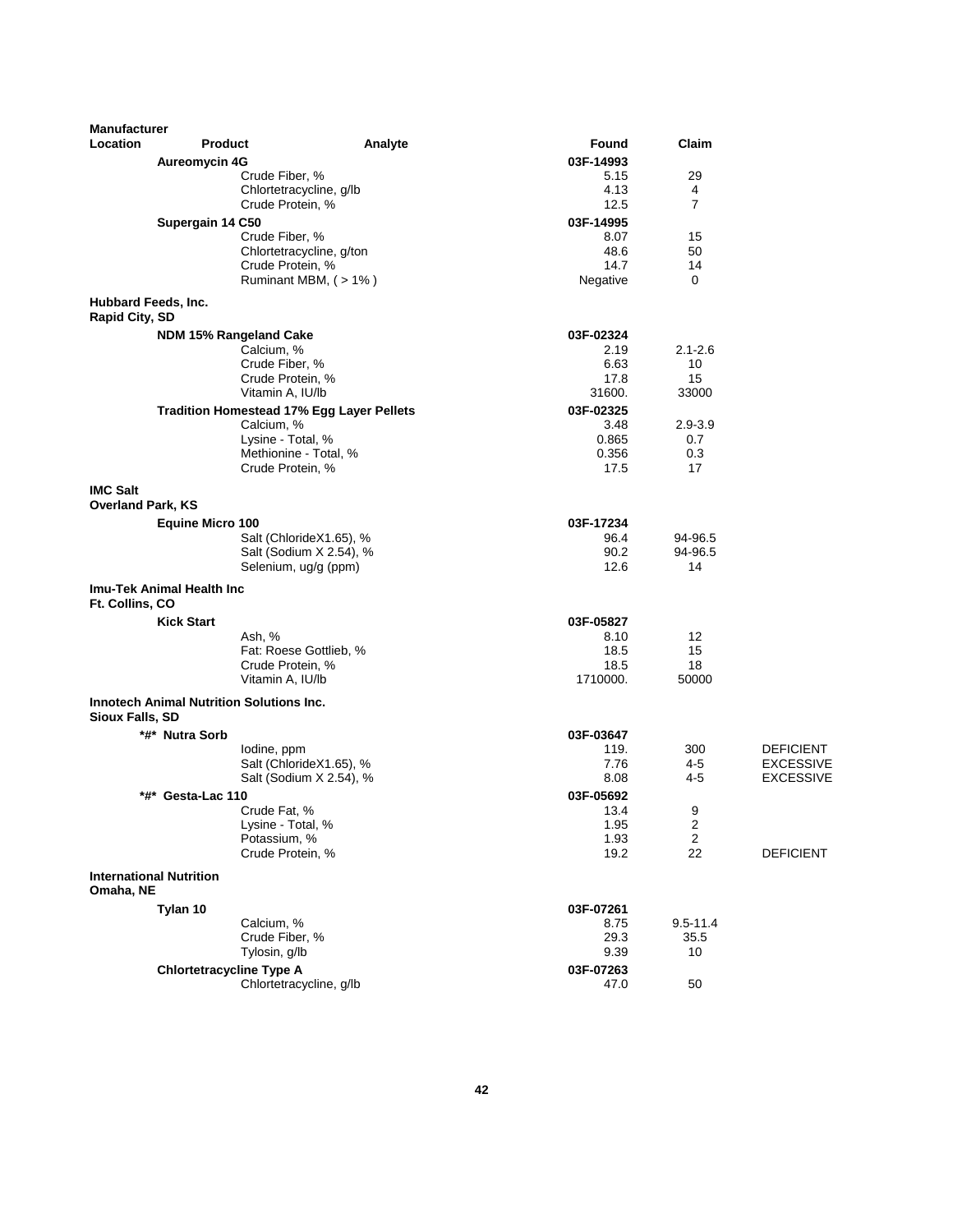| <b>Manufacturer</b>                         |                                                 |                                                  |                |                  |                  |
|---------------------------------------------|-------------------------------------------------|--------------------------------------------------|----------------|------------------|------------------|
| Location                                    | <b>Product</b>                                  | Analyte                                          | Found          | Claim            |                  |
|                                             | <b>Aureomycin 4G</b>                            |                                                  | 03F-14993      |                  |                  |
|                                             |                                                 | Crude Fiber, %                                   | 5.15           | 29               |                  |
|                                             |                                                 | Chlortetracycline, g/lb                          | 4.13           | 4                |                  |
|                                             |                                                 | Crude Protein, %                                 | 12.5           | $\overline{7}$   |                  |
|                                             | Supergain 14 C50                                |                                                  | 03F-14995      |                  |                  |
|                                             |                                                 | Crude Fiber, %                                   | 8.07           | 15               |                  |
|                                             |                                                 | Chlortetracycline, g/ton                         | 48.6           | 50               |                  |
|                                             |                                                 | Crude Protein, %                                 | 14.7           | 14               |                  |
|                                             |                                                 | Ruminant MBM, (>1%)                              | Negative       | 0                |                  |
| Hubbard Feeds, Inc.                         |                                                 |                                                  |                |                  |                  |
| Rapid City, SD                              |                                                 |                                                  |                |                  |                  |
|                                             | NDM 15% Rangeland Cake                          |                                                  | 03F-02324      |                  |                  |
|                                             |                                                 | Calcium, %                                       | 2.19           | $2.1 - 2.6$      |                  |
|                                             |                                                 | Crude Fiber, %                                   | 6.63           | 10               |                  |
|                                             |                                                 | Crude Protein, %                                 | 17.8           | 15               |                  |
|                                             |                                                 | Vitamin A, IU/lb                                 | 31600.         | 33000            |                  |
|                                             |                                                 | <b>Tradition Homestead 17% Egg Layer Pellets</b> | 03F-02325      |                  |                  |
|                                             |                                                 | Calcium, %                                       | 3.48           | 2.9-3.9          |                  |
|                                             |                                                 | Lysine - Total, %<br>Methionine - Total, %       | 0.865<br>0.356 | 0.7<br>0.3       |                  |
|                                             |                                                 | Crude Protein, %                                 | 17.5           | 17               |                  |
|                                             |                                                 |                                                  |                |                  |                  |
| <b>IMC Salt</b>                             |                                                 |                                                  |                |                  |                  |
| <b>Overland Park, KS</b>                    |                                                 |                                                  |                |                  |                  |
|                                             | <b>Equine Micro 100</b>                         |                                                  | 03F-17234      |                  |                  |
|                                             |                                                 | Salt (ChlorideX1.65), %                          | 96.4           | 94-96.5          |                  |
|                                             |                                                 | Salt (Sodium X 2.54), %                          | 90.2           | 94-96.5          |                  |
|                                             |                                                 | Selenium, ug/g (ppm)                             | 12.6           | 14               |                  |
| Ft. Collins, CO                             | Imu-Tek Animal Health Inc                       |                                                  |                |                  |                  |
|                                             | <b>Kick Start</b>                               |                                                  | 03F-05827      |                  |                  |
|                                             |                                                 | Ash, %                                           | 8.10           | 12               |                  |
|                                             |                                                 | Fat: Roese Gottlieb, %                           | 18.5           | 15               |                  |
|                                             |                                                 | Crude Protein, %                                 | 18.5           | 18               |                  |
|                                             |                                                 | Vitamin A, IU/lb                                 | 1710000.       | 50000            |                  |
| Sioux Falls, SD                             | <b>Innotech Animal Nutrition Solutions Inc.</b> |                                                  |                |                  |                  |
|                                             | *#* Nutra Sorb                                  |                                                  | 03F-03647      |                  |                  |
|                                             |                                                 | lodine, ppm                                      | 119.           | 300              | <b>DEFICIENT</b> |
|                                             |                                                 | Salt (ChlorideX1.65), %                          | 7.76           | 4-5              | <b>EXCESSIVE</b> |
|                                             |                                                 | Salt (Sodium X 2.54), %                          | 8.08           | 4-5              | EXCESSIVE        |
|                                             | *#* Gesta-Lac 110                               |                                                  | 03F-05692      |                  |                  |
|                                             |                                                 | Crude Fat, %                                     | 13.4           | 9                |                  |
|                                             |                                                 | Lysine - Total, %                                | 1.95           | $\boldsymbol{2}$ |                  |
|                                             |                                                 | Potassium, %                                     | 1.93           | $\overline{c}$   |                  |
|                                             |                                                 | Crude Protein, %                                 | 19.2           | 22               | <b>DEFICIENT</b> |
| <b>International Nutrition</b><br>Omaha, NE |                                                 |                                                  |                |                  |                  |
|                                             | Tylan 10                                        |                                                  | 03F-07261      |                  |                  |
|                                             |                                                 | Calcium, %                                       | 8.75           | $9.5 - 11.4$     |                  |
|                                             |                                                 | Crude Fiber, %                                   | 29.3           | 35.5             |                  |
|                                             |                                                 | Tylosin, g/lb                                    | 9.39           | 10               |                  |
|                                             | <b>Chlortetracycline Type A</b>                 |                                                  | 03F-07263      |                  |                  |
|                                             |                                                 | Chlortetracycline, g/lb                          | 47.0           | 50               |                  |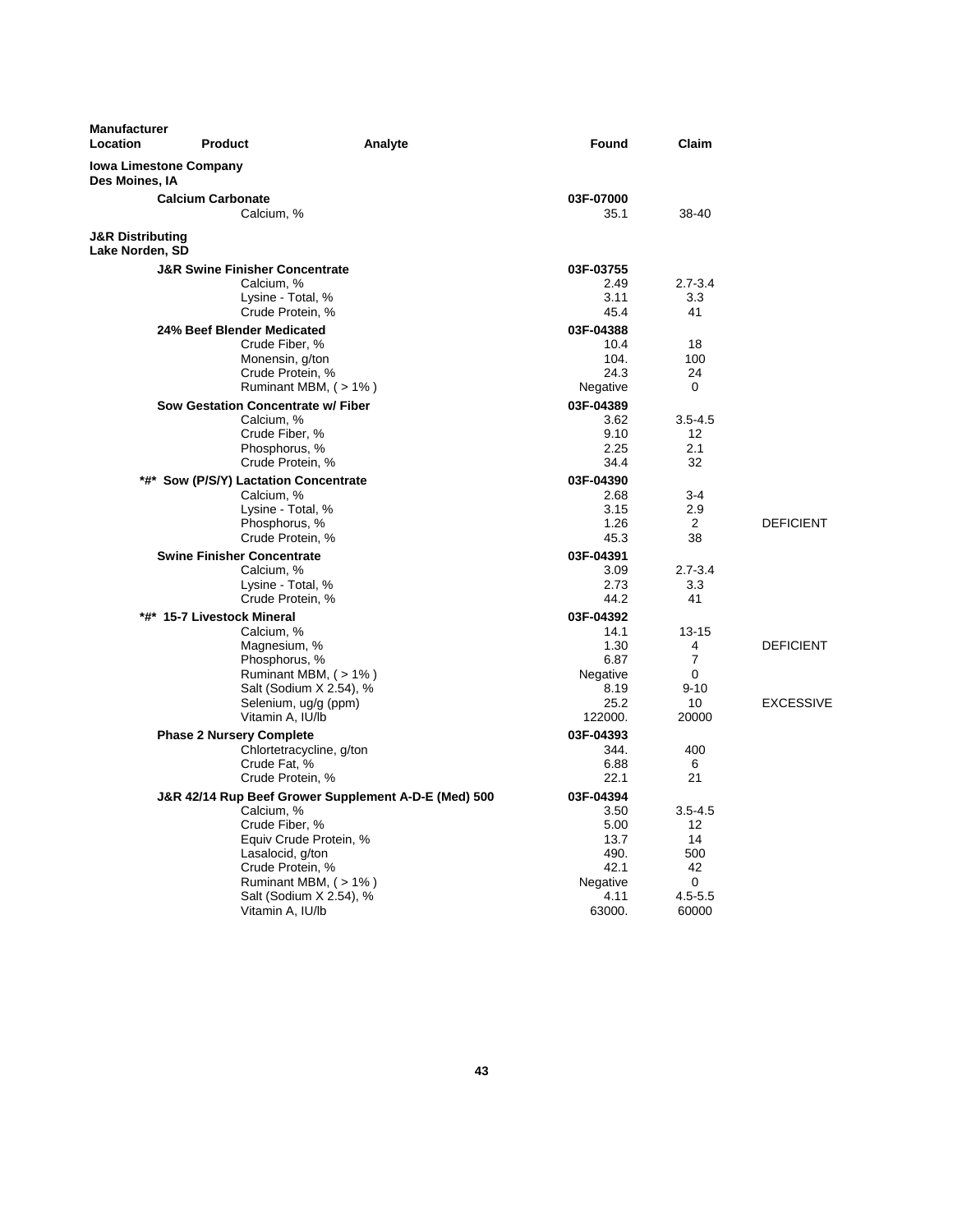| <b>Manufacturer</b><br>Location                 | <b>Product</b>                                                                                                | Analyte                                                                                                                          | Found                                                                           | Claim                                                                          |                                      |
|-------------------------------------------------|---------------------------------------------------------------------------------------------------------------|----------------------------------------------------------------------------------------------------------------------------------|---------------------------------------------------------------------------------|--------------------------------------------------------------------------------|--------------------------------------|
| <b>Iowa Limestone Company</b><br>Des Moines, IA |                                                                                                               |                                                                                                                                  |                                                                                 |                                                                                |                                      |
|                                                 | <b>Calcium Carbonate</b><br>Calcium, %                                                                        |                                                                                                                                  | 03F-07000<br>35.1                                                               | 38-40                                                                          |                                      |
| <b>J&amp;R Distributing</b><br>Lake Norden, SD  |                                                                                                               |                                                                                                                                  |                                                                                 |                                                                                |                                      |
|                                                 | <b>J&amp;R Swine Finisher Concentrate</b><br>Calcium, %<br>Lysine - Total, %<br>Crude Protein, %              |                                                                                                                                  | 03F-03755<br>2.49<br>3.11<br>45.4                                               | $2.7 - 3.4$<br>3.3<br>41                                                       |                                      |
|                                                 | 24% Beef Blender Medicated<br>Crude Fiber, %<br>Monensin, g/ton<br>Crude Protein, %                           | Ruminant MBM, (>1%)                                                                                                              | 03F-04388<br>10.4<br>104.<br>24.3<br>Negative                                   | 18<br>100<br>24<br>0                                                           |                                      |
|                                                 | Sow Gestation Concentrate w/ Fiber<br>Calcium, %<br>Crude Fiber, %<br>Phosphorus, %<br>Crude Protein, %       |                                                                                                                                  | 03F-04389<br>3.62<br>9.10<br>2.25<br>34.4                                       | $3.5 - 4.5$<br>12<br>2.1<br>32                                                 |                                      |
|                                                 | *#* Sow (P/S/Y) Lactation Concentrate<br>Calcium, %<br>Lysine - Total, %<br>Phosphorus, %<br>Crude Protein, % |                                                                                                                                  | 03F-04390<br>2.68<br>3.15<br>1.26<br>45.3                                       | $3-4$<br>2.9<br>$\overline{2}$<br>38                                           | <b>DEFICIENT</b>                     |
|                                                 | <b>Swine Finisher Concentrate</b><br>Calcium, %<br>Lysine - Total, %<br>Crude Protein, %                      |                                                                                                                                  | 03F-04391<br>3.09<br>2.73<br>44.2                                               | $2.7 - 3.4$<br>3.3<br>41                                                       |                                      |
|                                                 | *#* 15-7 Livestock Mineral<br>Calcium, %<br>Magnesium, %<br>Phosphorus, %<br>Vitamin A, IU/lb                 | Ruminant MBM, (> 1%)<br>Salt (Sodium X 2.54), %<br>Selenium, ug/g (ppm)                                                          | 03F-04392<br>14.1<br>1.30<br>6.87<br>Negative<br>8.19<br>25.2<br>122000.        | $13 - 15$<br>4<br>$\overline{7}$<br>0<br>$9 - 10$<br>10<br>20000               | <b>DEFICIENT</b><br><b>EXCESSIVE</b> |
|                                                 | <b>Phase 2 Nursery Complete</b><br>Crude Fat, %<br>Crude Protein, %                                           | Chlortetracycline, g/ton                                                                                                         | 03F-04393<br>344.<br>6.88<br>22.1                                               | 400<br>6<br>21                                                                 |                                      |
|                                                 | Calcium, %<br>Crude Fiber, %<br>Lasalocid, g/ton<br>Crude Protein, %<br>Vitamin A, IU/lb                      | J&R 42/14 Rup Beef Grower Supplement A-D-E (Med) 500<br>Equiv Crude Protein, %<br>Ruminant MBM, (>1%)<br>Salt (Sodium X 2.54), % | 03F-04394<br>3.50<br>5.00<br>13.7<br>490.<br>42.1<br>Negative<br>4.11<br>63000. | $3.5 - 4.5$<br>12 <sup>2</sup><br>14<br>500<br>42<br>0<br>$4.5 - 5.5$<br>60000 |                                      |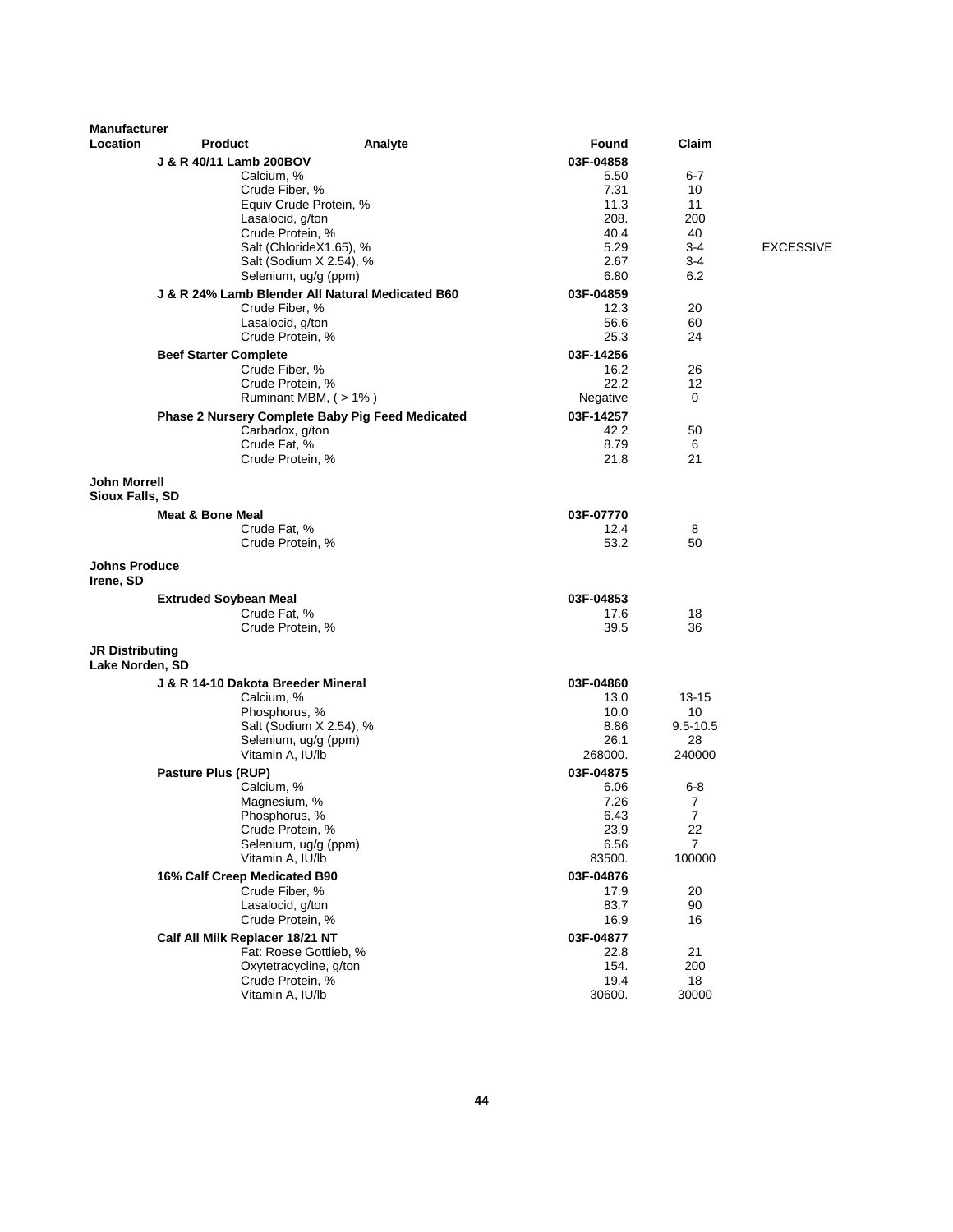| <b>Manufacturer</b>                       |                                    |                                                  |              |                      |                  |
|-------------------------------------------|------------------------------------|--------------------------------------------------|--------------|----------------------|------------------|
| Location                                  | <b>Product</b>                     | Analyte                                          | Found        | Claim                |                  |
|                                           | J & R 40/11 Lamb 200BOV            |                                                  | 03F-04858    |                      |                  |
|                                           | Calcium, %                         |                                                  | 5.50         | 6-7                  |                  |
|                                           | Crude Fiber, %                     |                                                  | 7.31         | 10                   |                  |
|                                           |                                    | Equiv Crude Protein, %                           | 11.3         | 11                   |                  |
|                                           | Lasalocid, g/ton                   |                                                  | 208.         | 200                  |                  |
|                                           | Crude Protein, %                   | Salt (ChlorideX1.65), %                          | 40.4<br>5.29 | 40<br>$3-4$          | <b>EXCESSIVE</b> |
|                                           |                                    | Salt (Sodium X 2.54), %                          | 2.67         | $3 - 4$              |                  |
|                                           |                                    | Selenium, ug/g (ppm)                             | 6.80         | 6.2                  |                  |
|                                           |                                    | J & R 24% Lamb Blender All Natural Medicated B60 | 03F-04859    |                      |                  |
|                                           | Crude Fiber, %                     |                                                  | 12.3         | 20                   |                  |
|                                           | Lasalocid, g/ton                   |                                                  | 56.6         | 60                   |                  |
|                                           | Crude Protein, %                   |                                                  | 25.3         | 24                   |                  |
|                                           | <b>Beef Starter Complete</b>       |                                                  | 03F-14256    |                      |                  |
|                                           | Crude Fiber, %                     |                                                  | 16.2         | 26                   |                  |
|                                           | Crude Protein, %                   |                                                  | 22.2         | 12                   |                  |
|                                           |                                    | Ruminant MBM, $($ > 1% $)$                       | Negative     | 0                    |                  |
|                                           |                                    | Phase 2 Nursery Complete Baby Pig Feed Medicated | 03F-14257    |                      |                  |
|                                           | Carbadox, g/ton                    |                                                  | 42.2         | 50                   |                  |
|                                           | Crude Fat, %                       |                                                  | 8.79         | 6                    |                  |
|                                           | Crude Protein, %                   |                                                  | 21.8         | 21                   |                  |
| <b>John Morrell</b>                       |                                    |                                                  |              |                      |                  |
| <b>Sioux Falls, SD</b>                    |                                    |                                                  |              |                      |                  |
|                                           | <b>Meat &amp; Bone Meal</b>        |                                                  | 03F-07770    |                      |                  |
|                                           | Crude Fat, %                       |                                                  | 12.4         | 8                    |                  |
|                                           | Crude Protein, %                   |                                                  | 53.2         | 50                   |                  |
| <b>Johns Produce</b>                      |                                    |                                                  |              |                      |                  |
| Irene, SD                                 |                                    |                                                  |              |                      |                  |
|                                           | <b>Extruded Soybean Meal</b>       |                                                  | 03F-04853    |                      |                  |
|                                           | Crude Fat, %                       |                                                  | 17.6         | 18                   |                  |
|                                           | Crude Protein, %                   |                                                  | 39.5         | 36                   |                  |
| <b>JR Distributing</b><br>Lake Norden, SD |                                    |                                                  |              |                      |                  |
|                                           | J & R 14-10 Dakota Breeder Mineral |                                                  | 03F-04860    |                      |                  |
|                                           | Calcium, %                         |                                                  | 13.0         | $13 - 15$            |                  |
|                                           | Phosphorus, %                      |                                                  | 10.0         | 10                   |                  |
|                                           |                                    | Salt (Sodium X 2.54), %                          | 8.86         | $9.5 - 10.5$         |                  |
|                                           |                                    | Selenium, ug/g (ppm)                             | 26.1         | 28                   |                  |
|                                           | Vitamin A, IU/lb                   |                                                  | 268000.      | 240000               |                  |
|                                           | Pasture Plus (RUP)                 |                                                  | 03F-04875    |                      |                  |
|                                           | Calcium, %                         |                                                  | 6.06         | $6 - 8$              |                  |
|                                           | Magnesium, %                       |                                                  | 7.26         | 7                    |                  |
|                                           | Phosphorus, %<br>Crude Protein, %  |                                                  | 6.43<br>23.9 | $\overline{7}$<br>22 |                  |
|                                           | Selenium, ug/g (ppm)               |                                                  | 6.56         | $\overline{7}$       |                  |
|                                           | Vitamin A, IU/lb                   |                                                  | 83500.       | 100000               |                  |
|                                           | 16% Calf Creep Medicated B90       |                                                  | 03F-04876    |                      |                  |
|                                           | Crude Fiber, %                     |                                                  | 17.9         | 20                   |                  |
|                                           | Lasalocid, g/ton                   |                                                  | 83.7         | 90                   |                  |
|                                           | Crude Protein, %                   |                                                  | 16.9         | 16                   |                  |
|                                           | Calf All Milk Replacer 18/21 NT    |                                                  | 03F-04877    |                      |                  |
|                                           |                                    | Fat: Roese Gottlieb, %                           | 22.8         | 21                   |                  |
|                                           |                                    | Oxytetracycline, g/ton                           | 154.         | 200                  |                  |
|                                           | Crude Protein, %                   |                                                  | 19.4         | 18                   |                  |
|                                           | Vitamin A, IU/lb                   |                                                  | 30600.       | 30000                |                  |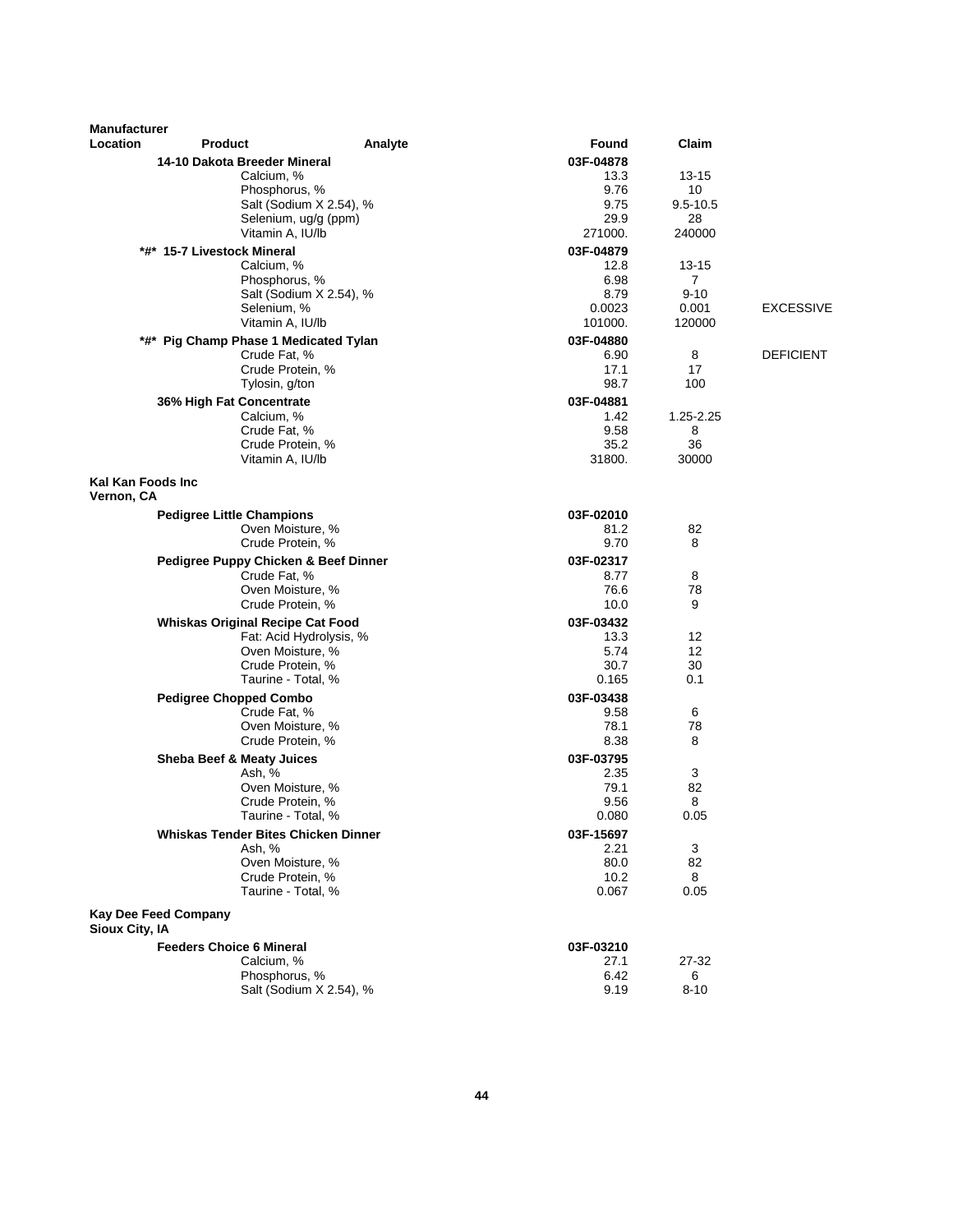| <b>Manufacturer</b>             |                                            |                         |                   |                |                  |
|---------------------------------|--------------------------------------------|-------------------------|-------------------|----------------|------------------|
| Location                        | <b>Product</b>                             | Analyte                 | Found             | Claim          |                  |
|                                 | 14-10 Dakota Breeder Mineral               |                         | 03F-04878         |                |                  |
|                                 | Calcium, %                                 |                         | 13.3              | 13-15          |                  |
|                                 | Phosphorus, %                              |                         | 9.76              | 10             |                  |
|                                 |                                            | Salt (Sodium X 2.54), % | 9.75              | $9.5 - 10.5$   |                  |
|                                 | Vitamin A, IU/lb                           | Selenium, ug/g (ppm)    | 29.9<br>271000.   | 28<br>240000   |                  |
|                                 |                                            |                         |                   |                |                  |
|                                 | *#* 15-7 Livestock Mineral<br>Calcium, %   |                         | 03F-04879<br>12.8 | 13-15          |                  |
|                                 | Phosphorus, %                              |                         | 6.98              | $\overline{7}$ |                  |
|                                 |                                            | Salt (Sodium X 2.54), % | 8.79              | $9 - 10$       |                  |
|                                 | Selenium, %                                |                         | 0.0023            | 0.001          | <b>EXCESSIVE</b> |
|                                 | Vitamin A, IU/lb                           |                         | 101000.           | 120000         |                  |
|                                 | *#* Pig Champ Phase 1 Medicated Tylan      |                         | 03F-04880         |                |                  |
|                                 | Crude Fat, %                               |                         | 6.90              | 8              | <b>DEFICIENT</b> |
|                                 | Crude Protein, %                           |                         | 17.1              | 17             |                  |
|                                 | Tylosin, g/ton                             |                         | 98.7              | 100            |                  |
|                                 | 36% High Fat Concentrate                   |                         | 03F-04881         |                |                  |
|                                 | Calcium, %                                 |                         | 1.42              | 1.25-2.25      |                  |
|                                 | Crude Fat, %                               |                         | 9.58              | 8              |                  |
|                                 | Crude Protein, %<br>Vitamin A, IU/lb       |                         | 35.2<br>31800.    | 36<br>30000    |                  |
|                                 |                                            |                         |                   |                |                  |
| Kal Kan Foods Inc<br>Vernon, CA |                                            |                         |                   |                |                  |
|                                 | <b>Pedigree Little Champions</b>           |                         | 03F-02010         |                |                  |
|                                 | Oven Moisture, %                           |                         | 81.2              | 82             |                  |
|                                 | Crude Protein, %                           |                         | 9.70              | 8              |                  |
|                                 | Pedigree Puppy Chicken & Beef Dinner       |                         | 03F-02317         |                |                  |
|                                 | Crude Fat, %                               |                         | 8.77              | 8              |                  |
|                                 | Oven Moisture, %<br>Crude Protein, %       |                         | 76.6              | 78<br>9        |                  |
|                                 |                                            |                         | 10.0              |                |                  |
|                                 | <b>Whiskas Original Recipe Cat Food</b>    | Fat: Acid Hydrolysis, % | 03F-03432<br>13.3 | 12             |                  |
|                                 | Oven Moisture, %                           |                         | 5.74              | 12             |                  |
|                                 | Crude Protein, %                           |                         | 30.7              | 30             |                  |
|                                 | Taurine - Total, %                         |                         | 0.165             | 0.1            |                  |
|                                 | <b>Pedigree Chopped Combo</b>              |                         | 03F-03438         |                |                  |
|                                 | Crude Fat, %                               |                         | 9.58              | 6              |                  |
|                                 | Oven Moisture, %                           |                         | 78.1              | 78             |                  |
|                                 | Crude Protein, %                           |                         | 8.38              | 8              |                  |
|                                 | Sheba Beef & Meaty Juices                  |                         | 03F-03795         |                |                  |
|                                 | Ash, %                                     |                         | 2.35              | 3              |                  |
|                                 | Oven Moisture, %                           |                         | 79.1<br>9.56      | 82<br>8        |                  |
|                                 | Crude Protein, %<br>Taurine - Total, %     |                         | 0.080             | 0.05           |                  |
|                                 | <b>Whiskas Tender Bites Chicken Dinner</b> |                         | 03F-15697         |                |                  |
|                                 | Ash, %                                     |                         | 2.21              | 3              |                  |
|                                 | Oven Moisture, %                           |                         | 80.0              | 82             |                  |
|                                 | Crude Protein, %                           |                         | 10.2              | 8              |                  |
|                                 | Taurine - Total, %                         |                         | 0.067             | 0.05           |                  |
| Kay Dee Feed Company            |                                            |                         |                   |                |                  |
| <b>Sioux City, IA</b>           |                                            |                         |                   |                |                  |
|                                 | <b>Feeders Choice 6 Mineral</b>            |                         | 03F-03210         |                |                  |
|                                 | Calcium, %<br>Phosphorus, %                |                         | 27.1<br>6.42      | 27-32<br>6     |                  |
|                                 |                                            | Salt (Sodium X 2.54), % | 9.19              | $8 - 10$       |                  |
|                                 |                                            |                         |                   |                |                  |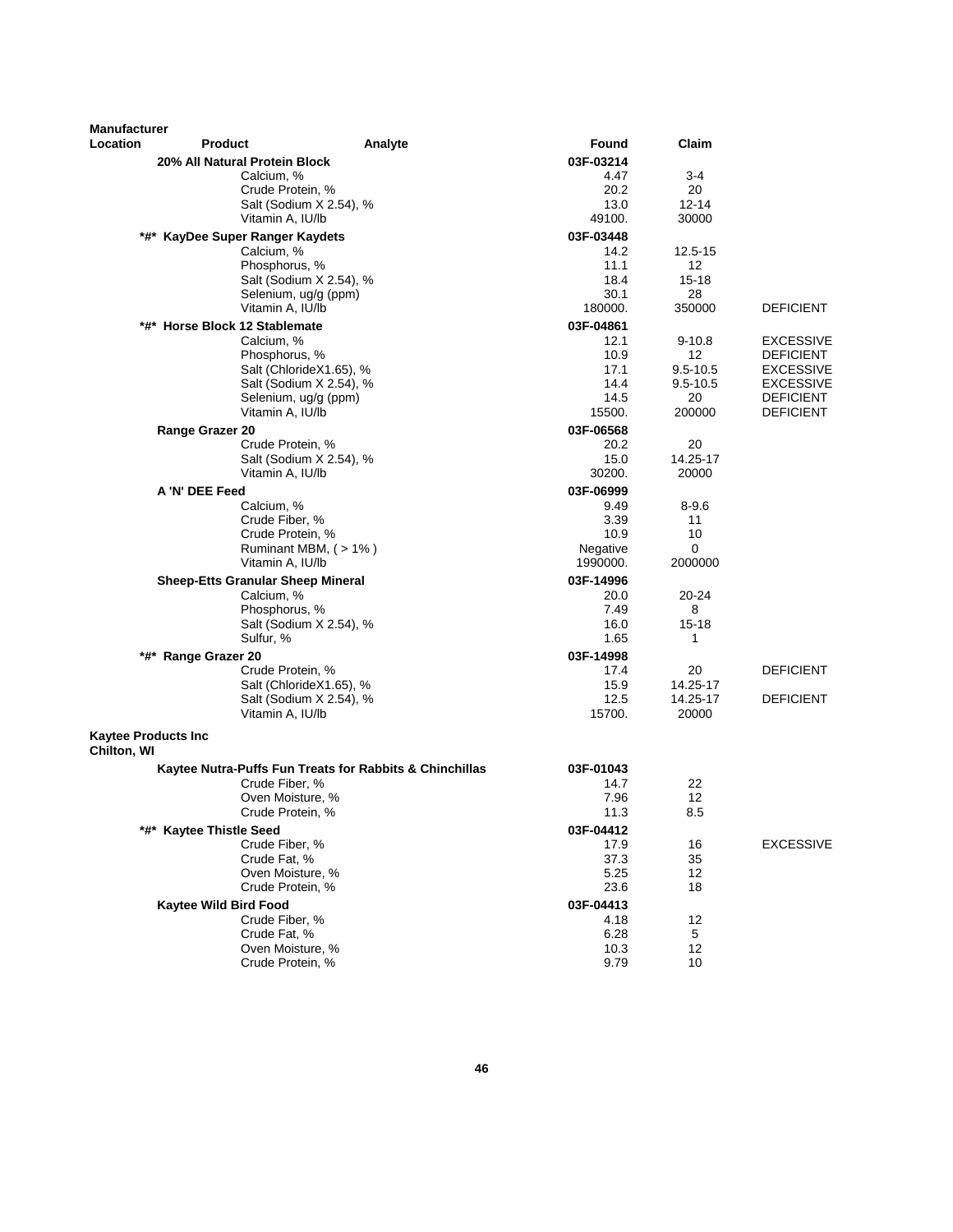| <b>Manufacturer</b><br>Location           | <b>Product</b>                           | Analyte                                                 | Found             | Claim                           |                                      |
|-------------------------------------------|------------------------------------------|---------------------------------------------------------|-------------------|---------------------------------|--------------------------------------|
|                                           | 20% All Natural Protein Block            |                                                         | 03F-03214         |                                 |                                      |
|                                           | Calcium, %                               |                                                         | 4.47              | 3-4                             |                                      |
|                                           | Crude Protein, %                         |                                                         | 20.2              | 20                              |                                      |
|                                           |                                          | Salt (Sodium X 2.54), %                                 | 13.0              | $12 - 14$                       |                                      |
|                                           | Vitamin A, IU/lb                         |                                                         | 49100.            | 30000                           |                                      |
|                                           | *#* KayDee Super Ranger Kaydets          |                                                         | 03F-03448         |                                 |                                      |
|                                           | Calcium, %                               |                                                         | 14.2              | 12.5-15                         |                                      |
|                                           | Phosphorus, %                            |                                                         | 11.1              | 12                              |                                      |
|                                           |                                          | Salt (Sodium X 2.54), %                                 | 18.4              | $15 - 18$                       |                                      |
|                                           | Selenium, ug/g (ppm)                     |                                                         | 30.1              | 28                              |                                      |
|                                           | Vitamin A, IU/lb                         |                                                         | 180000.           | 350000                          | <b>DEFICIENT</b>                     |
|                                           | *#* Horse Block 12 Stablemate            |                                                         | 03F-04861         |                                 |                                      |
|                                           | Calcium, %                               |                                                         | 12.1              | $9 - 10.8$                      | <b>EXCESSIVE</b>                     |
|                                           | Phosphorus, %                            | Salt (ChlorideX1.65), %                                 | 10.9<br>17.1      | 12 <sup>2</sup><br>$9.5 - 10.5$ | <b>DEFICIENT</b><br><b>EXCESSIVE</b> |
|                                           |                                          | Salt (Sodium X 2.54), %                                 | 14.4              | $9.5 - 10.5$                    | <b>EXCESSIVE</b>                     |
|                                           | Selenium, ug/g (ppm)                     |                                                         | 14.5              | 20                              | <b>DEFICIENT</b>                     |
|                                           | Vitamin A, IU/lb                         |                                                         | 15500.            | 200000                          | <b>DEFICIENT</b>                     |
|                                           | Range Grazer 20                          |                                                         | 03F-06568         |                                 |                                      |
|                                           | Crude Protein, %                         |                                                         | 20.2              | 20                              |                                      |
|                                           |                                          | Salt (Sodium X 2.54), %                                 | 15.0              | 14.25-17                        |                                      |
|                                           | Vitamin A, IU/lb                         |                                                         | 30200.            | 20000                           |                                      |
|                                           | A 'N' DEE Feed                           |                                                         | 03F-06999         |                                 |                                      |
|                                           | Calcium, %                               |                                                         | 9.49              | $8 - 9.6$                       |                                      |
|                                           | Crude Fiber, %                           |                                                         | 3.39              | 11                              |                                      |
|                                           | Crude Protein, %                         |                                                         | 10.9              | 10                              |                                      |
|                                           |                                          | Ruminant MBM, (>1%)                                     | Negative          | 0                               |                                      |
|                                           | Vitamin A, IU/lb                         |                                                         | 1990000.          | 2000000                         |                                      |
|                                           | <b>Sheep-Etts Granular Sheep Mineral</b> |                                                         | 03F-14996         |                                 |                                      |
|                                           | Calcium, %                               |                                                         | 20.0              | 20-24                           |                                      |
|                                           | Phosphorus, %                            |                                                         | 7.49              | 8                               |                                      |
|                                           | Sulfur, %                                | Salt (Sodium X 2.54), %                                 | 16.0<br>1.65      | $15 - 18$<br>1                  |                                      |
|                                           |                                          |                                                         |                   |                                 |                                      |
|                                           | *#* Range Grazer 20                      |                                                         | 03F-14998<br>17.4 | 20                              | <b>DEFICIENT</b>                     |
|                                           | Crude Protein, %                         | Salt (ChlorideX1.65), %                                 | 15.9              | 14.25-17                        |                                      |
|                                           |                                          | Salt (Sodium X 2.54), %                                 | 12.5              | 14.25-17                        | <b>DEFICIENT</b>                     |
|                                           | Vitamin A, IU/lb                         |                                                         | 15700.            | 20000                           |                                      |
| <b>Kaytee Products Inc</b><br>Chilton, WI |                                          |                                                         |                   |                                 |                                      |
|                                           |                                          |                                                         |                   |                                 |                                      |
|                                           | Crude Fiber, %                           | Kaytee Nutra-Puffs Fun Treats for Rabbits & Chinchillas | 03F-01043<br>14.7 | 22                              |                                      |
|                                           | Oven Moisture, %                         |                                                         | 7.96              | 12                              |                                      |
|                                           | Crude Protein, %                         |                                                         | 11.3              | 8.5                             |                                      |
|                                           | *#* Kaytee Thistle Seed                  |                                                         | 03F-04412         |                                 |                                      |
|                                           | Crude Fiber, %                           |                                                         | 17.9              | 16                              | <b>EXCESSIVE</b>                     |
|                                           | Crude Fat, %                             |                                                         | 37.3              | 35                              |                                      |
|                                           | Oven Moisture, %                         |                                                         | 5.25              | 12                              |                                      |
|                                           | Crude Protein, %                         |                                                         | 23.6              | 18                              |                                      |
|                                           | Kaytee Wild Bird Food                    |                                                         | 03F-04413         |                                 |                                      |
|                                           | Crude Fiber, %                           |                                                         | 4.18              | 12                              |                                      |
|                                           | Crude Fat, %                             |                                                         | 6.28              | 5                               |                                      |
|                                           | Oven Moisture, %                         |                                                         | 10.3              | 12                              |                                      |
|                                           | Crude Protein, %                         |                                                         | 9.79              | 10                              |                                      |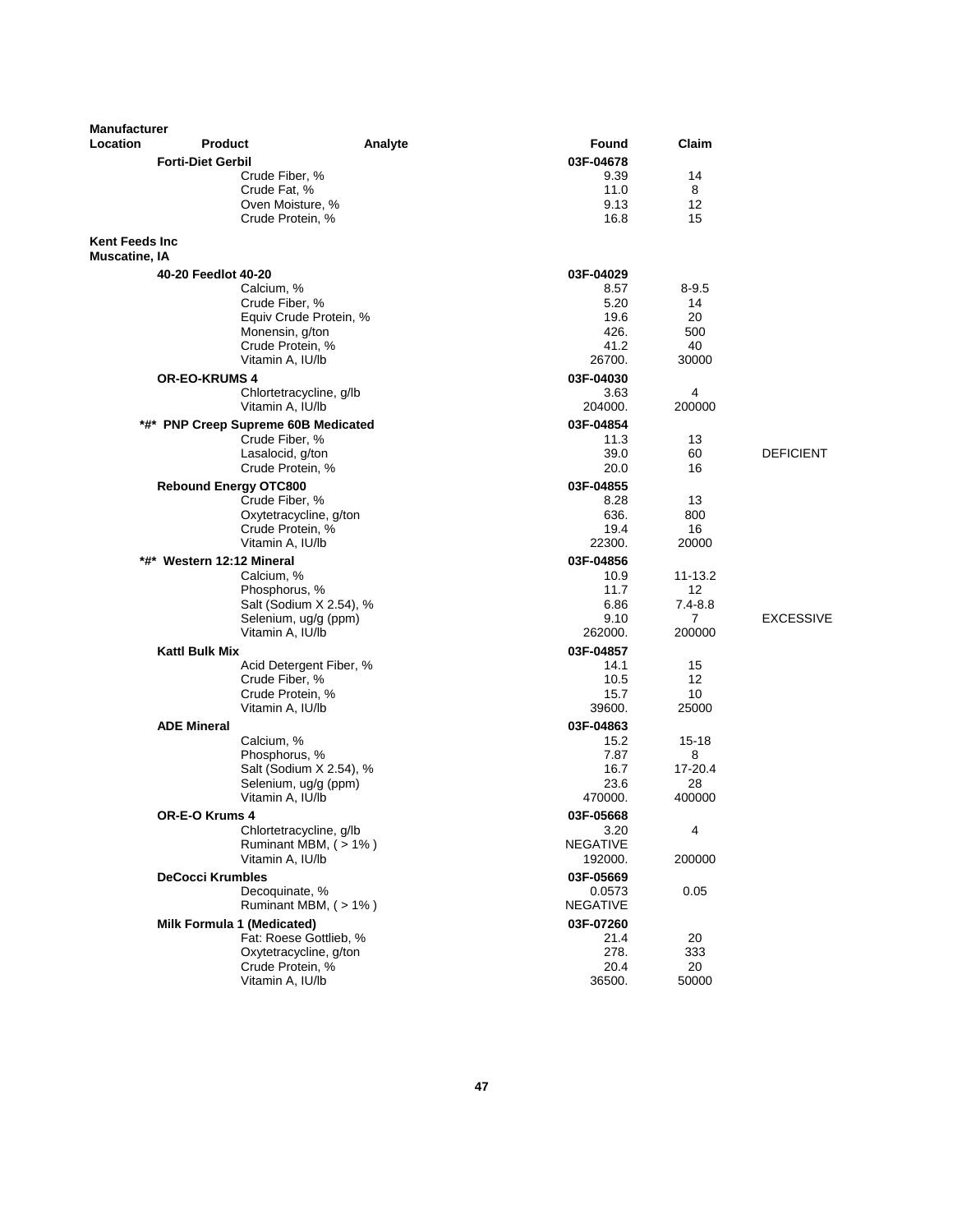| <b>Manufacturer</b>                            |                                     |                                            |                           |                |                  |
|------------------------------------------------|-------------------------------------|--------------------------------------------|---------------------------|----------------|------------------|
| Location                                       | <b>Product</b>                      | Analyte                                    | Found                     | Claim          |                  |
|                                                | <b>Forti-Diet Gerbil</b>            |                                            | 03F-04678                 |                |                  |
|                                                |                                     | Crude Fiber, %                             | 9.39                      | 14             |                  |
|                                                | Crude Fat, %                        |                                            | 11.0                      | 8              |                  |
|                                                |                                     | Oven Moisture, %                           | 9.13                      | 12             |                  |
|                                                |                                     | Crude Protein, %                           | 16.8                      | 15             |                  |
| <b>Kent Feeds Inc.</b><br><b>Muscatine, IA</b> |                                     |                                            |                           |                |                  |
|                                                | 40-20 Feedlot 40-20                 |                                            | 03F-04029                 |                |                  |
|                                                | Calcium, %                          |                                            | 8.57                      | $8 - 9.5$      |                  |
|                                                |                                     | Crude Fiber, %                             | 5.20                      | 14             |                  |
|                                                |                                     | Equiv Crude Protein, %<br>Monensin, g/ton  | 19.6<br>426.              | 20<br>500      |                  |
|                                                |                                     | Crude Protein, %                           | 41.2                      | 40             |                  |
|                                                |                                     | Vitamin A, IU/lb                           | 26700.                    | 30000          |                  |
|                                                | <b>OR-EO-KRUMS 4</b>                |                                            | 03F-04030                 |                |                  |
|                                                |                                     | Chlortetracycline, g/lb                    | 3.63                      | 4              |                  |
|                                                |                                     | Vitamin A, IU/lb                           | 204000.                   | 200000         |                  |
|                                                | *#* PNP Creep Supreme 60B Medicated |                                            | 03F-04854                 |                |                  |
|                                                |                                     | Crude Fiber, %                             | 11.3                      | 13             |                  |
|                                                |                                     | Lasalocid, g/ton                           | 39.0                      | 60             | <b>DEFICIENT</b> |
|                                                |                                     | Crude Protein, %                           | 20.0                      | 16             |                  |
|                                                | <b>Rebound Energy OTC800</b>        |                                            | 03F-04855                 |                |                  |
|                                                |                                     | Crude Fiber, %                             | 8.28                      | 13             |                  |
|                                                |                                     | Oxytetracycline, g/ton<br>Crude Protein, % | 636.<br>19.4              | 800<br>16      |                  |
|                                                |                                     | Vitamin A, IU/lb                           | 22300.                    | 20000          |                  |
|                                                | *#* Western 12:12 Mineral           |                                            | 03F-04856                 |                |                  |
|                                                | Calcium, %                          |                                            | 10.9                      | 11-13.2        |                  |
|                                                |                                     | Phosphorus, %                              | 11.7                      | 12             |                  |
|                                                |                                     | Salt (Sodium X 2.54), %                    | 6.86                      | $7.4 - 8.8$    |                  |
|                                                |                                     | Selenium, ug/g (ppm)                       | 9.10                      | $\overline{7}$ | <b>EXCESSIVE</b> |
|                                                |                                     | Vitamin A, IU/lb                           | 262000.                   | 200000         |                  |
|                                                | <b>Kattl Bulk Mix</b>               |                                            | 03F-04857                 |                |                  |
|                                                |                                     | Acid Detergent Fiber, %                    | 14.1                      | 15             |                  |
|                                                |                                     | Crude Fiber, %<br>Crude Protein, %         | 10.5<br>15.7              | 12<br>10       |                  |
|                                                |                                     | Vitamin A, IU/lb                           | 39600.                    | 25000          |                  |
|                                                | <b>ADE Mineral</b>                  |                                            | 03F-04863                 |                |                  |
|                                                | Calcium, %                          |                                            | 15.2                      | $15 - 18$      |                  |
|                                                |                                     | Phosphorus, %                              | 7.87                      | 8              |                  |
|                                                |                                     | Salt (Sodium X 2.54), %                    | 16.7                      | 17-20.4        |                  |
|                                                |                                     | Selenium, ug/g (ppm)                       | 23.6                      | 28             |                  |
|                                                |                                     | Vitamin A, IU/lb                           | 470000.                   | 400000         |                  |
|                                                | OR-E-O Krums 4                      |                                            | 03F-05668                 |                |                  |
|                                                |                                     | Chlortetracycline, g/lb                    | 3.20                      | 4              |                  |
|                                                |                                     | Ruminant MBM, (>1%)                        | <b>NEGATIVE</b>           | 200000         |                  |
|                                                |                                     | Vitamin A, IU/lb                           | 192000.                   |                |                  |
|                                                | <b>DeCocci Krumbles</b>             |                                            | 03F-05669                 |                |                  |
|                                                |                                     | Decoquinate, %<br>Ruminant MBM, (>1%)      | 0.0573<br><b>NEGATIVE</b> | 0.05           |                  |
|                                                | Milk Formula 1 (Medicated)          |                                            | 03F-07260                 |                |                  |
|                                                |                                     | Fat: Roese Gottlieb, %                     | 21.4                      | 20             |                  |
|                                                |                                     | Oxytetracycline, g/ton                     | 278.                      | 333            |                  |
|                                                |                                     | Crude Protein, %                           | 20.4                      | 20             |                  |
|                                                |                                     | Vitamin A, IU/lb                           | 36500.                    | 50000          |                  |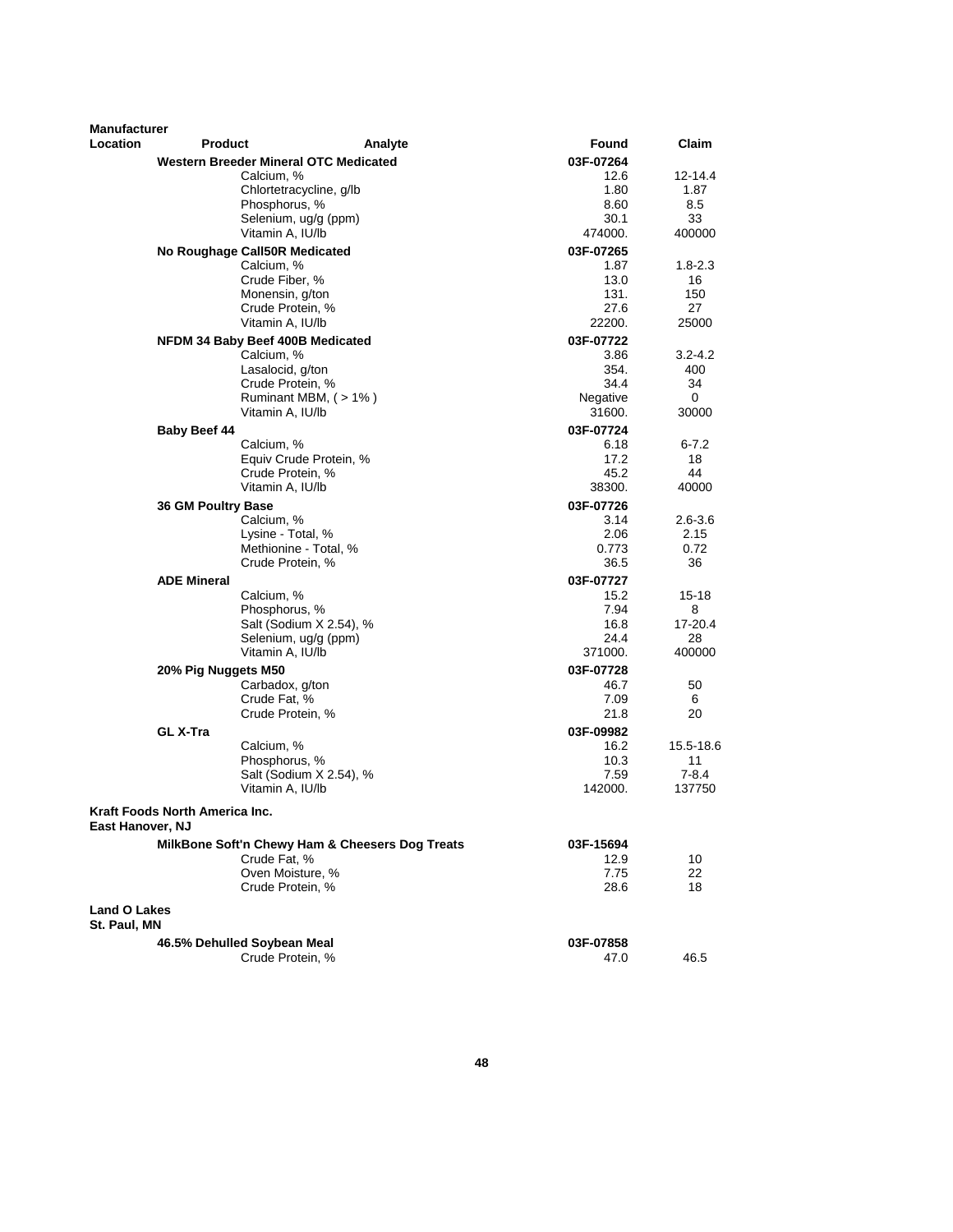| <b>Manufacturer</b> |                                |                                                 |         |                   |              |
|---------------------|--------------------------------|-------------------------------------------------|---------|-------------------|--------------|
| <b>Location</b>     | <b>Product</b>                 |                                                 | Analyte | Found             | Claim        |
|                     |                                | Western Breeder Mineral OTC Medicated           |         | 03F-07264         |              |
|                     |                                | Calcium, %                                      |         | 12.6              | 12-14.4      |
|                     |                                | Chlortetracycline, g/lb                         |         | 1.80              | 1.87         |
|                     |                                | Phosphorus, %<br>Selenium, ug/g (ppm)           |         | 8.60<br>30.1      | 8.5<br>33    |
|                     |                                | Vitamin A, IU/lb                                |         | 474000.           | 400000       |
|                     |                                | No Roughage Call50R Medicated                   |         | 03F-07265         |              |
|                     |                                | Calcium, %                                      |         | 1.87              | $1.8 - 2.3$  |
|                     |                                | Crude Fiber, %                                  |         | 13.0              | 16           |
|                     |                                | Monensin, g/ton                                 |         | 131.              | 150          |
|                     |                                | Crude Protein, %                                |         | 27.6              | 27           |
|                     |                                | Vitamin A. IU/lb                                |         | 22200.            | 25000        |
|                     |                                | NFDM 34 Baby Beef 400B Medicated                |         | 03F-07722         |              |
|                     |                                | Calcium, %                                      |         | 3.86              | $3.2 - 4.2$  |
|                     |                                | Lasalocid, g/ton                                |         | 354.              | 400          |
|                     |                                | Crude Protein, %                                |         | 34.4              | 34           |
|                     |                                | Ruminant MBM, $($ > 1% $)$                      |         | Negative          | 0            |
|                     |                                | Vitamin A, IU/lb                                |         | 31600.            | 30000        |
|                     | <b>Baby Beef 44</b>            |                                                 |         | 03F-07724         |              |
|                     |                                | Calcium, %                                      |         | 6.18              | 6-7.2        |
|                     |                                | Equiv Crude Protein, %                          |         | 17.2              | 18           |
|                     |                                | Crude Protein, %                                |         | 45.2              | 44           |
|                     |                                | Vitamin A, IU/lb                                |         | 38300.            | 40000        |
|                     | 36 GM Poultry Base             |                                                 |         | 03F-07726         |              |
|                     |                                | Calcium, %                                      |         | 3.14              | $2.6 - 3.6$  |
|                     |                                | Lysine - Total, %                               |         | 2.06              | 2.15         |
|                     |                                | Methionine - Total, %                           |         | 0.773             | 0.72         |
|                     |                                | Crude Protein, %                                |         | 36.5              | 36           |
|                     | <b>ADE Mineral</b>             |                                                 |         | 03F-07727         |              |
|                     |                                | Calcium, %                                      |         | 15.2              | 15-18        |
|                     |                                | Phosphorus, %                                   |         | 7.94              | 8            |
|                     |                                | Salt (Sodium X 2.54), %                         |         | 16.8              | 17-20.4      |
|                     |                                | Selenium, ug/g (ppm)<br>Vitamin A, IU/lb        |         | 24.4<br>371000.   | 28<br>400000 |
|                     |                                |                                                 |         |                   |              |
|                     | 20% Pig Nuggets M50            |                                                 |         | 03F-07728         |              |
|                     |                                | Carbadox, g/ton<br>Crude Fat, %                 |         | 46.7<br>7.09      | 50<br>6      |
|                     |                                | Crude Protein, %                                |         | 21.8              | 20           |
|                     |                                |                                                 |         |                   |              |
|                     | <b>GL X-Tra</b>                | Calcium, %                                      |         | 03F-09982<br>16.2 | 15.5-18.6    |
|                     |                                | Phosphorus, %                                   |         | 10.3              | 11           |
|                     |                                | Salt (Sodium X 2.54), %                         |         | 7.59              | $7 - 8.4$    |
|                     |                                | Vitamin A, IU/lb                                |         | 142000.           | 137750       |
|                     |                                |                                                 |         |                   |              |
| East Hanover, NJ    | Kraft Foods North America Inc. |                                                 |         |                   |              |
|                     |                                | MilkBone Soft'n Chewy Ham & Cheesers Dog Treats |         | 03F-15694         |              |
|                     |                                | Crude Fat, %                                    |         | 12.9              | 10           |
|                     |                                | Oven Moisture, %                                |         | 7.75              | 22           |
|                     |                                | Crude Protein, %                                |         | 28.6              | 18           |
| <b>Land O Lakes</b> |                                |                                                 |         |                   |              |
| St. Paul, MN        |                                |                                                 |         |                   |              |
|                     | 46.5% Dehulled Soybean Meal    |                                                 |         | 03F-07858         |              |
|                     |                                | Crude Protein, %                                |         | 47.0              | 46.5         |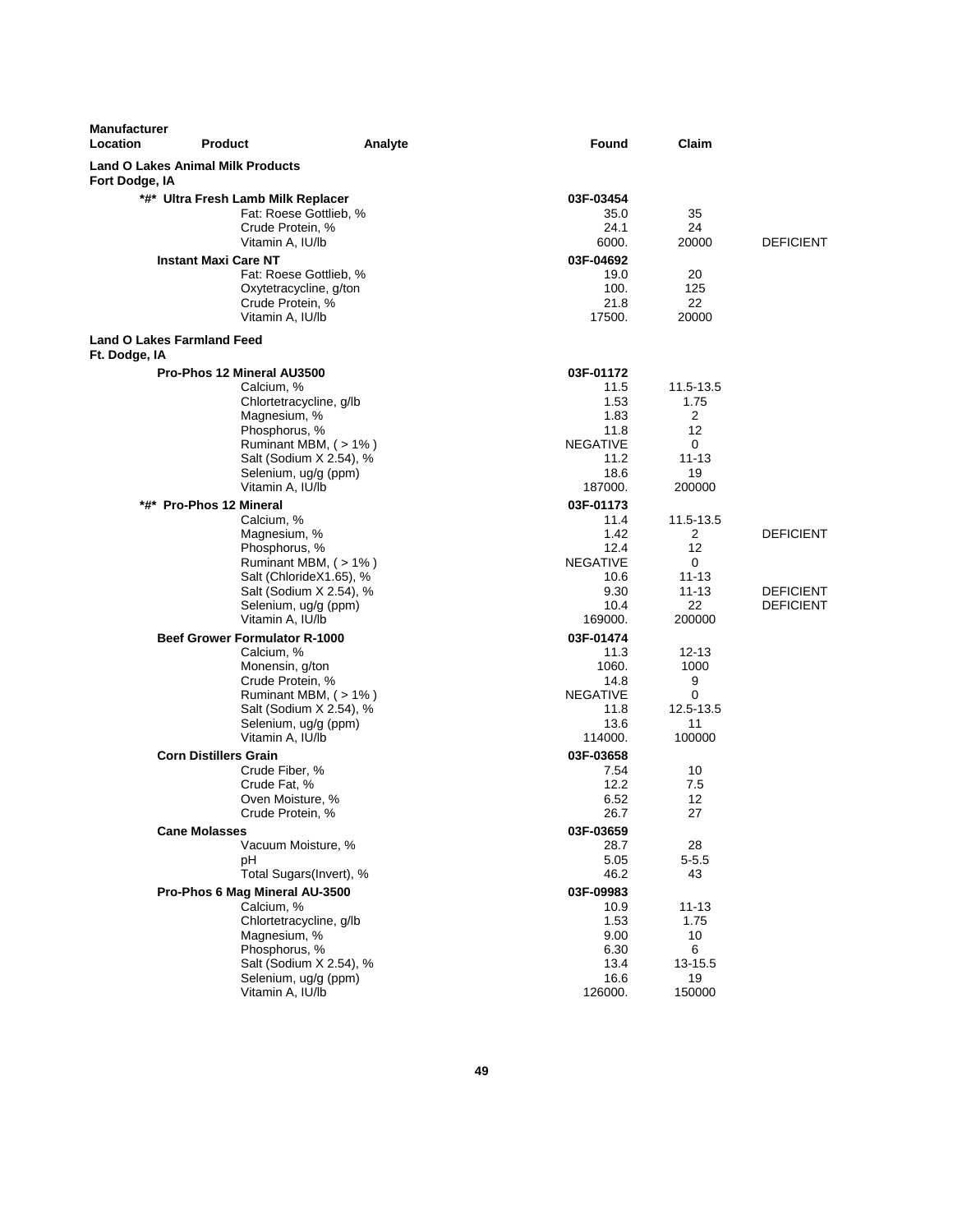| <b>Manufacturer</b><br>Location                    | <b>Product</b>                           | Analyte                                        | Found                   | Claim          |                  |
|----------------------------------------------------|------------------------------------------|------------------------------------------------|-------------------------|----------------|------------------|
| Fort Dodge, IA                                     | <b>Land O Lakes Animal Milk Products</b> |                                                |                         |                |                  |
|                                                    | *#* Ultra Fresh Lamb Milk Replacer       |                                                | 03F-03454               |                |                  |
|                                                    |                                          | Fat: Roese Gottlieb, %                         | 35.0                    | 35             |                  |
|                                                    | Crude Protein, %                         |                                                | 24.1                    | 24             |                  |
|                                                    | Vitamin A, IU/lb                         |                                                | 6000.                   | 20000          | <b>DEFICIENT</b> |
|                                                    | <b>Instant Maxi Care NT</b>              |                                                | 03F-04692               |                |                  |
|                                                    |                                          | Fat: Roese Gottlieb, %                         | 19.0                    | 20             |                  |
|                                                    |                                          | Oxytetracycline, g/ton                         | 100.                    | 125            |                  |
|                                                    | Crude Protein, %                         |                                                | 21.8                    | 22             |                  |
|                                                    | Vitamin A, IU/lb                         |                                                | 17500.                  | 20000          |                  |
| <b>Land O Lakes Farmland Feed</b><br>Ft. Dodge, IA |                                          |                                                |                         |                |                  |
|                                                    | Pro-Phos 12 Mineral AU3500               |                                                | 03F-01172               |                |                  |
|                                                    | Calcium, %                               |                                                | 11.5                    | 11.5-13.5      |                  |
|                                                    |                                          | Chlortetracycline, g/lb                        | 1.53                    | 1.75           |                  |
|                                                    | Magnesium, %                             |                                                | 1.83                    | 2              |                  |
|                                                    | Phosphorus, %                            |                                                | 11.8                    | 12             |                  |
|                                                    |                                          | Ruminant MBM, (>1%)                            | <b>NEGATIVE</b>         | 0              |                  |
|                                                    |                                          | Salt (Sodium X 2.54), %                        | 11.2                    | $11 - 13$      |                  |
|                                                    |                                          | Selenium, ug/g (ppm)                           | 18.6                    | 19             |                  |
|                                                    | Vitamin A, IU/lb                         |                                                | 187000.                 | 200000         |                  |
|                                                    | *#* Pro-Phos 12 Mineral                  |                                                | 03F-01173               |                |                  |
|                                                    | Calcium, %                               |                                                | 11.4                    | 11.5-13.5      |                  |
|                                                    | Magnesium, %<br>Phosphorus, %            |                                                | 1.42<br>12.4            | 2<br>12        | <b>DEFICIENT</b> |
|                                                    |                                          | Ruminant MBM, (>1%)                            | <b>NEGATIVE</b>         | 0              |                  |
|                                                    |                                          | Salt (ChlorideX1.65), %                        | 10.6                    | 11-13          |                  |
|                                                    |                                          | Salt (Sodium X 2.54), %                        | 9.30                    | $11 - 13$      | <b>DEFICIENT</b> |
|                                                    |                                          | Selenium, ug/g (ppm)                           | 10.4                    | 22             | <b>DEFICIENT</b> |
|                                                    | Vitamin A, IU/lb                         |                                                | 169000.                 | 200000         |                  |
|                                                    | <b>Beef Grower Formulator R-1000</b>     |                                                | 03F-01474               |                |                  |
|                                                    | Calcium, %                               |                                                | 11.3                    | 12-13          |                  |
|                                                    | Monensin, g/ton                          |                                                | 1060.                   | 1000           |                  |
|                                                    | Crude Protein, %                         |                                                | 14.8                    | 9              |                  |
|                                                    |                                          | Ruminant MBM, (>1%)<br>Salt (Sodium X 2.54), % | <b>NEGATIVE</b><br>11.8 | 0<br>12.5-13.5 |                  |
|                                                    |                                          | Selenium, ug/g (ppm)                           | 13.6                    | 11             |                  |
|                                                    | Vitamin A, IU/lb                         |                                                | 114000.                 | 100000         |                  |
|                                                    | <b>Corn Distillers Grain</b>             |                                                | 03F-03658               |                |                  |
|                                                    | Crude Fiber, %                           |                                                | 7.54                    | 10             |                  |
|                                                    | Crude Fat, %                             |                                                | 12.2                    | 7.5            |                  |
|                                                    | Oven Moisture, %                         |                                                | 6.52                    | 12             |                  |
|                                                    | Crude Protein, %                         |                                                | 26.7                    | 27             |                  |
|                                                    | <b>Cane Molasses</b>                     |                                                | 03F-03659               |                |                  |
|                                                    |                                          | Vacuum Moisture, %                             | 28.7                    | 28             |                  |
|                                                    | рH                                       |                                                | 5.05                    | $5 - 5.5$      |                  |
|                                                    |                                          | Total Sugars(Invert), %                        | 46.2                    | 43             |                  |
|                                                    | Pro-Phos 6 Mag Mineral AU-3500           |                                                | 03F-09983               |                |                  |
|                                                    | Calcium, %                               |                                                | 10.9                    | $11 - 13$      |                  |
|                                                    | Magnesium, %                             | Chlortetracycline, g/lb                        | 1.53<br>9.00            | 1.75<br>10     |                  |
|                                                    | Phosphorus, %                            |                                                | 6.30                    | 6              |                  |
|                                                    |                                          | Salt (Sodium X 2.54), %                        | 13.4                    | 13-15.5        |                  |
|                                                    |                                          | Selenium, ug/g (ppm)                           | 16.6                    | 19             |                  |
|                                                    | Vitamin A, IU/lb                         |                                                | 126000.                 | 150000         |                  |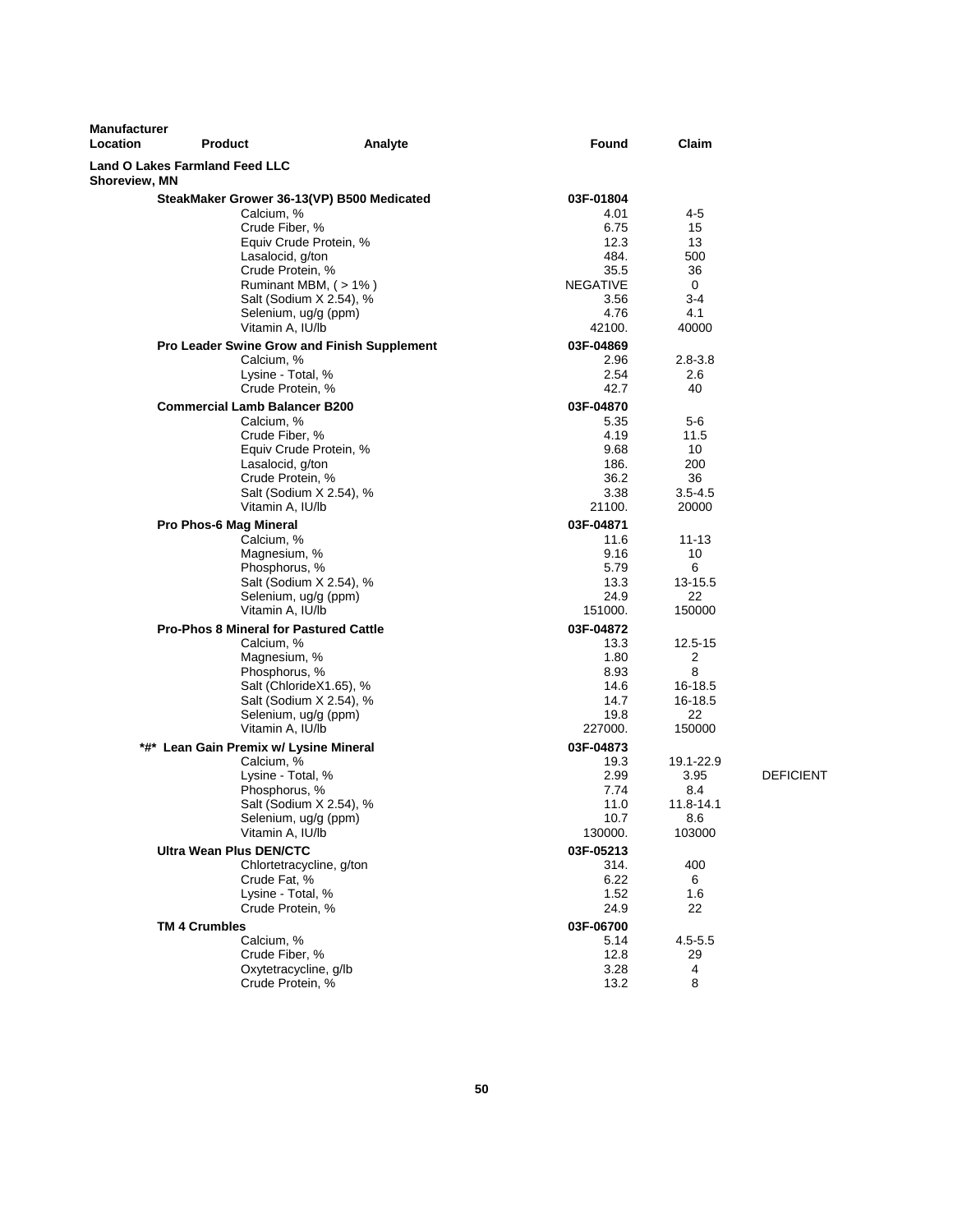| <b>Manufacturer</b><br>Location | <b>Product</b>                                                                                                                                                                                                                                                                                                             | Analyte                                                                  | Found                                                                                                                                                    | Claim                                                                                           |                  |
|---------------------------------|----------------------------------------------------------------------------------------------------------------------------------------------------------------------------------------------------------------------------------------------------------------------------------------------------------------------------|--------------------------------------------------------------------------|----------------------------------------------------------------------------------------------------------------------------------------------------------|-------------------------------------------------------------------------------------------------|------------------|
| Shoreview, MN                   | <b>Land O Lakes Farmland Feed LLC</b>                                                                                                                                                                                                                                                                                      |                                                                          |                                                                                                                                                          |                                                                                                 |                  |
|                                 | SteakMaker Grower 36-13(VP) B500 Medicated<br>Calcium, %<br>Crude Fiber, %<br>Lasalocid, g/ton<br>Crude Protein, %<br>Selenium, ug/g (ppm)<br>Vitamin A, IU/lb<br>Pro Leader Swine Grow and Finish Supplement<br>Calcium, %<br>Lysine - Total, %<br>Crude Protein, %<br><b>Commercial Lamb Balancer B200</b><br>Calcium, % | Equiv Crude Protein, %<br>Ruminant MBM, (>1%)<br>Salt (Sodium X 2.54), % | 03F-01804<br>4.01<br>6.75<br>12.3<br>484.<br>35.5<br><b>NEGATIVE</b><br>3.56<br>4.76<br>42100.<br>03F-04869<br>2.96<br>2.54<br>42.7<br>03F-04870<br>5.35 | 4-5<br>15<br>13<br>500<br>36<br>0<br>$3-4$<br>4.1<br>40000<br>$2.8 - 3.8$<br>2.6<br>40<br>$5-6$ |                  |
|                                 | Crude Fiber, %<br>Lasalocid, g/ton<br>Crude Protein, %<br>Vitamin A, IU/lb                                                                                                                                                                                                                                                 | Equiv Crude Protein, %<br>Salt (Sodium X 2.54), %                        | 4.19<br>9.68<br>186.<br>36.2<br>3.38<br>21100.                                                                                                           | 11.5<br>10<br>200<br>36<br>$3.5 - 4.5$<br>20000                                                 |                  |
|                                 | Pro Phos-6 Mag Mineral<br>Calcium, %<br>Magnesium, %<br>Phosphorus, %<br>Selenium, ug/g (ppm)<br>Vitamin A, IU/lb                                                                                                                                                                                                          | Salt (Sodium X 2.54), %                                                  | 03F-04871<br>11.6<br>9.16<br>5.79<br>13.3<br>24.9<br>151000.                                                                                             | $11 - 13$<br>10<br>6<br>13-15.5<br>22<br>150000                                                 |                  |
|                                 | <b>Pro-Phos 8 Mineral for Pastured Cattle</b><br>Calcium, %<br>Magnesium, %<br>Phosphorus, %<br>Selenium, ug/g (ppm)<br>Vitamin A, IU/lb                                                                                                                                                                                   | Salt (ChlorideX1.65), %<br>Salt (Sodium X 2.54), %                       | 03F-04872<br>13.3<br>1.80<br>8.93<br>14.6<br>14.7<br>19.8<br>227000.                                                                                     | 12.5-15<br>$\overline{2}$<br>8<br>16-18.5<br>16-18.5<br>22<br>150000                            |                  |
|                                 | *#* Lean Gain Premix w/ Lysine Mineral<br>Calcium, %<br>Lysine - Total, %<br>Phosphorus, %<br>Selenium, ug/g (ppm)<br>Vitamin A, IU/lb                                                                                                                                                                                     | Salt (Sodium X 2.54), %                                                  | 03F-04873<br>19.3<br>2.99<br>7.74<br>11.0<br>10.7<br>130000.                                                                                             | 19.1-22.9<br>3.95<br>8.4<br>11.8-14.1<br>8.6<br>103000                                          | <b>DEFICIENT</b> |
|                                 | <b>Ultra Wean Plus DEN/CTC</b><br>Crude Fat, %<br>Lysine - Total, %<br>Crude Protein, %                                                                                                                                                                                                                                    | Chlortetracycline, g/ton                                                 | 03F-05213<br>314.<br>6.22<br>1.52<br>24.9                                                                                                                | 400<br>6<br>1.6<br>22                                                                           |                  |
|                                 | <b>TM 4 Crumbles</b><br>Calcium, %<br>Crude Fiber, %<br>Oxytetracycline, g/lb<br>Crude Protein, %                                                                                                                                                                                                                          |                                                                          | 03F-06700<br>5.14<br>12.8<br>3.28<br>13.2                                                                                                                | $4.5 - 5.5$<br>29<br>4<br>8                                                                     |                  |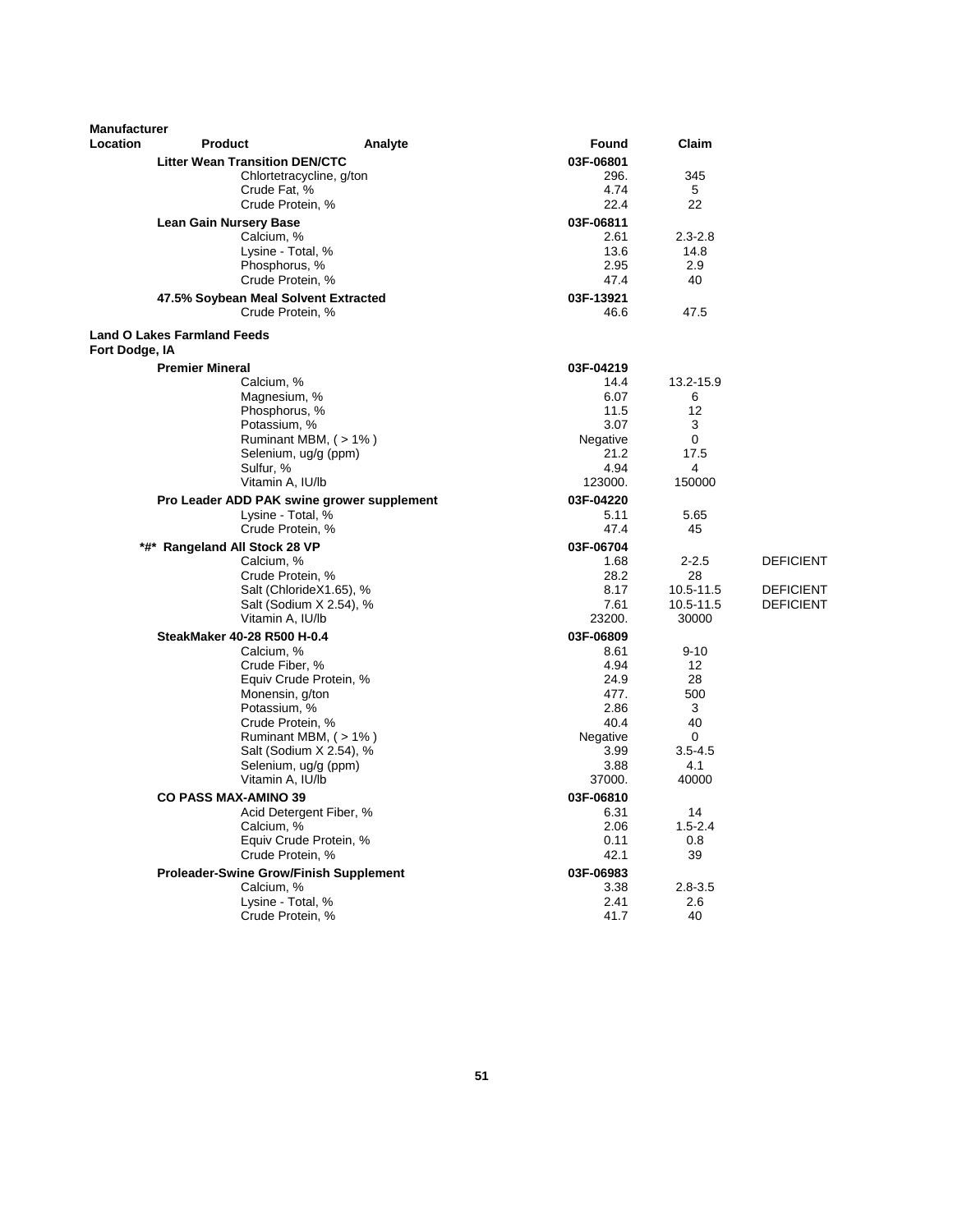| <b>Manufacturer</b> |                                               |                                             |                |              |                  |
|---------------------|-----------------------------------------------|---------------------------------------------|----------------|--------------|------------------|
| Location            | <b>Product</b>                                | Analyte                                     | Found          | Claim        |                  |
|                     | <b>Litter Wean Transition DEN/CTC</b>         |                                             | 03F-06801      |              |                  |
|                     |                                               | Chlortetracycline, g/ton                    | 296.           | 345          |                  |
|                     | Crude Fat, %<br>Crude Protein, %              |                                             | 4.74<br>22.4   | 5<br>22      |                  |
|                     |                                               |                                             | 03F-06811      |              |                  |
|                     | <b>Lean Gain Nursery Base</b><br>Calcium, %   |                                             | 2.61           | $2.3 - 2.8$  |                  |
|                     | Lysine - Total, %                             |                                             | 13.6           | 14.8         |                  |
|                     | Phosphorus, %                                 |                                             | 2.95           | 2.9          |                  |
|                     | Crude Protein, %                              |                                             | 47.4           | 40           |                  |
|                     | 47.5% Soybean Meal Solvent Extracted          |                                             | 03F-13921      |              |                  |
|                     | Crude Protein, %                              |                                             | 46.6           | 47.5         |                  |
| Fort Dodge, IA      | <b>Land O Lakes Farmland Feeds</b>            |                                             |                |              |                  |
|                     | <b>Premier Mineral</b>                        |                                             | 03F-04219      |              |                  |
|                     | Calcium, %                                    |                                             | 14.4           | 13.2-15.9    |                  |
|                     | Magnesium, %                                  |                                             | 6.07           | 6            |                  |
|                     | Phosphorus, %                                 |                                             | 11.5           | 12           |                  |
|                     | Potassium, %                                  |                                             | 3.07           | 3            |                  |
|                     |                                               | Ruminant MBM, (>1%)<br>Selenium, ug/g (ppm) | Negative       | 0<br>17.5    |                  |
|                     | Sulfur, %                                     |                                             | 21.2<br>4.94   | 4            |                  |
|                     | Vitamin A, IU/lb                              |                                             | 123000.        | 150000       |                  |
|                     | Pro Leader ADD PAK swine grower supplement    |                                             | 03F-04220      |              |                  |
|                     | Lysine - Total, %                             |                                             | 5.11           | 5.65         |                  |
|                     | Crude Protein, %                              |                                             | 47.4           | 45           |                  |
|                     | *#* Rangeland All Stock 28 VP                 |                                             | 03F-06704      |              |                  |
|                     | Calcium, %                                    |                                             | 1.68           | $2 - 2.5$    | <b>DEFICIENT</b> |
|                     | Crude Protein, %                              |                                             | 28.2           | 28           |                  |
|                     |                                               | Salt (ChlorideX1.65), %                     | 8.17           | 10.5-11.5    | <b>DEFICIENT</b> |
|                     |                                               | Salt (Sodium X 2.54), %                     | 7.61           | 10.5-11.5    | <b>DEFICIENT</b> |
|                     | Vitamin A, IU/lb                              |                                             | 23200.         | 30000        |                  |
|                     | SteakMaker 40-28 R500 H-0.4                   |                                             | 03F-06809      | $9 - 10$     |                  |
|                     | Calcium, %<br>Crude Fiber, %                  |                                             | 8.61<br>4.94   | 12           |                  |
|                     |                                               | Equiv Crude Protein, %                      | 24.9           | 28           |                  |
|                     | Monensin, g/ton                               |                                             | 477.           | 500          |                  |
|                     | Potassium, %                                  |                                             | 2.86           | 3            |                  |
|                     | Crude Protein, %                              |                                             | 40.4           | 40           |                  |
|                     |                                               | Ruminant MBM, (> 1%)                        | Negative       | 0            |                  |
|                     |                                               | Salt (Sodium X 2.54), %                     | 3.99           | $3.5 - 4.5$  |                  |
|                     | Vitamin A, IU/lb                              | Selenium, ug/g (ppm)                        | 3.88<br>37000. | 4.1<br>40000 |                  |
|                     |                                               |                                             | 03F-06810      |              |                  |
|                     | <b>CO PASS MAX-AMINO 39</b>                   | Acid Detergent Fiber, %                     | 6.31           | 14           |                  |
|                     | Calcium, %                                    |                                             | 2.06           | $1.5 - 2.4$  |                  |
|                     |                                               | Equiv Crude Protein, %                      | 0.11           | 0.8          |                  |
|                     | Crude Protein, %                              |                                             | 42.1           | 39           |                  |
|                     | <b>Proleader-Swine Grow/Finish Supplement</b> |                                             | 03F-06983      |              |                  |
|                     | Calcium, %                                    |                                             | 3.38           | $2.8 - 3.5$  |                  |
|                     | Lysine - Total, %                             |                                             | 2.41           | 2.6          |                  |
|                     | Crude Protein, %                              |                                             | 41.7           | 40           |                  |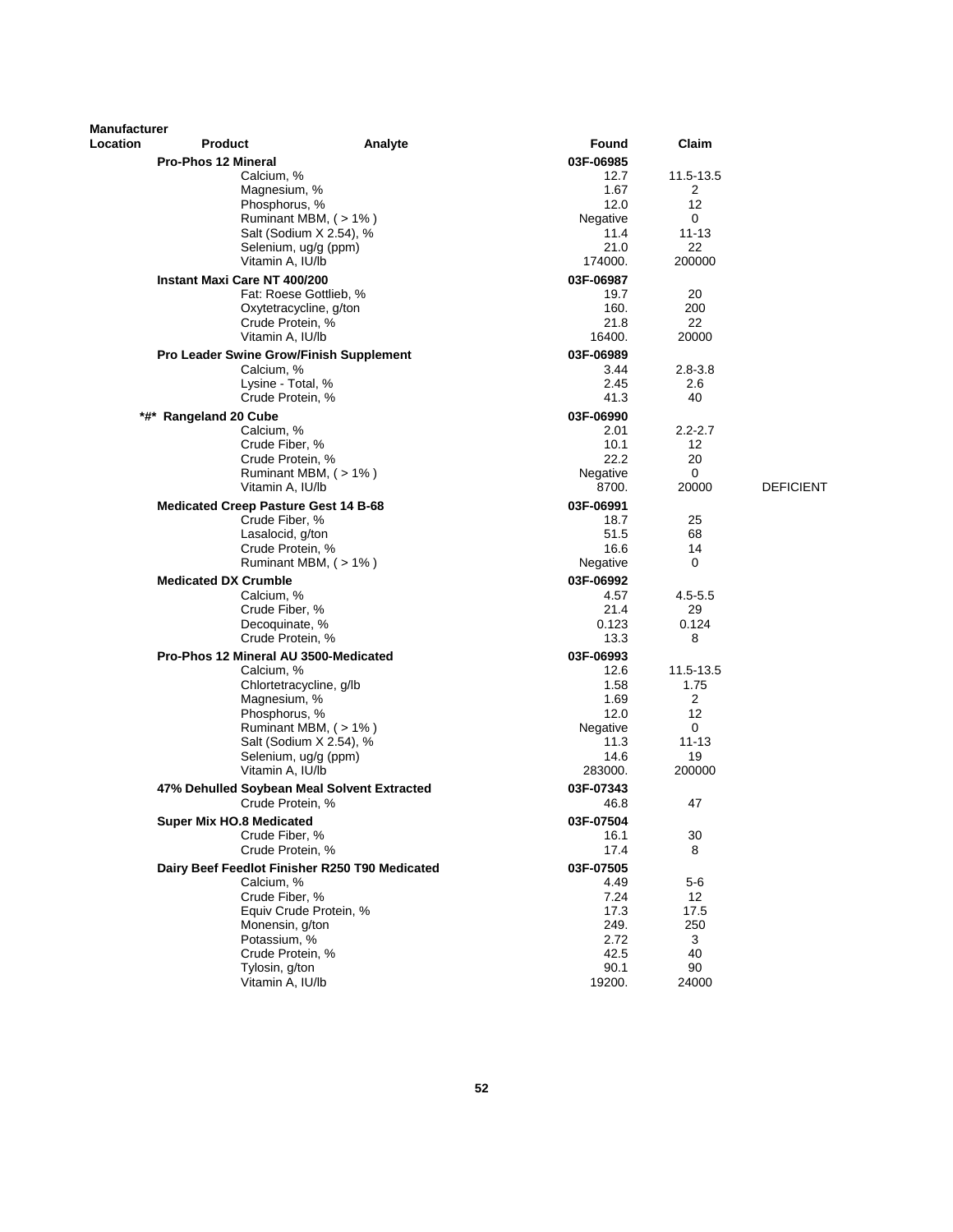| <b>Manufacturer</b><br><b>Location</b> | <b>Product</b>                                                  | Analyte                                         | Found             | Claim              |                  |
|----------------------------------------|-----------------------------------------------------------------|-------------------------------------------------|-------------------|--------------------|------------------|
|                                        | <b>Pro-Phos 12 Mineral</b>                                      |                                                 | 03F-06985         |                    |                  |
|                                        | Calcium, %                                                      |                                                 | 12.7              | 11.5-13.5          |                  |
|                                        | Magnesium, %                                                    |                                                 | 1.67              | 2                  |                  |
|                                        | Phosphorus, %                                                   |                                                 | 12.0              | 12                 |                  |
|                                        |                                                                 | Ruminant MBM, $($ > 1% $)$                      | Negative<br>11.4  | 0<br>$11 - 13$     |                  |
|                                        |                                                                 | Salt (Sodium X 2.54), %<br>Selenium, ug/g (ppm) | 21.0              | 22                 |                  |
|                                        | Vitamin A, IU/lb                                                |                                                 | 174000.           | 200000             |                  |
|                                        | Instant Maxi Care NT 400/200                                    |                                                 | 03F-06987         |                    |                  |
|                                        |                                                                 | Fat: Roese Gottlieb, %                          | 19.7              | 20                 |                  |
|                                        |                                                                 | Oxytetracycline, g/ton                          | 160.              | 200                |                  |
|                                        | Crude Protein, %                                                |                                                 | 21.8              | 22                 |                  |
|                                        | Vitamin A, IU/lb                                                |                                                 | 16400.            | 20000              |                  |
|                                        | Pro Leader Swine Grow/Finish Supplement                         |                                                 | 03F-06989         |                    |                  |
|                                        | Calcium, %<br>Lysine - Total, %                                 |                                                 | 3.44<br>2.45      | $2.8 - 3.8$<br>2.6 |                  |
|                                        | Crude Protein, %                                                |                                                 | 41.3              | 40                 |                  |
|                                        | *#* Rangeland 20 Cube                                           |                                                 | 03F-06990         |                    |                  |
|                                        | Calcium, %                                                      |                                                 | 2.01              | $2.2 - 2.7$        |                  |
|                                        | Crude Fiber, %                                                  |                                                 | 10.1              | 12                 |                  |
|                                        | Crude Protein, %                                                |                                                 | 22.2              | 20                 |                  |
|                                        |                                                                 | Ruminant MBM, (>1%)                             | Negative          | $\mathbf 0$        |                  |
|                                        | Vitamin A, IU/lb                                                |                                                 | 8700.             | 20000              | <b>DEFICIENT</b> |
|                                        | <b>Medicated Creep Pasture Gest 14 B-68</b>                     |                                                 | 03F-06991         |                    |                  |
|                                        | Crude Fiber, %                                                  |                                                 | 18.7              | 25<br>68           |                  |
|                                        | Lasalocid, g/ton<br>Crude Protein, %                            |                                                 | 51.5<br>16.6      | 14                 |                  |
|                                        |                                                                 | Ruminant MBM, $($ > 1% $)$                      | Negative          | 0                  |                  |
|                                        | <b>Medicated DX Crumble</b>                                     |                                                 | 03F-06992         |                    |                  |
|                                        | Calcium, %                                                      |                                                 | 4.57              | $4.5 - 5.5$        |                  |
|                                        | Crude Fiber, %                                                  |                                                 | 21.4              | 29                 |                  |
|                                        | Decoquinate, %                                                  |                                                 | 0.123             | 0.124              |                  |
|                                        | Crude Protein, %                                                |                                                 | 13.3              | 8                  |                  |
|                                        | Pro-Phos 12 Mineral AU 3500-Medicated                           |                                                 | 03F-06993         |                    |                  |
|                                        | Calcium, %                                                      | Chlortetracycline, g/lb                         | 12.6<br>1.58      | 11.5-13.5<br>1.75  |                  |
|                                        | Magnesium, %                                                    |                                                 | 1.69              | $\overline{2}$     |                  |
|                                        | Phosphorus, %                                                   |                                                 | 12.0              | $12 \overline{ }$  |                  |
|                                        |                                                                 | Ruminant MBM, (>1%)                             | Negative          | 0                  |                  |
|                                        |                                                                 | Salt (Sodium X 2.54), %                         | 11.3              | $11 - 13$          |                  |
|                                        |                                                                 | Selenium, ug/g (ppm)                            | 14.6              | 19                 |                  |
|                                        | Vitamin A, IU/lb                                                |                                                 | 283000.           | 200000             |                  |
|                                        | 47% Dehulled Soybean Meal Solvent Extracted<br>Crude Protein, % |                                                 | 03F-07343<br>46.8 | 47                 |                  |
|                                        |                                                                 |                                                 |                   |                    |                  |
|                                        | <b>Super Mix HO.8 Medicated</b><br>Crude Fiber, %               |                                                 | 03F-07504<br>16.1 | 30                 |                  |
|                                        | Crude Protein, %                                                |                                                 | 17.4              | 8                  |                  |
|                                        | Dairy Beef Feedlot Finisher R250 T90 Medicated                  |                                                 | 03F-07505         |                    |                  |
|                                        | Calcium, %                                                      |                                                 | 4.49              | 5-6                |                  |
|                                        | Crude Fiber, %                                                  |                                                 | 7.24              | 12                 |                  |
|                                        |                                                                 | Equiv Crude Protein, %                          | 17.3              | 17.5               |                  |
|                                        | Monensin, g/ton                                                 |                                                 | 249.              | 250                |                  |
|                                        | Potassium, %<br>Crude Protein, %                                |                                                 | 2.72<br>42.5      | 3<br>40            |                  |
|                                        | Tylosin, g/ton                                                  |                                                 | 90.1              | 90                 |                  |
|                                        | Vitamin A, IU/lb                                                |                                                 | 19200.            | 24000              |                  |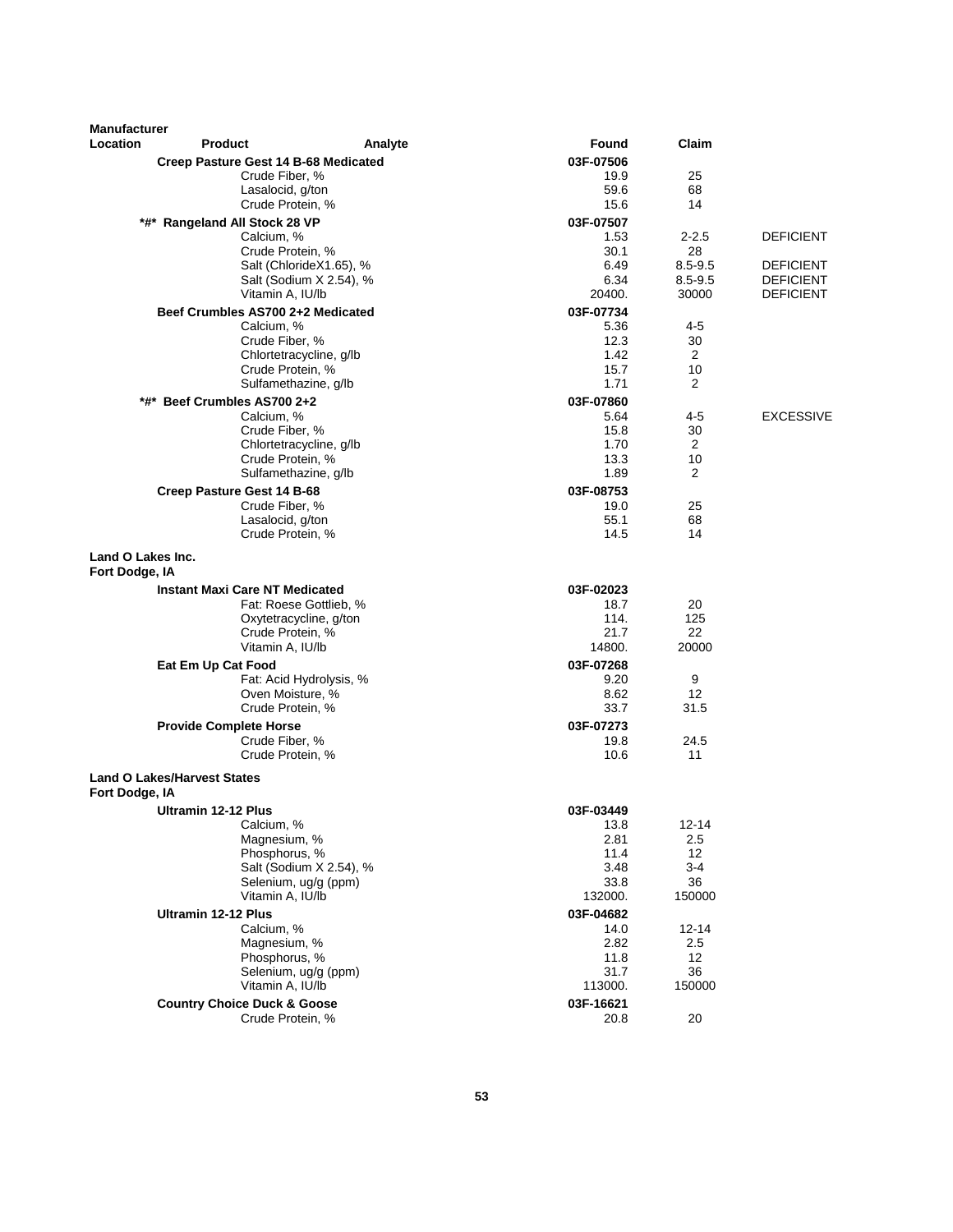| <b>Manufacturer</b><br>Location     |                                             |                         |                   |                   |                  |
|-------------------------------------|---------------------------------------------|-------------------------|-------------------|-------------------|------------------|
|                                     | <b>Product</b>                              | Analyte                 | Found             | Claim             |                  |
|                                     | Creep Pasture Gest 14 B-68 Medicated        |                         | 03F-07506         |                   |                  |
|                                     | Crude Fiber, %<br>Lasalocid, g/ton          |                         | 19.9<br>59.6      | 25<br>68          |                  |
|                                     | Crude Protein, %                            |                         | 15.6              | 14                |                  |
|                                     |                                             |                         |                   |                   |                  |
|                                     | *#* Rangeland All Stock 28 VP<br>Calcium, % |                         | 03F-07507<br>1.53 | $2 - 2.5$         | <b>DEFICIENT</b> |
|                                     | Crude Protein, %                            |                         | 30.1              | 28                |                  |
|                                     |                                             | Salt (ChlorideX1.65), % | 6.49              | $8.5 - 9.5$       | <b>DEFICIENT</b> |
|                                     |                                             | Salt (Sodium X 2.54), % | 6.34              | $8.5 - 9.5$       | <b>DEFICIENT</b> |
|                                     | Vitamin A, IU/lb                            |                         | 20400.            | 30000             | DEFICIENT        |
|                                     | Beef Crumbles AS700 2+2 Medicated           |                         | 03F-07734         |                   |                  |
|                                     | Calcium, %                                  |                         | 5.36              | 4-5               |                  |
|                                     | Crude Fiber, %                              |                         | 12.3              | 30                |                  |
|                                     | Chlortetracycline, g/lb                     |                         | 1.42              | 2                 |                  |
|                                     | Crude Protein, %                            |                         | 15.7              | 10                |                  |
|                                     | Sulfamethazine, g/lb                        |                         | 1.71              | 2                 |                  |
| *#*                                 | Beef Crumbles AS700 2+2                     |                         | 03F-07860         |                   |                  |
|                                     | Calcium, %                                  |                         | 5.64              | 4-5               | <b>EXCESSIVE</b> |
|                                     | Crude Fiber, %                              |                         | 15.8              | 30                |                  |
|                                     | Chlortetracycline, g/lb                     |                         | 1.70              | $\overline{2}$    |                  |
|                                     | Crude Protein, %                            |                         | 13.3<br>1.89      | 10<br>2           |                  |
|                                     | Sulfamethazine, g/lb                        |                         |                   |                   |                  |
|                                     | Creep Pasture Gest 14 B-68                  |                         | 03F-08753         |                   |                  |
|                                     | Crude Fiber, %                              |                         | 19.0<br>55.1      | 25<br>68          |                  |
|                                     | Lasalocid, g/ton<br>Crude Protein, %        |                         | 14.5              | 14                |                  |
| Land O Lakes Inc.<br>Fort Dodge, IA |                                             |                         |                   |                   |                  |
|                                     | <b>Instant Maxi Care NT Medicated</b>       |                         | 03F-02023         |                   |                  |
|                                     | Fat: Roese Gottlieb, %                      |                         | 18.7              | 20                |                  |
|                                     | Oxytetracycline, g/ton                      |                         | 114.              | 125               |                  |
|                                     | Crude Protein, %                            |                         | 21.7              | 22                |                  |
|                                     | Vitamin A, IU/lb                            |                         | 14800.            | 20000             |                  |
|                                     | Eat Em Up Cat Food                          |                         | 03F-07268         |                   |                  |
|                                     | Oven Moisture, %                            | Fat: Acid Hydrolysis, % | 9.20<br>8.62      | 9<br>12           |                  |
|                                     | Crude Protein, %                            |                         | 33.7              | 31.5              |                  |
|                                     | <b>Provide Complete Horse</b>               |                         | 03F-07273         |                   |                  |
|                                     | Crude Fiber, %                              |                         | 19.8              | 24.5              |                  |
|                                     | Crude Protein, %                            |                         | 10.6              | 11                |                  |
| Fort Dodge, IA                      | <b>Land O Lakes/Harvest States</b>          |                         |                   |                   |                  |
|                                     |                                             |                         |                   |                   |                  |
|                                     | Ultramin 12-12 Plus<br>Calcium, %           |                         | 03F-03449<br>13.8 | $12 - 14$         |                  |
|                                     | Magnesium, %                                |                         | 2.81              | 2.5               |                  |
|                                     | Phosphorus, %                               |                         | 11.4              | 12                |                  |
|                                     |                                             | Salt (Sodium X 2.54), % | 3.48              | $3 - 4$           |                  |
|                                     | Selenium, ug/g (ppm)                        |                         | 33.8              | 36                |                  |
|                                     | Vitamin A, IU/lb                            |                         | 132000.           | 150000            |                  |
|                                     | <b>Ultramin 12-12 Plus</b>                  |                         | 03F-04682         |                   |                  |
|                                     | Calcium, %                                  |                         | 14.0              | 12-14             |                  |
|                                     | Magnesium, %                                |                         | 2.82              | 2.5               |                  |
|                                     | Phosphorus, %                               |                         | 11.8              | $12 \overline{ }$ |                  |
|                                     | Selenium, ug/g (ppm)                        |                         | 31.7              | 36<br>150000      |                  |
|                                     | Vitamin A, IU/lb                            |                         | 113000.           |                   |                  |
|                                     | <b>Country Choice Duck &amp; Goose</b>      |                         | 03F-16621         |                   |                  |
|                                     | Crude Protein, %                            |                         | 20.8              | 20                |                  |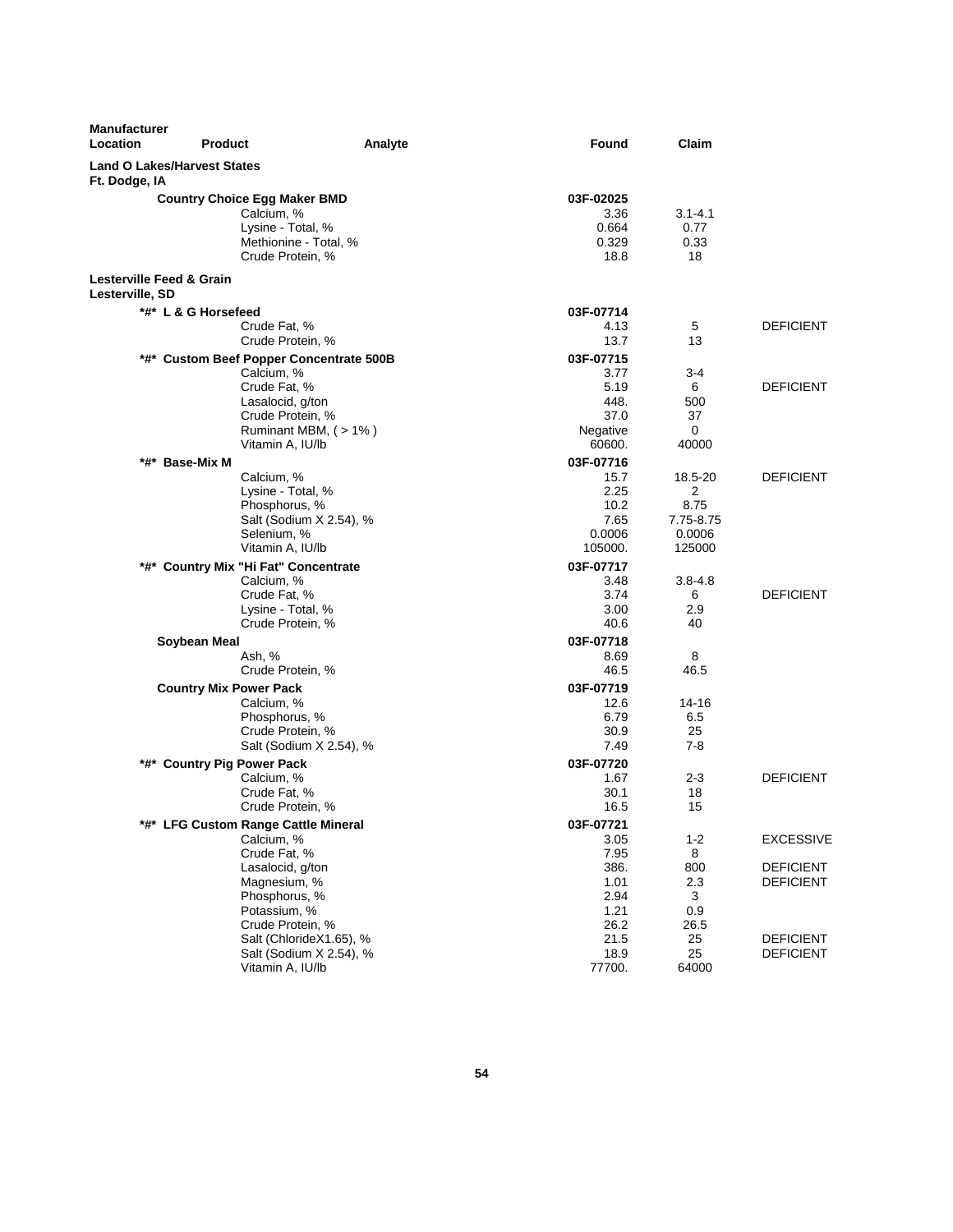| <b>Manufacturer</b><br>Location                     | <b>Product</b><br>Analyte                                                                                           | Found                                       | Claim                             |                  |
|-----------------------------------------------------|---------------------------------------------------------------------------------------------------------------------|---------------------------------------------|-----------------------------------|------------------|
| <b>Land O Lakes/Harvest States</b><br>Ft. Dodge, IA |                                                                                                                     |                                             |                                   |                  |
|                                                     | <b>Country Choice Egg Maker BMD</b><br>Calcium, %<br>Lysine - Total, %<br>Methionine - Total, %<br>Crude Protein, % | 03F-02025<br>3.36<br>0.664<br>0.329<br>18.8 | $3.1 - 4.1$<br>0.77<br>0.33<br>18 |                  |
| Lesterville Feed & Grain<br>Lesterville, SD         |                                                                                                                     |                                             |                                   |                  |
|                                                     | *#* L & G Horsefeed                                                                                                 | 03F-07714                                   |                                   |                  |
|                                                     | Crude Fat, %                                                                                                        | 4.13                                        | 5                                 | <b>DEFICIENT</b> |
|                                                     | Crude Protein, %                                                                                                    | 13.7                                        | 13                                |                  |
|                                                     | *#* Custom Beef Popper Concentrate 500B                                                                             | 03F-07715                                   |                                   |                  |
|                                                     | Calcium, %                                                                                                          | 3.77                                        | $3 - 4$                           |                  |
|                                                     | Crude Fat, %                                                                                                        | 5.19                                        | 6                                 | <b>DEFICIENT</b> |
|                                                     | Lasalocid, g/ton                                                                                                    | 448.                                        | 500                               |                  |
|                                                     | Crude Protein, %                                                                                                    | 37.0                                        | 37                                |                  |
|                                                     | Ruminant MBM, (>1%)<br>Vitamin A, IU/lb                                                                             | Negative<br>60600.                          | 0<br>40000                        |                  |
|                                                     |                                                                                                                     |                                             |                                   |                  |
| *#*                                                 | <b>Base-Mix M</b><br>Calcium, %                                                                                     | 03F-07716<br>15.7                           | 18.5-20                           | <b>DEFICIENT</b> |
|                                                     | Lysine - Total, %                                                                                                   | 2.25                                        | 2                                 |                  |
|                                                     | Phosphorus, %                                                                                                       | 10.2                                        | 8.75                              |                  |
|                                                     | Salt (Sodium X 2.54), %                                                                                             | 7.65                                        | 7.75-8.75                         |                  |
|                                                     | Selenium, %                                                                                                         | 0.0006                                      | 0.0006                            |                  |
|                                                     | Vitamin A, IU/lb                                                                                                    | 105000.                                     | 125000                            |                  |
|                                                     | *#* Country Mix "Hi Fat" Concentrate                                                                                | 03F-07717                                   |                                   |                  |
|                                                     | Calcium, %                                                                                                          | 3.48                                        | 3.8-4.8                           |                  |
|                                                     | Crude Fat, %                                                                                                        | 3.74                                        | 6                                 | <b>DEFICIENT</b> |
|                                                     | Lysine - Total, %                                                                                                   | 3.00                                        | 2.9                               |                  |
|                                                     | Crude Protein, %                                                                                                    | 40.6                                        | 40                                |                  |
|                                                     | Soybean Meal                                                                                                        | 03F-07718                                   |                                   |                  |
|                                                     | Ash, %                                                                                                              | 8.69                                        | 8                                 |                  |
|                                                     | Crude Protein, %                                                                                                    | 46.5                                        | 46.5                              |                  |
|                                                     | <b>Country Mix Power Pack</b>                                                                                       | 03F-07719                                   |                                   |                  |
|                                                     | Calcium, %                                                                                                          | 12.6                                        | 14-16                             |                  |
|                                                     | Phosphorus, %                                                                                                       | 6.79                                        | 6.5                               |                  |
|                                                     | Crude Protein, %                                                                                                    | 30.9                                        | 25                                |                  |
|                                                     | Salt (Sodium X 2.54), %                                                                                             | 7.49                                        | $7-8$                             |                  |
|                                                     | *#* Country Pig Power Pack                                                                                          | 03F-07720                                   |                                   |                  |
|                                                     | Calcium, %                                                                                                          | 1.67                                        | 2-3                               | <b>DEFICIENT</b> |
|                                                     | Crude Fat, %                                                                                                        | 30.1                                        | 18                                |                  |
|                                                     | Crude Protein, %                                                                                                    | 16.5                                        | 15                                |                  |
|                                                     | *#* LFG Custom Range Cattle Mineral                                                                                 | 03F-07721                                   |                                   |                  |
|                                                     | Calcium, %                                                                                                          | 3.05                                        | $1 - 2$                           | <b>EXCESSIVE</b> |
|                                                     | Crude Fat, %                                                                                                        | 7.95                                        | 8                                 |                  |
|                                                     | Lasalocid, g/ton                                                                                                    | 386.                                        | 800                               | <b>DEFICIENT</b> |
|                                                     | Magnesium, %<br>Phosphorus, %                                                                                       | 1.01                                        | 2.3                               | <b>DEFICIENT</b> |
|                                                     | Potassium, %                                                                                                        | 2.94<br>1.21                                | 3<br>0.9                          |                  |
|                                                     | Crude Protein, %                                                                                                    | 26.2                                        | 26.5                              |                  |
|                                                     | Salt (ChlorideX1.65), %                                                                                             | 21.5                                        | 25                                | <b>DEFICIENT</b> |
|                                                     | Salt (Sodium X 2.54), %                                                                                             | 18.9                                        | 25                                | <b>DEFICIENT</b> |
|                                                     | Vitamin A, IU/lb                                                                                                    | 77700.                                      | 64000                             |                  |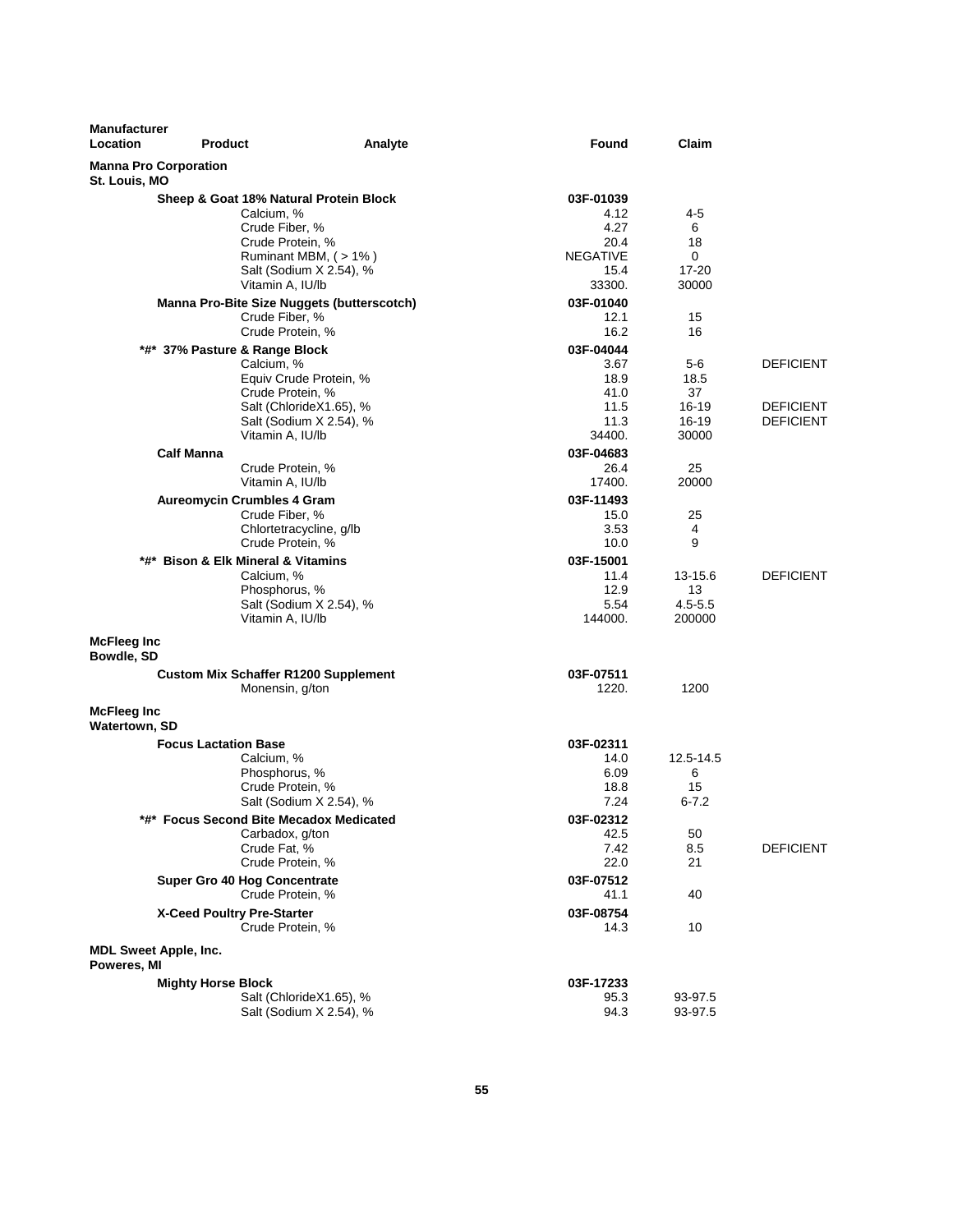| <b>Manufacturer</b><br>Location  | <b>Product</b>                                      | Analyte                 | Found             | Claim              |                                      |
|----------------------------------|-----------------------------------------------------|-------------------------|-------------------|--------------------|--------------------------------------|
| St. Louis, MO                    | <b>Manna Pro Corporation</b>                        |                         |                   |                    |                                      |
|                                  | Sheep & Goat 18% Natural Protein Block              |                         | 03F-01039         |                    |                                      |
|                                  | Calcium, %                                          |                         | 4.12              | 4-5                |                                      |
|                                  | Crude Fiber, %                                      |                         | 4.27              | 6                  |                                      |
|                                  | Crude Protein, %                                    |                         | 20.4              | 18                 |                                      |
|                                  |                                                     | Ruminant MBM, (>1%)     | <b>NEGATIVE</b>   | 0                  |                                      |
|                                  |                                                     | Salt (Sodium X 2.54), % | 15.4              | 17-20              |                                      |
|                                  | Vitamin A, IU/lb                                    |                         | 33300.            | 30000              |                                      |
|                                  | Manna Pro-Bite Size Nuggets (butterscotch)          |                         | 03F-01040         |                    |                                      |
|                                  | Crude Fiber, %                                      |                         | 12.1              | 15                 |                                      |
|                                  | Crude Protein, %                                    |                         | 16.2              | 16                 |                                      |
|                                  | *#* 37% Pasture & Range Block                       |                         | 03F-04044         |                    |                                      |
|                                  | Calcium, %                                          |                         | 3.67              | 5-6                | <b>DEFICIENT</b>                     |
|                                  |                                                     | Equiv Crude Protein, %  | 18.9              | 18.5               |                                      |
|                                  | Crude Protein, %                                    |                         | 41.0              | 37                 |                                      |
|                                  |                                                     | Salt (ChlorideX1.65), % | 11.5<br>11.3      | 16-19<br>$16 - 19$ | <b>DEFICIENT</b><br><b>DEFICIENT</b> |
|                                  | Vitamin A, IU/lb                                    | Salt (Sodium X 2.54), % | 34400.            | 30000              |                                      |
|                                  | <b>Calf Manna</b>                                   |                         |                   |                    |                                      |
|                                  | Crude Protein, %                                    |                         | 03F-04683<br>26.4 | 25                 |                                      |
|                                  | Vitamin A, IU/lb                                    |                         | 17400.            | 20000              |                                      |
|                                  |                                                     |                         |                   |                    |                                      |
|                                  | <b>Aureomycin Crumbles 4 Gram</b><br>Crude Fiber, % |                         | 03F-11493<br>15.0 | 25                 |                                      |
|                                  | Chlortetracycline, g/lb                             |                         | 3.53              | 4                  |                                      |
|                                  | Crude Protein, %                                    |                         | 10.0              | 9                  |                                      |
|                                  | *#* Bison & Elk Mineral & Vitamins                  |                         | 03F-15001         |                    |                                      |
|                                  | Calcium, %                                          |                         | 11.4              | 13-15.6            | <b>DEFICIENT</b>                     |
|                                  | Phosphorus, %                                       |                         | 12.9              | 13                 |                                      |
|                                  |                                                     | Salt (Sodium X 2.54), % | 5.54              | $4.5 - 5.5$        |                                      |
|                                  | Vitamin A, IU/lb                                    |                         | 144000.           | 200000             |                                      |
| <b>McFleeg Inc</b><br>Bowdle, SD |                                                     |                         |                   |                    |                                      |
|                                  | <b>Custom Mix Schaffer R1200 Supplement</b>         |                         | 03F-07511         |                    |                                      |
|                                  | Monensin, g/ton                                     |                         | 1220.             | 1200               |                                      |
| McFleeg Inc                      |                                                     |                         |                   |                    |                                      |
| <b>Watertown, SD</b>             |                                                     |                         |                   |                    |                                      |
|                                  | <b>Focus Lactation Base</b>                         |                         | 03F-02311         |                    |                                      |
|                                  | Calcium, %                                          |                         | 14.0              | 12.5-14.5          |                                      |
|                                  | Phosphorus, %                                       |                         | 6.09              | 6                  |                                      |
|                                  | Crude Protein, %                                    |                         | 18.8              | 15                 |                                      |
|                                  |                                                     | Salt (Sodium X 2.54), % | 7.24              | $6 - 7.2$          |                                      |
|                                  | *#* Focus Second Bite Mecadox Medicated             |                         | 03F-02312         |                    |                                      |
|                                  | Carbadox, g/ton                                     |                         | 42.5              | 50                 |                                      |
|                                  | Crude Fat, %                                        |                         | 7.42              | 8.5                | <b>DEFICIENT</b>                     |
|                                  | Crude Protein, %                                    |                         | 22.0              | 21                 |                                      |
|                                  | Super Gro 40 Hog Concentrate                        |                         | 03F-07512         |                    |                                      |
|                                  | Crude Protein, %                                    |                         | 41.1              | 40                 |                                      |
|                                  | X-Ceed Poultry Pre-Starter                          |                         | 03F-08754         |                    |                                      |
|                                  | Crude Protein, %                                    |                         | 14.3              | 10                 |                                      |
| Poweres, MI                      | <b>MDL Sweet Apple, Inc.</b>                        |                         |                   |                    |                                      |
|                                  | <b>Mighty Horse Block</b>                           |                         | 03F-17233         |                    |                                      |
|                                  |                                                     | Salt (ChlorideX1.65), % | 95.3              | 93-97.5            |                                      |
|                                  |                                                     | Salt (Sodium X 2.54), % | 94.3              | 93-97.5            |                                      |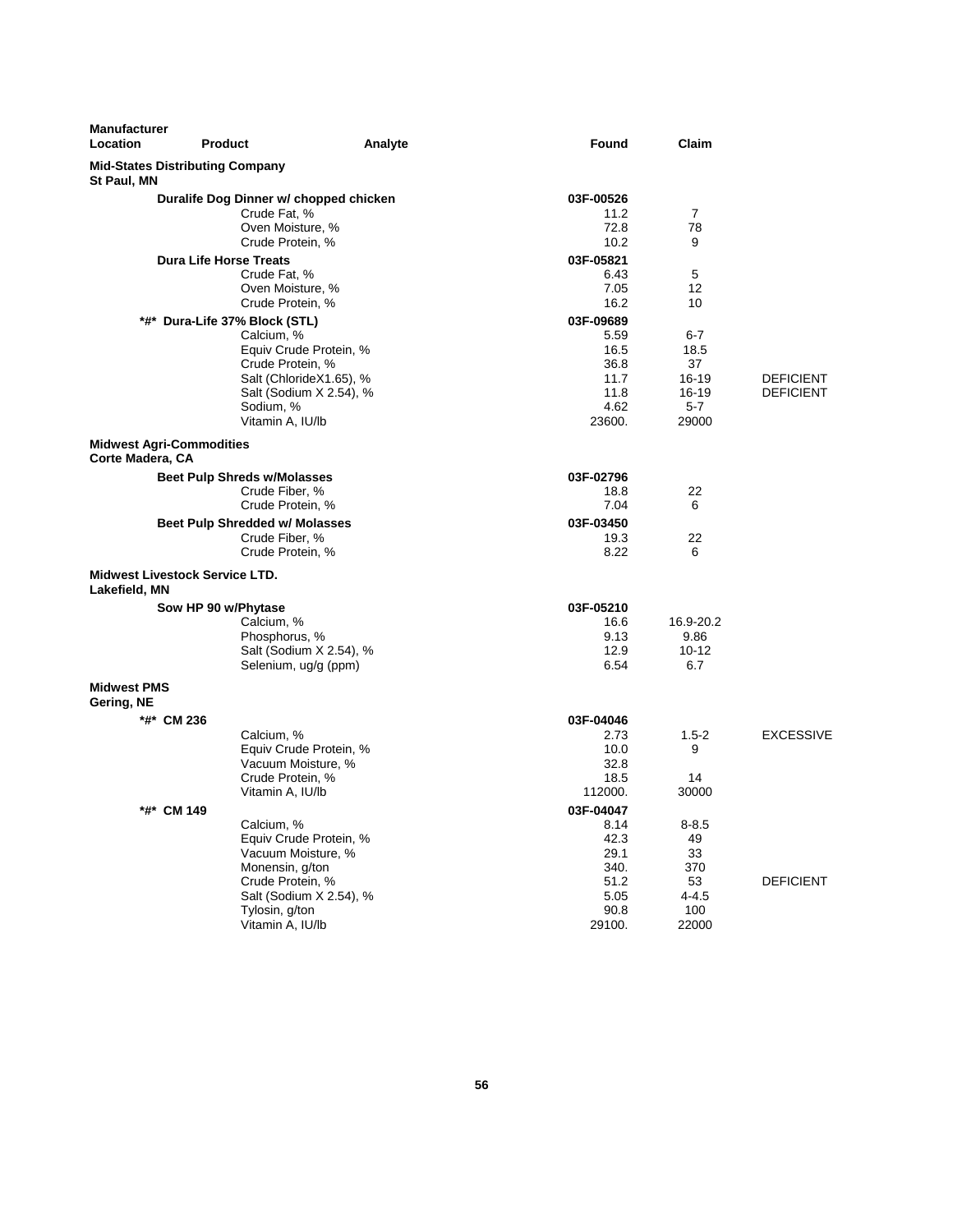| <b>Manufacturer</b><br>Location                     | <b>Product</b>                                | Analyte                 | Found             | Claim           |                  |
|-----------------------------------------------------|-----------------------------------------------|-------------------------|-------------------|-----------------|------------------|
| St Paul, MN                                         | <b>Mid-States Distributing Company</b>        |                         |                   |                 |                  |
|                                                     | Duralife Dog Dinner w/ chopped chicken        |                         | 03F-00526         |                 |                  |
|                                                     | Crude Fat, %                                  |                         | 11.2              | 7               |                  |
|                                                     | Oven Moisture, %                              |                         | 72.8              | 78              |                  |
|                                                     | Crude Protein, %                              |                         | 10.2              | 9               |                  |
|                                                     | <b>Dura Life Horse Treats</b><br>Crude Fat, % |                         | 03F-05821<br>6.43 | 5               |                  |
|                                                     | Oven Moisture, %                              |                         | 7.05              | 12              |                  |
|                                                     | Crude Protein, %                              |                         | 16.2              | 10              |                  |
|                                                     | *#* Dura-Life 37% Block (STL)                 |                         | 03F-09689         |                 |                  |
|                                                     | Calcium, %                                    |                         | 5.59              | 6-7             |                  |
|                                                     | Equiv Crude Protein, %                        |                         | 16.5              | 18.5            |                  |
|                                                     | Crude Protein, %                              |                         | 36.8              | 37              |                  |
|                                                     | Salt (ChlorideX1.65), %                       |                         | 11.7              | 16-19           | <b>DEFICIENT</b> |
|                                                     |                                               | Salt (Sodium X 2.54), % | 11.8<br>4.62      | 16-19           | <b>DEFICIENT</b> |
|                                                     | Sodium, %<br>Vitamin A, IU/lb                 |                         | 23600.            | 5-7<br>29000    |                  |
|                                                     |                                               |                         |                   |                 |                  |
| <b>Midwest Agri-Commodities</b><br>Corte Madera, CA |                                               |                         |                   |                 |                  |
|                                                     | <b>Beet Pulp Shreds w/Molasses</b>            |                         | 03F-02796         |                 |                  |
|                                                     | Crude Fiber, %                                |                         | 18.8              | 22              |                  |
|                                                     | Crude Protein, %                              |                         | 7.04              | 6               |                  |
|                                                     | <b>Beet Pulp Shredded w/ Molasses</b>         |                         | 03F-03450         |                 |                  |
|                                                     | Crude Fiber, %                                |                         | 19.3              | 22              |                  |
|                                                     | Crude Protein, %                              |                         | 8.22              | 6               |                  |
| Lakefield, MN                                       | <b>Midwest Livestock Service LTD.</b>         |                         |                   |                 |                  |
|                                                     | Sow HP 90 w/Phytase                           |                         | 03F-05210         |                 |                  |
|                                                     | Calcium, %                                    |                         | 16.6              | 16.9-20.2       |                  |
|                                                     | Phosphorus, %                                 |                         | 9.13              | 9.86            |                  |
|                                                     |                                               | Salt (Sodium X 2.54), % | 12.9              | 10-12           |                  |
|                                                     | Selenium, ug/g (ppm)                          |                         | 6.54              | 6.7             |                  |
| <b>Midwest PMS</b><br>Gering, NE                    |                                               |                         |                   |                 |                  |
| *#* CM 236                                          |                                               |                         | 03F-04046         |                 |                  |
|                                                     | Calcium, %                                    |                         | 2.73              | $1.5-2$         | <b>EXCESSIVE</b> |
|                                                     | Equiv Crude Protein, %                        |                         | 10.0              | 9               |                  |
|                                                     | Vacuum Moisture, %                            |                         | 32.8              |                 |                  |
|                                                     | Crude Protein, %                              |                         | 18.5              | 14              |                  |
|                                                     | Vitamin A, IU/lb                              |                         | 112000.           | 30000           |                  |
| *#* CM 149                                          |                                               |                         | 03F-04047         |                 |                  |
|                                                     | Calcium, %<br>Equiv Crude Protein, %          |                         | 8.14<br>42.3      | $8 - 8.5$<br>49 |                  |
|                                                     | Vacuum Moisture, %                            |                         | 29.1              | 33              |                  |
|                                                     | Monensin, g/ton                               |                         | 340.              | 370             |                  |
|                                                     | Crude Protein, %                              |                         | 51.2              | 53              | <b>DEFICIENT</b> |
|                                                     |                                               | Salt (Sodium X 2.54), % | 5.05              | $4 - 4.5$       |                  |
|                                                     | Tylosin, g/ton                                |                         | 90.8              | 100             |                  |
|                                                     | Vitamin A, IU/lb                              |                         | 29100.            | 22000           |                  |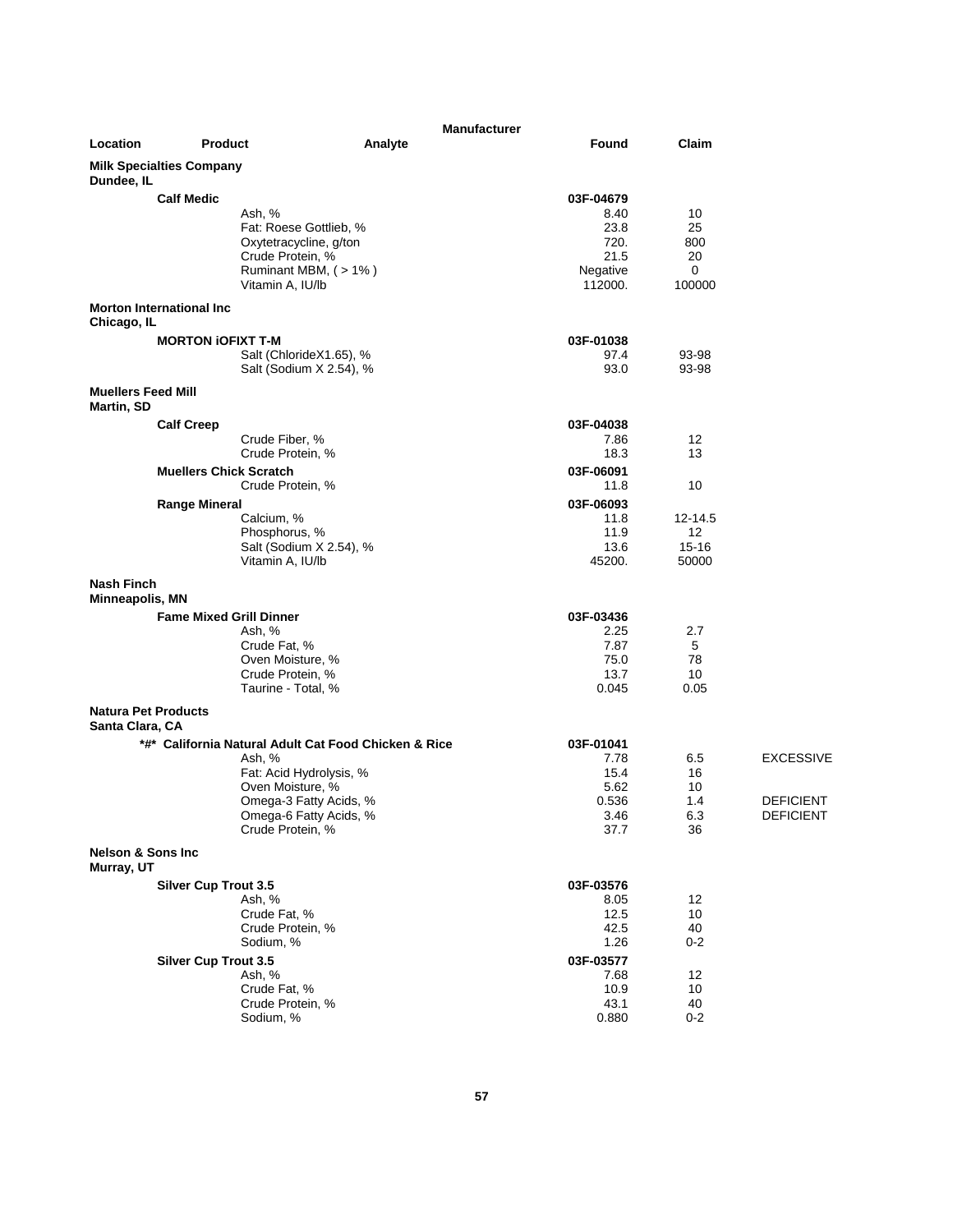| Location                                    | <b>Product</b>                  | Analyte                                              | <b>Manufacturer</b><br>Found | Claim          |                  |
|---------------------------------------------|---------------------------------|------------------------------------------------------|------------------------------|----------------|------------------|
|                                             |                                 |                                                      |                              |                |                  |
| Dundee, IL                                  | <b>Milk Specialties Company</b> |                                                      |                              |                |                  |
|                                             | <b>Calf Medic</b>               |                                                      | 03F-04679                    |                |                  |
|                                             |                                 | Ash, %                                               | 8.40                         | 10             |                  |
|                                             |                                 | Fat: Roese Gottlieb, %                               | 23.8                         | 25             |                  |
|                                             |                                 | Oxytetracycline, g/ton<br>Crude Protein, %           | 720.<br>21.5                 | 800<br>20      |                  |
|                                             |                                 | Ruminant MBM, (>1%)                                  | Negative                     | 0              |                  |
|                                             |                                 | Vitamin A, IU/lb                                     | 112000.                      | 100000         |                  |
|                                             | <b>Morton International Inc</b> |                                                      |                              |                |                  |
| Chicago, IL                                 |                                 |                                                      |                              |                |                  |
|                                             | <b>MORTON IOFIXT T-M</b>        |                                                      | 03F-01038                    |                |                  |
|                                             |                                 | Salt (ChlorideX1.65), %<br>Salt (Sodium X 2.54), %   | 97.4<br>93.0                 | 93-98<br>93-98 |                  |
| <b>Muellers Feed Mill</b>                   |                                 |                                                      |                              |                |                  |
| Martin, SD                                  |                                 |                                                      |                              |                |                  |
|                                             | <b>Calf Creep</b>               |                                                      | 03F-04038                    |                |                  |
|                                             |                                 | Crude Fiber, %                                       | 7.86                         | 12             |                  |
|                                             |                                 | Crude Protein, %                                     | 18.3                         | 13             |                  |
|                                             | <b>Muellers Chick Scratch</b>   |                                                      | 03F-06091                    |                |                  |
|                                             |                                 | Crude Protein, %                                     | 11.8                         | 10             |                  |
|                                             | <b>Range Mineral</b>            | Calcium, %                                           | 03F-06093<br>11.8            | $12 - 14.5$    |                  |
|                                             |                                 | Phosphorus, %                                        | 11.9                         | 12             |                  |
|                                             |                                 | Salt (Sodium X 2.54), %                              | 13.6                         | $15 - 16$      |                  |
|                                             |                                 | Vitamin A, IU/lb                                     | 45200.                       | 50000          |                  |
| <b>Nash Finch</b><br><b>Minneapolis, MN</b> |                                 |                                                      |                              |                |                  |
|                                             | <b>Fame Mixed Grill Dinner</b>  |                                                      | 03F-03436                    |                |                  |
|                                             |                                 | Ash, %                                               | 2.25                         | 2.7            |                  |
|                                             |                                 | Crude Fat, %                                         | 7.87                         | 5              |                  |
|                                             |                                 | Oven Moisture, %<br>Crude Protein, %                 | 75.0<br>13.7                 | 78<br>10       |                  |
|                                             |                                 | Taurine - Total, %                                   | 0.045                        | 0.05           |                  |
| <b>Natura Pet Products</b>                  |                                 |                                                      |                              |                |                  |
| Santa Clara, CA                             |                                 |                                                      |                              |                |                  |
|                                             |                                 | *#* California Natural Adult Cat Food Chicken & Rice | 03F-01041                    |                |                  |
|                                             |                                 | Ash, %                                               | 7.78                         | 6.5            | <b>EXCESSIVE</b> |
|                                             |                                 | Fat: Acid Hydrolysis, %<br>Oven Moisture, %          | 15.4<br>5.62                 | 16<br>10       |                  |
|                                             |                                 | Omega-3 Fatty Acids, %                               | 0.536                        | 1.4            | <b>DEFICIENT</b> |
|                                             |                                 | Omega-6 Fatty Acids, %                               | 3.46                         | 6.3            | <b>DEFICIENT</b> |
|                                             |                                 | Crude Protein, %                                     | 37.7                         | 36             |                  |
| <b>Nelson &amp; Sons Inc</b><br>Murray, UT  |                                 |                                                      |                              |                |                  |
|                                             | <b>Silver Cup Trout 3.5</b>     |                                                      | 03F-03576                    |                |                  |
|                                             |                                 | Ash, %                                               | 8.05                         | 12             |                  |
|                                             |                                 | Crude Fat, %<br>Crude Protein, %                     | 12.5<br>42.5                 | 10<br>40       |                  |
|                                             |                                 | Sodium, %                                            | 1.26                         | $0 - 2$        |                  |
|                                             | <b>Silver Cup Trout 3.5</b>     |                                                      | 03F-03577                    |                |                  |
|                                             |                                 | Ash, %                                               | 7.68                         | 12             |                  |
|                                             |                                 | Crude Fat, %                                         | 10.9                         | 10             |                  |
|                                             |                                 | Crude Protein, %<br>Sodium, %                        | 43.1<br>0.880                | 40<br>$0 - 2$  |                  |
|                                             |                                 |                                                      |                              |                |                  |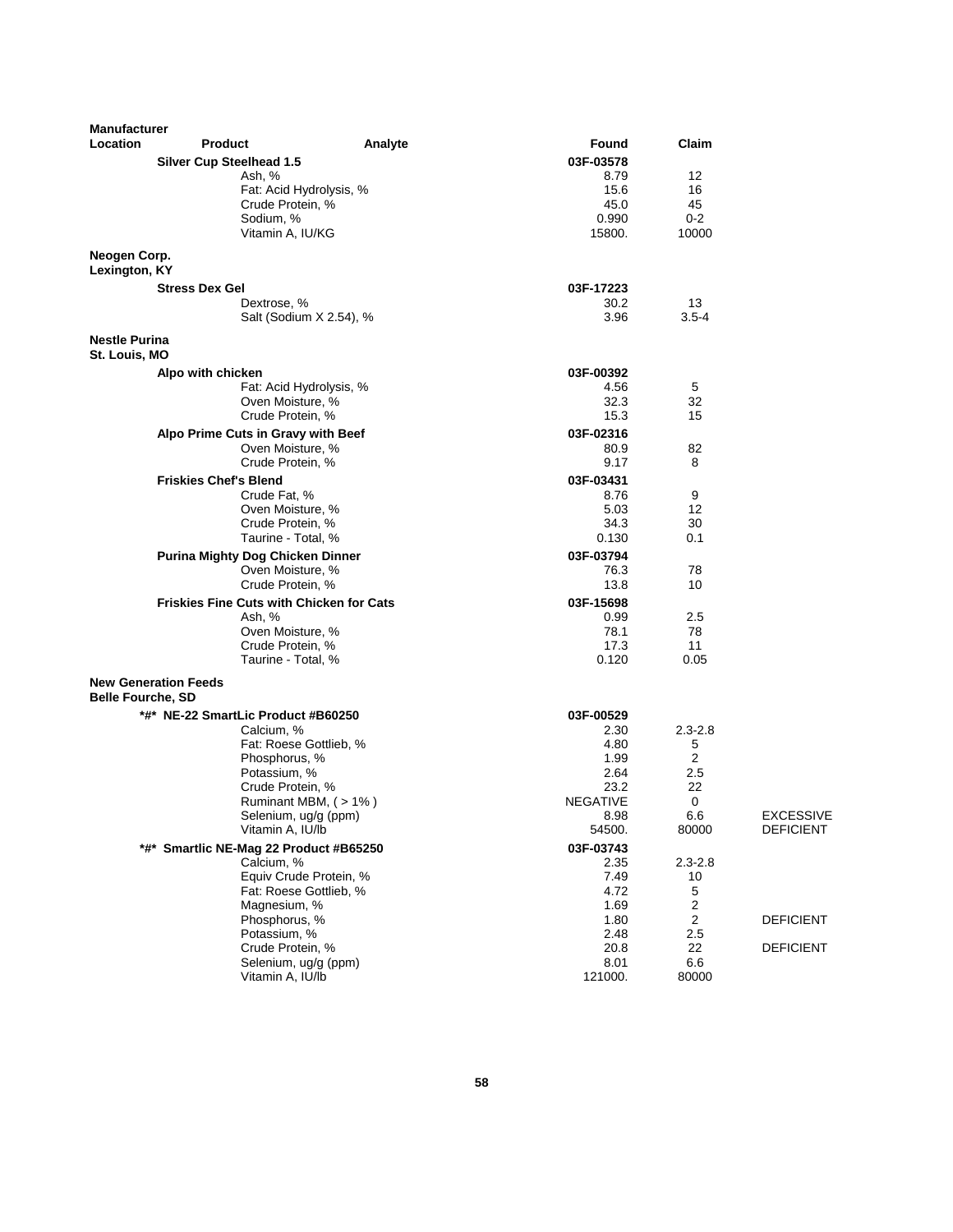| <b>Manufacturer</b><br>Location | <b>Product</b>                          | Analyte                                         | Found           | Claim             |                  |
|---------------------------------|-----------------------------------------|-------------------------------------------------|-----------------|-------------------|------------------|
|                                 | <b>Silver Cup Steelhead 1.5</b>         |                                                 | 03F-03578       |                   |                  |
|                                 | Ash, %                                  |                                                 | 8.79            | 12                |                  |
|                                 |                                         | Fat: Acid Hydrolysis, %                         | 15.6            | 16                |                  |
|                                 |                                         | Crude Protein, %                                | 45.0            | 45                |                  |
|                                 |                                         | Sodium, %                                       | 0.990           | $0 - 2$           |                  |
|                                 |                                         | Vitamin A, IU/KG                                | 15800.          | 10000             |                  |
| Neogen Corp.<br>Lexington, KY   |                                         |                                                 |                 |                   |                  |
|                                 | <b>Stress Dex Gel</b>                   |                                                 | 03F-17223       |                   |                  |
|                                 |                                         | Dextrose, %                                     | 30.2            | 13                |                  |
|                                 |                                         | Salt (Sodium X 2.54), %                         | 3.96            | $3.5 - 4$         |                  |
| <b>Nestle Purina</b>            |                                         |                                                 |                 |                   |                  |
| St. Louis, MO                   |                                         |                                                 | 03F-00392       |                   |                  |
|                                 | Alpo with chicken                       | Fat: Acid Hydrolysis, %                         | 4.56            | 5                 |                  |
|                                 |                                         | Oven Moisture, %                                | 32.3            | 32                |                  |
|                                 |                                         | Crude Protein, %                                | 15.3            | 15                |                  |
|                                 | Alpo Prime Cuts in Gravy with Beef      |                                                 | 03F-02316       |                   |                  |
|                                 |                                         | Oven Moisture, %                                | 80.9            | 82                |                  |
|                                 |                                         | Crude Protein, %                                | 9.17            | 8                 |                  |
|                                 | <b>Friskies Chef's Blend</b>            |                                                 | 03F-03431       |                   |                  |
|                                 |                                         | Crude Fat, %                                    | 8.76            | 9                 |                  |
|                                 |                                         | Oven Moisture, %                                | 5.03            | 12                |                  |
|                                 |                                         | Crude Protein, %                                | 34.3            | 30                |                  |
|                                 |                                         | Taurine - Total, %                              | 0.130           | 0.1               |                  |
|                                 | <b>Purina Mighty Dog Chicken Dinner</b> |                                                 | 03F-03794       |                   |                  |
|                                 |                                         | Oven Moisture, %                                | 76.3            | 78                |                  |
|                                 |                                         | Crude Protein, %                                | 13.8            | 10                |                  |
|                                 |                                         | <b>Friskies Fine Cuts with Chicken for Cats</b> | 03F-15698       |                   |                  |
|                                 | Ash, %                                  |                                                 | 0.99            | 2.5               |                  |
|                                 |                                         | Oven Moisture, %                                | 78.1            | 78                |                  |
|                                 |                                         | Crude Protein, %                                | 17.3            | 11                |                  |
|                                 |                                         | Taurine - Total, %                              | 0.120           | 0.05              |                  |
| <b>Belle Fourche, SD</b>        | <b>New Generation Feeds</b>             |                                                 |                 |                   |                  |
|                                 | *#* NE-22 SmartLic Product #B60250      |                                                 | 03F-00529       |                   |                  |
|                                 |                                         | Calcium, %                                      | 2.30            | $2.3 - 2.8$       |                  |
|                                 |                                         | Fat: Roese Gottlieb, %                          | 4.80            | 5                 |                  |
|                                 |                                         | Phosphorus, %                                   | 1.99            | 2                 |                  |
|                                 |                                         | Potassium, %                                    | 2.64            | 2.5               |                  |
|                                 |                                         | Crude Protein, %                                | 23.2            | 22                |                  |
|                                 |                                         | Ruminant MBM, (>1%)                             | <b>NEGATIVE</b> | 0                 |                  |
|                                 |                                         | Selenium, ug/g (ppm)                            | 8.98            | $6.6\,$           | <b>EXCESSIVE</b> |
|                                 |                                         | Vitamin A, IU/lb                                | 54500.          | 80000             | <b>DEFICIENT</b> |
|                                 |                                         | *#* Smartlic NE-Mag 22 Product #B65250          | 03F-03743       |                   |                  |
|                                 |                                         | Calcium, %<br>Equiv Crude Protein, %            | 2.35<br>7.49    | $2.3 - 2.8$<br>10 |                  |
|                                 |                                         | Fat: Roese Gottlieb, %                          | 4.72            | 5                 |                  |
|                                 |                                         | Magnesium, %                                    | 1.69            | 2                 |                  |
|                                 |                                         | Phosphorus, %                                   | 1.80            | $\overline{2}$    | <b>DEFICIENT</b> |
|                                 |                                         | Potassium, %                                    | 2.48            | 2.5               |                  |
|                                 |                                         | Crude Protein, %                                | 20.8            | 22                | <b>DEFICIENT</b> |
|                                 |                                         | Selenium, ug/g (ppm)                            | 8.01            | 6.6               |                  |
|                                 |                                         | Vitamin A, IU/lb                                | 121000.         | 80000             |                  |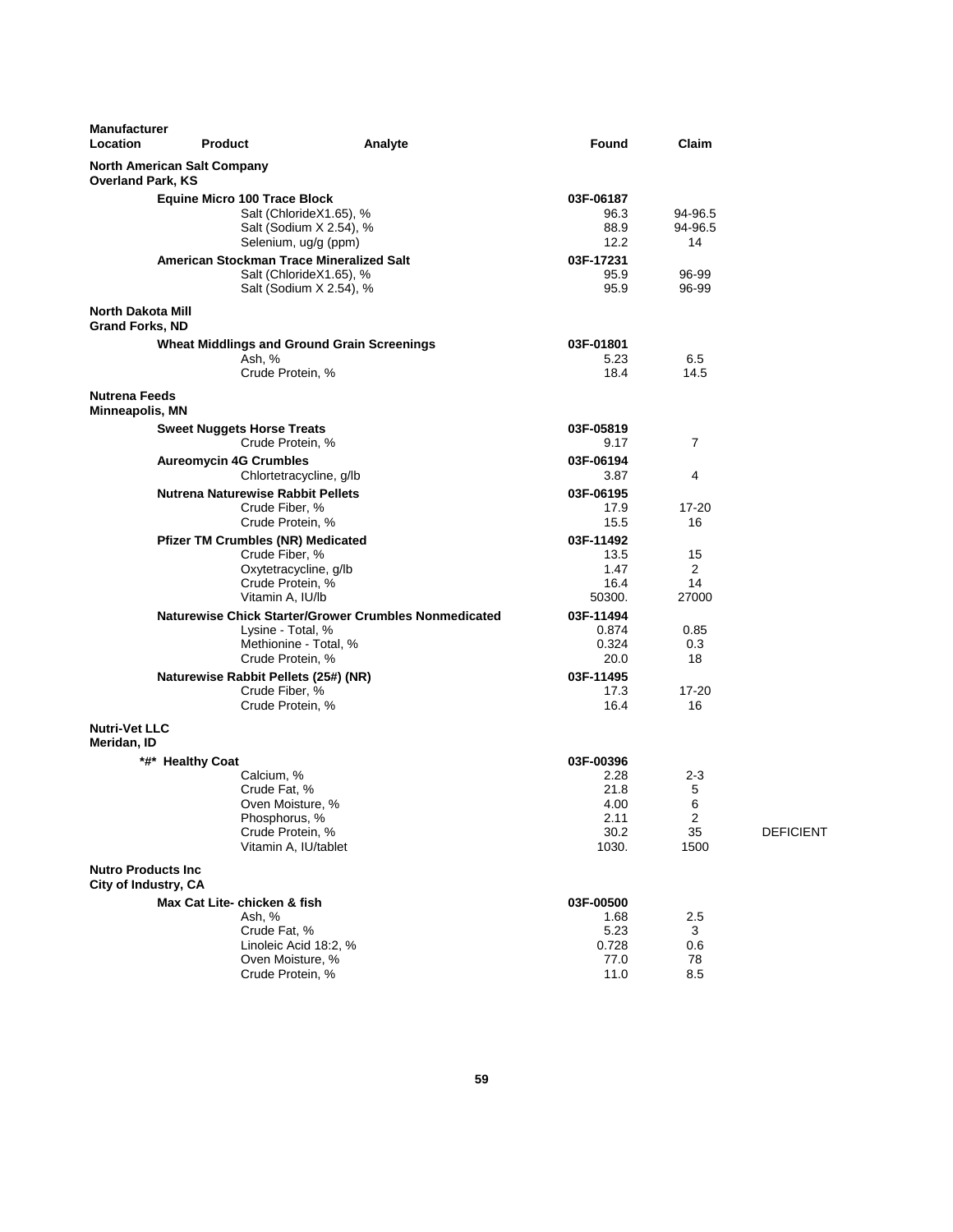| Manufacturer<br>Location                           | <b>Product</b>                                     | Analyte                                               | Found        | Claim          |                  |
|----------------------------------------------------|----------------------------------------------------|-------------------------------------------------------|--------------|----------------|------------------|
| <b>Overland Park, KS</b>                           | <b>North American Salt Company</b>                 |                                                       |              |                |                  |
|                                                    | <b>Equine Micro 100 Trace Block</b>                |                                                       | 03F-06187    |                |                  |
|                                                    | Salt (ChlorideX1.65), %                            |                                                       | 96.3         | 94-96.5        |                  |
|                                                    | Salt (Sodium X 2.54), %                            |                                                       | 88.9         | 94-96.5        |                  |
|                                                    | Selenium, ug/g (ppm)                               |                                                       | 12.2         | 14             |                  |
|                                                    | American Stockman Trace Mineralized Salt           |                                                       | 03F-17231    |                |                  |
|                                                    | Salt (ChlorideX1.65), %<br>Salt (Sodium X 2.54), % |                                                       | 95.9<br>95.9 | 96-99<br>96-99 |                  |
| <b>North Dakota Mill</b><br><b>Grand Forks, ND</b> |                                                    |                                                       |              |                |                  |
|                                                    | <b>Wheat Middlings and Ground Grain Screenings</b> |                                                       | 03F-01801    |                |                  |
|                                                    | Ash, %                                             |                                                       | 5.23         | 6.5            |                  |
|                                                    | Crude Protein, %                                   |                                                       | 18.4         | 14.5           |                  |
| <b>Nutrena Feeds</b><br>Minneapolis, MN            |                                                    |                                                       |              |                |                  |
|                                                    | <b>Sweet Nuggets Horse Treats</b>                  |                                                       | 03F-05819    |                |                  |
|                                                    | Crude Protein, %                                   |                                                       | 9.17         | 7              |                  |
|                                                    | <b>Aureomycin 4G Crumbles</b>                      |                                                       | 03F-06194    |                |                  |
|                                                    | Chlortetracycline, g/lb                            |                                                       | 3.87         | 4              |                  |
|                                                    | <b>Nutrena Naturewise Rabbit Pellets</b>           |                                                       | 03F-06195    |                |                  |
|                                                    | Crude Fiber, %                                     |                                                       | 17.9         | 17-20          |                  |
|                                                    | Crude Protein, %                                   |                                                       | 15.5         | 16             |                  |
|                                                    | <b>Pfizer TM Crumbles (NR) Medicated</b>           |                                                       | 03F-11492    |                |                  |
|                                                    | Crude Fiber, %                                     |                                                       | 13.5         | 15             |                  |
|                                                    | Oxytetracycline, g/lb<br>Crude Protein, %          |                                                       | 1.47<br>16.4 | 2<br>14        |                  |
|                                                    | Vitamin A, IU/lb                                   |                                                       | 50300.       | 27000          |                  |
|                                                    |                                                    | Naturewise Chick Starter/Grower Crumbles Nonmedicated | 03F-11494    |                |                  |
|                                                    | Lysine - Total, %                                  |                                                       | 0.874        | 0.85           |                  |
|                                                    | Methionine - Total, %                              |                                                       | 0.324        | 0.3            |                  |
|                                                    | Crude Protein, %                                   |                                                       | 20.0         | 18             |                  |
|                                                    | Naturewise Rabbit Pellets (25#) (NR)               |                                                       | 03F-11495    |                |                  |
|                                                    | Crude Fiber, %                                     |                                                       | 17.3         | $17 - 20$      |                  |
|                                                    | Crude Protein, %                                   |                                                       | 16.4         | 16             |                  |
| <b>Nutri-Vet LLC</b><br>Meridan, ID                |                                                    |                                                       |              |                |                  |
|                                                    | *#* Healthy Coat                                   |                                                       | 03F-00396    |                |                  |
|                                                    | Calcium, %                                         |                                                       | 2.28         | $2 - 3$        |                  |
|                                                    | Crude Fat, %                                       |                                                       | 21.8         | 5<br>6         |                  |
|                                                    | Oven Moisture, %<br>Phosphorus, %                  |                                                       | 4.00<br>2.11 | 2              |                  |
|                                                    | Crude Protein, %                                   |                                                       | 30.2         | 35             | <b>DEFICIENT</b> |
|                                                    | Vitamin A, IU/tablet                               |                                                       | 1030.        | 1500           |                  |
| <b>Nutro Products Inc</b><br>City of Industry, CA  |                                                    |                                                       |              |                |                  |
|                                                    | Max Cat Lite- chicken & fish                       |                                                       | 03F-00500    |                |                  |
|                                                    | Ash, %                                             |                                                       | 1.68         | 2.5            |                  |
|                                                    | Crude Fat, %                                       |                                                       | 5.23         | 3              |                  |
|                                                    | Linoleic Acid 18:2, %                              |                                                       | 0.728        | 0.6            |                  |
|                                                    | Oven Moisture, %                                   |                                                       | 77.0         | 78             |                  |
|                                                    | Crude Protein, %                                   |                                                       | 11.0         | 8.5            |                  |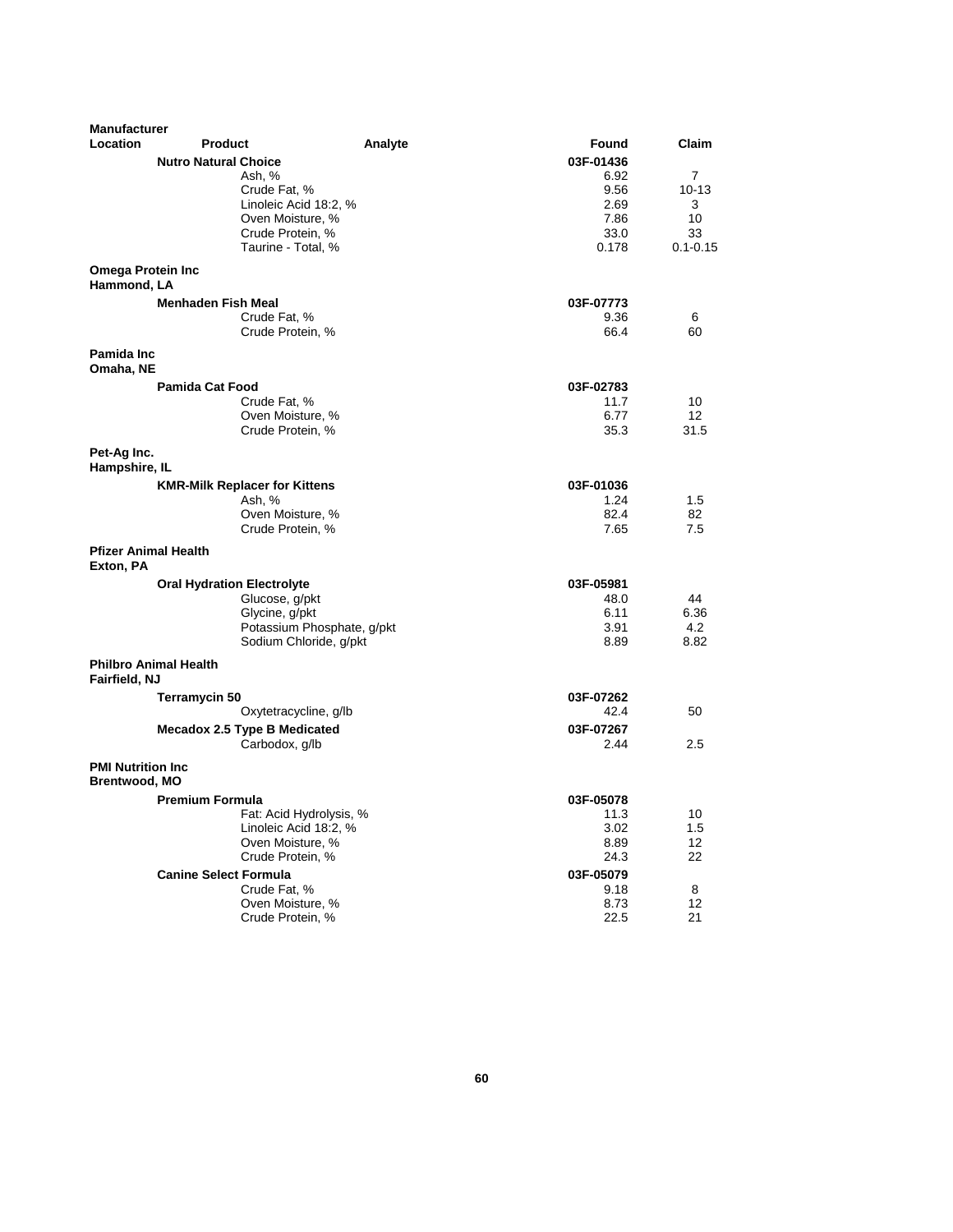| <b>Manufacturer</b>                               |                                   |                                      |         |           |                |
|---------------------------------------------------|-----------------------------------|--------------------------------------|---------|-----------|----------------|
| Location                                          | <b>Product</b>                    |                                      | Analyte | Found     | Claim          |
|                                                   | <b>Nutro Natural Choice</b>       |                                      |         | 03F-01436 |                |
|                                                   |                                   | Ash, %                               |         | 6.92      | $\overline{7}$ |
|                                                   |                                   | Crude Fat, %                         |         | 9.56      | $10 - 13$      |
|                                                   |                                   | Linoleic Acid 18:2, %                |         | 2.69      | 3              |
|                                                   |                                   | Oven Moisture, %                     |         | 7.86      | 10             |
|                                                   |                                   | Crude Protein, %                     |         | 33.0      | 33             |
|                                                   |                                   | Taurine - Total, %                   |         | 0.178     | $0.1 - 0.15$   |
| <b>Omega Protein Inc</b><br>Hammond, LA           |                                   |                                      |         |           |                |
|                                                   | <b>Menhaden Fish Meal</b>         |                                      |         | 03F-07773 |                |
|                                                   |                                   | Crude Fat, %                         |         | 9.36      | 6              |
|                                                   |                                   | Crude Protein, %                     |         | 66.4      | 60             |
| Pamida Inc<br>Omaha, NE                           |                                   |                                      |         |           |                |
|                                                   | <b>Pamida Cat Food</b>            |                                      |         | 03F-02783 |                |
|                                                   |                                   | Crude Fat, %                         |         | 11.7      | 10             |
|                                                   |                                   | Oven Moisture, %                     |         | 6.77      | 12             |
|                                                   |                                   | Crude Protein, %                     |         | 35.3      | 31.5           |
|                                                   |                                   |                                      |         |           |                |
| Pet-Ag Inc.<br>Hampshire, IL                      |                                   |                                      |         |           |                |
|                                                   |                                   | <b>KMR-Milk Replacer for Kittens</b> |         | 03F-01036 |                |
|                                                   |                                   | Ash, %                               |         | 1.24      | 1.5            |
|                                                   |                                   | Oven Moisture, %                     |         | 82.4      | 82             |
|                                                   |                                   | Crude Protein, %                     |         | 7.65      | 7.5            |
| <b>Pfizer Animal Health</b><br>Exton, PA          |                                   |                                      |         |           |                |
|                                                   | <b>Oral Hydration Electrolyte</b> |                                      |         | 03F-05981 |                |
|                                                   |                                   | Glucose, g/pkt                       |         | 48.0      | 44             |
|                                                   |                                   | Glycine, g/pkt                       |         | 6.11      | 6.36           |
|                                                   |                                   | Potassium Phosphate, g/pkt           |         | 3.91      | 4.2            |
|                                                   |                                   | Sodium Chloride, g/pkt               |         | 8.89      | 8.82           |
| Fairfield, NJ                                     | <b>Philbro Animal Health</b>      |                                      |         |           |                |
|                                                   | Terramycin 50                     |                                      |         | 03F-07262 |                |
|                                                   |                                   | Oxytetracycline, g/lb                |         | 42.4      | 50             |
|                                                   |                                   | Mecadox 2.5 Type B Medicated         |         | 03F-07267 |                |
|                                                   |                                   | Carbodox, g/lb                       |         | 2.44      | 2.5            |
|                                                   |                                   |                                      |         |           |                |
| <b>PMI Nutrition Inc.</b><br><b>Brentwood, MO</b> |                                   |                                      |         |           |                |
|                                                   | <b>Premium Formula</b>            |                                      |         | 03F-05078 |                |
|                                                   |                                   | Fat: Acid Hydrolysis, %              |         | 11.3      | 10             |
|                                                   |                                   | Linoleic Acid 18:2, %                |         | 3.02      | 1.5            |
|                                                   |                                   | Oven Moisture, %                     |         | 8.89      | 12             |
|                                                   |                                   | Crude Protein, %                     |         | 24.3      | 22             |
|                                                   | <b>Canine Select Formula</b>      |                                      |         | 03F-05079 |                |
|                                                   |                                   | Crude Fat, %                         |         | 9.18      | 8              |
|                                                   |                                   | Oven Moisture, %                     |         | 8.73      | 12             |
|                                                   |                                   | Crude Protein, %                     |         | 22.5      | 21             |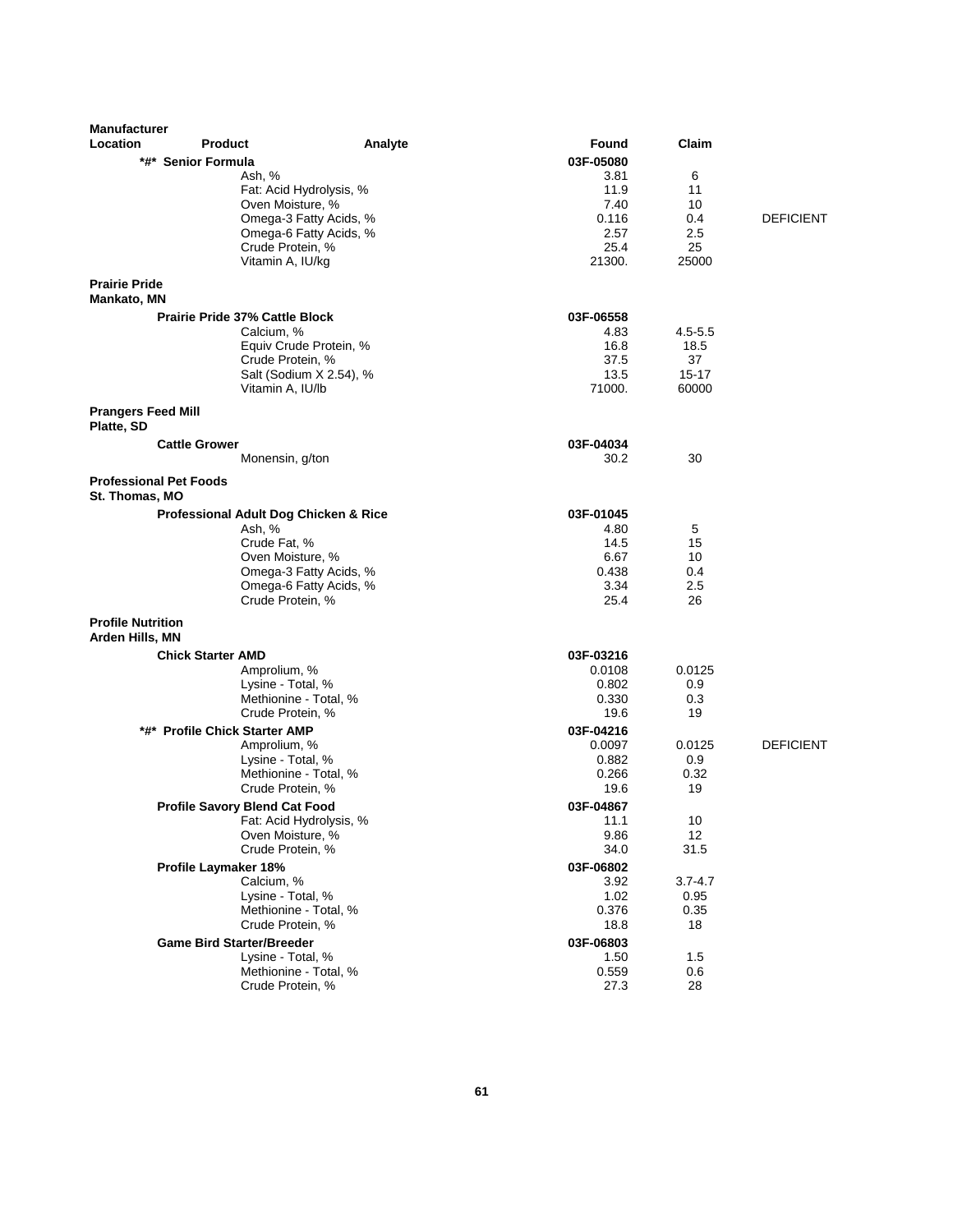| <b>Manufacturer</b>                             |                                           |                                                  |                     |             |                  |
|-------------------------------------------------|-------------------------------------------|--------------------------------------------------|---------------------|-------------|------------------|
| Location                                        | <b>Product</b>                            | Analyte                                          | Found               | Claim       |                  |
|                                                 | *#* Senior Formula                        |                                                  | 03F-05080           |             |                  |
|                                                 | Ash, %                                    |                                                  | 3.81                | 6           |                  |
|                                                 | Fat: Acid Hydrolysis, %                   |                                                  | 11.9                | 11          |                  |
|                                                 | Oven Moisture, %                          |                                                  | 7.40<br>0.116       | 10<br>0.4   | <b>DEFICIENT</b> |
|                                                 |                                           | Omega-3 Fatty Acids, %<br>Omega-6 Fatty Acids, % | 2.57                | 2.5         |                  |
|                                                 | Crude Protein, %                          |                                                  | 25.4                | 25          |                  |
|                                                 | Vitamin A, IU/kg                          |                                                  | 21300.              | 25000       |                  |
| <b>Prairie Pride</b><br><b>Mankato, MN</b>      |                                           |                                                  |                     |             |                  |
|                                                 | Prairie Pride 37% Cattle Block            |                                                  | 03F-06558           |             |                  |
|                                                 | Calcium, %                                |                                                  | 4.83                | $4.5 - 5.5$ |                  |
|                                                 |                                           | Equiv Crude Protein, %                           | 16.8                | 18.5        |                  |
|                                                 | Crude Protein, %                          |                                                  | 37.5                | 37          |                  |
|                                                 |                                           | Salt (Sodium X 2.54), %                          | 13.5                | $15 - 17$   |                  |
|                                                 | Vitamin A, IU/lb                          |                                                  | 71000.              | 60000       |                  |
| <b>Prangers Feed Mill</b><br>Platte, SD         |                                           |                                                  |                     |             |                  |
|                                                 | <b>Cattle Grower</b>                      |                                                  | 03F-04034           |             |                  |
|                                                 | Monensin, g/ton                           |                                                  | 30.2                | 30          |                  |
| <b>Professional Pet Foods</b><br>St. Thomas. MO |                                           |                                                  |                     |             |                  |
|                                                 | Professional Adult Dog Chicken & Rice     |                                                  | 03F-01045           |             |                  |
|                                                 | Ash, %                                    |                                                  | 4.80                | 5           |                  |
|                                                 | Crude Fat, %                              |                                                  | 14.5                | 15          |                  |
|                                                 | Oven Moisture, %                          |                                                  | 6.67                | 10          |                  |
|                                                 |                                           | Omega-3 Fatty Acids, %                           | 0.438               | 0.4         |                  |
|                                                 | Crude Protein, %                          | Omega-6 Fatty Acids, %                           | 3.34<br>25.4        | 2.5<br>26   |                  |
|                                                 |                                           |                                                  |                     |             |                  |
| <b>Profile Nutrition</b>                        |                                           |                                                  |                     |             |                  |
| Arden Hills, MN                                 |                                           |                                                  |                     |             |                  |
|                                                 | <b>Chick Starter AMD</b>                  |                                                  | 03F-03216<br>0.0108 | 0.0125      |                  |
|                                                 | Amprolium, %<br>Lysine - Total, %         |                                                  | 0.802               | 0.9         |                  |
|                                                 | Methionine - Total, %                     |                                                  | 0.330               | 0.3         |                  |
|                                                 | Crude Protein, %                          |                                                  | 19.6                | 19          |                  |
|                                                 | *#* Profile Chick Starter AMP             |                                                  | 03F-04216           |             |                  |
|                                                 | Amprolium, %                              |                                                  | 0.0097              | 0.0125      | <b>DEFICIENT</b> |
|                                                 | Lysine - Total, %                         |                                                  | 0.882               | 0.9         |                  |
|                                                 | Methionine - Total, %                     |                                                  | 0.266               | 0.32        |                  |
|                                                 | Crude Protein, %                          |                                                  | 19.6                | 19          |                  |
|                                                 | <b>Profile Savory Blend Cat Food</b>      |                                                  | 03F-04867           |             |                  |
|                                                 | Fat: Acid Hydrolysis, %                   |                                                  | 11.1                | 10          |                  |
|                                                 | Oven Moisture, %<br>Crude Protein, %      |                                                  | 9.86<br>34.0        | 12<br>31.5  |                  |
|                                                 |                                           |                                                  |                     |             |                  |
|                                                 | <b>Profile Laymaker 18%</b><br>Calcium, % |                                                  | 03F-06802<br>3.92   | $3.7 - 4.7$ |                  |
|                                                 | Lysine - Total, %                         |                                                  | 1.02                | 0.95        |                  |
|                                                 | Methionine - Total, %                     |                                                  | 0.376               | 0.35        |                  |
|                                                 | Crude Protein, %                          |                                                  | 18.8                | 18          |                  |
|                                                 | <b>Game Bird Starter/Breeder</b>          |                                                  | 03F-06803           |             |                  |
|                                                 | Lysine - Total, %                         |                                                  | 1.50                | 1.5         |                  |
|                                                 | Methionine - Total, %                     |                                                  | 0.559               | 0.6         |                  |
|                                                 | Crude Protein, %                          |                                                  | 27.3                | 28          |                  |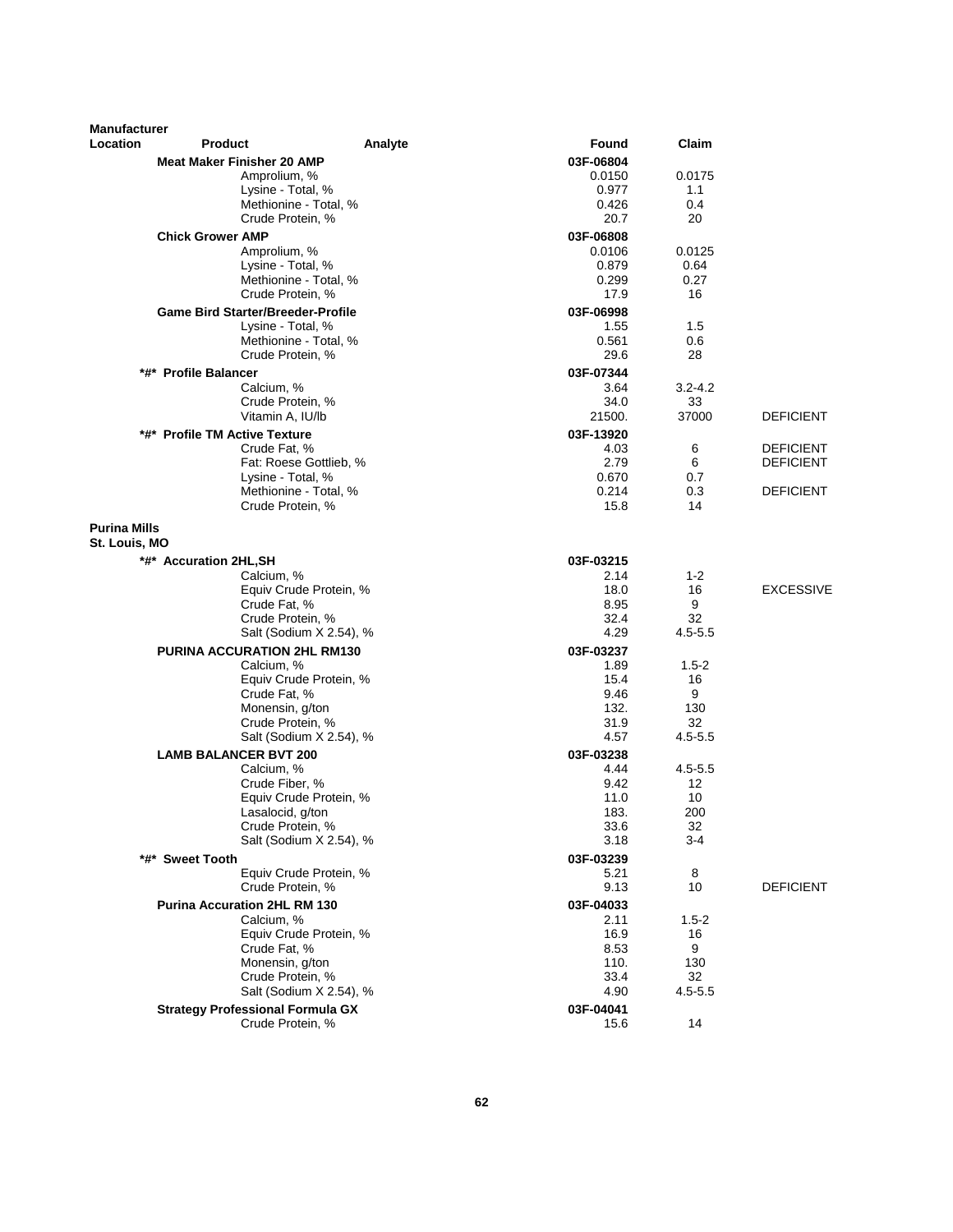| <b>Manufacturer</b><br>Location      | <b>Product</b>                           | Analyte                 | Found          | Claim       |                                      |
|--------------------------------------|------------------------------------------|-------------------------|----------------|-------------|--------------------------------------|
|                                      | <b>Meat Maker Finisher 20 AMP</b>        |                         | 03F-06804      |             |                                      |
|                                      | Amprolium, %                             |                         | 0.0150         | 0.0175      |                                      |
|                                      | Lysine - Total, %                        |                         | 0.977          | 1.1         |                                      |
|                                      | Methionine - Total, %                    |                         | 0.426          | 0.4         |                                      |
|                                      | Crude Protein, %                         |                         | 20.7           | 20          |                                      |
|                                      | <b>Chick Grower AMP</b>                  |                         | 03F-06808      |             |                                      |
|                                      | Amprolium, %                             |                         | 0.0106         | 0.0125      |                                      |
|                                      | Lysine - Total, %                        |                         | 0.879          | 0.64        |                                      |
|                                      | Methionine - Total, %                    |                         | 0.299          | 0.27        |                                      |
|                                      | Crude Protein, %                         |                         | 17.9           | 16          |                                      |
|                                      | <b>Game Bird Starter/Breeder-Profile</b> |                         | 03F-06998      |             |                                      |
|                                      | Lysine - Total, %                        |                         | 1.55           | 1.5         |                                      |
|                                      | Methionine - Total, %                    |                         | 0.561          | 0.6         |                                      |
|                                      | Crude Protein, %                         |                         | 29.6           | 28          |                                      |
|                                      | *#* Profile Balancer                     |                         | 03F-07344      |             |                                      |
|                                      | Calcium, %                               |                         | 3.64           | $3.2 - 4.2$ |                                      |
|                                      | Crude Protein, %                         |                         | 34.0<br>21500. | 33<br>37000 | <b>DEFICIENT</b>                     |
|                                      | Vitamin A, IU/lb                         |                         |                |             |                                      |
|                                      | *#* Profile TM Active Texture            |                         | 03F-13920      |             |                                      |
|                                      | Crude Fat, %<br>Fat: Roese Gottlieb, %   |                         | 4.03<br>2.79   | 6<br>6      | <b>DEFICIENT</b><br><b>DEFICIENT</b> |
|                                      | Lysine - Total, %                        |                         | 0.670          | 0.7         |                                      |
|                                      | Methionine - Total. %                    |                         | 0.214          | 0.3         | <b>DEFICIENT</b>                     |
|                                      | Crude Protein, %                         |                         | 15.8           | 14          |                                      |
| <b>Purina Mills</b><br>St. Louis, MO |                                          |                         |                |             |                                      |
|                                      | *#* Accuration 2HL, SH                   |                         | 03F-03215      |             |                                      |
|                                      | Calcium, %                               |                         | 2.14           | $1 - 2$     |                                      |
|                                      | Equiv Crude Protein, %                   |                         | 18.0           | 16          | <b>EXCESSIVE</b>                     |
|                                      | Crude Fat, %                             |                         | 8.95           | 9           |                                      |
|                                      | Crude Protein, %                         |                         | 32.4           | 32          |                                      |
|                                      |                                          | Salt (Sodium X 2.54), % | 4.29           | $4.5 - 5.5$ |                                      |
|                                      | PURINA ACCURATION 2HL RM130              |                         | 03F-03237      |             |                                      |
|                                      | Calcium, %                               |                         | 1.89           | $1.5-2$     |                                      |
|                                      | Crude Fat, %                             | Equiv Crude Protein, %  | 15.4<br>9.46   | 16<br>9     |                                      |
|                                      | Monensin, g/ton                          |                         | 132.           | 130         |                                      |
|                                      | Crude Protein, %                         |                         | 31.9           | 32          |                                      |
|                                      |                                          | Salt (Sodium X 2.54), % | 4.57           | $4.5 - 5.5$ |                                      |
|                                      | <b>LAMB BALANCER BVT 200</b>             |                         | 03F-03238      |             |                                      |
|                                      | Calcium, %                               |                         | 4.44           | $4.5 - 5.5$ |                                      |
|                                      | Crude Fiber, %                           |                         | 9.42           | 12          |                                      |
|                                      |                                          | Equiv Crude Protein, %  | 11.0           | 10          |                                      |
|                                      | Lasalocid, g/ton                         |                         | 183.           | 200         |                                      |
|                                      | Crude Protein, %                         |                         | 33.6           | 32          |                                      |
|                                      |                                          | Salt (Sodium X 2.54), % | 3.18           | 3-4         |                                      |
|                                      | *#* Sweet Tooth                          |                         | 03F-03239      |             |                                      |
|                                      |                                          | Equiv Crude Protein, %  | 5.21           | 8           |                                      |
|                                      | Crude Protein, %                         |                         | 9.13           | 10          | DEFICIENT                            |
|                                      | <b>Purina Accuration 2HL RM 130</b>      |                         | 03F-04033      |             |                                      |
|                                      | Calcium, %                               |                         | 2.11           | $1.5 - 2$   |                                      |
|                                      | Crude Fat, %                             | Equiv Crude Protein, %  | 16.9<br>8.53   | 16<br>9     |                                      |
|                                      | Monensin, g/ton                          |                         | 110.           | 130         |                                      |
|                                      | Crude Protein, %                         |                         | 33.4           | 32          |                                      |
|                                      |                                          | Salt (Sodium X 2.54), % | 4.90           | $4.5 - 5.5$ |                                      |
|                                      | <b>Strategy Professional Formula GX</b>  |                         | 03F-04041      |             |                                      |
|                                      | Crude Protein, %                         |                         | 15.6           | 14          |                                      |
|                                      |                                          |                         |                |             |                                      |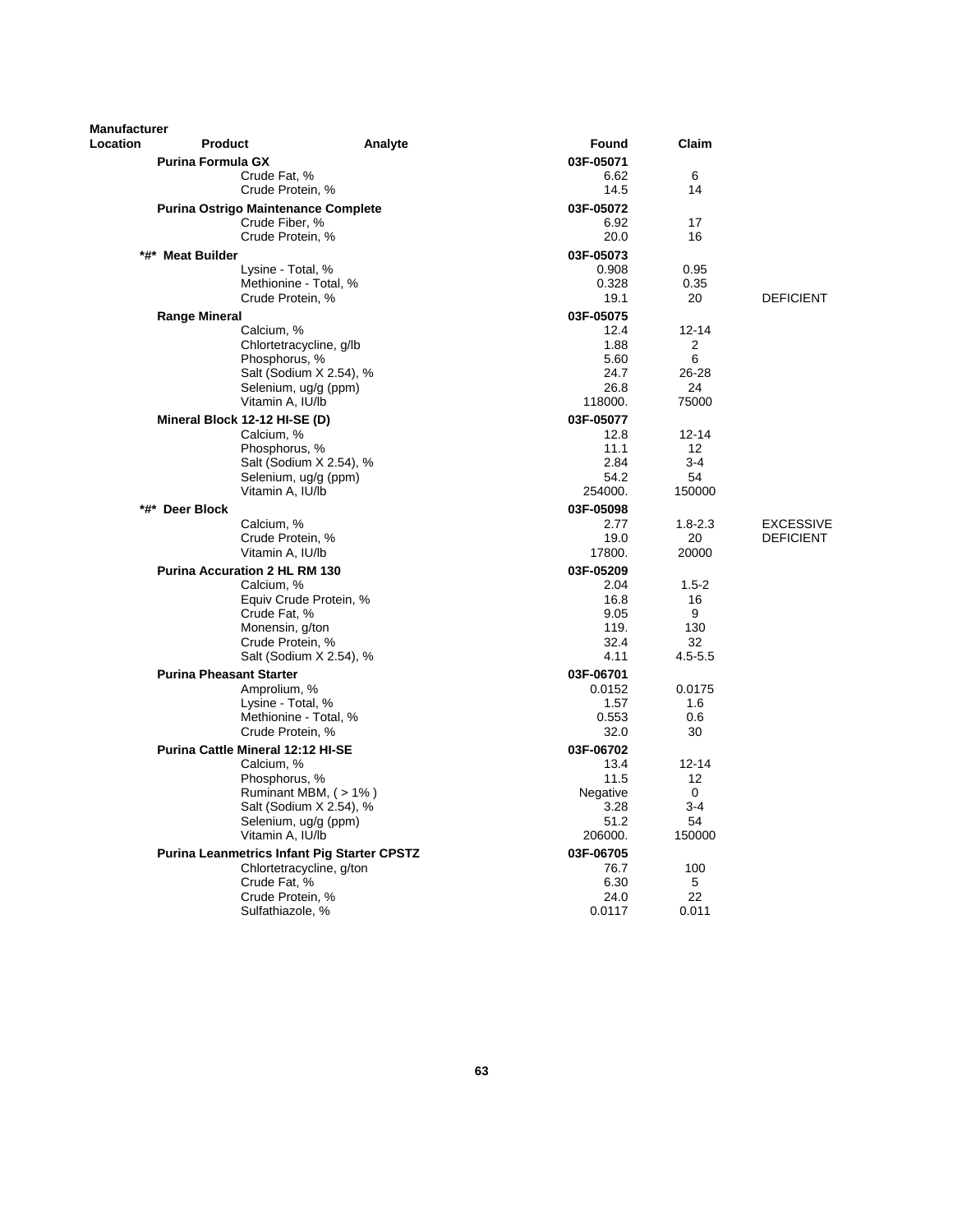| <b>Manufacturer</b> |                                                    |                          |              |                   |                  |
|---------------------|----------------------------------------------------|--------------------------|--------------|-------------------|------------------|
| Location            | <b>Product</b>                                     | Analyte                  | Found        | Claim             |                  |
|                     | <b>Purina Formula GX</b>                           |                          | 03F-05071    |                   |                  |
|                     | Crude Fat, %                                       |                          | 6.62         | 6                 |                  |
|                     | Crude Protein, %                                   |                          | 14.5         | 14                |                  |
|                     | <b>Purina Ostrigo Maintenance Complete</b>         |                          | 03F-05072    |                   |                  |
|                     | Crude Fiber, %                                     |                          | 6.92         | 17                |                  |
|                     | Crude Protein, %                                   |                          | 20.0         | 16                |                  |
|                     | *#* Meat Builder                                   |                          | 03F-05073    |                   |                  |
|                     | Lysine - Total, %                                  |                          | 0.908        | 0.95              |                  |
|                     | Methionine - Total, %                              |                          | 0.328        | 0.35              |                  |
|                     | Crude Protein, %                                   |                          | 19.1         | 20                | <b>DEFICIENT</b> |
|                     | <b>Range Mineral</b>                               |                          | 03F-05075    |                   |                  |
|                     | Calcium, %                                         |                          | 12.4         | $12 - 14$         |                  |
|                     | Chlortetracycline, g/lb                            |                          | 1.88         | 2                 |                  |
|                     | Phosphorus, %                                      |                          | 5.60         | 6                 |                  |
|                     |                                                    | Salt (Sodium X 2.54), %  | 24.7         | $26 - 28$         |                  |
|                     | Selenium, ug/g (ppm)                               |                          | 26.8         | 24                |                  |
|                     | Vitamin A, IU/lb                                   |                          | 118000.      | 75000             |                  |
|                     | Mineral Block 12-12 HI-SE (D)                      |                          | 03F-05077    |                   |                  |
|                     | Calcium, %                                         |                          | 12.8         | $12 - 14$         |                  |
|                     | Phosphorus, %                                      |                          | 11.1         | $12 \overline{ }$ |                  |
|                     |                                                    | Salt (Sodium X 2.54), %  | 2.84         | $3-4$             |                  |
|                     | Selenium, ug/g (ppm)                               |                          | 54.2         | 54                |                  |
|                     | Vitamin A, IU/lb                                   |                          | 254000.      | 150000            |                  |
|                     | *#* Deer Block                                     |                          | 03F-05098    |                   |                  |
|                     | Calcium, %                                         |                          | 2.77         | $1.8 - 2.3$       | <b>EXCESSIVE</b> |
|                     | Crude Protein, %                                   |                          | 19.0         | 20                | <b>DEFICIENT</b> |
|                     | Vitamin A, IU/lb                                   |                          | 17800.       | 20000             |                  |
|                     | <b>Purina Accuration 2 HL RM 130</b>               |                          | 03F-05209    |                   |                  |
|                     | Calcium, %                                         |                          | 2.04         | $1.5 - 2$         |                  |
|                     | Crude Fat, %                                       | Equiv Crude Protein, %   | 16.8<br>9.05 | 16<br>9           |                  |
|                     | Monensin, g/ton                                    |                          | 119.         | 130               |                  |
|                     | Crude Protein, %                                   |                          | 32.4         | 32                |                  |
|                     |                                                    | Salt (Sodium X 2.54), %  | 4.11         | $4.5 - 5.5$       |                  |
|                     | <b>Purina Pheasant Starter</b>                     |                          | 03F-06701    |                   |                  |
|                     | Amprolium, %                                       |                          | 0.0152       | 0.0175            |                  |
|                     | Lysine - Total, %                                  |                          | 1.57         | 1.6               |                  |
|                     | Methionine - Total, %                              |                          | 0.553        | 0.6               |                  |
|                     | Crude Protein, %                                   |                          | 32.0         | 30                |                  |
|                     | Purina Cattle Mineral 12:12 HI-SE                  |                          | 03F-06702    |                   |                  |
|                     | Calcium, %                                         |                          | 13.4         | $12 - 14$         |                  |
|                     | Phosphorus, %                                      |                          | 11.5         | $12 \overline{ }$ |                  |
|                     |                                                    | Ruminant MBM, (>1%)      | Negative     | $\mathbf 0$       |                  |
|                     |                                                    | Salt (Sodium X 2.54), %  | 3.28         | $3 - 4$           |                  |
|                     | Selenium, ug/g (ppm)                               |                          | 51.2         | 54                |                  |
|                     | Vitamin A, IU/lb                                   |                          | 206000.      | 150000            |                  |
|                     | <b>Purina Leanmetrics Infant Pig Starter CPSTZ</b> |                          | 03F-06705    |                   |                  |
|                     |                                                    | Chlortetracycline, g/ton | 76.7         | 100               |                  |
|                     | Crude Fat. %                                       |                          | 6.30         | 5                 |                  |
|                     | Crude Protein, %                                   |                          | 24.0         | 22                |                  |
|                     | Sulfathiazole, %                                   |                          | 0.0117       | 0.011             |                  |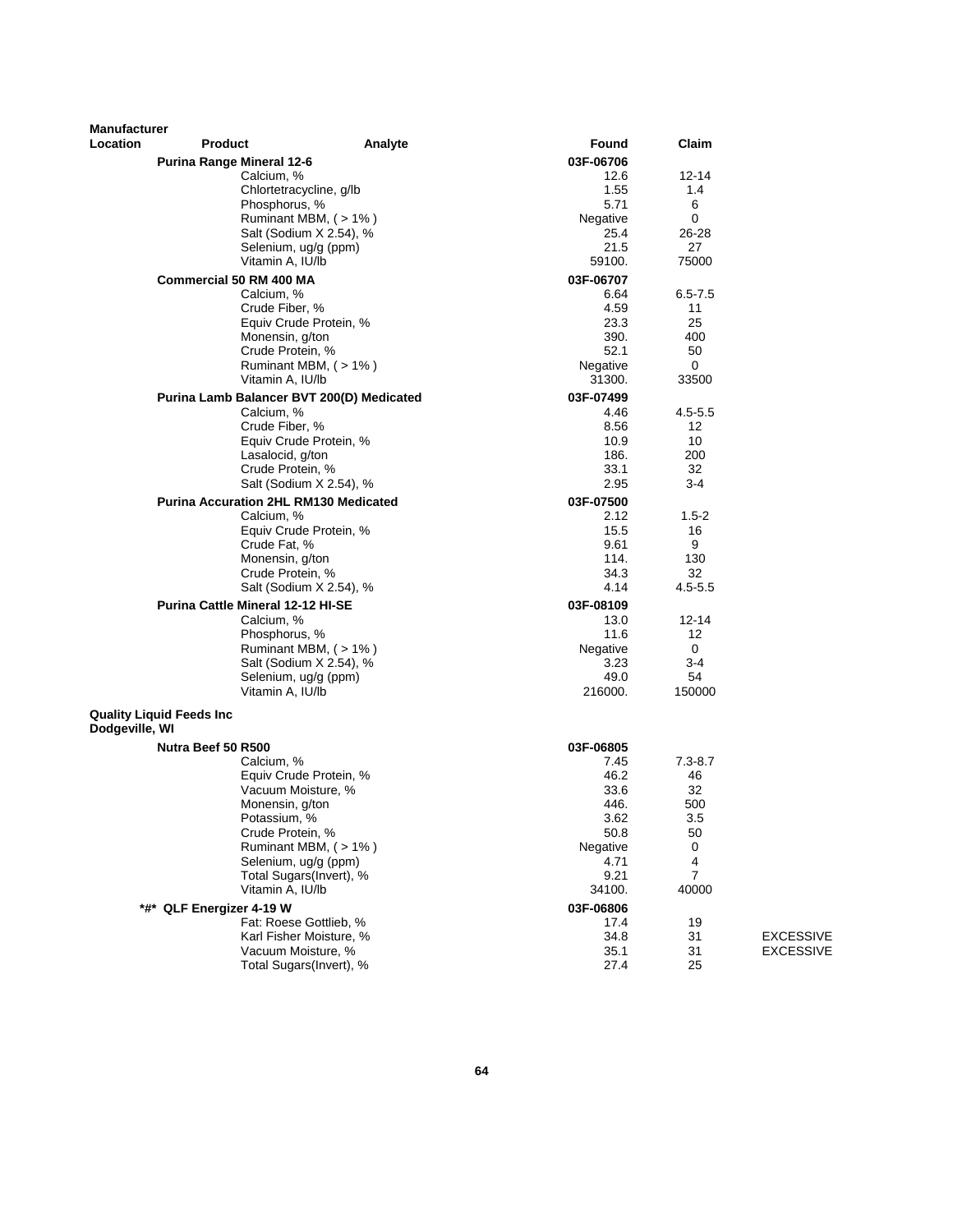| <b>Manufacturer</b> |                                              |                                                       |                   |                   |                  |
|---------------------|----------------------------------------------|-------------------------------------------------------|-------------------|-------------------|------------------|
| <b>Location</b>     | <b>Product</b>                               | Analyte                                               | Found             | Claim             |                  |
|                     | <b>Purina Range Mineral 12-6</b>             |                                                       | 03F-06706         |                   |                  |
|                     | Calcium, %                                   |                                                       | 12.6              | 12-14             |                  |
|                     |                                              | Chlortetracycline, g/lb                               | 1.55              | 1.4               |                  |
|                     | Phosphorus, %                                |                                                       | 5.71<br>Negative  | 6<br>0            |                  |
|                     |                                              | Ruminant MBM, $($ > 1% $)$<br>Salt (Sodium X 2.54), % | 25.4              | 26-28             |                  |
|                     |                                              | Selenium, ug/g (ppm)                                  | 21.5              | 27                |                  |
|                     | Vitamin A, IU/lb                             |                                                       | 59100.            | 75000             |                  |
|                     | <b>Commercial 50 RM 400 MA</b>               |                                                       | 03F-06707         |                   |                  |
|                     | Calcium, %                                   |                                                       | 6.64              | $6.5 - 7.5$       |                  |
|                     | Crude Fiber, %                               |                                                       | 4.59              | 11                |                  |
|                     |                                              | Equiv Crude Protein, %                                | 23.3              | 25                |                  |
|                     | Monensin, g/ton                              |                                                       | 390.              | 400               |                  |
|                     | Crude Protein, %                             |                                                       | 52.1              | 50                |                  |
|                     |                                              | Ruminant MBM, (>1%)                                   | Negative          | 0                 |                  |
|                     | Vitamin A, IU/lb                             |                                                       | 31300.            | 33500             |                  |
|                     | Purina Lamb Balancer BVT 200(D) Medicated    |                                                       | 03F-07499         |                   |                  |
|                     | Calcium, %<br>Crude Fiber, %                 |                                                       | 4.46<br>8.56      | $4.5 - 5.5$<br>12 |                  |
|                     |                                              | Equiv Crude Protein, %                                | 10.9              | 10                |                  |
|                     | Lasalocid, g/ton                             |                                                       | 186.              | 200               |                  |
|                     | Crude Protein, %                             |                                                       | 33.1              | 32                |                  |
|                     |                                              | Salt (Sodium X 2.54), %                               | 2.95              | 3-4               |                  |
|                     | <b>Purina Accuration 2HL RM130 Medicated</b> |                                                       | 03F-07500         |                   |                  |
|                     | Calcium, %                                   |                                                       | 2.12              | $1.5 - 2$         |                  |
|                     |                                              | Equiv Crude Protein, %                                | 15.5              | 16                |                  |
|                     | Crude Fat, %                                 |                                                       | 9.61              | 9                 |                  |
|                     | Monensin, g/ton                              |                                                       | 114.              | 130               |                  |
|                     | Crude Protein, %                             |                                                       | 34.3              | 32                |                  |
|                     |                                              | Salt (Sodium X 2.54), %                               | 4.14              | $4.5 - 5.5$       |                  |
|                     | Purina Cattle Mineral 12-12 HI-SE            |                                                       | 03F-08109         |                   |                  |
|                     | Calcium, %<br>Phosphorus, %                  |                                                       | 13.0<br>11.6      | 12-14<br>12       |                  |
|                     |                                              | Ruminant MBM, (>1%)                                   | Negative          | 0                 |                  |
|                     |                                              | Salt (Sodium X 2.54), %                               | 3.23              | $3-4$             |                  |
|                     |                                              | Selenium, ug/g (ppm)                                  | 49.0              | 54                |                  |
|                     | Vitamin A, IU/lb                             |                                                       | 216000.           | 150000            |                  |
| Dodgeville, WI      | <b>Quality Liquid Feeds Inc</b>              |                                                       |                   |                   |                  |
|                     |                                              |                                                       |                   |                   |                  |
|                     | Nutra Beef 50 R500<br>Calcium, %             |                                                       | 03F-06805<br>7.45 | $7.3 - 8.7$       |                  |
|                     |                                              | Equiv Crude Protein, %                                | 46.2              | 46                |                  |
|                     |                                              | Vacuum Moisture, %                                    | 33.6              | 32                |                  |
|                     | Monensin, g/ton                              |                                                       | 446.              | 500               |                  |
|                     | Potassium, %                                 |                                                       | 3.62              | 3.5               |                  |
|                     | Crude Protein, %                             |                                                       | 50.8              | 50                |                  |
|                     |                                              | Ruminant MBM, (>1%)                                   | Negative          | 0                 |                  |
|                     |                                              | Selenium, ug/g (ppm)                                  | 4.71              | 4                 |                  |
|                     |                                              | Total Sugars(Invert), %                               | 9.21              | $\overline{7}$    |                  |
|                     | Vitamin A, IU/lb                             |                                                       | 34100.            | 40000             |                  |
|                     | *#* QLF Energizer 4-19 W                     |                                                       | 03F-06806         |                   |                  |
|                     |                                              | Fat: Roese Gottlieb, %                                | 17.4              | 19                |                  |
|                     |                                              | Karl Fisher Moisture, %                               | 34.8              | 31                | <b>EXCESSIVE</b> |
|                     |                                              | Vacuum Moisture, %<br>Total Sugars(Invert), %         | 35.1<br>27.4      | 31<br>25          | <b>EXCESSIVE</b> |
|                     |                                              |                                                       |                   |                   |                  |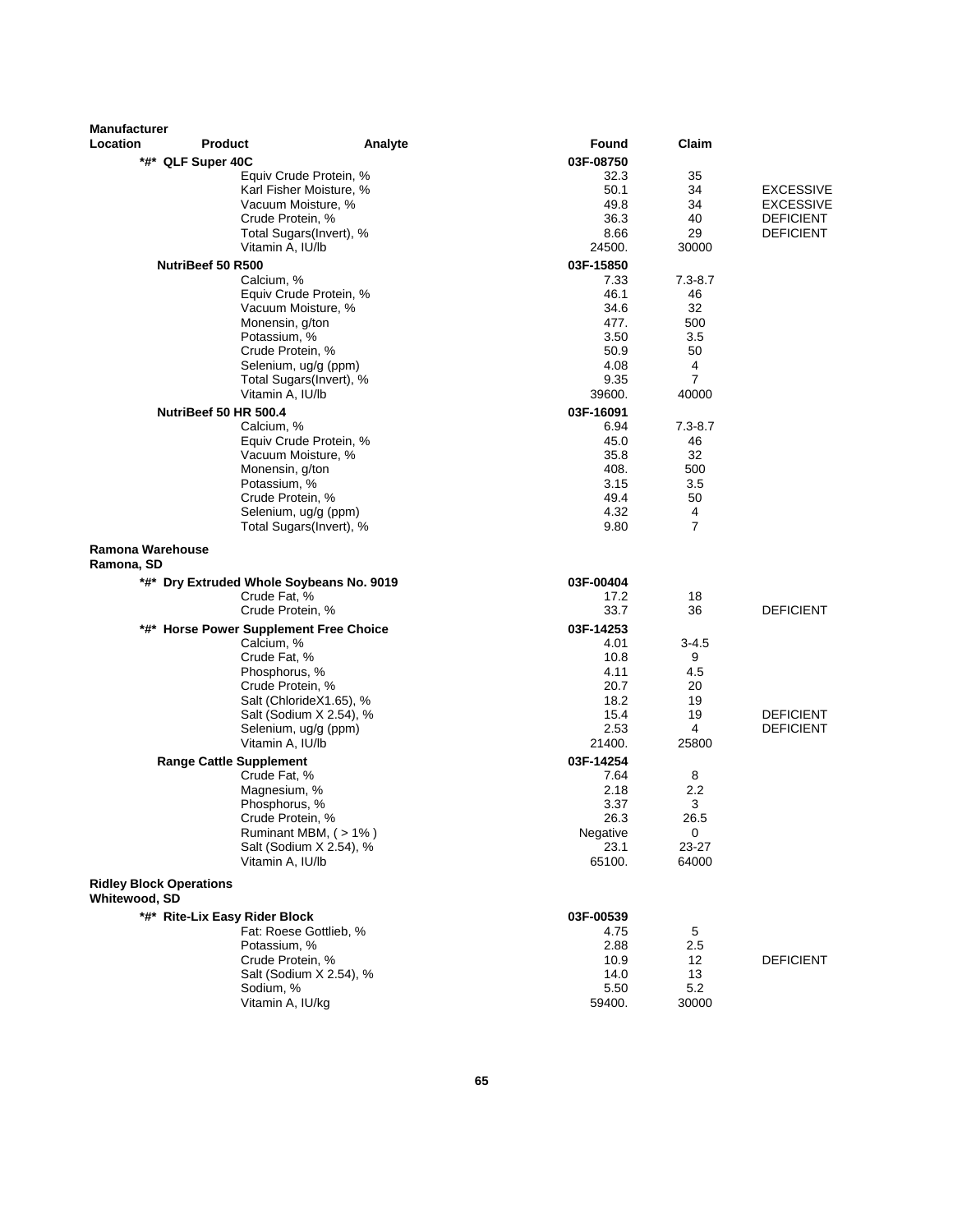| <b>Manufacturer</b>                             |                                                      |                                                 |                |                     |                               |
|-------------------------------------------------|------------------------------------------------------|-------------------------------------------------|----------------|---------------------|-------------------------------|
| Location                                        | <b>Product</b>                                       | Analyte                                         | Found          | Claim               |                               |
|                                                 | *#* QLF Super 40C                                    |                                                 | 03F-08750      |                     |                               |
|                                                 |                                                      | Equiv Crude Protein, %                          | 32.3           | 35                  |                               |
|                                                 |                                                      | Karl Fisher Moisture, %                         | 50.1           | 34                  | <b>EXCESSIVE</b>              |
|                                                 |                                                      | Vacuum Moisture, %                              | 49.8           | 34<br>40            | EXCESSIVE                     |
|                                                 | Crude Protein, %                                     | Total Sugars(Invert), %                         | 36.3<br>8.66   | 29                  | <b>DEFICIENT</b><br>DEFICIENT |
|                                                 | Vitamin A, IU/lb                                     |                                                 | 24500.         | 30000               |                               |
|                                                 | NutriBeef 50 R500                                    |                                                 | 03F-15850      |                     |                               |
|                                                 | Calcium, %                                           |                                                 | 7.33           | $7.3 - 8.7$         |                               |
|                                                 |                                                      | Equiv Crude Protein, %                          | 46.1           | 46                  |                               |
|                                                 |                                                      | Vacuum Moisture, %                              | 34.6           | 32                  |                               |
|                                                 | Monensin, g/ton                                      |                                                 | 477.           | 500                 |                               |
|                                                 | Potassium, %                                         |                                                 | 3.50           | $3.5\,$             |                               |
|                                                 | Crude Protein, %                                     |                                                 | 50.9<br>4.08   | 50<br>4             |                               |
|                                                 |                                                      | Selenium, ug/g (ppm)<br>Total Sugars(Invert), % | 9.35           | $\overline{7}$      |                               |
|                                                 | Vitamin A, IU/lb                                     |                                                 | 39600.         | 40000               |                               |
|                                                 | NutriBeef 50 HR 500.4                                |                                                 | 03F-16091      |                     |                               |
|                                                 | Calcium, %                                           |                                                 | 6.94           | $7.3 - 8.7$         |                               |
|                                                 |                                                      | Equiv Crude Protein, %                          | 45.0           | 46                  |                               |
|                                                 |                                                      | Vacuum Moisture, %                              | 35.8           | 32                  |                               |
|                                                 | Monensin, g/ton                                      |                                                 | 408.           | 500                 |                               |
|                                                 | Potassium, %                                         |                                                 | 3.15           | 3.5                 |                               |
|                                                 | Crude Protein, %                                     |                                                 | 49.4           | 50                  |                               |
|                                                 |                                                      | Selenium, ug/g (ppm)<br>Total Sugars(Invert), % | 4.32<br>9.80   | 4<br>$\overline{7}$ |                               |
| <b>Ramona Warehouse</b><br>Ramona, SD           |                                                      |                                                 |                |                     |                               |
|                                                 | *#* Dry Extruded Whole Soybeans No. 9019             |                                                 | 03F-00404      |                     |                               |
|                                                 | Crude Fat, %<br>Crude Protein, %                     |                                                 | 17.2<br>33.7   | 18<br>36            | <b>DEFICIENT</b>              |
|                                                 |                                                      |                                                 | 03F-14253      |                     |                               |
|                                                 | *#* Horse Power Supplement Free Choice<br>Calcium, % |                                                 | 4.01           | $3 - 4.5$           |                               |
|                                                 | Crude Fat, %                                         |                                                 | 10.8           | 9                   |                               |
|                                                 | Phosphorus, %                                        |                                                 | 4.11           | 4.5                 |                               |
|                                                 | Crude Protein, %                                     |                                                 | 20.7           | 20                  |                               |
|                                                 |                                                      | Salt (ChlorideX1.65), %                         | 18.2           | 19                  |                               |
|                                                 |                                                      | Salt (Sodium X 2.54), %<br>Selenium, ug/g (ppm) | 15.4<br>2.53   | 19<br>4             | <b>DEFICIENT</b>              |
|                                                 | Vitamin A, IU/lb                                     |                                                 | 21400.         | 25800               | <b>DEFICIENT</b>              |
|                                                 | <b>Range Cattle Supplement</b>                       |                                                 | 03F-14254      |                     |                               |
|                                                 | Crude Fat, %                                         |                                                 | 7.64           | 8                   |                               |
|                                                 | Magnesium, %                                         |                                                 | 2.18           | 2.2                 |                               |
|                                                 | Phosphorus, %                                        |                                                 | 3.37           | 3                   |                               |
|                                                 | Crude Protein, %                                     |                                                 | 26.3           | 26.5                |                               |
|                                                 |                                                      | Ruminant MBM, (>1%)                             | Negative       | 0                   |                               |
|                                                 | Vitamin A, IU/lb                                     | Salt (Sodium X 2.54), %                         | 23.1<br>65100. | $23 - 27$<br>64000  |                               |
|                                                 |                                                      |                                                 |                |                     |                               |
| <b>Ridley Block Operations</b><br>Whitewood, SD |                                                      |                                                 |                |                     |                               |
|                                                 | *#* Rite-Lix Easy Rider Block                        |                                                 | 03F-00539      |                     |                               |
|                                                 |                                                      | Fat: Roese Gottlieb, %                          | 4.75           | 5                   |                               |
|                                                 | Potassium, %                                         |                                                 | 2.88           | 2.5                 | <b>DEFICIENT</b>              |
|                                                 | Crude Protein, %                                     | Salt (Sodium X 2.54), %                         | 10.9<br>14.0   | 12<br>13            |                               |
|                                                 | Sodium, %                                            |                                                 | 5.50           | 5.2                 |                               |
|                                                 | Vitamin A, IU/kg                                     |                                                 | 59400.         | 30000               |                               |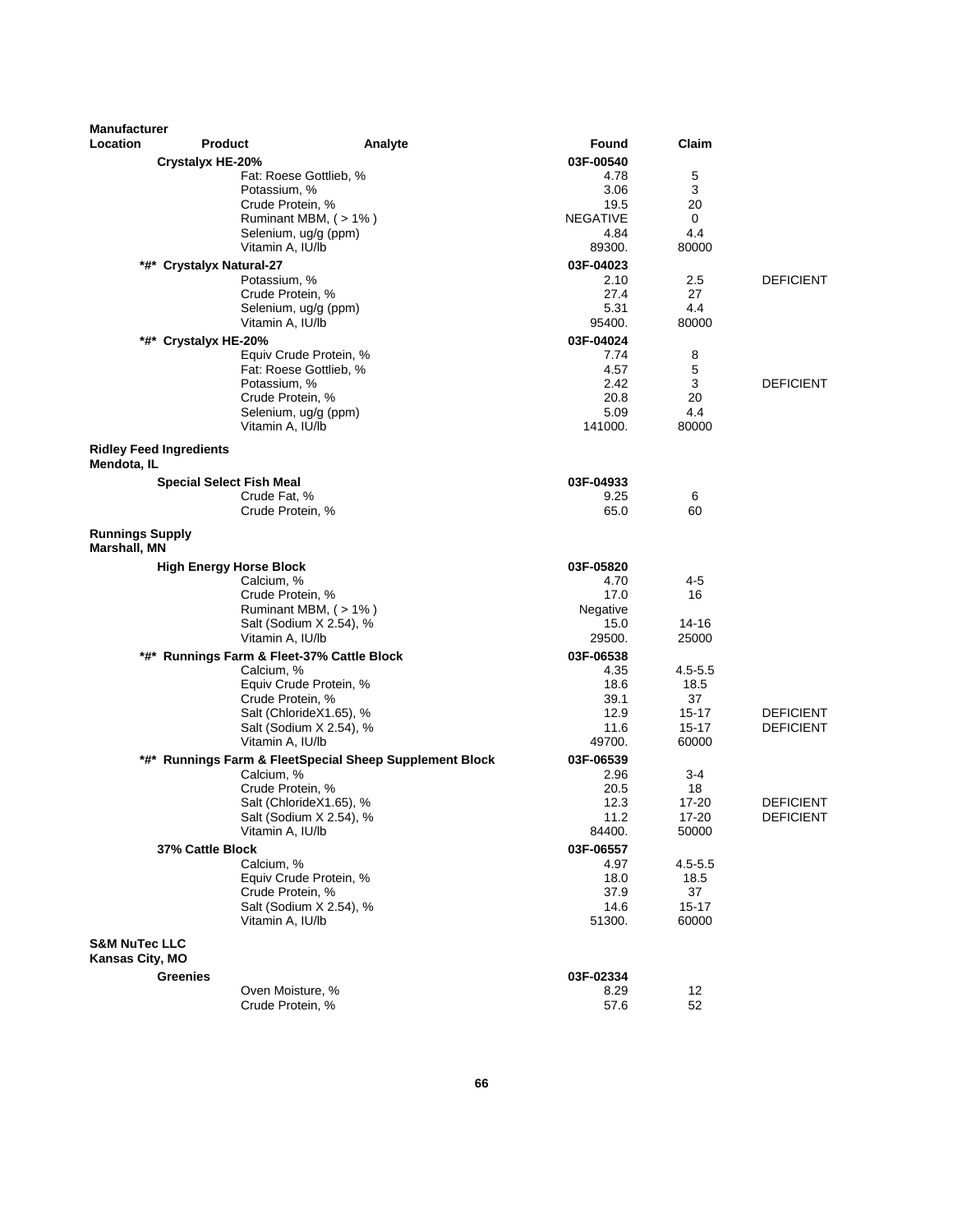| <b>Manufacturer</b>                           |                                                                       |                         |                 |                  |
|-----------------------------------------------|-----------------------------------------------------------------------|-------------------------|-----------------|------------------|
| Location                                      | <b>Product</b>                                                        | Analyte<br>Found        | Claim           |                  |
| <b>Crystalyx HE-20%</b>                       |                                                                       | 03F-00540               |                 |                  |
|                                               | Fat: Roese Gottlieb, %                                                | 4.78                    | 5               |                  |
|                                               | Potassium, %                                                          | 3.06                    | 3               |                  |
|                                               | Crude Protein, %                                                      | 19.5                    | 20              |                  |
|                                               | Ruminant MBM, (>1%)<br>Selenium, ug/g (ppm)                           | <b>NEGATIVE</b><br>4.84 | 0<br>4.4        |                  |
|                                               | Vitamin A, IU/lb                                                      | 89300.                  | 80000           |                  |
| *#*<br><b>Crystalyx Natural-27</b>            |                                                                       | 03F-04023               |                 |                  |
|                                               | Potassium, %                                                          | 2.10                    | 2.5             | <b>DEFICIENT</b> |
|                                               | Crude Protein, %                                                      | 27.4                    | 27              |                  |
|                                               | Selenium, ug/g (ppm)                                                  | 5.31                    | 4.4             |                  |
|                                               | Vitamin A, IU/lb                                                      | 95400.                  | 80000           |                  |
| *#* Crystalyx HE-20%                          |                                                                       | 03F-04024               |                 |                  |
|                                               | Equiv Crude Protein, %                                                | 7.74                    | 8               |                  |
|                                               | Fat: Roese Gottlieb, %<br>Potassium, %                                | 4.57<br>2.42            | 5<br>3          | <b>DEFICIENT</b> |
|                                               | Crude Protein, %                                                      | 20.8                    | 20              |                  |
|                                               | Selenium, ug/g (ppm)                                                  | 5.09                    | 4.4             |                  |
|                                               | Vitamin A, IU/lb                                                      | 141000.                 | 80000           |                  |
| <b>Ridley Feed Ingredients</b><br>Mendota, IL |                                                                       |                         |                 |                  |
|                                               | <b>Special Select Fish Meal</b>                                       | 03F-04933               |                 |                  |
|                                               | Crude Fat, %                                                          | 9.25                    | 6               |                  |
|                                               | Crude Protein, %                                                      | 65.0                    | 60              |                  |
| <b>Runnings Supply</b><br>Marshall, MN        |                                                                       |                         |                 |                  |
|                                               | <b>High Energy Horse Block</b>                                        | 03F-05820               |                 |                  |
|                                               | Calcium, %                                                            | 4.70                    | 4-5             |                  |
|                                               | Crude Protein, %                                                      | 17.0                    | 16              |                  |
|                                               | Ruminant MBM, (>1%)                                                   | Negative                |                 |                  |
|                                               | Salt (Sodium X 2.54), %<br>Vitamin A, IU/lb                           | 15.0<br>29500.          | 14-16<br>25000  |                  |
|                                               | *#* Runnings Farm & Fleet-37% Cattle Block                            | 03F-06538               |                 |                  |
|                                               | Calcium, %                                                            | 4.35                    | $4.5 - 5.5$     |                  |
|                                               | Equiv Crude Protein, %                                                | 18.6                    | 18.5            |                  |
|                                               | Crude Protein, %                                                      | 39.1                    | 37              |                  |
|                                               | Salt (ChlorideX1.65), %                                               | 12.9                    | 15-17           | <b>DEFICIENT</b> |
|                                               | Salt (Sodium X 2.54), %                                               | 11.6<br>49700.          | $15 - 17$       | <b>DEFICIENT</b> |
|                                               | Vitamin A, IU/lb                                                      |                         | 60000           |                  |
|                                               | *#* Runnings Farm & FleetSpecial Sheep Supplement Block<br>Calcium, % | 03F-06539<br>2.96       | 3-4             |                  |
|                                               | Crude Protein, %                                                      | 20.5                    | 18              |                  |
|                                               | Salt (ChlorideX1.65), %                                               | 12.3                    | 17-20           | <b>DEFICIENT</b> |
|                                               | Salt (Sodium X 2.54), %                                               | 11.2                    | 17-20           | <b>DEFICIENT</b> |
|                                               | Vitamin A, IU/lb                                                      | 84400.                  | 50000           |                  |
| 37% Cattle Block                              |                                                                       | 03F-06557               |                 |                  |
|                                               | Calcium, %                                                            | 4.97                    | $4.5 - 5.5$     |                  |
|                                               | Equiv Crude Protein, %                                                | 18.0                    | 18.5            |                  |
|                                               | Crude Protein, %<br>Salt (Sodium X 2.54), %                           | 37.9<br>14.6            | 37<br>$15 - 17$ |                  |
|                                               | Vitamin A, IU/lb                                                      | 51300.                  | 60000           |                  |
| <b>S&amp;M NuTec LLC</b>                      |                                                                       |                         |                 |                  |
| Kansas City, MO                               |                                                                       |                         |                 |                  |
| <b>Greenies</b>                               | Oven Moisture, %                                                      | 03F-02334<br>8.29       | 12              |                  |
|                                               | Crude Protein, %                                                      | 57.6                    | 52              |                  |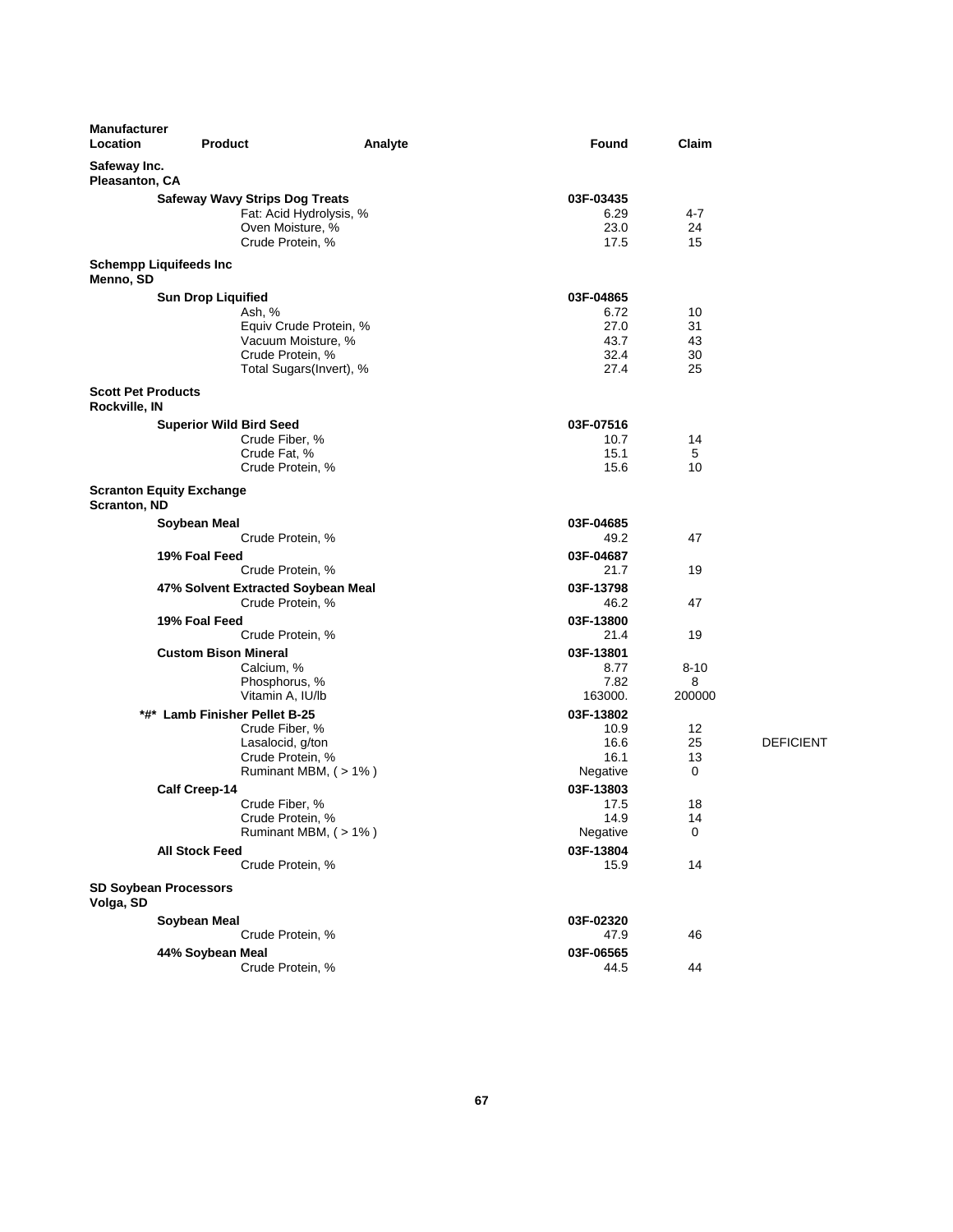| <b>Manufacturer</b><br>Location            | <b>Product</b>                        | Analyte             | Found             | Claim    |                  |
|--------------------------------------------|---------------------------------------|---------------------|-------------------|----------|------------------|
| Safeway Inc.<br>Pleasanton, CA             |                                       |                     |                   |          |                  |
|                                            | <b>Safeway Wavy Strips Dog Treats</b> |                     | 03F-03435         |          |                  |
|                                            | Fat: Acid Hydrolysis, %               |                     | 6.29              | 4-7      |                  |
|                                            | Oven Moisture, %                      |                     | 23.0              | 24       |                  |
|                                            | Crude Protein, %                      |                     | 17.5              | 15       |                  |
| Menno, SD                                  | <b>Schempp Liquifeeds Inc</b>         |                     |                   |          |                  |
|                                            |                                       |                     | 03F-04865         |          |                  |
|                                            | <b>Sun Drop Liquified</b><br>Ash, %   |                     | 6.72              | 10       |                  |
|                                            | Equiv Crude Protein, %                |                     | 27.0              | 31       |                  |
|                                            | Vacuum Moisture, %                    |                     | 43.7              | 43       |                  |
|                                            | Crude Protein, %                      |                     | 32.4              | 30       |                  |
|                                            | Total Sugars(Invert), %               |                     | 27.4              | 25       |                  |
|                                            |                                       |                     |                   |          |                  |
| <b>Scott Pet Products</b><br>Rockville, IN |                                       |                     |                   |          |                  |
|                                            | <b>Superior Wild Bird Seed</b>        |                     | 03F-07516         |          |                  |
|                                            | Crude Fiber, %                        |                     | 10.7              | 14       |                  |
|                                            | Crude Fat, %                          |                     | 15.1              | 5        |                  |
|                                            | Crude Protein, %                      |                     | 15.6              | 10       |                  |
| Scranton, ND                               | <b>Scranton Equity Exchange</b>       |                     |                   |          |                  |
|                                            | Soybean Meal                          |                     | 03F-04685         |          |                  |
|                                            | Crude Protein, %                      |                     | 49.2              | 47       |                  |
|                                            |                                       |                     | 03F-04687         |          |                  |
|                                            | 19% Foal Feed                         |                     | 21.7              | 19       |                  |
|                                            | Crude Protein, %                      |                     |                   |          |                  |
|                                            | 47% Solvent Extracted Soybean Meal    |                     | 03F-13798         |          |                  |
|                                            | Crude Protein, %                      |                     | 46.2              | 47       |                  |
|                                            | 19% Foal Feed                         |                     | 03F-13800         |          |                  |
|                                            | Crude Protein, %                      |                     | 21.4              | 19       |                  |
|                                            | <b>Custom Bison Mineral</b>           |                     | 03F-13801         |          |                  |
|                                            | Calcium, %                            |                     | 8.77              | $8 - 10$ |                  |
|                                            | Phosphorus, %                         |                     | 7.82              | 8        |                  |
|                                            | Vitamin A, IU/lb                      |                     | 163000.           | 200000   |                  |
|                                            | *#* Lamb Finisher Pellet B-25         |                     | 03F-13802         |          |                  |
|                                            | Crude Fiber, %                        |                     | 10.9              | 12       |                  |
|                                            | Lasalocid, g/ton                      |                     | 16.6              | 25       | <b>DEFICIENT</b> |
|                                            | Crude Protein, %                      |                     | 16.1              | 13       |                  |
|                                            |                                       | Ruminant MBM, (>1%) | Negative          | 0        |                  |
|                                            | <b>Calf Creep-14</b>                  |                     | 03F-13803         |          |                  |
|                                            | Crude Fiber, %                        |                     | 17.5              | 18       |                  |
|                                            | Crude Protein, %                      |                     | 14.9              | 14       |                  |
|                                            |                                       | Ruminant MBM, (>1%) | Negative          | 0        |                  |
|                                            | <b>All Stock Feed</b>                 |                     | 03F-13804         |          |                  |
|                                            | Crude Protein, %                      |                     | 15.9              | 14       |                  |
|                                            |                                       |                     |                   |          |                  |
| Volga, SD                                  | <b>SD Soybean Processors</b>          |                     |                   |          |                  |
|                                            | Soybean Meal                          |                     | 03F-02320         |          |                  |
|                                            | Crude Protein, %                      |                     | 47.9              | 46       |                  |
|                                            |                                       |                     |                   |          |                  |
|                                            | 44% Soybean Meal                      |                     | 03F-06565<br>44.5 | 44       |                  |
|                                            | Crude Protein, %                      |                     |                   |          |                  |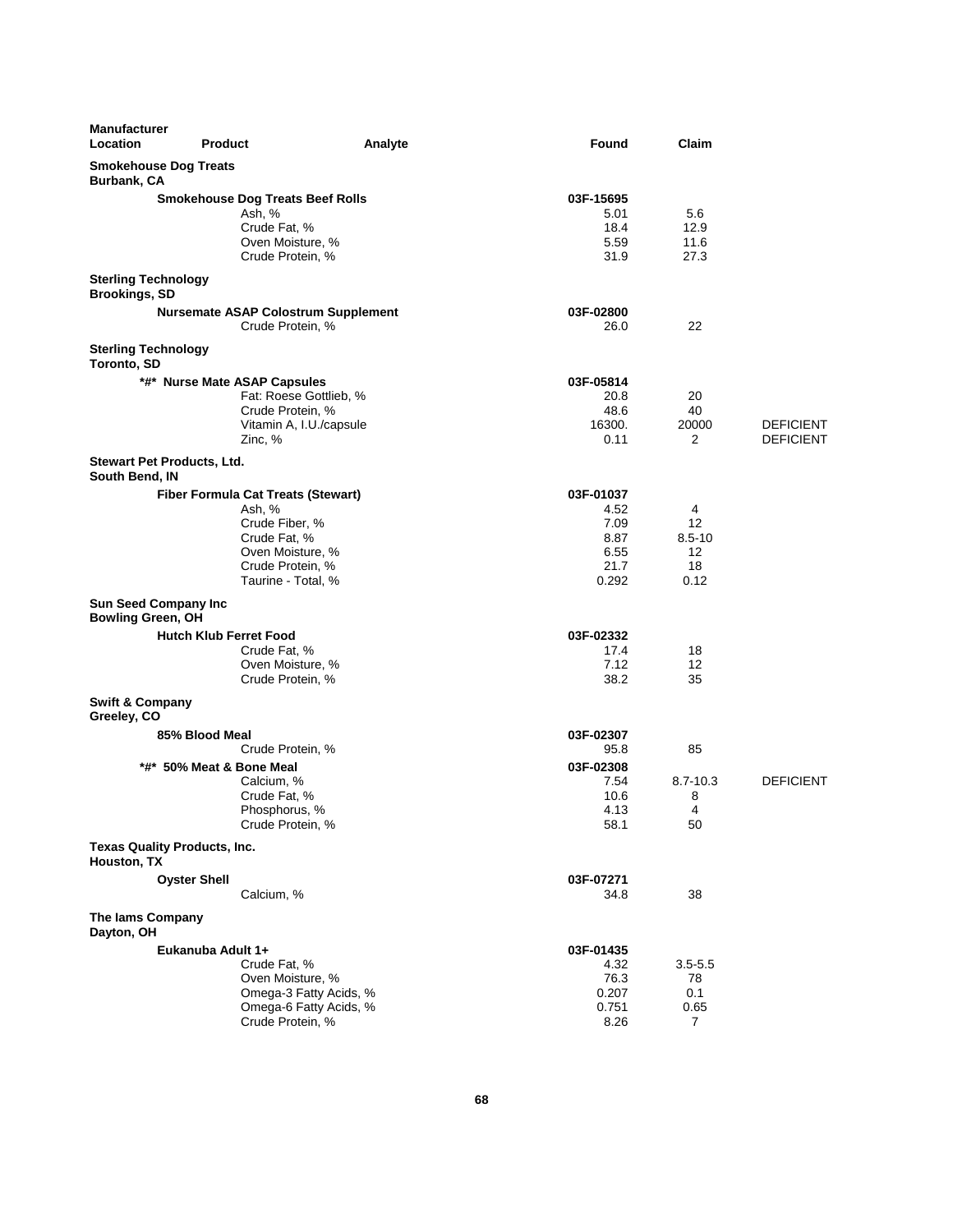| <b>Manufacturer</b><br>Location                         | <b>Product</b>                                                                                                                                      | Analyte                                          | Found                                                      | Claim                                                    |                                      |
|---------------------------------------------------------|-----------------------------------------------------------------------------------------------------------------------------------------------------|--------------------------------------------------|------------------------------------------------------------|----------------------------------------------------------|--------------------------------------|
| <b>Smokehouse Dog Treats</b><br>Burbank, CA             |                                                                                                                                                     |                                                  |                                                            |                                                          |                                      |
|                                                         | <b>Smokehouse Dog Treats Beef Rolls</b><br>Ash, %<br>Crude Fat, %<br>Oven Moisture, %<br>Crude Protein, %                                           |                                                  | 03F-15695<br>5.01<br>18.4<br>5.59<br>31.9                  | 5.6<br>12.9<br>11.6<br>27.3                              |                                      |
| <b>Sterling Technology</b><br><b>Brookings, SD</b>      |                                                                                                                                                     |                                                  |                                                            |                                                          |                                      |
|                                                         | <b>Nursemate ASAP Colostrum Supplement</b><br>Crude Protein, %                                                                                      |                                                  | 03F-02800<br>26.0                                          | 22                                                       |                                      |
| <b>Sterling Technology</b><br>Toronto, SD               |                                                                                                                                                     |                                                  |                                                            |                                                          |                                      |
|                                                         | *#* Nurse Mate ASAP Capsules<br>Fat: Roese Gottlieb, %<br>Crude Protein, %<br>Vitamin A, I.U./capsule<br>Zinc, %                                    |                                                  | 03F-05814<br>20.8<br>48.6<br>16300.<br>0.11                | 20<br>40<br>20000<br>2                                   | <b>DEFICIENT</b><br><b>DEFICIENT</b> |
| Stewart Pet Products, Ltd.<br>South Bend, IN            |                                                                                                                                                     |                                                  |                                                            |                                                          |                                      |
|                                                         | <b>Fiber Formula Cat Treats (Stewart)</b><br>Ash, %<br>Crude Fiber, %<br>Crude Fat, %<br>Oven Moisture, %<br>Crude Protein, %<br>Taurine - Total, % |                                                  | 03F-01037<br>4.52<br>7.09<br>8.87<br>6.55<br>21.7<br>0.292 | 4<br>12<br>$8.5 - 10$<br>$12 \overline{ }$<br>18<br>0.12 |                                      |
| <b>Sun Seed Company Inc</b><br><b>Bowling Green, OH</b> |                                                                                                                                                     |                                                  |                                                            |                                                          |                                      |
|                                                         | <b>Hutch Klub Ferret Food</b><br>Crude Fat, %<br>Oven Moisture, %<br>Crude Protein, %                                                               |                                                  | 03F-02332<br>17.4<br>7.12<br>38.2                          | 18<br>12<br>35                                           |                                      |
| <b>Swift &amp; Company</b><br>Greeley, CO               |                                                                                                                                                     |                                                  |                                                            |                                                          |                                      |
|                                                         | 85% Blood Meal<br>Crude Protein, %<br>*#* 50% Meat & Bone Meal<br>Calcium, %                                                                        |                                                  | 03F-02307<br>95.8<br>03F-02308<br>7.54                     | 85<br>$8.7 - 10.3$                                       | <b>DEFICIENT</b>                     |
|                                                         | Crude Fat, %<br>Phosphorus, %<br>Crude Protein, %                                                                                                   |                                                  | 10.6<br>4.13<br>58.1                                       | 8<br>4<br>50                                             |                                      |
| Texas Quality Products, Inc.<br>Houston, TX             |                                                                                                                                                     |                                                  |                                                            |                                                          |                                      |
|                                                         | <b>Oyster Shell</b><br>Calcium, %                                                                                                                   |                                                  | 03F-07271<br>34.8                                          | 38                                                       |                                      |
| <b>The lams Company</b><br>Dayton, OH                   |                                                                                                                                                     |                                                  |                                                            |                                                          |                                      |
|                                                         | Eukanuba Adult 1+<br>Crude Fat, %<br>Oven Moisture, %<br>Crude Protein, %                                                                           | Omega-3 Fatty Acids, %<br>Omega-6 Fatty Acids, % | 03F-01435<br>4.32<br>76.3<br>0.207<br>0.751<br>8.26        | $3.5 - 5.5$<br>78<br>0.1<br>0.65<br>7                    |                                      |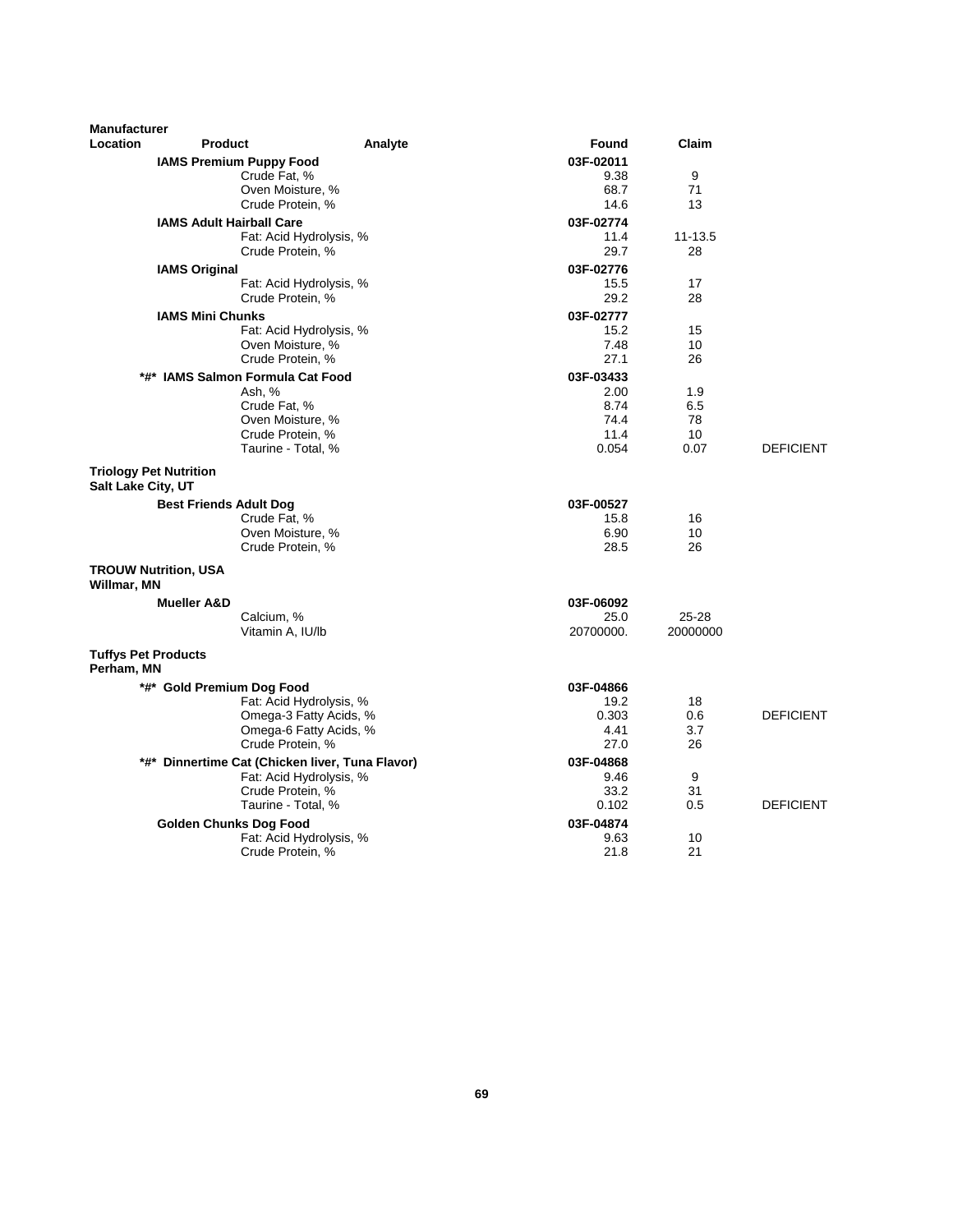| <b>Manufacturer</b>                                 |                                                 |         |           |             |                  |
|-----------------------------------------------------|-------------------------------------------------|---------|-----------|-------------|------------------|
| Location                                            | <b>Product</b>                                  | Analyte | Found     | Claim       |                  |
|                                                     | <b>IAMS Premium Puppy Food</b>                  |         | 03F-02011 |             |                  |
|                                                     | Crude Fat, %                                    |         | 9.38      | 9           |                  |
|                                                     | Oven Moisture, %                                |         | 68.7      | 71          |                  |
|                                                     | Crude Protein, %                                |         | 14.6      | 13          |                  |
|                                                     | <b>IAMS Adult Hairball Care</b>                 |         | 03F-02774 |             |                  |
|                                                     | Fat: Acid Hydrolysis, %                         |         | 11.4      | $11 - 13.5$ |                  |
|                                                     | Crude Protein, %                                |         | 29.7      | 28          |                  |
| <b>IAMS Original</b>                                |                                                 |         | 03F-02776 |             |                  |
|                                                     | Fat: Acid Hydrolysis, %                         |         | 15.5      | 17          |                  |
|                                                     | Crude Protein, %                                |         | 29.2      | 28          |                  |
| <b>IAMS Mini Chunks</b>                             |                                                 |         | 03F-02777 |             |                  |
|                                                     | Fat: Acid Hydrolysis, %                         |         | 15.2      | 15          |                  |
|                                                     | Oven Moisture, %                                |         | 7.48      | 10          |                  |
|                                                     | Crude Protein, %                                |         | 27.1      | 26          |                  |
|                                                     | *#* IAMS Salmon Formula Cat Food                |         | 03F-03433 |             |                  |
|                                                     | Ash, %                                          |         | 2.00      | 1.9         |                  |
|                                                     | Crude Fat, %                                    |         | 8.74      | 6.5         |                  |
|                                                     | Oven Moisture, %                                |         | 74.4      | 78          |                  |
|                                                     | Crude Protein, %                                |         | 11.4      | 10          |                  |
|                                                     | Taurine - Total, %                              |         | 0.054     | 0.07        | <b>DEFICIENT</b> |
| <b>Triology Pet Nutrition</b><br>Salt Lake City, UT |                                                 |         |           |             |                  |
|                                                     | <b>Best Friends Adult Dog</b>                   |         | 03F-00527 |             |                  |
|                                                     | Crude Fat, %                                    |         | 15.8      | 16          |                  |
|                                                     | Oven Moisture, %                                |         | 6.90      | 10          |                  |
|                                                     | Crude Protein, %                                |         | 28.5      | 26          |                  |
| <b>TROUW Nutrition, USA</b><br>Willmar, MN          |                                                 |         |           |             |                  |
| <b>Mueller A&amp;D</b>                              |                                                 |         | 03F-06092 |             |                  |
|                                                     | Calcium, %                                      |         | 25.0      | $25 - 28$   |                  |
|                                                     | Vitamin A, IU/lb                                |         | 20700000. | 20000000    |                  |
| <b>Tuffys Pet Products</b><br>Perham, MN            |                                                 |         |           |             |                  |
|                                                     | *#* Gold Premium Dog Food                       |         | 03F-04866 |             |                  |
|                                                     | Fat: Acid Hydrolysis, %                         |         | 19.2      | 18          |                  |
|                                                     | Omega-3 Fatty Acids, %                          |         | 0.303     | 0.6         | <b>DEFICIENT</b> |
|                                                     | Omega-6 Fatty Acids, %                          |         | 4.41      | 3.7         |                  |
|                                                     | Crude Protein, %                                |         | 27.0      | 26          |                  |
|                                                     | *#* Dinnertime Cat (Chicken liver, Tuna Flavor) |         | 03F-04868 |             |                  |
|                                                     | Fat: Acid Hydrolysis, %                         |         | 9.46      | 9           |                  |
|                                                     | Crude Protein, %                                |         | 33.2      | 31          |                  |
|                                                     | Taurine - Total, %                              |         | 0.102     | 0.5         | <b>DEFICIENT</b> |
|                                                     | <b>Golden Chunks Dog Food</b>                   |         | 03F-04874 |             |                  |
|                                                     | Fat: Acid Hydrolysis, %                         |         | 9.63      | 10          |                  |
|                                                     | Crude Protein, %                                |         | 21.8      | 21          |                  |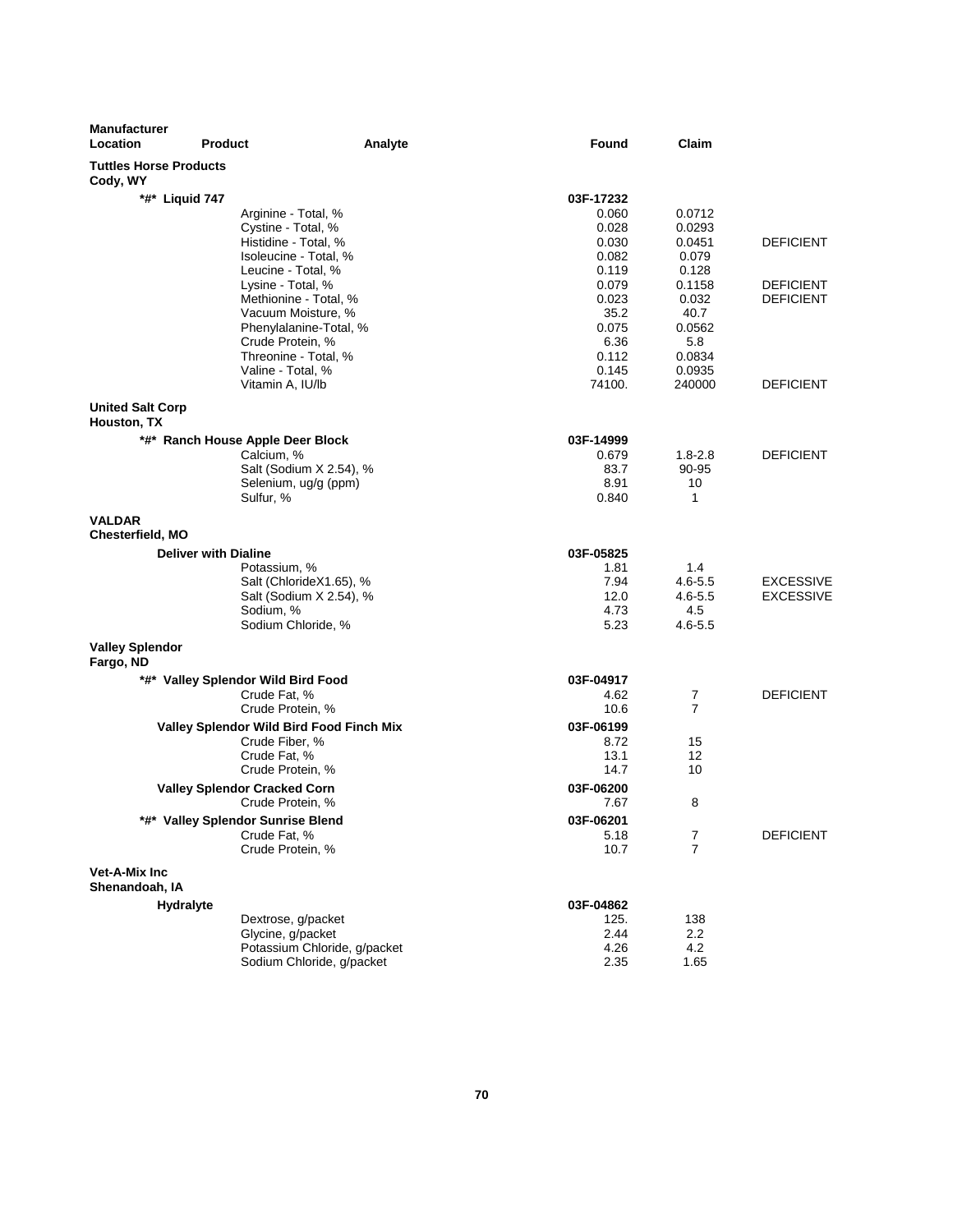| <b>Manufacturer</b><br>Location           | <b>Product</b>                             | Analyte                      | Found          | Claim               |                                      |
|-------------------------------------------|--------------------------------------------|------------------------------|----------------|---------------------|--------------------------------------|
| <b>Tuttles Horse Products</b><br>Cody, WY |                                            |                              |                |                     |                                      |
| *#* Liquid 747                            |                                            |                              | 03F-17232      |                     |                                      |
|                                           | Arginine - Total, %                        |                              | 0.060          | 0.0712              |                                      |
|                                           | Cystine - Total, %                         |                              | 0.028          | 0.0293              |                                      |
|                                           | Histidine - Total, %                       |                              | 0.030          | 0.0451              | <b>DEFICIENT</b>                     |
|                                           | Isoleucine - Total, %                      |                              | 0.082          | 0.079               |                                      |
|                                           | Leucine - Total, %                         |                              | 0.119          | 0.128               |                                      |
|                                           | Lysine - Total, %<br>Methionine - Total, % |                              | 0.079<br>0.023 | 0.1158<br>0.032     | <b>DEFICIENT</b><br><b>DEFICIENT</b> |
|                                           | Vacuum Moisture, %                         |                              | 35.2           | 40.7                |                                      |
|                                           | Phenylalanine-Total, %                     |                              | 0.075          | 0.0562              |                                      |
|                                           | Crude Protein, %                           |                              | 6.36           | 5.8                 |                                      |
|                                           | Threonine - Total, %                       |                              | 0.112          | 0.0834              |                                      |
|                                           | Valine - Total, %                          |                              | 0.145          | 0.0935              |                                      |
|                                           | Vitamin A, IU/lb                           |                              | 74100.         | 240000              | <b>DEFICIENT</b>                     |
| <b>United Salt Corp</b><br>Houston, TX    |                                            |                              |                |                     |                                      |
|                                           |                                            |                              |                |                     |                                      |
|                                           | *#* Ranch House Apple Deer Block           |                              | 03F-14999      | $1.8 - 2.8$         |                                      |
|                                           | Calcium, %<br>Salt (Sodium X 2.54), %      |                              | 0.679<br>83.7  | $90 - 95$           | <b>DEFICIENT</b>                     |
|                                           | Selenium, ug/g (ppm)                       |                              | 8.91           | 10                  |                                      |
|                                           | Sulfur, %                                  |                              | 0.840          | 1                   |                                      |
| <b>VALDAR</b><br><b>Chesterfield, MO</b>  |                                            |                              |                |                     |                                      |
|                                           | <b>Deliver with Dialine</b>                |                              | 03F-05825      |                     |                                      |
|                                           | Potassium, %                               |                              | 1.81           | 1.4                 |                                      |
|                                           | Salt (ChlorideX1.65), %                    |                              | 7.94           | $4.6 - 5.5$         | <b>EXCESSIVE</b>                     |
|                                           | Salt (Sodium X 2.54), %                    |                              | 12.0           | $4.6 - 5.5$         | <b>EXCESSIVE</b>                     |
|                                           | Sodium, %<br>Sodium Chloride, %            |                              | 4.73<br>5.23   | 4.5<br>$4.6 - 5.5$  |                                      |
| <b>Valley Splendor</b>                    |                                            |                              |                |                     |                                      |
| Fargo, ND                                 |                                            |                              |                |                     |                                      |
|                                           | *#* Valley Splendor Wild Bird Food         |                              | 03F-04917      |                     |                                      |
|                                           | Crude Fat, %                               |                              | 4.62           | 7                   | <b>DEFICIENT</b>                     |
|                                           | Crude Protein, %                           |                              | 10.6           | $\overline{7}$      |                                      |
|                                           | Valley Splendor Wild Bird Food Finch Mix   |                              | 03F-06199      |                     |                                      |
|                                           | Crude Fiber, %                             |                              | 8.72           | 15                  |                                      |
|                                           | Crude Fat, %<br>Crude Protein, %           |                              | 13.1<br>14.7   | 12<br>10            |                                      |
|                                           |                                            |                              |                |                     |                                      |
|                                           | <b>Valley Splendor Cracked Corn</b>        |                              | 03F-06200      |                     |                                      |
|                                           | Crude Protein, %                           |                              | 7.67           | 8                   |                                      |
| *#*                                       | <b>Valley Splendor Sunrise Blend</b>       |                              | 03F-06201      |                     |                                      |
|                                           | Crude Fat, %<br>Crude Protein, %           |                              | 5.18<br>10.7   | 7<br>$\overline{7}$ | <b>DEFICIENT</b>                     |
| Vet-A-Mix Inc                             |                                            |                              |                |                     |                                      |
| Shenandoah, IA                            |                                            |                              |                |                     |                                      |
| <b>Hydralyte</b>                          |                                            |                              | 03F-04862      |                     |                                      |
|                                           | Dextrose, g/packet                         |                              | 125.           | 138                 |                                      |
|                                           | Glycine, g/packet                          |                              | 2.44           | $2.2\,$             |                                      |
|                                           |                                            | Potassium Chloride, g/packet | 4.26           | 4.2                 |                                      |
|                                           | Sodium Chloride, g/packet                  |                              | 2.35           | 1.65                |                                      |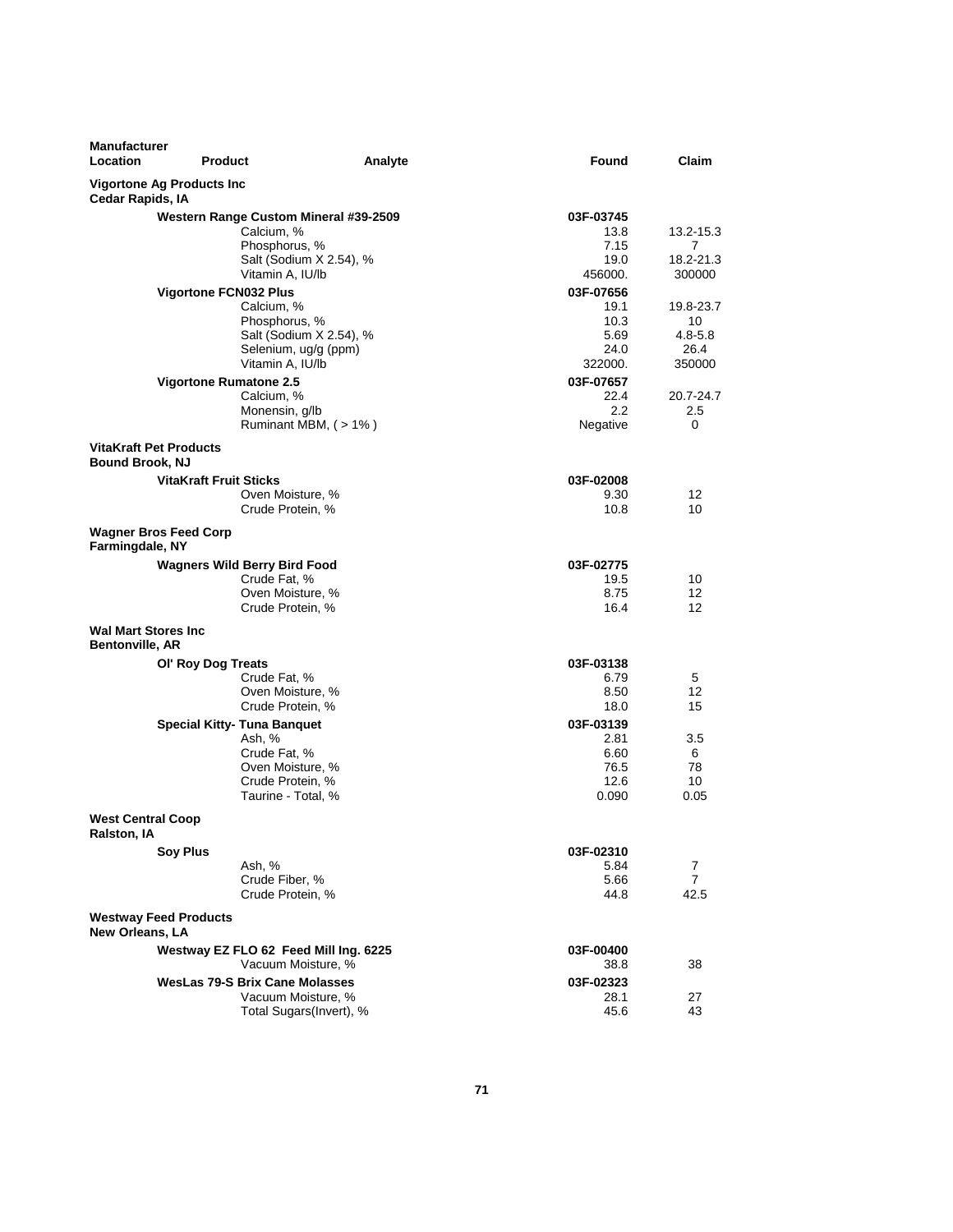| <b>Manufacturer</b><br><b>Location</b><br><b>Product</b> |                                                                                                                            | Analyte | Found                                                | Claim                                            |
|----------------------------------------------------------|----------------------------------------------------------------------------------------------------------------------------|---------|------------------------------------------------------|--------------------------------------------------|
| Vigortone Ag Products Inc<br>Cedar Rapids, IA            |                                                                                                                            |         |                                                      |                                                  |
|                                                          | Western Range Custom Mineral #39-2509<br>Calcium, %<br>Phosphorus, %<br>Salt (Sodium X 2.54), %                            |         | 03F-03745<br>13.8<br>7.15<br>19.0                    | 13.2-15.3<br>7<br>18.2-21.3                      |
|                                                          | Vitamin A, IU/lb                                                                                                           |         | 456000.                                              | 300000                                           |
| Vigortone FCN032 Plus                                    | Calcium, %<br>Phosphorus, %<br>Salt (Sodium X 2.54), %<br>Selenium, ug/g (ppm)<br>Vitamin A, IU/lb                         |         | 03F-07656<br>19.1<br>10.3<br>5.69<br>24.0<br>322000. | 19.8-23.7<br>10<br>$4.8 - 5.8$<br>26.4<br>350000 |
| <b>Vigortone Rumatone 2.5</b>                            | Calcium, %<br>Monensin, g/lb<br>Ruminant MBM, (>1%)                                                                        |         | 03F-07657<br>22.4<br>$2.2^{\circ}$<br>Negative       | 20.7-24.7<br>2.5<br>0                            |
| <b>VitaKraft Pet Products</b><br><b>Bound Brook, NJ</b>  |                                                                                                                            |         |                                                      |                                                  |
| VitaKraft Fruit Sticks                                   | Oven Moisture, %<br>Crude Protein, %                                                                                       |         | 03F-02008<br>9.30<br>10.8                            | 12<br>10                                         |
| <b>Wagner Bros Feed Corp</b><br>Farmingdale, NY          |                                                                                                                            |         |                                                      |                                                  |
|                                                          | <b>Wagners Wild Berry Bird Food</b><br>Crude Fat, %<br>Oven Moisture, %<br>Crude Protein, %                                |         | 03F-02775<br>19.5<br>8.75<br>16.4                    | 10<br>12<br>12                                   |
| <b>Wal Mart Stores Inc.</b><br>Bentonville, AR           |                                                                                                                            |         |                                                      |                                                  |
| OI' Roy Dog Treats                                       | Crude Fat, %<br>Oven Moisture, %<br>Crude Protein, %                                                                       |         | 03F-03138<br>6.79<br>8.50<br>18.0                    | 5<br>12<br>15                                    |
|                                                          | <b>Special Kitty- Tuna Banquet</b><br>Ash. %<br>Crude Fat, %<br>Oven Moisture, %<br>Crude Protein, %<br>Taurine - Total, % |         | 03F-03139<br>2.81<br>6.60<br>76.5<br>12.6<br>0.090   | 3.5<br>6<br>78<br>10<br>0.05                     |
| <b>West Central Coop</b><br>Ralston, IA                  |                                                                                                                            |         |                                                      |                                                  |
| <b>Soy Plus</b>                                          | Ash, %<br>Crude Fiber, %<br>Crude Protein, %                                                                               |         | 03F-02310<br>5.84<br>5.66<br>44.8                    | 7<br>$\overline{7}$<br>42.5                      |
| <b>Westway Feed Products</b><br><b>New Orleans, LA</b>   |                                                                                                                            |         |                                                      |                                                  |
|                                                          | Westway EZ FLO 62 Feed Mill Ing. 6225<br>Vacuum Moisture, %<br>WesLas 79-S Brix Cane Molasses                              |         | 03F-00400<br>38.8<br>03F-02323                       | 38                                               |
|                                                          | Vacuum Moisture, %<br>Total Sugars(Invert), %                                                                              |         | 28.1<br>45.6                                         | 27<br>43                                         |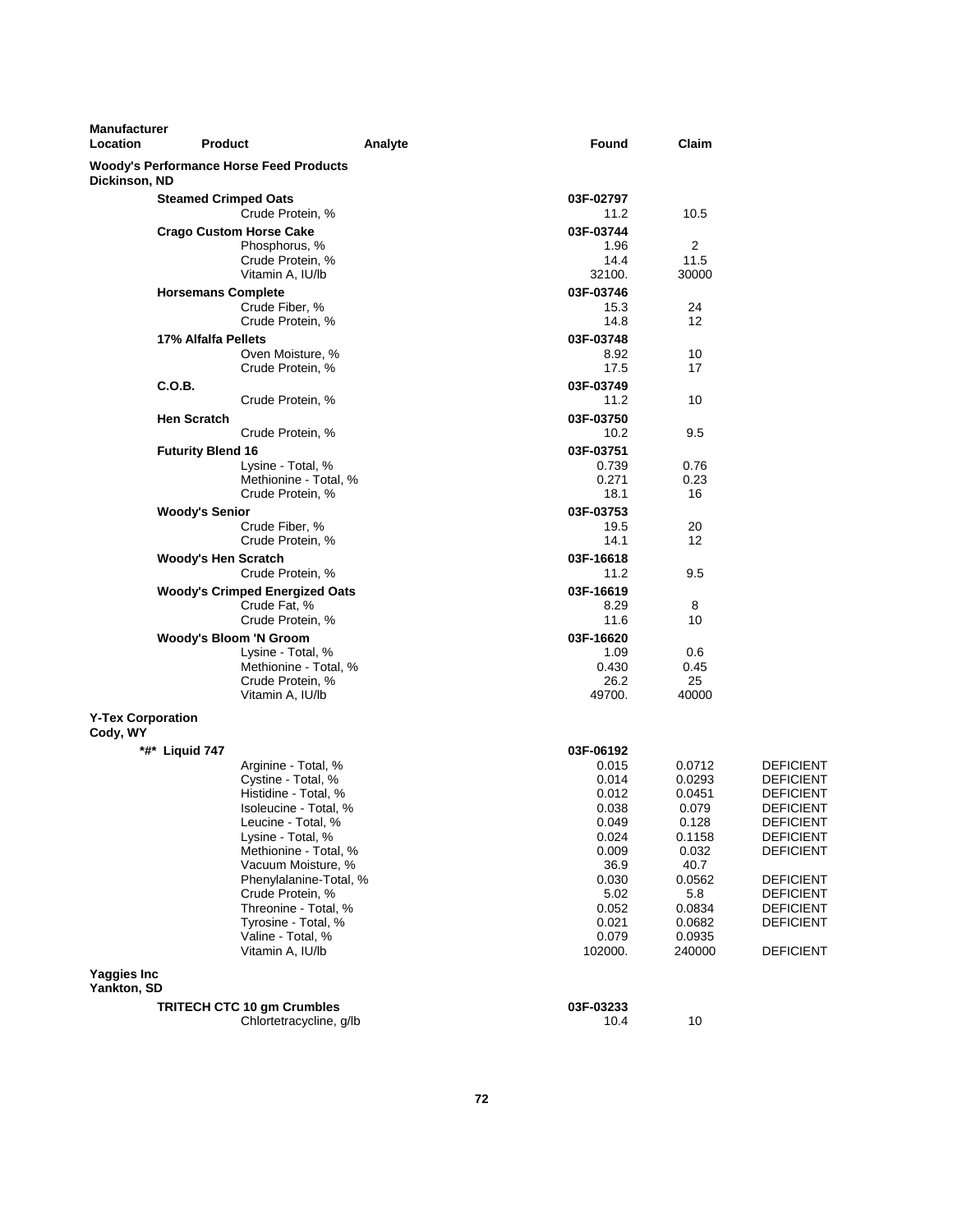| <b>Manufacturer</b><br>Location      | <b>Product</b>                                 | Analyte                                                                                                                                                                                                                                                                                                                    | Found                                                                                                                      | Claim                                                                                                                            |                                                                                                                                                                                                                                              |
|--------------------------------------|------------------------------------------------|----------------------------------------------------------------------------------------------------------------------------------------------------------------------------------------------------------------------------------------------------------------------------------------------------------------------------|----------------------------------------------------------------------------------------------------------------------------|----------------------------------------------------------------------------------------------------------------------------------|----------------------------------------------------------------------------------------------------------------------------------------------------------------------------------------------------------------------------------------------|
| Dickinson, ND                        | <b>Woody's Performance Horse Feed Products</b> |                                                                                                                                                                                                                                                                                                                            |                                                                                                                            |                                                                                                                                  |                                                                                                                                                                                                                                              |
|                                      | <b>Steamed Crimped Oats</b>                    | Crude Protein, %                                                                                                                                                                                                                                                                                                           | 03F-02797<br>11.2                                                                                                          | 10.5                                                                                                                             |                                                                                                                                                                                                                                              |
|                                      | <b>Crago Custom Horse Cake</b>                 | Phosphorus, %<br>Crude Protein, %                                                                                                                                                                                                                                                                                          | 03F-03744<br>1.96<br>14.4                                                                                                  | 2<br>11.5                                                                                                                        |                                                                                                                                                                                                                                              |
|                                      |                                                | Vitamin A, IU/lb                                                                                                                                                                                                                                                                                                           | 32100.                                                                                                                     | 30000                                                                                                                            |                                                                                                                                                                                                                                              |
|                                      | <b>Horsemans Complete</b>                      | Crude Fiber, %<br>Crude Protein, %                                                                                                                                                                                                                                                                                         | 03F-03746<br>15.3<br>14.8                                                                                                  | 24<br>12                                                                                                                         |                                                                                                                                                                                                                                              |
|                                      | 17% Alfalfa Pellets                            |                                                                                                                                                                                                                                                                                                                            | 03F-03748                                                                                                                  |                                                                                                                                  |                                                                                                                                                                                                                                              |
|                                      |                                                | Oven Moisture, %<br>Crude Protein, %                                                                                                                                                                                                                                                                                       | 8.92<br>17.5                                                                                                               | 10<br>17                                                                                                                         |                                                                                                                                                                                                                                              |
|                                      | C.O.B.                                         | Crude Protein, %                                                                                                                                                                                                                                                                                                           | 03F-03749<br>11.2                                                                                                          | 10                                                                                                                               |                                                                                                                                                                                                                                              |
|                                      | <b>Hen Scratch</b>                             |                                                                                                                                                                                                                                                                                                                            | 03F-03750                                                                                                                  |                                                                                                                                  |                                                                                                                                                                                                                                              |
|                                      | <b>Futurity Blend 16</b>                       | Crude Protein, %                                                                                                                                                                                                                                                                                                           | 10.2<br>03F-03751                                                                                                          | 9.5                                                                                                                              |                                                                                                                                                                                                                                              |
|                                      |                                                | Lysine - Total, %                                                                                                                                                                                                                                                                                                          | 0.739                                                                                                                      | 0.76                                                                                                                             |                                                                                                                                                                                                                                              |
|                                      |                                                | Methionine - Total, %<br>Crude Protein, %                                                                                                                                                                                                                                                                                  | 0.271<br>18.1                                                                                                              | 0.23<br>16                                                                                                                       |                                                                                                                                                                                                                                              |
|                                      | <b>Woody's Senior</b>                          |                                                                                                                                                                                                                                                                                                                            | 03F-03753                                                                                                                  |                                                                                                                                  |                                                                                                                                                                                                                                              |
|                                      |                                                | Crude Fiber, %<br>Crude Protein, %                                                                                                                                                                                                                                                                                         | 19.5<br>14.1                                                                                                               | 20<br>12                                                                                                                         |                                                                                                                                                                                                                                              |
|                                      | <b>Woody's Hen Scratch</b>                     | Crude Protein, %                                                                                                                                                                                                                                                                                                           | 03F-16618<br>11.2                                                                                                          | 9.5                                                                                                                              |                                                                                                                                                                                                                                              |
|                                      | <b>Woody's Crimped Energized Oats</b>          | Crude Fat, %                                                                                                                                                                                                                                                                                                               | 03F-16619<br>8.29<br>11.6                                                                                                  | 8<br>10                                                                                                                          |                                                                                                                                                                                                                                              |
|                                      | <b>Woody's Bloom 'N Groom</b>                  | Crude Protein, %                                                                                                                                                                                                                                                                                                           | 03F-16620                                                                                                                  |                                                                                                                                  |                                                                                                                                                                                                                                              |
|                                      |                                                | Lysine - Total, %<br>Methionine - Total, %<br>Crude Protein, %<br>Vitamin A, IU/lb                                                                                                                                                                                                                                         | 1.09<br>0.430<br>26.2<br>49700.                                                                                            | 0.6<br>0.45<br>25<br>40000                                                                                                       |                                                                                                                                                                                                                                              |
| <b>Y-Tex Corporation</b><br>Cody, WY |                                                |                                                                                                                                                                                                                                                                                                                            |                                                                                                                            |                                                                                                                                  |                                                                                                                                                                                                                                              |
|                                      | $**$ Liquid 747                                |                                                                                                                                                                                                                                                                                                                            | 03F-06192                                                                                                                  |                                                                                                                                  |                                                                                                                                                                                                                                              |
|                                      |                                                | Arginine - Total, %<br>Cystine - Total, %<br>Histidine - Total, %<br>Isoleucine - Total, %<br>Leucine - Total, %<br>Lysine - Total, %<br>Methionine - Total, %<br>Vacuum Moisture, %<br>Phenylalanine-Total, %<br>Crude Protein, %<br>Threonine - Total, %<br>Tyrosine - Total, %<br>Valine - Total, %<br>Vitamin A, IU/lb | 0.015<br>0.014<br>0.012<br>0.038<br>0.049<br>0.024<br>0.009<br>36.9<br>0.030<br>5.02<br>0.052<br>0.021<br>0.079<br>102000. | 0.0712<br>0.0293<br>0.0451<br>0.079<br>0.128<br>0.1158<br>0.032<br>40.7<br>0.0562<br>5.8<br>0.0834<br>0.0682<br>0.0935<br>240000 | <b>DEFICIENT</b><br><b>DEFICIENT</b><br><b>DEFICIENT</b><br><b>DEFICIENT</b><br><b>DEFICIENT</b><br><b>DEFICIENT</b><br><b>DEFICIENT</b><br><b>DEFICIENT</b><br><b>DEFICIENT</b><br><b>DEFICIENT</b><br><b>DEFICIENT</b><br><b>DEFICIENT</b> |
| Yaggies Inc<br>Yankton, SD           |                                                |                                                                                                                                                                                                                                                                                                                            |                                                                                                                            |                                                                                                                                  |                                                                                                                                                                                                                                              |
|                                      | <b>TRITECH CTC 10 gm Crumbles</b>              | Chlortetracycline, g/lb                                                                                                                                                                                                                                                                                                    | 03F-03233<br>10.4                                                                                                          | 10                                                                                                                               |                                                                                                                                                                                                                                              |
|                                      |                                                |                                                                                                                                                                                                                                                                                                                            |                                                                                                                            |                                                                                                                                  |                                                                                                                                                                                                                                              |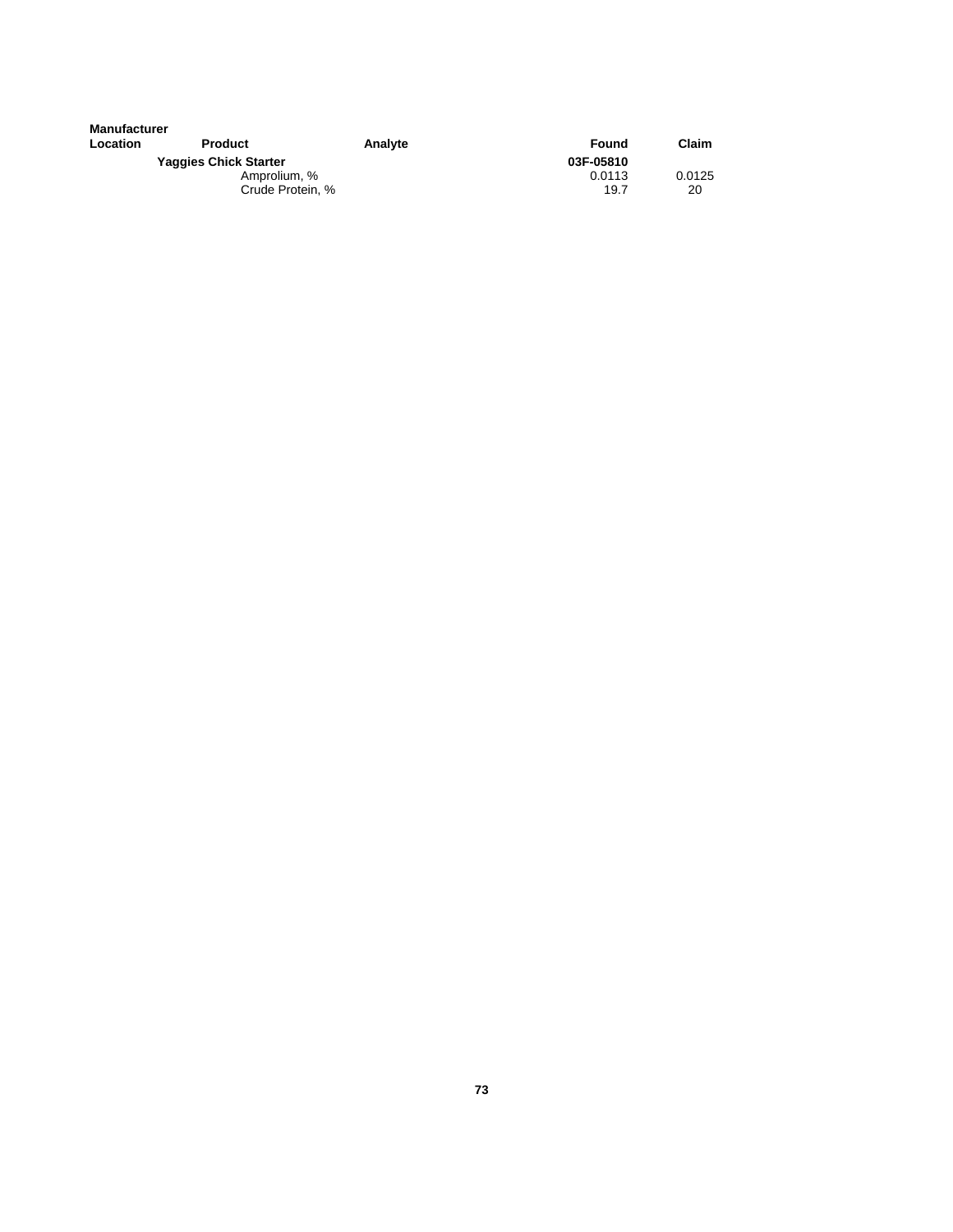| <b>Manufacturer</b> |                              |         |           |        |
|---------------------|------------------------------|---------|-----------|--------|
| Location            | <b>Product</b>               | Analyte | Found     | Claim  |
|                     | <b>Yaggies Chick Starter</b> |         | 03F-05810 |        |
|                     | Amprolium, %                 |         | 0.0113    | 0.0125 |
|                     | Crude Protein, %             |         | 19.7      | 20     |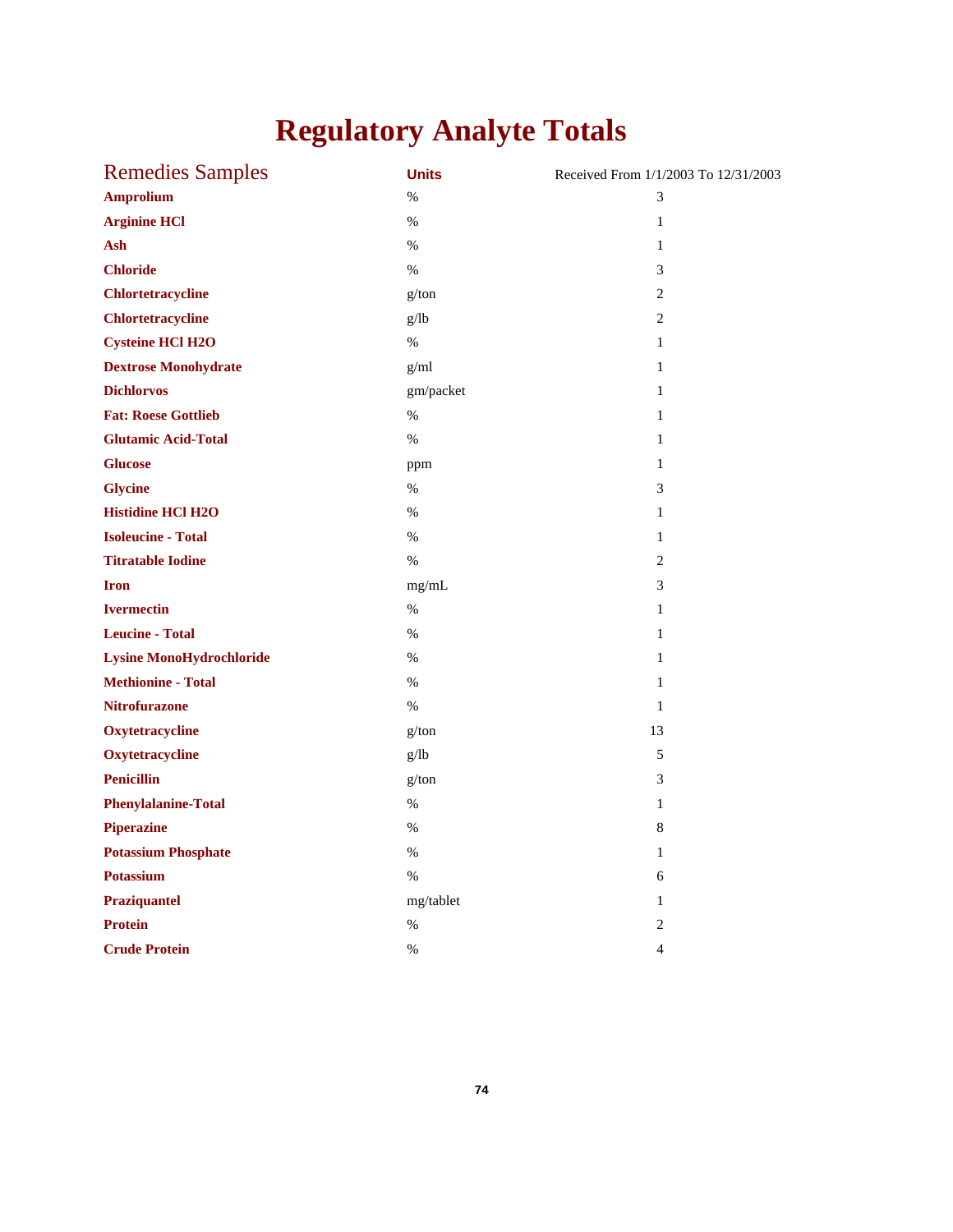# **Regulatory Analyte Totals**

| <b>Remedies Samples</b>         | <b>Units</b> | Received From 1/1/2003 To 12/31/2003 |
|---------------------------------|--------------|--------------------------------------|
| <b>Amprolium</b>                | %            | 3                                    |
| <b>Arginine HCl</b>             | %            | $\mathbf{1}$                         |
| Ash                             | %            | $\mathbf{1}$                         |
| <b>Chloride</b>                 | %            | 3                                    |
| <b>Chlortetracycline</b>        | g/ton        | $\overline{2}$                       |
| <b>Chlortetracycline</b>        | g/lb         | 2                                    |
| <b>Cysteine HCl H2O</b>         | %            | $\mathbf{1}$                         |
| <b>Dextrose Monohydrate</b>     | g/ml         | $\mathbf{1}$                         |
| <b>Dichlorvos</b>               | gm/packet    | $\mathbf{1}$                         |
| <b>Fat: Roese Gottlieb</b>      | $\%$         | 1                                    |
| <b>Glutamic Acid-Total</b>      | $\%$         | $\mathbf{1}$                         |
| <b>Glucose</b>                  | ppm          | $\mathbf{1}$                         |
| <b>Glycine</b>                  | %            | $\mathfrak{Z}$                       |
| <b>Histidine HCl H2O</b>        | %            | $\mathbf{1}$                         |
| <b>Isoleucine - Total</b>       | %            | $\mathbf{1}$                         |
| <b>Titratable Iodine</b>        | $\%$         | $\overline{2}$                       |
| <b>Iron</b>                     | mg/mL        | 3                                    |
| <b>Ivermectin</b>               | %            | $\mathbf{1}$                         |
| <b>Leucine - Total</b>          | %            | $\mathbf{1}$                         |
| <b>Lysine MonoHydrochloride</b> | $\%$         | $\mathbf{1}$                         |
| <b>Methionine - Total</b>       | %            | $\mathbf{1}$                         |
| <b>Nitrofurazone</b>            | %            | $\mathbf{1}$                         |
| Oxytetracycline                 | g/ton        | 13                                   |
| Oxytetracycline                 | g/lb         | 5                                    |
| <b>Penicillin</b>               | g/ton        | 3                                    |
| <b>Phenylalanine-Total</b>      | %            | $\mathbf{1}$                         |
| <b>Piperazine</b>               | %            | 8                                    |
| <b>Potassium Phosphate</b>      | %            | $\mathbf{1}$                         |
| <b>Potassium</b>                | $\%$         | 6                                    |
| Praziquantel                    | mg/tablet    | $\mathbf{1}$                         |
| <b>Protein</b>                  | $\%$         | $\boldsymbol{2}$                     |
| <b>Crude Protein</b>            | $\%$         | $\overline{4}$                       |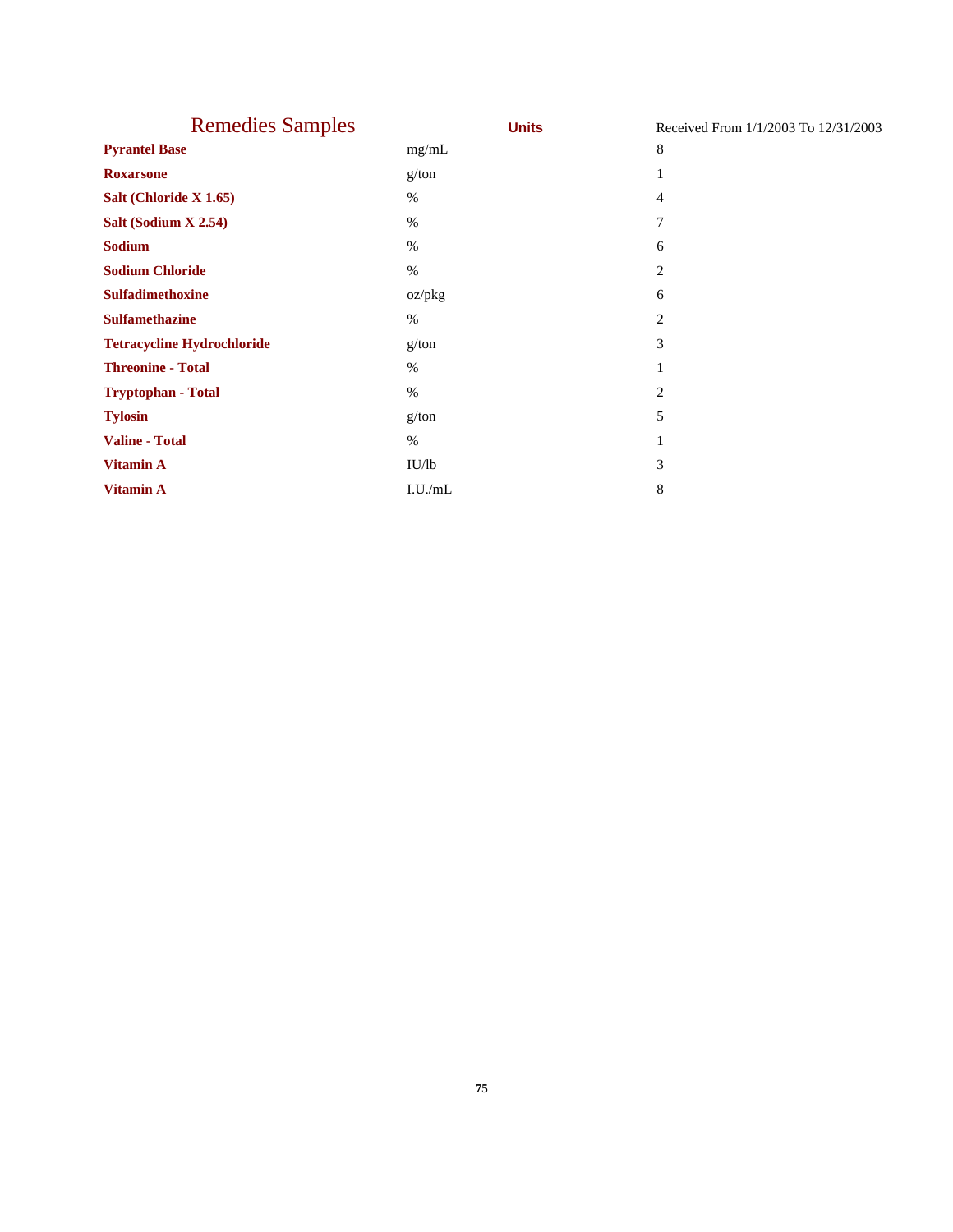| <b>Remedies Samples</b>           | <b>Units</b> | Received From 1/1/2003 To 12/31/2003 |
|-----------------------------------|--------------|--------------------------------------|
| <b>Pyrantel Base</b>              | mg/mL        | 8                                    |
| <b>Roxarsone</b>                  | g/ton        |                                      |
| Salt (Chloride X 1.65)            | %            | 4                                    |
| Salt (Sodium X 2.54)              | $\%$         | 7                                    |
| <b>Sodium</b>                     | $\%$         | 6                                    |
| <b>Sodium Chloride</b>            | $\%$         | 2                                    |
| <b>Sulfadimethoxine</b>           | oz/pkg       | 6                                    |
| <b>Sulfamethazine</b>             | $\%$         | 2                                    |
| <b>Tetracycline Hydrochloride</b> | g/ton        | 3                                    |
| <b>Threonine - Total</b>          | $\%$         | 1                                    |
| <b>Tryptophan - Total</b>         | $\%$         | 2                                    |
| <b>Tylosin</b>                    | g/ton        | 5                                    |
| <b>Valine - Total</b>             | $\%$         |                                      |
| <b>Vitamin A</b>                  | IU/lb        | 3                                    |
| <b>Vitamin A</b>                  | I.U./mL      | 8                                    |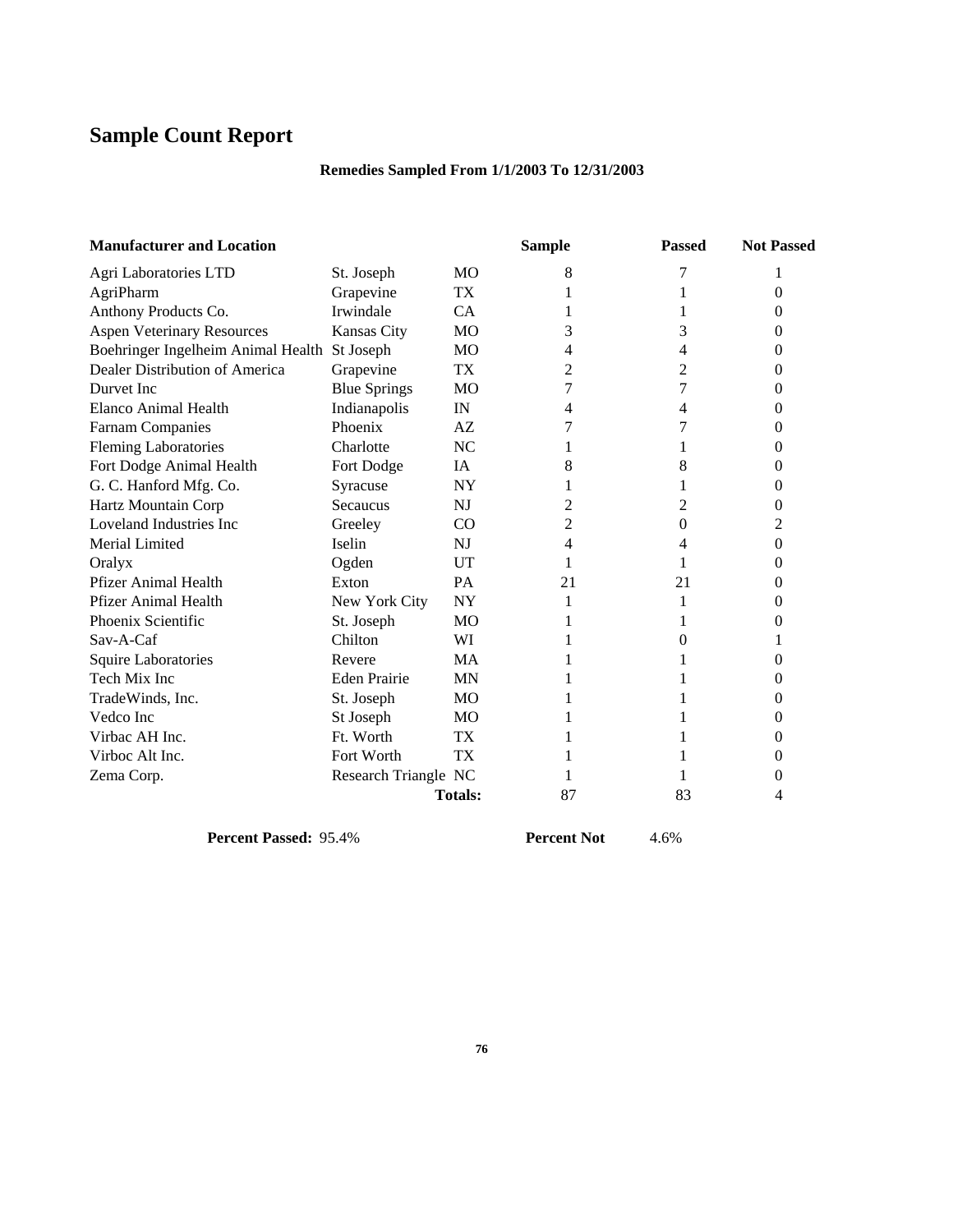# **Sample Count Report**

## **Remedies Sampled From 1/1/2003 To 12/31/2003**

| <b>Manufacturer and Location</b>             |                      |                | <b>Sample</b> | <b>Passed</b> | <b>Not Passed</b> |
|----------------------------------------------|----------------------|----------------|---------------|---------------|-------------------|
| Agri Laboratories LTD                        | St. Joseph           | <b>MO</b>      | 8             | 7             |                   |
| AgriPharm                                    | Grapevine            | TX             |               |               | 0                 |
| Anthony Products Co.                         | Irwindale            | CA.            |               |               | 0                 |
| <b>Aspen Veterinary Resources</b>            | <b>Kansas City</b>   | M <sub>O</sub> | 3             | 3             | 0                 |
| Boehringer Ingelheim Animal Health St Joseph |                      | MO             | 4             | 4             | 0                 |
| Dealer Distribution of America               | Grapevine            | <b>TX</b>      | 2             | 2             | 0                 |
| Durvet Inc.                                  | <b>Blue Springs</b>  | MO             | 7             | 7             | 0                 |
| Elanco Animal Health                         | Indianapolis         | IN             | 4             | 4             | 0                 |
| <b>Farnam Companies</b>                      | Phoenix              | AZ             |               | 7             | 0                 |
| <b>Fleming Laboratories</b>                  | Charlotte            | NC             |               |               | 0                 |
| Fort Dodge Animal Health                     | Fort Dodge           | IA             | 8             | 8             | 0                 |
| G. C. Hanford Mfg. Co.                       | Syracuse             | <b>NY</b>      |               |               | 0                 |
| Hartz Mountain Corp                          | Secaucus             | N <sub>J</sub> | 2             | 2             | 0                 |
| Loveland Industries Inc.                     | Greeley              | CO             | 2             | 0             | 2                 |
| Merial Limited                               | Iselin               | N <sub>J</sub> | 4             | 4             | 0                 |
| Oralyx                                       | Ogden                | UT             |               |               | 0                 |
| <b>Pfizer Animal Health</b>                  | Exton                | <b>PA</b>      | 21            | 21            | 0                 |
| <b>Pfizer Animal Health</b>                  | New York City        | <b>NY</b>      | 1             | 1             | 0                 |
| Phoenix Scientific                           | St. Joseph           | M <sub>O</sub> |               |               | 0                 |
| $Sav-A-Caf$                                  | Chilton              | WI             |               | 0             |                   |
| <b>Squire Laboratories</b>                   | Revere               | <b>MA</b>      |               |               | 0                 |
| Tech Mix Inc                                 | <b>Eden Prairie</b>  | <b>MN</b>      |               |               | 0                 |
| TradeWinds, Inc.                             | St. Joseph           | MO             |               |               | 0                 |
| Vedco Inc                                    | St Joseph            | MO             |               |               | 0                 |
| Virbac AH Inc.                               | Ft. Worth            | TX             |               |               | 0                 |
| Virboc Alt Inc.                              | Fort Worth           | TX             |               |               | 0                 |
| Zema Corp.                                   | Research Triangle NC |                |               |               | 0                 |
|                                              |                      | <b>Totals:</b> | 87            | 83            | 4                 |

**Percent Passed:** 95.4% **Percent Not**  $4.6\%$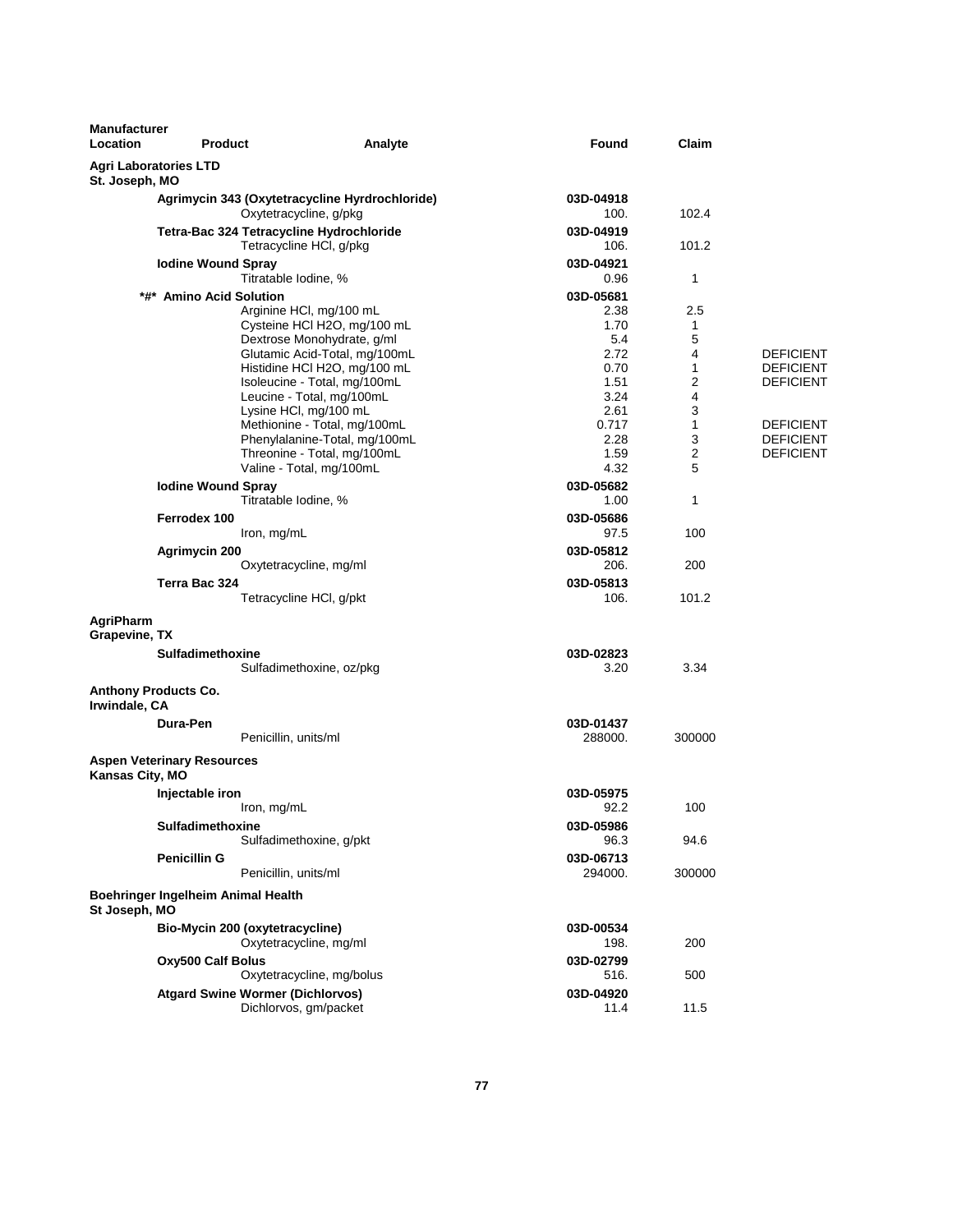| <b>Manufacturer</b><br>Location | <b>Product</b>                     | Analyte                                                                  | Found             | Claim  |                                      |
|---------------------------------|------------------------------------|--------------------------------------------------------------------------|-------------------|--------|--------------------------------------|
| St. Joseph, MO                  | <b>Agri Laboratories LTD</b>       |                                                                          |                   |        |                                      |
|                                 |                                    | Agrimycin 343 (Oxytetracycline Hyrdrochloride)<br>Oxytetracycline, g/pkg | 03D-04918<br>100. | 102.4  |                                      |
|                                 |                                    | Tetra-Bac 324 Tetracycline Hydrochloride<br>Tetracycline HCI, g/pkg      | 03D-04919<br>106. | 101.2  |                                      |
|                                 | <b>Iodine Wound Spray</b>          | Titratable Iodine, %                                                     | 03D-04921<br>0.96 | 1      |                                      |
|                                 | *#* Amino Acid Solution            |                                                                          | 03D-05681         |        |                                      |
|                                 |                                    | Arginine HCI, mg/100 mL                                                  | 2.38              | 2.5    |                                      |
|                                 |                                    | Cysteine HCl H2O, mg/100 mL                                              | 1.70              | 1      |                                      |
|                                 |                                    | Dextrose Monohydrate, g/ml                                               | 5.4               | 5      |                                      |
|                                 |                                    | Glutamic Acid-Total, mg/100mL                                            | 2.72<br>0.70      | 4<br>1 | <b>DEFICIENT</b><br><b>DEFICIENT</b> |
|                                 |                                    | Histidine HCI H2O, mg/100 mL<br>Isoleucine - Total, mg/100mL             | 1.51              | 2      | <b>DEFICIENT</b>                     |
|                                 |                                    | Leucine - Total, mg/100mL                                                | 3.24              | 4      |                                      |
|                                 |                                    | Lysine HCl, mg/100 mL                                                    | 2.61              | 3      |                                      |
|                                 |                                    | Methionine - Total, mg/100mL                                             | 0.717             | 1      | <b>DEFICIENT</b>                     |
|                                 |                                    | Phenylalanine-Total, mg/100mL                                            | 2.28              | 3      | <b>DEFICIENT</b>                     |
|                                 |                                    | Threonine - Total, mg/100mL                                              | 1.59              | 2      | <b>DEFICIENT</b>                     |
|                                 |                                    | Valine - Total, mg/100mL                                                 | 4.32              | 5      |                                      |
|                                 | <b>Iodine Wound Spray</b>          |                                                                          | 03D-05682         |        |                                      |
|                                 |                                    | Titratable Iodine, %                                                     | 1.00              | 1      |                                      |
|                                 | Ferrodex 100                       | Iron, mg/mL                                                              | 03D-05686<br>97.5 | 100    |                                      |
|                                 | Agrimycin 200                      |                                                                          | 03D-05812         |        |                                      |
|                                 |                                    | Oxytetracycline, mg/ml                                                   | 206.              | 200    |                                      |
|                                 | Terra Bac 324                      |                                                                          | 03D-05813         |        |                                      |
|                                 |                                    | Tetracycline HCI, g/pkt                                                  | 106.              | 101.2  |                                      |
| AgriPharm<br>Grapevine, TX      |                                    |                                                                          |                   |        |                                      |
|                                 | <b>Sulfadimethoxine</b>            |                                                                          | 03D-02823         |        |                                      |
|                                 |                                    | Sulfadimethoxine, oz/pkg                                                 | 3.20              | 3.34   |                                      |
| Irwindale, CA                   | <b>Anthony Products Co.</b>        |                                                                          |                   |        |                                      |
|                                 | Dura-Pen                           |                                                                          | 03D-01437         |        |                                      |
|                                 |                                    | Penicillin, units/ml                                                     | 288000.           | 300000 |                                      |
| Kansas City, MO                 | <b>Aspen Veterinary Resources</b>  |                                                                          |                   |        |                                      |
|                                 | Injectable iron                    |                                                                          | 03D-05975         |        |                                      |
|                                 |                                    | Iron, mg/mL                                                              | 92.2              | 100    |                                      |
|                                 | Sulfadimethoxine                   |                                                                          | 03D-05986         |        |                                      |
|                                 |                                    | Sulfadimethoxine, g/pkt                                                  | 96.3              | 94.6   |                                      |
|                                 | <b>Penicillin G</b>                |                                                                          | 03D-06713         |        |                                      |
|                                 |                                    | Penicillin, units/ml                                                     | 294000.           | 300000 |                                      |
| St Joseph, MO                   | Boehringer Ingelheim Animal Health |                                                                          |                   |        |                                      |
|                                 |                                    | Bio-Mycin 200 (oxytetracycline)                                          | 03D-00534         |        |                                      |
|                                 |                                    | Oxytetracycline, mg/ml                                                   | 198.              | 200    |                                      |
|                                 | Oxy500 Calf Bolus                  |                                                                          | 03D-02799         |        |                                      |
|                                 |                                    | Oxytetracycline, mg/bolus                                                | 516.              | 500    |                                      |
|                                 |                                    | <b>Atgard Swine Wormer (Dichlorvos)</b>                                  | 03D-04920         |        |                                      |
|                                 |                                    | Dichlorvos, gm/packet                                                    | 11.4              | 11.5   |                                      |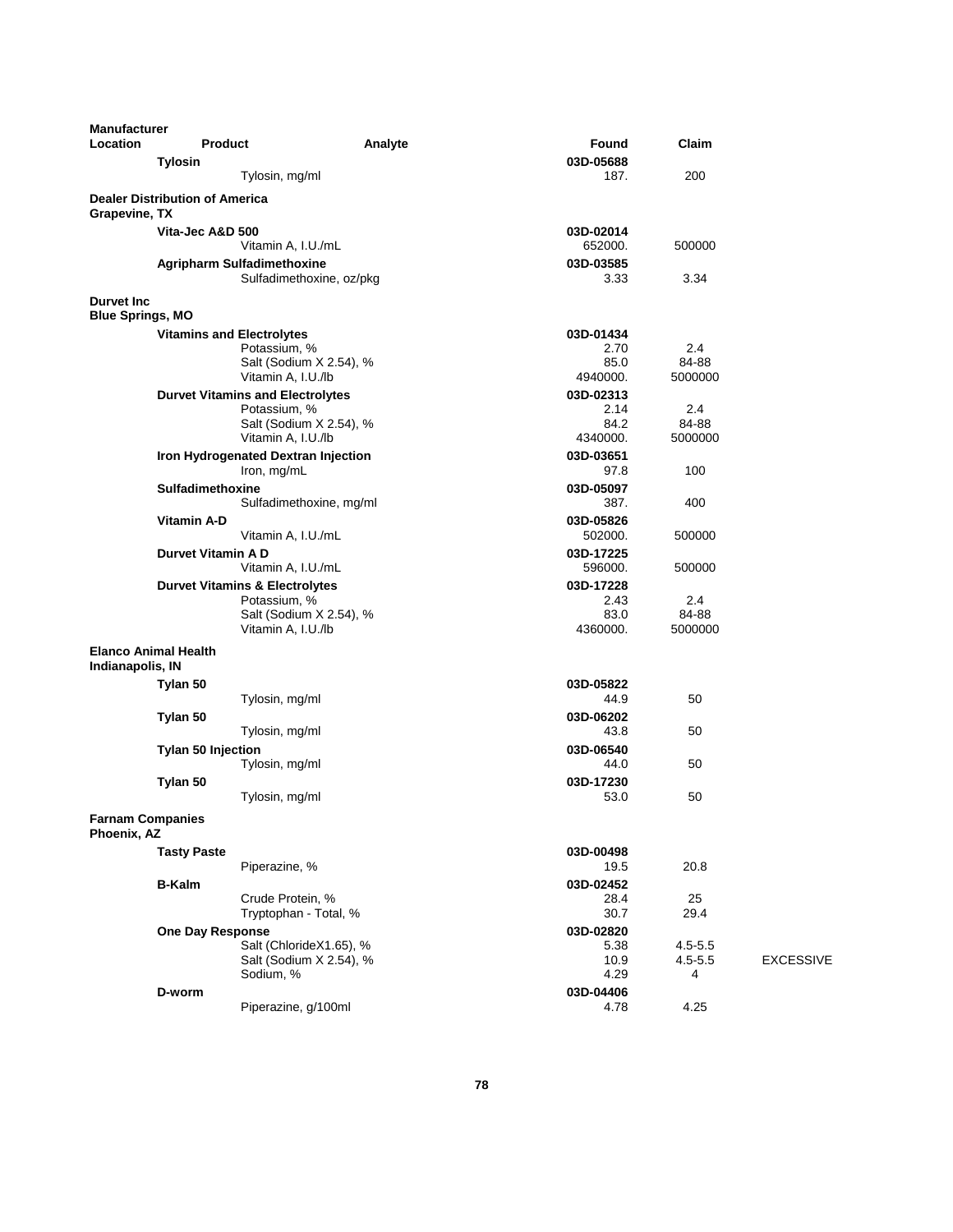| <b>Manufacturer</b><br>Location               | <b>Product</b>                        |                                                                 | Analyte | Found                             | Claim                           |                  |
|-----------------------------------------------|---------------------------------------|-----------------------------------------------------------------|---------|-----------------------------------|---------------------------------|------------------|
|                                               | <b>Tylosin</b>                        |                                                                 |         | 03D-05688                         |                                 |                  |
|                                               |                                       | Tylosin, mg/ml                                                  |         | 187.                              | 200                             |                  |
| Grapevine, TX                                 | <b>Dealer Distribution of America</b> |                                                                 |         |                                   |                                 |                  |
|                                               | Vita-Jec A&D 500                      | Vitamin A, I.U./mL                                              |         | 03D-02014<br>652000.              | 500000                          |                  |
|                                               |                                       | <b>Agripharm Sulfadimethoxine</b><br>Sulfadimethoxine, oz/pkg   |         | 03D-03585<br>3.33                 | 3.34                            |                  |
| <b>Durvet Inc.</b><br><b>Blue Springs, MO</b> |                                       |                                                                 |         |                                   |                                 |                  |
|                                               | <b>Vitamins and Electrolytes</b>      |                                                                 |         | 03D-01434                         |                                 |                  |
|                                               |                                       | Potassium, %<br>Salt (Sodium X 2.54), %<br>Vitamin A, I.U./lb   |         | 2.70<br>85.0<br>4940000.          | 2.4<br>84-88<br>5000000         |                  |
|                                               |                                       | <b>Durvet Vitamins and Electrolytes</b><br>Potassium, %         |         | 03D-02313<br>2.14                 | 2.4                             |                  |
|                                               |                                       | Salt (Sodium X 2.54), %<br>Vitamin A, I.U./lb                   |         | 84.2<br>4340000.                  | 84-88<br>5000000                |                  |
|                                               |                                       | Iron Hydrogenated Dextran Injection<br>Iron, mg/mL              |         | 03D-03651<br>97.8                 | 100                             |                  |
|                                               | Sulfadimethoxine                      | Sulfadimethoxine, mg/ml                                         |         | 03D-05097<br>387.                 | 400                             |                  |
|                                               | Vitamin A-D                           | Vitamin A, I.U./mL                                              |         | 03D-05826<br>502000.              | 500000                          |                  |
|                                               | <b>Durvet Vitamin A D</b>             | Vitamin A, I.U./mL                                              |         | 03D-17225<br>596000.              | 500000                          |                  |
|                                               |                                       | <b>Durvet Vitamins &amp; Electrolytes</b><br>Potassium, %       |         | 03D-17228<br>2.43                 | 2.4                             |                  |
|                                               |                                       | Salt (Sodium X 2.54), %<br>Vitamin A, I.U./lb                   |         | 83.0<br>4360000.                  | 84-88<br>5000000                |                  |
| Indianapolis, IN                              | <b>Elanco Animal Health</b>           |                                                                 |         |                                   |                                 |                  |
|                                               | Tylan 50                              | Tylosin, mg/ml                                                  |         | 03D-05822<br>44.9                 | 50                              |                  |
|                                               | Tylan 50                              | Tylosin, mg/ml                                                  |         | 03D-06202<br>43.8                 | 50                              |                  |
|                                               | <b>Tylan 50 Injection</b>             | Tylosin, mg/ml                                                  |         | 03D-06540<br>44.0                 | 50                              |                  |
|                                               | Tylan 50                              | Tylosin, mg/ml                                                  |         | 03D-17230<br>53.0                 | 50                              |                  |
| <b>Farnam Companies</b><br>Phoenix, AZ        |                                       |                                                                 |         |                                   |                                 |                  |
|                                               | <b>Tasty Paste</b>                    | Piperazine, %                                                   |         | 03D-00498<br>19.5                 | 20.8                            |                  |
|                                               | <b>B-Kalm</b>                         | Crude Protein, %<br>Tryptophan - Total, %                       |         | 03D-02452<br>28.4<br>30.7         | 25<br>29.4                      |                  |
|                                               | One Day Response                      | Salt (ChlorideX1.65), %<br>Salt (Sodium X 2.54), %<br>Sodium, % |         | 03D-02820<br>5.38<br>10.9<br>4.29 | $4.5 - 5.5$<br>$4.5 - 5.5$<br>4 | <b>EXCESSIVE</b> |
|                                               | D-worm                                | Piperazine, g/100ml                                             |         | 03D-04406<br>4.78                 | 4.25                            |                  |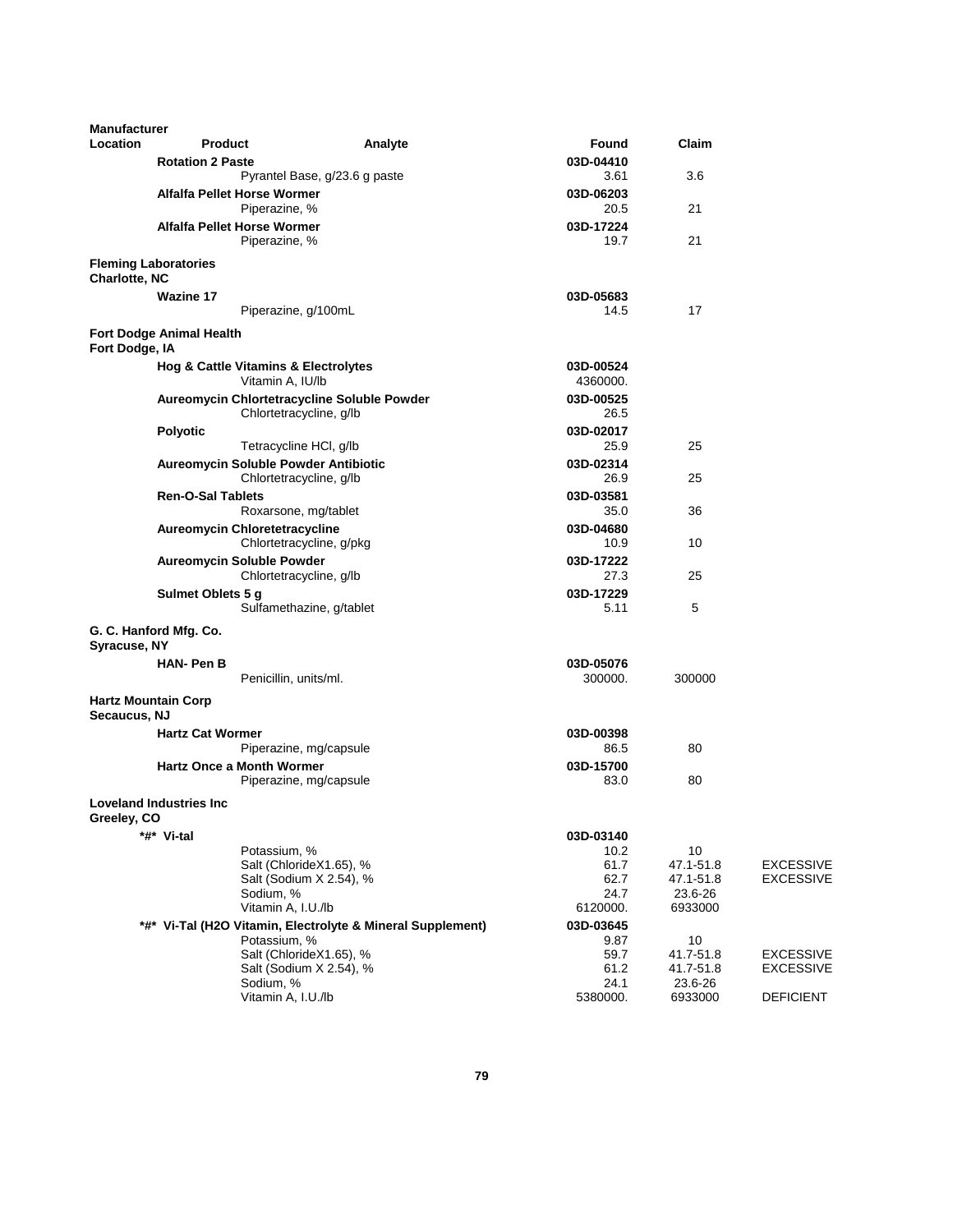| <b>Manufacturer</b> |                                      |                                                                        |                   |                        |                                      |
|---------------------|--------------------------------------|------------------------------------------------------------------------|-------------------|------------------------|--------------------------------------|
| Location            | <b>Product</b>                       | Analyte                                                                | Found             | Claim                  |                                      |
|                     | <b>Rotation 2 Paste</b>              |                                                                        | 03D-04410         |                        |                                      |
|                     |                                      | Pyrantel Base, g/23.6 g paste                                          | 3.61              | 3.6                    |                                      |
|                     | <b>Alfalfa Pellet Horse Wormer</b>   |                                                                        | 03D-06203         |                        |                                      |
|                     |                                      | Piperazine, %                                                          | 20.5              | 21                     |                                      |
|                     | <b>Alfalfa Pellet Horse Wormer</b>   | Piperazine, %                                                          | 03D-17224<br>19.7 | 21                     |                                      |
| Charlotte, NC       | <b>Fleming Laboratories</b>          |                                                                        |                   |                        |                                      |
|                     | <b>Wazine 17</b>                     |                                                                        | 03D-05683         |                        |                                      |
|                     |                                      | Piperazine, g/100mL                                                    | 14.5              | 17                     |                                      |
|                     | Fort Dodge Animal Health             |                                                                        |                   |                        |                                      |
| Fort Dodge, IA      |                                      |                                                                        |                   |                        |                                      |
|                     | Hog & Cattle Vitamins & Electrolytes |                                                                        | 03D-00524         |                        |                                      |
|                     |                                      | Vitamin A, IU/lb                                                       | 4360000.          |                        |                                      |
|                     |                                      | Aureomycin Chlortetracycline Soluble Powder<br>Chlortetracycline, g/lb | 03D-00525<br>26.5 |                        |                                      |
|                     | <b>Polyotic</b>                      |                                                                        | 03D-02017         |                        |                                      |
|                     |                                      | Tetracycline HCI, g/lb                                                 | 25.9              | 25                     |                                      |
|                     | Aureomycin Soluble Powder Antibiotic |                                                                        | 03D-02314         |                        |                                      |
|                     |                                      | Chlortetracycline, g/lb                                                | 26.9              | 25                     |                                      |
|                     | <b>Ren-O-Sal Tablets</b>             |                                                                        | 03D-03581         |                        |                                      |
|                     |                                      | Roxarsone, mg/tablet                                                   | 35.0              | 36                     |                                      |
|                     | <b>Aureomycin Chloretetracycline</b> |                                                                        | 03D-04680         |                        |                                      |
|                     |                                      | Chlortetracycline, g/pkg                                               | 10.9              | 10                     |                                      |
|                     | <b>Aureomycin Soluble Powder</b>     |                                                                        | 03D-17222         |                        |                                      |
|                     |                                      | Chlortetracycline, g/lb                                                | 27.3              | 25                     |                                      |
|                     | Sulmet Oblets 5 g                    | Sulfamethazine, g/tablet                                               | 03D-17229<br>5.11 | 5                      |                                      |
|                     | G. C. Hanford Mfg. Co.               |                                                                        |                   |                        |                                      |
| Syracuse, NY        |                                      |                                                                        |                   |                        |                                      |
|                     | <b>HAN-PenB</b>                      |                                                                        | 03D-05076         |                        |                                      |
|                     |                                      | Penicillin, units/ml.                                                  | 300000.           | 300000                 |                                      |
| Secaucus, NJ        | <b>Hartz Mountain Corp</b>           |                                                                        |                   |                        |                                      |
|                     | <b>Hartz Cat Wormer</b>              |                                                                        | 03D-00398         |                        |                                      |
|                     |                                      | Piperazine, mg/capsule                                                 | 86.5              | 80                     |                                      |
|                     | <b>Hartz Once a Month Wormer</b>     |                                                                        | 03D-15700         |                        |                                      |
|                     |                                      | Piperazine, mg/capsule                                                 | 83.0              | 80                     |                                      |
| Greeley, CO         | <b>Loveland Industries Inc.</b>      |                                                                        |                   |                        |                                      |
|                     | *#* Vi-tal                           |                                                                        | 03D-03140         |                        |                                      |
|                     |                                      | Potassium, %                                                           | 10.2              | 10                     |                                      |
|                     |                                      | Salt (ChlorideX1.65), %<br>Salt (Sodium X 2.54), %                     | 61.7<br>62.7      | 47.1-51.8<br>47.1-51.8 | <b>EXCESSIVE</b><br><b>EXCESSIVE</b> |
|                     | Sodium, %                            |                                                                        | 24.7              | 23.6-26                |                                      |
|                     |                                      | Vitamin A, I.U./lb                                                     | 6120000.          | 6933000                |                                      |
|                     |                                      | *#* Vi-Tal (H2O Vitamin, Electrolyte & Mineral Supplement)             | 03D-03645         |                        |                                      |
|                     |                                      | Potassium, %                                                           | 9.87              | 10                     |                                      |
|                     |                                      | Salt (ChlorideX1.65), %                                                | 59.7              | 41.7-51.8              | <b>EXCESSIVE</b>                     |
|                     |                                      | Salt (Sodium X 2.54), %                                                | 61.2              | 41.7-51.8              | <b>EXCESSIVE</b>                     |
|                     | Sodium, %                            | Vitamin A, I.U./lb                                                     | 24.1<br>5380000.  | 23.6-26<br>6933000     | <b>DEFICIENT</b>                     |
|                     |                                      |                                                                        |                   |                        |                                      |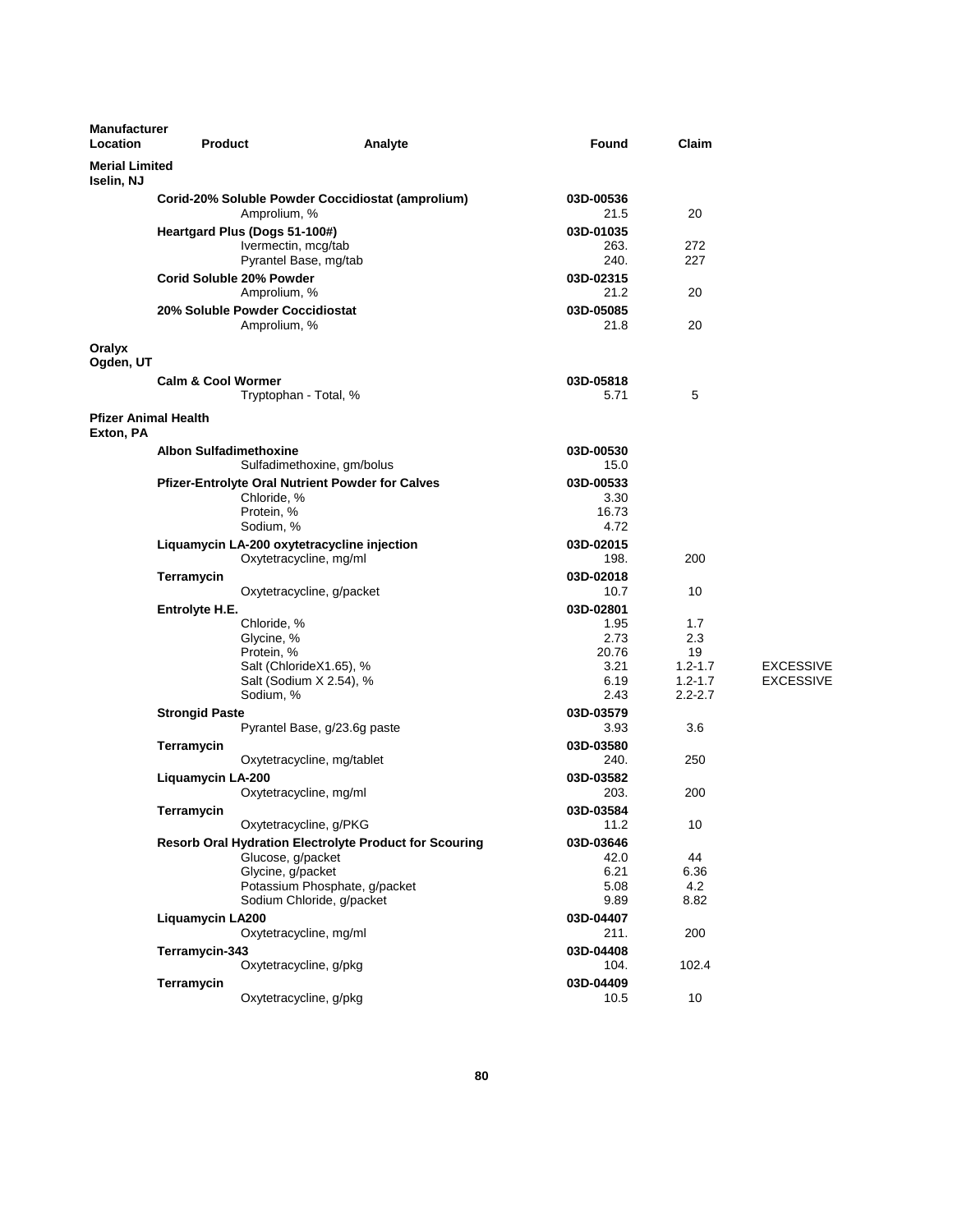| <b>Manufacturer</b><br>Location          | <b>Product</b>                      |                                                                                                                                                                                                 | Analyte | Found                                             | Claim                                     |                                      |
|------------------------------------------|-------------------------------------|-------------------------------------------------------------------------------------------------------------------------------------------------------------------------------------------------|---------|---------------------------------------------------|-------------------------------------------|--------------------------------------|
| <b>Merial Limited</b><br>Iselin, NJ      |                                     |                                                                                                                                                                                                 |         |                                                   |                                           |                                      |
|                                          |                                     | Corid-20% Soluble Powder Coccidiostat (amprolium)<br>Amprolium, %                                                                                                                               |         | 03D-00536<br>21.5                                 | 20                                        |                                      |
|                                          |                                     | Heartgard Plus (Dogs 51-100#)<br>Ivermectin, mcg/tab                                                                                                                                            |         | 03D-01035<br>263.                                 | 272                                       |                                      |
|                                          |                                     | Pyrantel Base, mg/tab<br>Corid Soluble 20% Powder                                                                                                                                               |         | 240.<br>03D-02315                                 | 227                                       |                                      |
|                                          |                                     | Amprolium, %<br>20% Soluble Powder Coccidiostat                                                                                                                                                 |         | 21.2<br>03D-05085                                 | 20                                        |                                      |
| Oralyx                                   |                                     | Amprolium, %                                                                                                                                                                                    |         | 21.8                                              | 20                                        |                                      |
| Ogden, UT                                | <b>Calm &amp; Cool Wormer</b>       |                                                                                                                                                                                                 |         | 03D-05818                                         |                                           |                                      |
|                                          |                                     | Tryptophan - Total, %                                                                                                                                                                           |         | 5.71                                              | 5                                         |                                      |
| <b>Pfizer Animal Health</b><br>Exton, PA |                                     |                                                                                                                                                                                                 |         |                                                   |                                           |                                      |
|                                          | <b>Albon Sulfadimethoxine</b>       | Sulfadimethoxine, gm/bolus                                                                                                                                                                      |         | 03D-00530<br>15.0                                 |                                           |                                      |
|                                          |                                     | <b>Pfizer-Entrolyte Oral Nutrient Powder for Calves</b><br>Chloride, %<br>Protein, %                                                                                                            |         | 03D-00533<br>3.30<br>16.73                        |                                           |                                      |
|                                          |                                     | Sodium, %<br>Liquamycin LA-200 oxytetracycline injection<br>Oxytetracycline, mg/ml                                                                                                              |         | 4.72<br>03D-02015<br>198.                         | 200                                       |                                      |
|                                          | Terramycin                          | Oxytetracycline, g/packet                                                                                                                                                                       |         | 03D-02018<br>10.7                                 | 10                                        |                                      |
|                                          | Entrolyte H.E.                      | Chloride, %<br>Glycine, %<br>Protein, %                                                                                                                                                         |         | 03D-02801<br>1.95<br>2.73<br>20.76                | 1.7<br>2.3<br>19                          |                                      |
|                                          |                                     | Salt (ChlorideX1.65), %<br>Salt (Sodium X 2.54), %<br>Sodium, %                                                                                                                                 |         | 3.21<br>6.19<br>2.43                              | $1.2 - 1.7$<br>$1.2 - 1.7$<br>$2.2 - 2.7$ | <b>EXCESSIVE</b><br><b>EXCESSIVE</b> |
|                                          | <b>Strongid Paste</b><br>Terramycin | Pyrantel Base, g/23.6g paste                                                                                                                                                                    |         | 03D-03579<br>3.93<br>03D-03580                    | 3.6                                       |                                      |
|                                          | Liquamycin LA-200                   | Oxytetracycline, mg/tablet                                                                                                                                                                      |         | 240.<br>03D-03582                                 | 250                                       |                                      |
|                                          | Terramycin                          | Oxytetracycline, mg/ml                                                                                                                                                                          |         | 203.<br>03D-03584                                 | 200                                       |                                      |
|                                          |                                     | Oxytetracycline, g/PKG<br><b>Resorb Oral Hydration Electrolyte Product for Scouring</b><br>Glucose, g/packet<br>Glycine, g/packet<br>Potassium Phosphate, g/packet<br>Sodium Chloride, g/packet |         | 11.2<br>03D-03646<br>42.0<br>6.21<br>5.08<br>9.89 | 10<br>44<br>6.36<br>4.2<br>8.82           |                                      |
|                                          | <b>Liquamycin LA200</b>             | Oxytetracycline, mg/ml                                                                                                                                                                          |         | 03D-04407<br>211.                                 | 200                                       |                                      |
|                                          | Terramycin-343                      | Oxytetracycline, g/pkg                                                                                                                                                                          |         | 03D-04408<br>104.                                 | 102.4                                     |                                      |
|                                          | Terramycin                          | Oxytetracycline, g/pkg                                                                                                                                                                          |         | 03D-04409<br>10.5                                 | 10                                        |                                      |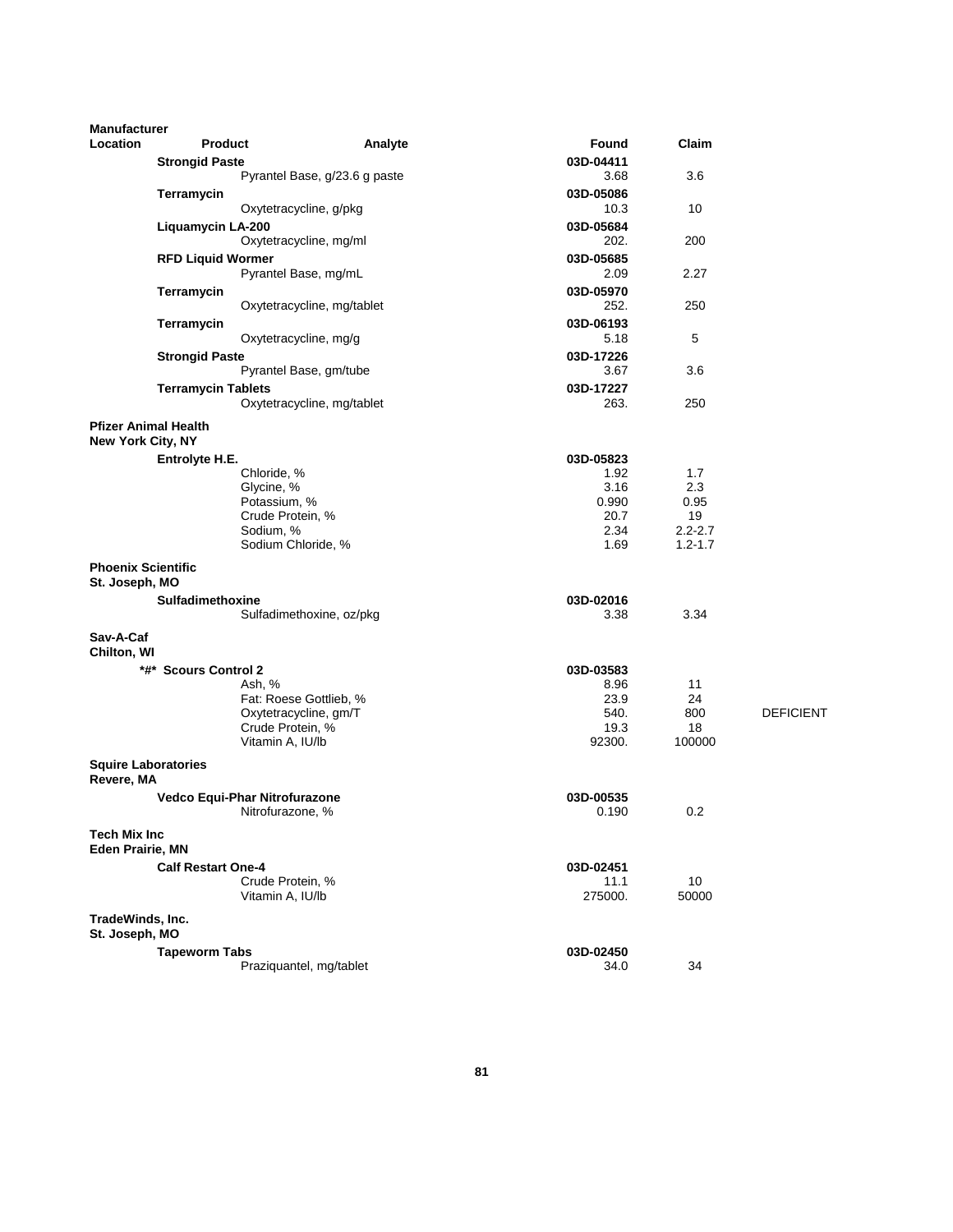| <b>Manufacturer</b>                            |                                      |                               |                   |              |                  |
|------------------------------------------------|--------------------------------------|-------------------------------|-------------------|--------------|------------------|
| Location                                       | <b>Product</b>                       | Analyte                       | Found             | Claim        |                  |
|                                                | <b>Strongid Paste</b>                |                               | 03D-04411         |              |                  |
|                                                |                                      | Pyrantel Base, g/23.6 g paste | 3.68              | 3.6          |                  |
|                                                | Terramycin                           |                               | 03D-05086         |              |                  |
|                                                |                                      | Oxytetracycline, g/pkg        | 10.3              | 10           |                  |
|                                                | Liquamycin LA-200                    |                               | 03D-05684         |              |                  |
|                                                |                                      | Oxytetracycline, mg/ml        | 202.              | 200          |                  |
|                                                | <b>RFD Liquid Wormer</b>             |                               | 03D-05685         |              |                  |
|                                                |                                      | Pyrantel Base, mg/mL          | 2.09              | 2.27         |                  |
|                                                | Terramycin                           |                               | 03D-05970         |              |                  |
|                                                |                                      | Oxytetracycline, mg/tablet    | 252.              | 250          |                  |
|                                                | Terramycin                           |                               | 03D-06193<br>5.18 | 5            |                  |
|                                                |                                      | Oxytetracycline, mg/g         |                   |              |                  |
|                                                | <b>Strongid Paste</b>                | Pyrantel Base, gm/tube        | 03D-17226<br>3.67 | 3.6          |                  |
|                                                | <b>Terramycin Tablets</b>            |                               | 03D-17227         |              |                  |
|                                                |                                      | Oxytetracycline, mg/tablet    | 263.              | 250          |                  |
|                                                |                                      |                               |                   |              |                  |
| <b>New York City, NY</b>                       | <b>Pfizer Animal Health</b>          |                               |                   |              |                  |
|                                                |                                      |                               |                   |              |                  |
|                                                | Entrolyte H.E.<br>Chloride, %        |                               | 03D-05823<br>1.92 | 1.7          |                  |
|                                                | Glycine, %                           |                               | 3.16              | 2.3          |                  |
|                                                | Potassium, %                         |                               | 0.990             | 0.95         |                  |
|                                                | Crude Protein, %                     |                               | 20.7              | 19           |                  |
|                                                | Sodium, %                            |                               | 2.34              | $2.2 - 2.7$  |                  |
|                                                |                                      | Sodium Chloride, %            | 1.69              | $1.2 - 1.7$  |                  |
| <b>Phoenix Scientific</b><br>St. Joseph, MO    |                                      |                               |                   |              |                  |
|                                                | Sulfadimethoxine                     |                               | 03D-02016         |              |                  |
|                                                |                                      | Sulfadimethoxine, oz/pkg      | 3.38              | 3.34         |                  |
| Sav-A-Caf                                      |                                      |                               |                   |              |                  |
| Chilton, WI                                    |                                      |                               |                   |              |                  |
|                                                | *#* Scours Control 2                 |                               | 03D-03583         |              |                  |
|                                                | Ash, %                               |                               | 8.96              | 11           |                  |
|                                                |                                      | Fat: Roese Gottlieb, %        | 23.9              | 24           |                  |
|                                                |                                      | Oxytetracycline, gm/T         | 540.              | 800          | <b>DEFICIENT</b> |
|                                                | Crude Protein, %<br>Vitamin A, IU/lb |                               | 19.3<br>92300.    | 18<br>100000 |                  |
|                                                |                                      |                               |                   |              |                  |
| <b>Squire Laboratories</b><br>Revere, MA       |                                      |                               |                   |              |                  |
|                                                | Vedco Equi-Phar Nitrofurazone        |                               | 03D-00535         |              |                  |
|                                                | Nitrofurazone, %                     |                               | 0.190             | 0.2          |                  |
| <b>Tech Mix Inc</b><br><b>Eden Prairie, MN</b> |                                      |                               |                   |              |                  |
|                                                | <b>Calf Restart One-4</b>            |                               | 03D-02451         |              |                  |
|                                                | Crude Protein, %                     |                               | 11.1              | 10           |                  |
|                                                | Vitamin A, IU/lb                     |                               | 275000.           | 50000        |                  |
| TradeWinds, Inc.<br>St. Joseph, MO             |                                      |                               |                   |              |                  |
|                                                | <b>Tapeworm Tabs</b>                 |                               | 03D-02450         |              |                  |
|                                                |                                      | Praziquantel, mg/tablet       | 34.0              | 34           |                  |
|                                                |                                      |                               |                   |              |                  |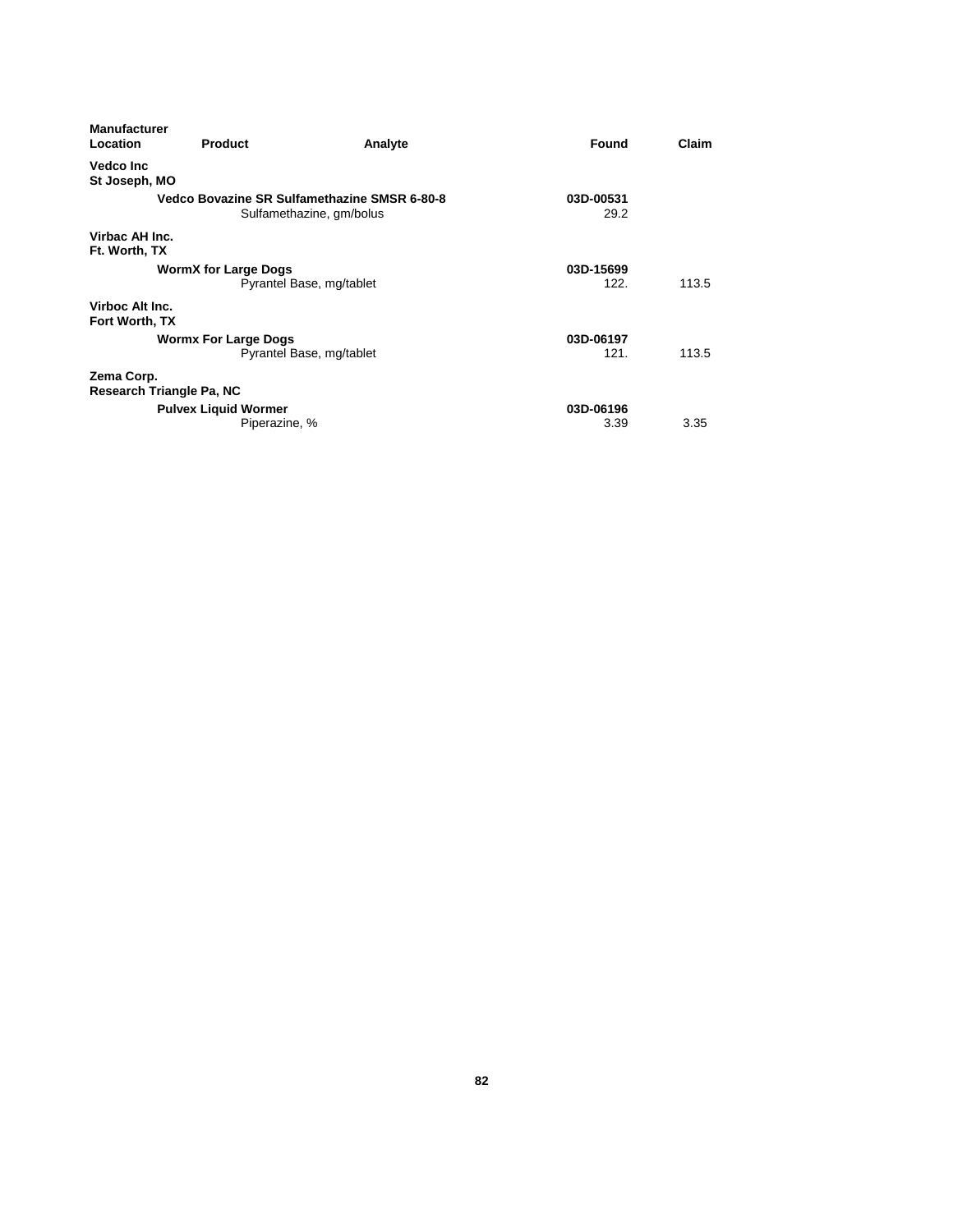| <b>Manufacturer</b><br>Location | <b>Product</b>              | Analyte                                                                  | Found             | Claim |
|---------------------------------|-----------------------------|--------------------------------------------------------------------------|-------------------|-------|
| <b>Vedco Inc</b>                |                             |                                                                          |                   |       |
| St Joseph, MO                   |                             |                                                                          |                   |       |
|                                 |                             | Vedco Bovazine SR Sulfamethazine SMSR 6-80-8<br>Sulfamethazine, gm/bolus | 03D-00531<br>29.2 |       |
| Virbac AH Inc.<br>Ft. Worth, TX |                             |                                                                          |                   |       |
|                                 | <b>WormX for Large Dogs</b> |                                                                          | 03D-15699         |       |
|                                 |                             | Pyrantel Base, mg/tablet                                                 | 122.              | 113.5 |
| Virboc Alt Inc.                 |                             |                                                                          |                   |       |
| Fort Worth, TX                  |                             |                                                                          |                   |       |
|                                 | <b>Wormx For Large Dogs</b> |                                                                          | 03D-06197         |       |
|                                 |                             | Pyrantel Base, mg/tablet                                                 | 121.              | 113.5 |
| Zema Corp.                      |                             |                                                                          |                   |       |
| Research Triangle Pa, NC        |                             |                                                                          |                   |       |
|                                 | <b>Pulvex Liquid Wormer</b> |                                                                          | 03D-06196         |       |
|                                 | Piperazine, %               |                                                                          | 3.39              | 3.35  |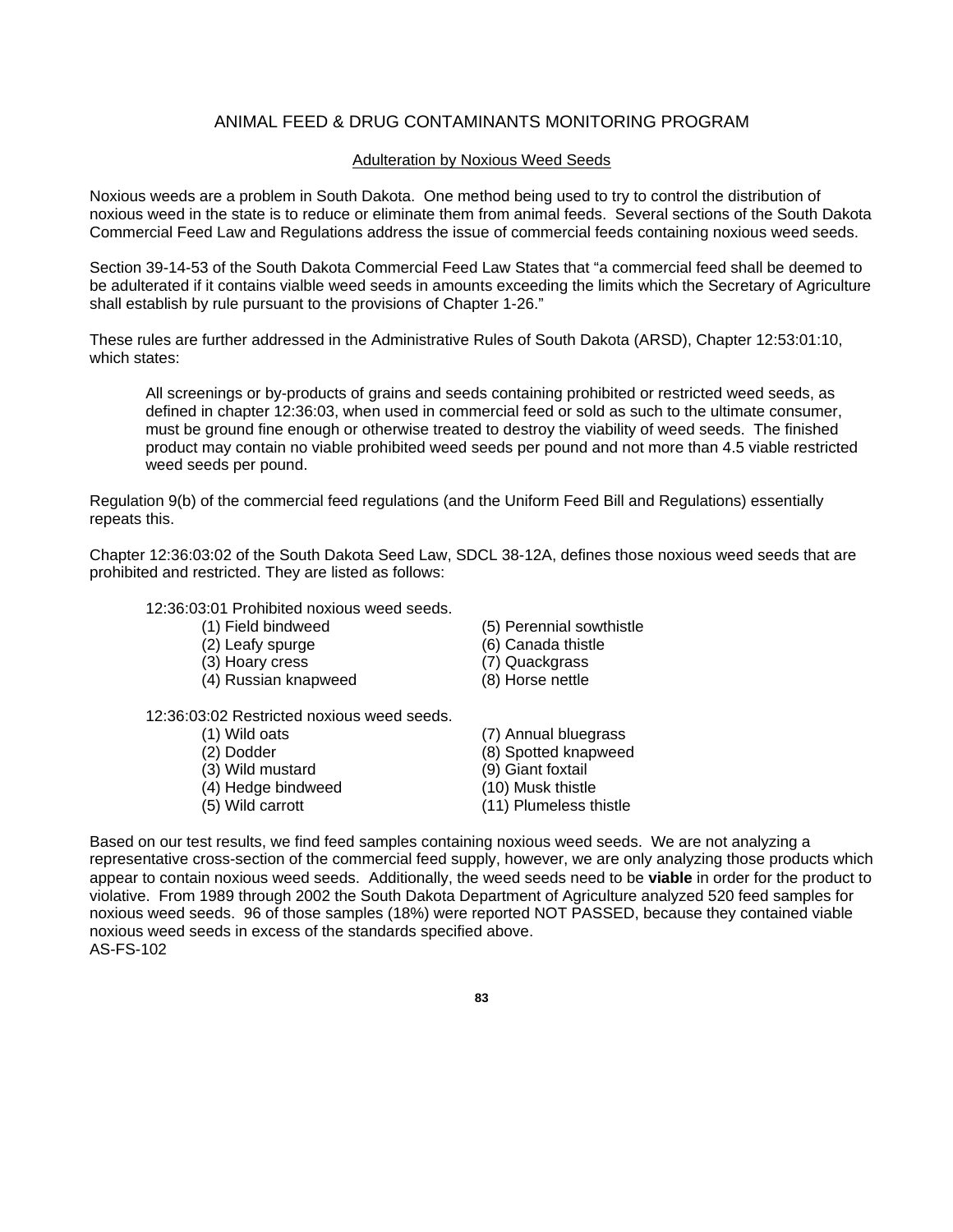### ANIMAL FEED & DRUG CONTAMINANTS MONITORING PROGRAM

#### Adulteration by Noxious Weed Seeds

Noxious weeds are a problem in South Dakota. One method being used to try to control the distribution of noxious weed in the state is to reduce or eliminate them from animal feeds. Several sections of the South Dakota Commercial Feed Law and Regulations address the issue of commercial feeds containing noxious weed seeds.

Section 39-14-53 of the South Dakota Commercial Feed Law States that "a commercial feed shall be deemed to be adulterated if it contains vialble weed seeds in amounts exceeding the limits which the Secretary of Agriculture shall establish by rule pursuant to the provisions of Chapter 1-26."

These rules are further addressed in the Administrative Rules of South Dakota (ARSD), Chapter 12:53:01:10, which states:

All screenings or by-products of grains and seeds containing prohibited or restricted weed seeds, as defined in chapter 12:36:03, when used in commercial feed or sold as such to the ultimate consumer, must be ground fine enough or otherwise treated to destroy the viability of weed seeds. The finished product may contain no viable prohibited weed seeds per pound and not more than 4.5 viable restricted weed seeds per pound.

Regulation 9(b) of the commercial feed regulations (and the Uniform Feed Bill and Regulations) essentially repeats this.

Chapter 12:36:03:02 of the South Dakota Seed Law, SDCL 38-12A, defines those noxious weed seeds that are prohibited and restricted. They are listed as follows:

#### 12:36:03:01 Prohibited noxious weed seeds.

- 
- 
- (3) Hoary cress (7) Quackgrass
- (4) Russian knapweed (8) Horse nettle
- 12:36:03:02 Restricted noxious weed seeds.
	-
	-
	-
	- $(4)$  Hedge bindweed
	-
- (1) Field bindweed (5) Perennial sowthistle
- (2) Leafy spurge (6) Canada thistle
	-
	-
- (1) Wild oats (7) Annual bluegrass (2) Dodder (8) Spotted knapweed<br>
(3) Wild mustard (9) Giant foxtail (3) Wild mustard (9) Giant foxtail<br>
(4) Hedge bindweed (10) Musk thistle (5) Wild carrott (11) Plumeless thistle

Based on our test results, we find feed samples containing noxious weed seeds. We are not analyzing a representative cross-section of the commercial feed supply, however, we are only analyzing those products which appear to contain noxious weed seeds. Additionally, the weed seeds need to be **viable** in order for the product to violative. From 1989 through 2002 the South Dakota Department of Agriculture analyzed 520 feed samples for noxious weed seeds. 96 of those samples (18%) were reported NOT PASSED, because they contained viable noxious weed seeds in excess of the standards specified above. AS-FS-102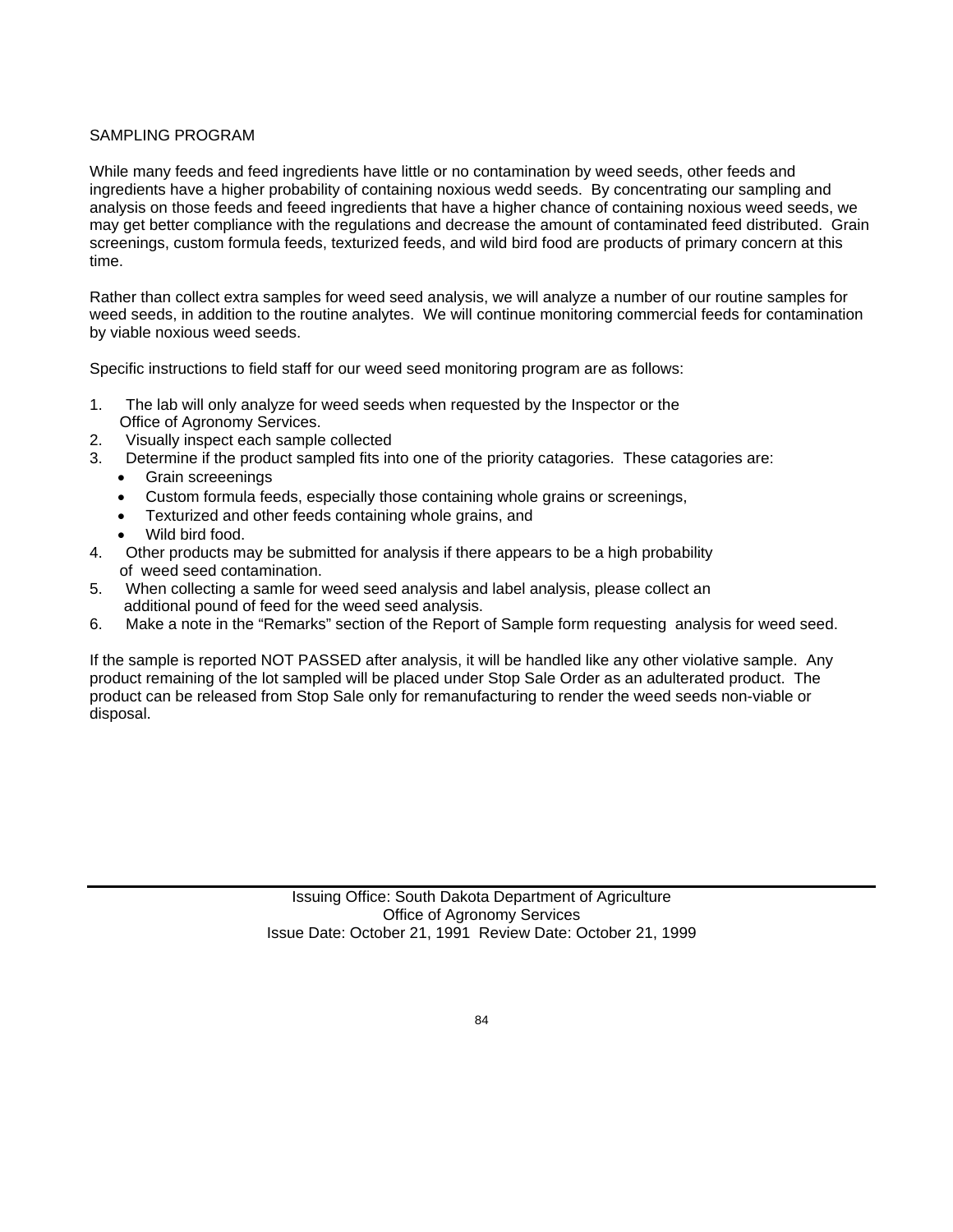#### SAMPLING PROGRAM

While many feeds and feed ingredients have little or no contamination by weed seeds, other feeds and ingredients have a higher probability of containing noxious wedd seeds. By concentrating our sampling and analysis on those feeds and feeed ingredients that have a higher chance of containing noxious weed seeds, we may get better compliance with the regulations and decrease the amount of contaminated feed distributed. Grain screenings, custom formula feeds, texturized feeds, and wild bird food are products of primary concern at this time.

Rather than collect extra samples for weed seed analysis, we will analyze a number of our routine samples for weed seeds, in addition to the routine analytes. We will continue monitoring commercial feeds for contamination by viable noxious weed seeds.

Specific instructions to field staff for our weed seed monitoring program are as follows:

- 1. The lab will only analyze for weed seeds when requested by the Inspector or the Office of Agronomy Services.
- 2. Visually inspect each sample collected
- 3. Determine if the product sampled fits into one of the priority catagories. These catagories are:
	- Grain screeenings
		- Custom formula feeds, especially those containing whole grains or screenings,
	- Texturized and other feeds containing whole grains, and
	- Wild bird food.
- 4. Other products may be submitted for analysis if there appears to be a high probability of weed seed contamination.
- 5. When collecting a samle for weed seed analysis and label analysis, please collect an additional pound of feed for the weed seed analysis.
- 6. Make a note in the "Remarks" section of the Report of Sample form requesting analysis for weed seed.

If the sample is reported NOT PASSED after analysis, it will be handled like any other violative sample. Any product remaining of the lot sampled will be placed under Stop Sale Order as an adulterated product. The product can be released from Stop Sale only for remanufacturing to render the weed seeds non-viable or disposal.

> Issuing Office: South Dakota Department of Agriculture Office of Agronomy Services Issue Date: October 21, 1991 Review Date: October 21, 1999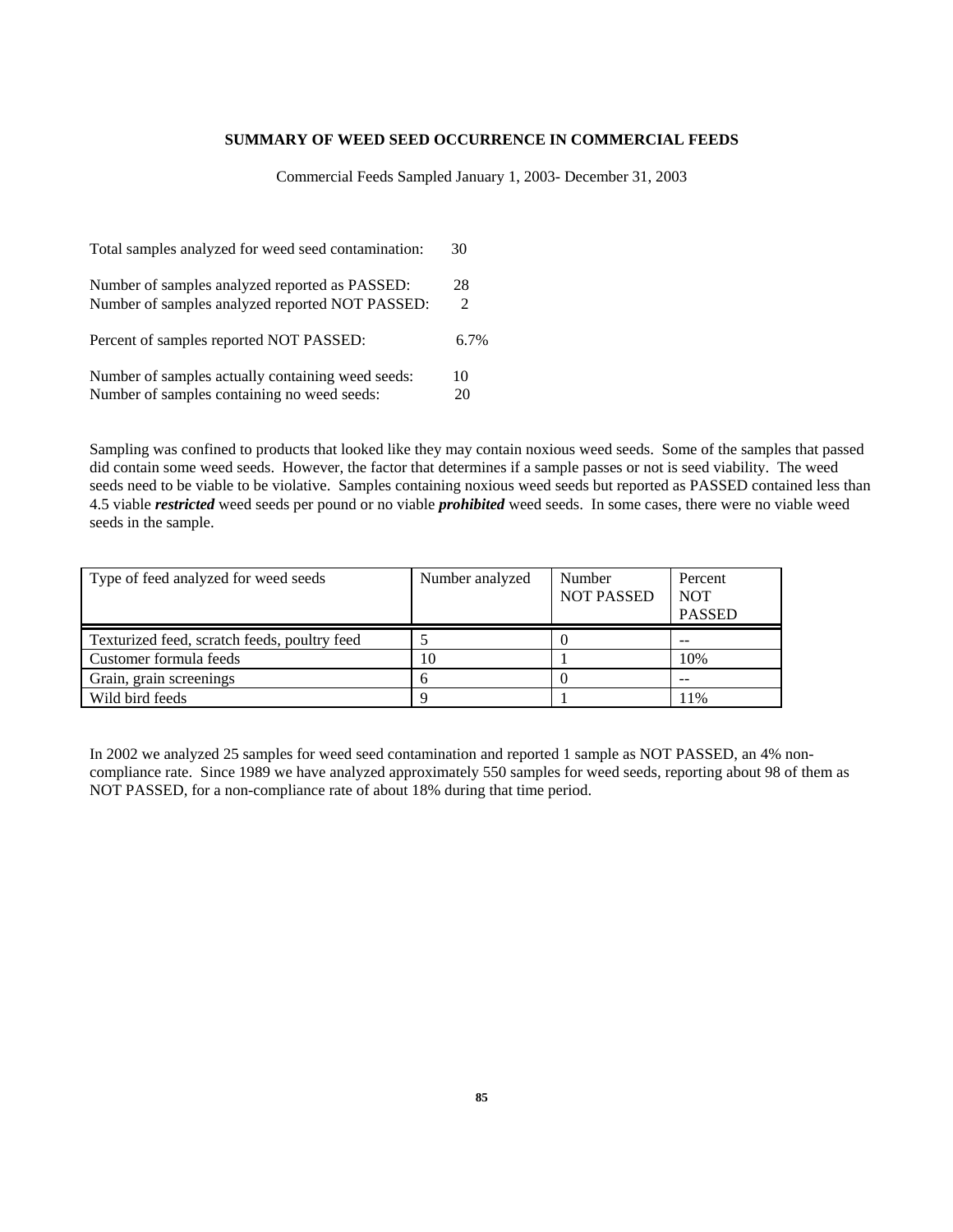#### **SUMMARY OF WEED SEED OCCURRENCE IN COMMERCIAL FEEDS**

Commercial Feeds Sampled January 1, 2003- December 31, 2003

| Total samples analyzed for weed seed contamination: | 30      |
|-----------------------------------------------------|---------|
| Number of samples analyzed reported as PASSED:      | 28      |
| Number of samples analyzed reported NOT PASSED:     | 2       |
| Percent of samples reported NOT PASSED:             | $6.7\%$ |
| Number of samples actually containing weed seeds:   | 10      |
| Number of samples containing no weed seeds:         | 20      |

Sampling was confined to products that looked like they may contain noxious weed seeds. Some of the samples that passed did contain some weed seeds. However, the factor that determines if a sample passes or not is seed viability. The weed seeds need to be viable to be violative. Samples containing noxious weed seeds but reported as PASSED contained less than 4.5 viable *restricted* weed seeds per pound or no viable *prohibited* weed seeds. In some cases, there were no viable weed seeds in the sample.

| Type of feed analyzed for weed seeds         | Number analyzed | Number<br><b>NOT PASSED</b> | Percent<br><b>NOT</b><br><b>PASSED</b> |
|----------------------------------------------|-----------------|-----------------------------|----------------------------------------|
| Texturized feed, scratch feeds, poultry feed |                 |                             | --                                     |
| Customer formula feeds                       | 10              |                             | 10%                                    |
| Grain, grain screenings                      |                 |                             | $- -$                                  |
| Wild bird feeds                              |                 |                             | 11%                                    |

In 2002 we analyzed 25 samples for weed seed contamination and reported 1 sample as NOT PASSED, an 4% noncompliance rate. Since 1989 we have analyzed approximately 550 samples for weed seeds, reporting about 98 of them as NOT PASSED, for a non-compliance rate of about 18% during that time period.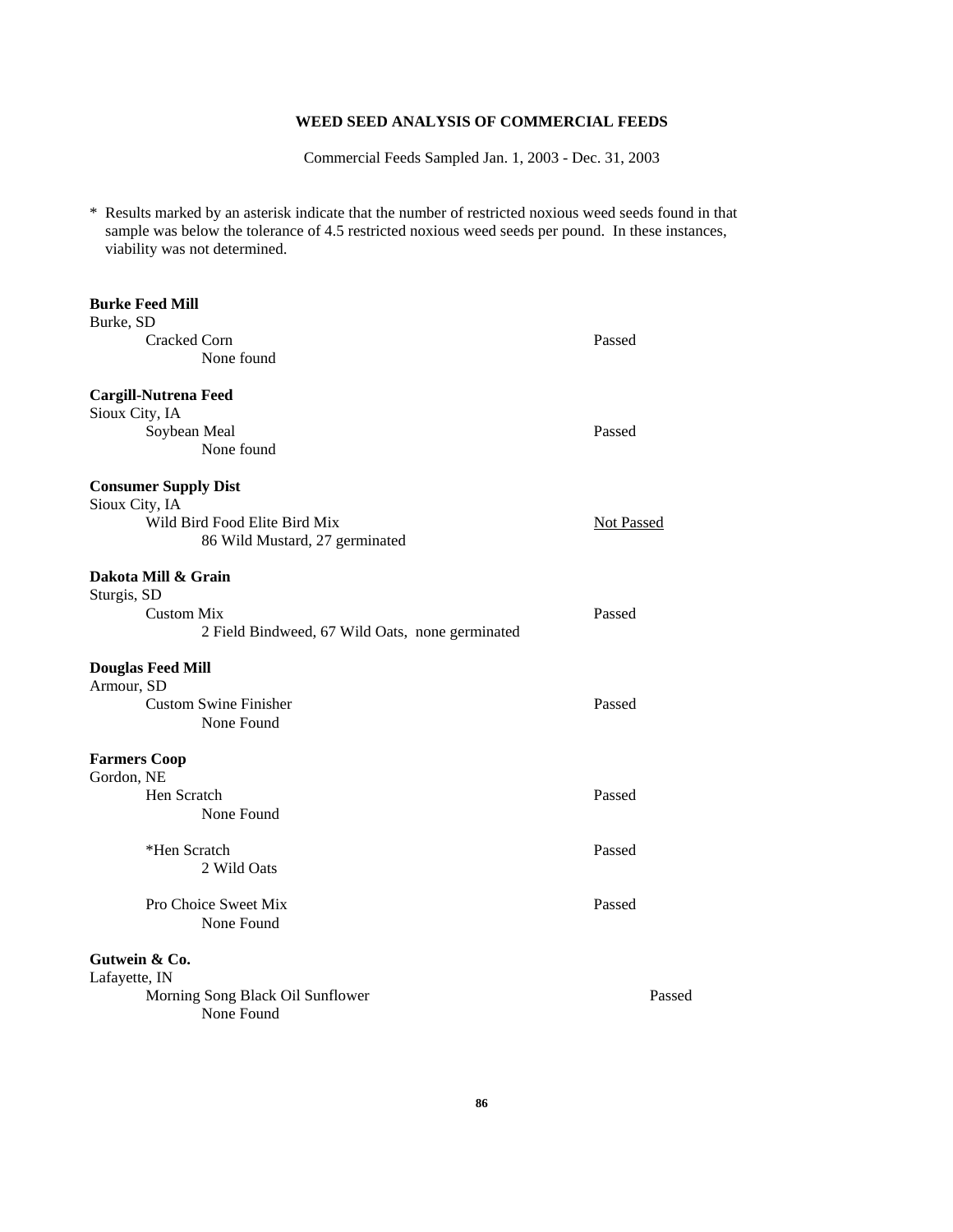#### **WEED SEED ANALYSIS OF COMMERCIAL FEEDS**

Commercial Feeds Sampled Jan. 1, 2003 - Dec. 31, 2003

\* Results marked by an asterisk indicate that the number of restricted noxious weed seeds found in that sample was below the tolerance of 4.5 restricted noxious weed seeds per pound. In these instances, viability was not determined.

| <b>Burke Feed Mill</b>                                          |                   |
|-----------------------------------------------------------------|-------------------|
| Burke, SD<br><b>Cracked Corn</b>                                | Passed            |
| None found                                                      |                   |
| <b>Cargill-Nutrena Feed</b>                                     |                   |
| Sioux City, IA                                                  |                   |
| Soybean Meal<br>None found                                      | Passed            |
| <b>Consumer Supply Dist</b>                                     |                   |
| Sioux City, IA                                                  |                   |
| Wild Bird Food Elite Bird Mix<br>86 Wild Mustard, 27 germinated | <b>Not Passed</b> |
| Dakota Mill & Grain                                             |                   |
| Sturgis, SD<br><b>Custom Mix</b>                                | Passed            |
| 2 Field Bindweed, 67 Wild Oats, none germinated                 |                   |
| <b>Douglas Feed Mill</b>                                        |                   |
| Armour, SD<br><b>Custom Swine Finisher</b>                      | Passed            |
| None Found                                                      |                   |
| <b>Farmers Coop</b>                                             |                   |
| Gordon, NE<br>Hen Scratch                                       | Passed            |
| None Found                                                      |                   |
| *Hen Scratch                                                    | Passed            |
| 2 Wild Oats                                                     |                   |
| Pro Choice Sweet Mix<br>None Found                              | Passed            |
|                                                                 |                   |
| Gutwein & Co.<br>Lafayette, IN                                  |                   |
| Morning Song Black Oil Sunflower                                | Passed            |
| None Found                                                      |                   |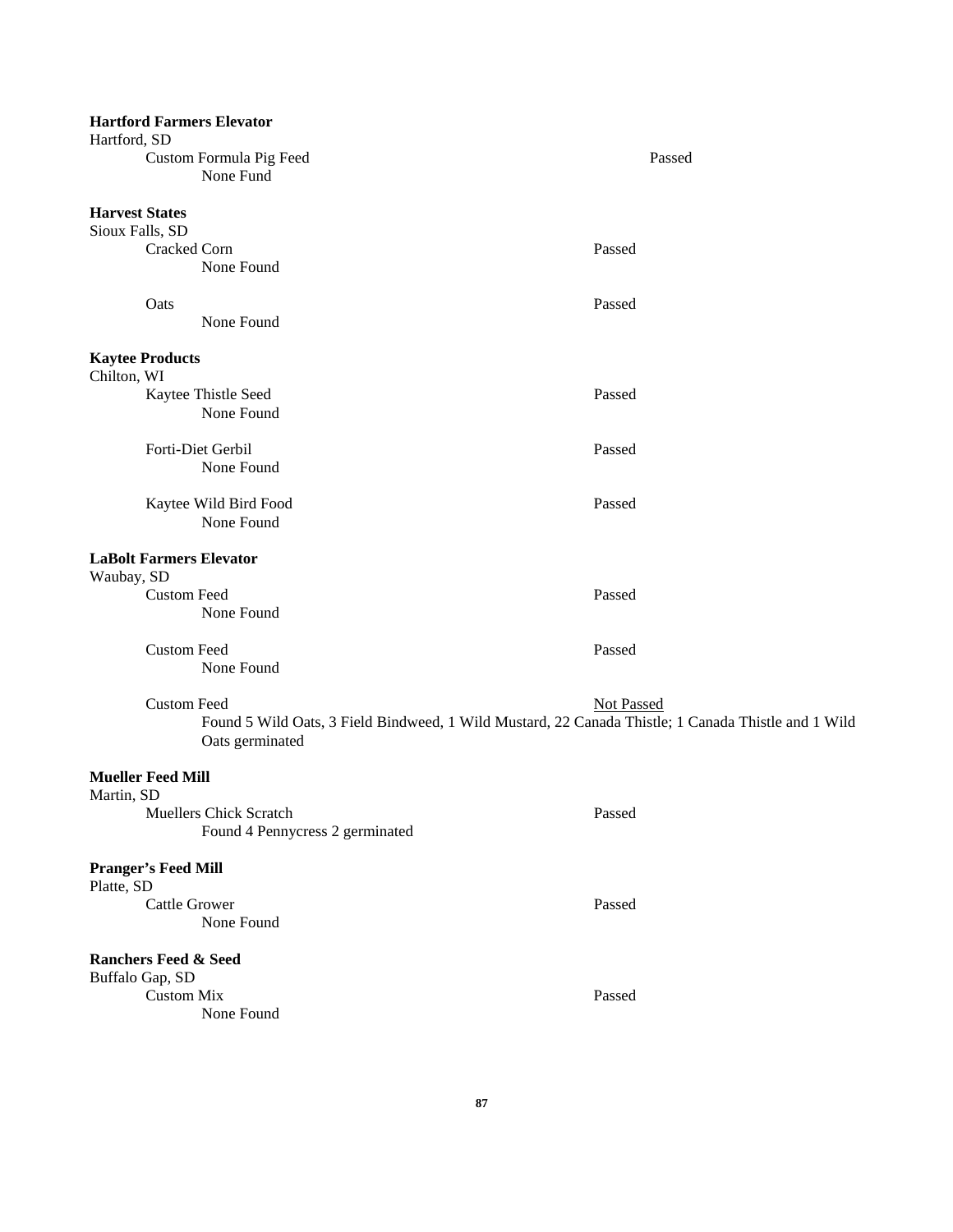| Hartford, SD                             |                      | <b>Hartford Farmers Elevator</b>                                                                                       |                   |
|------------------------------------------|----------------------|------------------------------------------------------------------------------------------------------------------------|-------------------|
|                                          |                      | Custom Formula Pig Feed<br>None Fund                                                                                   | Passed            |
| <b>Harvest States</b>                    |                      |                                                                                                                        |                   |
| Sioux Falls, SD                          |                      |                                                                                                                        |                   |
|                                          | Cracked Corn         |                                                                                                                        | Passed            |
|                                          |                      | None Found                                                                                                             |                   |
|                                          | Oats                 |                                                                                                                        | Passed            |
|                                          |                      | None Found                                                                                                             |                   |
| <b>Kaytee Products</b><br>Chilton, WI    |                      |                                                                                                                        |                   |
|                                          |                      | Kaytee Thistle Seed                                                                                                    | Passed            |
|                                          |                      | None Found                                                                                                             |                   |
|                                          |                      | Forti-Diet Gerbil                                                                                                      | Passed            |
|                                          |                      | None Found                                                                                                             |                   |
|                                          |                      | Kaytee Wild Bird Food                                                                                                  | Passed            |
|                                          |                      | None Found                                                                                                             |                   |
| Waubay, SD                               |                      | <b>LaBolt Farmers Elevator</b>                                                                                         |                   |
|                                          | <b>Custom Feed</b>   |                                                                                                                        | Passed            |
|                                          |                      | None Found                                                                                                             |                   |
|                                          | <b>Custom Feed</b>   |                                                                                                                        | Passed            |
|                                          |                      | None Found                                                                                                             |                   |
|                                          | <b>Custom Feed</b>   |                                                                                                                        | <b>Not Passed</b> |
|                                          |                      | Found 5 Wild Oats, 3 Field Bindweed, 1 Wild Mustard, 22 Canada Thistle; 1 Canada Thistle and 1 Wild<br>Oats germinated |                   |
| <b>Mueller Feed Mill</b>                 |                      |                                                                                                                        |                   |
| Martin, SD                               |                      |                                                                                                                        |                   |
|                                          |                      | Muellers Chick Scratch<br>Found 4 Pennycress 2 germinated                                                              | Passed            |
| <b>Pranger's Feed Mill</b><br>Platte, SD |                      |                                                                                                                        |                   |
|                                          | <b>Cattle Grower</b> |                                                                                                                        | Passed            |
|                                          |                      | None Found                                                                                                             |                   |
| <b>Ranchers Feed &amp; Seed</b>          |                      |                                                                                                                        |                   |
| Buffalo Gap, SD                          |                      |                                                                                                                        |                   |
|                                          | <b>Custom Mix</b>    |                                                                                                                        | Passed            |
|                                          |                      | None Found                                                                                                             |                   |